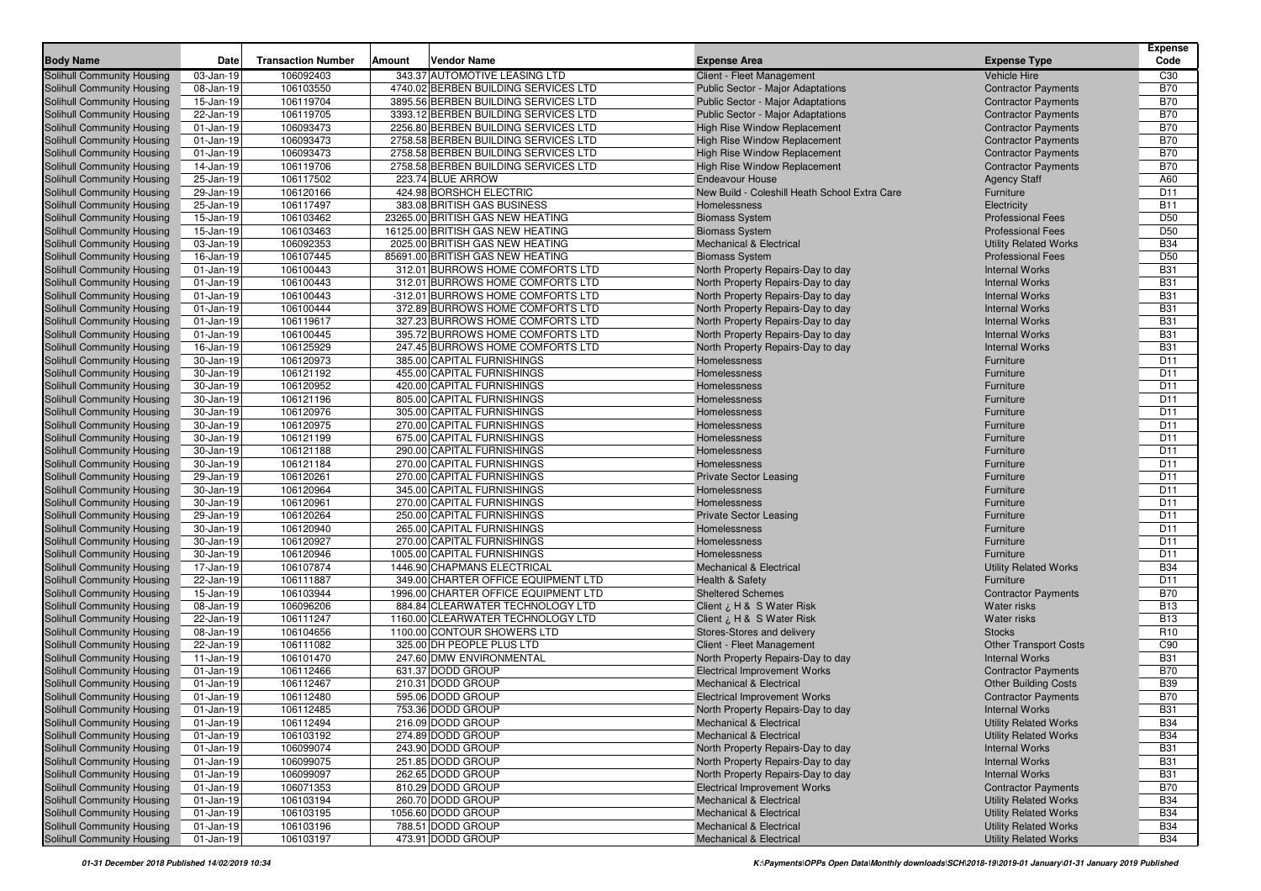| <b>Body Name</b>                                                       | Date                         | <b>Transaction Number</b> | Amount | <b>Vendor Name</b>                     | <b>Expense Area</b>                                                      | <b>Expense Type</b>                                        | <b>Expense</b><br>Code   |
|------------------------------------------------------------------------|------------------------------|---------------------------|--------|----------------------------------------|--------------------------------------------------------------------------|------------------------------------------------------------|--------------------------|
| Solihull Community Housing                                             | 03-Jan-19                    | 106092403                 |        | 343.37 AUTOMOTIVE LEASING LTD          | Client - Fleet Management                                                | <b>Vehicle Hire</b>                                        | C30                      |
| <b>Solihull Community Housing</b>                                      | 08-Jan-19                    | 106103550                 |        | 4740.02 BERBEN BUILDING SERVICES LTD   | Public Sector - Major Adaptations                                        | <b>Contractor Payments</b>                                 | <b>B70</b>               |
| <b>Solihull Community Housing</b>                                      | 15-Jan-19                    | 106119704                 |        | 3895.56 BERBEN BUILDING SERVICES LTD   | Public Sector - Major Adaptations                                        | <b>Contractor Payments</b>                                 | <b>B70</b>               |
| <b>Solihull Community Housing</b>                                      | 22-Jan-19                    | 106119705                 |        | 3393.12 BERBEN BUILDING SERVICES LTD   | Public Sector - Major Adaptations                                        | <b>Contractor Payments</b>                                 | <b>B70</b>               |
| <b>Solihull Community Housing</b>                                      | $01$ -Jan-19                 | 106093473                 |        | 2256.80 BERBEN BUILDING SERVICES LTD   | <b>High Rise Window Replacement</b>                                      | <b>Contractor Payments</b>                                 | <b>B70</b>               |
| <b>Solihull Community Housing</b>                                      | 01-Jan-19                    | 106093473                 |        | 2758.58 BERBEN BUILDING SERVICES LTD   | <b>High Rise Window Replacement</b>                                      | <b>Contractor Payments</b>                                 | <b>B70</b>               |
| <b>Solihull Community Housing</b>                                      | 01-Jan-19                    | 106093473                 |        | 2758.58 BERBEN BUILDING SERVICES LTD   | High Rise Window Replacement                                             | <b>Contractor Payments</b>                                 | <b>B70</b>               |
| <b>Solihull Community Housing</b>                                      | 14-Jan-19                    | 106119706                 |        | 2758.58 BERBEN BUILDING SERVICES LTD   | <b>High Rise Window Replacement</b>                                      | <b>Contractor Payments</b>                                 | <b>B70</b>               |
| <b>Solihull Community Housing</b>                                      | 25-Jan-19                    | 106117502                 |        | 223.74 BLUE ARROW                      | <b>Endeavour House</b>                                                   | <b>Agency Staff</b>                                        | A60                      |
| Solihull Community Housing                                             | 29-Jan-19                    | 106120166                 |        | 424.98 BORSHCH ELECTRIC                | New Build - Coleshill Heath School Extra Care                            | Furniture                                                  | D11                      |
| <b>Solihull Community Housing</b>                                      | 25-Jan-19                    | 106117497                 |        | 383.08 BRITISH GAS BUSINESS            | Homelessness                                                             | Electricity                                                | <b>B11</b>               |
| <b>Solihull Community Housing</b>                                      | 15-Jan-19                    | 106103462                 |        | 23265.00 BRITISH GAS NEW HEATING       | <b>Biomass System</b>                                                    | <b>Professional Fees</b>                                   | D <sub>50</sub>          |
| <b>Solihull Community Housing</b>                                      | 15-Jan-19                    | 106103463                 |        | 16125.00 BRITISH GAS NEW HEATING       | <b>Biomass System</b>                                                    | <b>Professional Fees</b>                                   | D <sub>50</sub>          |
| <b>Solihull Community Housing</b>                                      | 03-Jan-19                    | 106092353                 |        | 2025.00 BRITISH GAS NEW HEATING        | <b>Mechanical &amp; Electrical</b>                                       | <b>Utility Related Works</b>                               | <b>B34</b>               |
| Solihull Community Housing                                             | 16-Jan-19                    | 106107445                 |        | 85691.00 BRITISH GAS NEW HEATING       | <b>Biomass System</b>                                                    | <b>Professional Fees</b>                                   | D <sub>50</sub>          |
| <b>Solihull Community Housing</b>                                      | 01-Jan-19                    | 106100443                 |        | 312.01 BURROWS HOME COMFORTS LTD       | North Property Repairs-Day to day                                        | <b>Internal Works</b>                                      | <b>B31</b>               |
| <b>Solihull Community Housing</b>                                      | $01$ -Jan-19                 | 106100443                 |        | 312.01 BURROWS HOME COMFORTS LTD       | North Property Repairs-Day to day                                        | <b>Internal Works</b>                                      | <b>B31</b>               |
| Solihull Community Housing                                             | 01-Jan-19                    | 106100443                 |        | -312.01 BURROWS HOME COMFORTS LTD      | North Property Repairs-Day to day                                        | <b>Internal Works</b>                                      | <b>B31</b>               |
| Solihull Community Housing                                             | $01$ -Jan-19                 | 106100444                 |        | 372.89 BURROWS HOME COMFORTS LTD       | North Property Repairs-Day to day                                        | <b>Internal Works</b>                                      | <b>B31</b>               |
| Solihull Community Housing                                             | 01-Jan-19                    | 106119617                 |        | 327.23 BURROWS HOME COMFORTS LTD       | North Property Repairs-Day to day                                        | <b>Internal Works</b>                                      | <b>B31</b>               |
| Solihull Community Housing                                             | $01$ -Jan-19                 | 106100445                 |        | 395.72 BURROWS HOME COMFORTS LTD       | North Property Repairs-Day to day                                        | <b>Internal Works</b>                                      | <b>B31</b>               |
| Solihull Community Housing                                             | 16-Jan-19                    | 106125929                 |        | 247.45 BURROWS HOME COMFORTS LTD       | North Property Repairs-Day to day                                        | <b>Internal Works</b>                                      | <b>B31</b>               |
| Solihull Community Housing                                             | 30-Jan-19                    | 106120973                 |        | 385.00 CAPITAL FURNISHINGS             | Homelessness                                                             | Furniture                                                  | D <sub>11</sub>          |
| Solihull Community Housing                                             | 30-Jan-19                    | 106121192                 |        | 455.00 CAPITAL FURNISHINGS             | Homelessness                                                             | Furniture                                                  | D <sub>11</sub>          |
| Solihull Community Housing                                             | 30-Jan-19                    | 106120952                 |        | 420.00 CAPITAL FURNISHINGS             | Homelessness                                                             | Furniture                                                  | D <sub>11</sub>          |
| Solihull Community Housing                                             | 30-Jan-19                    | 106121196                 |        | 805.00 CAPITAL FURNISHINGS             | Homelessness                                                             | Furniture                                                  | D <sub>11</sub>          |
| Solihull Community Housing                                             | 30-Jan-19                    | 106120976                 |        | 305.00 CAPITAL FURNISHINGS             | Homelessness                                                             | Furniture                                                  | D <sub>11</sub>          |
| Solihull Community Housing                                             | 30-Jan-19                    | 106120975                 |        | 270.00 CAPITAL FURNISHINGS             | Homelessness                                                             | Furniture                                                  | D <sub>11</sub>          |
| Solihull Community Housing                                             | 30-Jan-19                    | 106121199                 |        | 675.00 CAPITAL FURNISHINGS             | Homelessness                                                             | Furniture                                                  | D <sub>11</sub>          |
| Solihull Community Housing                                             | 30-Jan-19                    | 106121188                 |        | 290.00 CAPITAL FURNISHINGS             | Homelessness                                                             | Furniture                                                  | D <sub>11</sub>          |
| Solihull Community Housing                                             | 30-Jan-19                    | 106121184                 |        | 270.00 CAPITAL FURNISHINGS             | Homelessness                                                             | Furniture                                                  | D <sub>11</sub>          |
| Solihull Community Housing                                             | 29-Jan-19                    | 106120261                 |        | 270.00 CAPITAL FURNISHINGS             | <b>Private Sector Leasing</b>                                            | Furniture                                                  | D11                      |
| Solihull Community Housing                                             | 30-Jan-19                    | 106120964                 |        | 345.00 CAPITAL FURNISHINGS             | Homelessness                                                             | Furniture                                                  | D <sub>11</sub>          |
| Solihull Community Housing                                             | 30-Jan-19                    | 106120961                 |        | 270.00 CAPITAL FURNISHINGS             | Homelessness                                                             | Furniture                                                  | D <sub>11</sub>          |
| Solihull Community Housing                                             | 29-Jan-19                    | 106120264                 |        | 250.00 CAPITAL FURNISHINGS             | <b>Private Sector Leasing</b>                                            | Furniture                                                  | D11                      |
| Solihull Community Housing                                             | 30-Jan-19                    | 106120940                 |        | 265.00 CAPITAL FURNISHINGS             | Homelessness                                                             | Furniture                                                  | D11                      |
| Solihull Community Housing                                             | 30-Jan-19                    | 106120927                 |        | 270.00 CAPITAL FURNISHINGS             | Homelessness                                                             | Furniture                                                  | D <sub>11</sub>          |
| Solihull Community Housing                                             | 30-Jan-19                    | 106120946                 |        | 1005.00 CAPITAL FURNISHINGS            | Homelessness                                                             | Furniture                                                  | D <sub>11</sub>          |
| Solihull Community Housing                                             | 17-Jan-19                    | 106107874                 |        | 1446.90 CHAPMANS ELECTRICAL            | <b>Mechanical &amp; Electrical</b>                                       | <b>Utility Related Works</b>                               | <b>B34</b>               |
| Solihull Community Housing                                             | 22-Jan-19                    | 106111887                 |        | 349.00 CHARTER OFFICE EQUIPMENT LTD    | <b>Health &amp; Safety</b>                                               | Furniture                                                  | D <sub>11</sub>          |
| Solihull Community Housing                                             | 15-Jan-19                    | 106103944                 |        | 1996.00 CHARTER OFFICE EQUIPMENT LTD   | <b>Sheltered Schemes</b>                                                 | <b>Contractor Payments</b>                                 | <b>B70</b>               |
| Solihull Community Housing                                             | 08-Jan-19                    | 106096206                 |        | 884.84 CLEARWATER TECHNOLOGY LTD       | Client ¿ H & S Water Risk                                                | <b>Water risks</b>                                         | <b>B13</b>               |
| Solihull Community Housing                                             | 22-Jan-19                    | 106111247                 |        | 1160.00 CLEARWATER TECHNOLOGY LTD      | Client ¿ H & S Water Risk                                                | <b>Water risks</b>                                         | <b>B13</b>               |
| Solihull Community Housing                                             | 08-Jan-19                    | 106104656                 |        | 1100.00 CONTOUR SHOWERS LTD            | Stores-Stores and delivery                                               | <b>Stocks</b>                                              | R <sub>10</sub>          |
| Solihull Community Housing                                             | 22-Jan-19                    | 106111082                 |        | 325.00 DH PEOPLE PLUS LTD              | Client - Fleet Management                                                | <b>Other Transport Costs</b>                               | C90                      |
| Solihull Community Housing                                             | $11-Jan-19$                  | 106101470                 |        | 247.60 DMW ENVIRONMENTAL               | North Property Repairs-Day to day                                        | <b>Internal Works</b>                                      | <b>B31</b>               |
| Solihull Community Housing                                             | $01$ -Jan-19                 | 106112466                 |        | 631.37 DODD GROUP                      | <b>Electrical Improvement Works</b>                                      | <b>Contractor Payments</b>                                 | <b>B70</b>               |
| Solihull Community Housing                                             | $01$ -Jan-19                 | 106112467                 |        | 210.31 DODD GROUP                      | <b>Mechanical &amp; Electrical</b>                                       | <b>Other Building Costs</b>                                | <b>B39</b>               |
| Solihull Community Housing                                             | 01-Jan-19                    | 106112480                 |        | 595.06 DODD GROUP<br>753.36 DODD GROUP | <b>Electrical Improvement Works</b>                                      | <b>Contractor Payments</b>                                 | <b>B70</b><br><b>B31</b> |
| Solihull Community Housing                                             | $01-Jan-19$                  | 106112485                 |        |                                        | North Property Repairs-Day to day                                        | <b>Internal Works</b>                                      |                          |
| Solihull Community Housing                                             | 01-Jan-19                    | 106112494                 |        | 216.09 DODD GROUP                      | Mechanical & Electrical                                                  | <b>Utility Related Works</b>                               | <b>B34</b>               |
| Solihull Community Housing                                             | $01$ -Jan-19                 | 106103192                 |        | 274.89 DODD GROUP<br>243.90 DODD GROUP | <b>Mechanical &amp; Electrical</b>                                       | <b>Utility Related Works</b>                               | <b>B34</b>               |
| Solihull Community Housing<br>Solihull Community Housing               | $01$ -Jan-19                 | 106099074<br>106099075    |        | 251.85 DODD GROUP                      | North Property Repairs-Day to day                                        | <b>Internal Works</b>                                      | <b>B31</b><br><b>B31</b> |
|                                                                        | $01$ -Jan-19                 | 106099097                 |        |                                        | North Property Repairs-Day to day                                        | <b>Internal Works</b>                                      |                          |
| <b>Solihull Community Housing</b><br><b>Solihull Community Housing</b> | $01$ -Jan-19<br>$01$ -Jan-19 |                           |        | 262.65 DODD GROUP<br>810.29 DODD GROUP | North Property Repairs-Day to day<br><b>Electrical Improvement Works</b> | <b>Internal Works</b>                                      | <b>B31</b><br><b>B70</b> |
| Solihull Community Housing                                             | $01$ -Jan-19                 | 106071353<br>106103194    |        | 260.70 DODD GROUP                      | <b>Mechanical &amp; Electrical</b>                                       | <b>Contractor Payments</b><br><b>Utility Related Works</b> | <b>B34</b>               |
| <b>Solihull Community Housing</b>                                      | $01$ -Jan-19                 | 106103195                 |        | 1056.60 DODD GROUP                     | <b>Mechanical &amp; Electrical</b>                                       | <b>Utility Related Works</b>                               | <b>B34</b>               |
| Solihull Community Housing                                             | $01$ -Jan-19                 | 106103196                 |        | 788.51 DODD GROUP                      | <b>Mechanical &amp; Electrical</b>                                       | <b>Utility Related Works</b>                               | <b>B34</b>               |
| <b>Solihull Community Housing</b>                                      | 01-Jan-19                    | 106103197                 |        | 473.91 DODD GROUP                      | <b>Mechanical &amp; Electrical</b>                                       | <b>Utility Related Works</b>                               | <b>B34</b>               |
|                                                                        |                              |                           |        |                                        |                                                                          |                                                            |                          |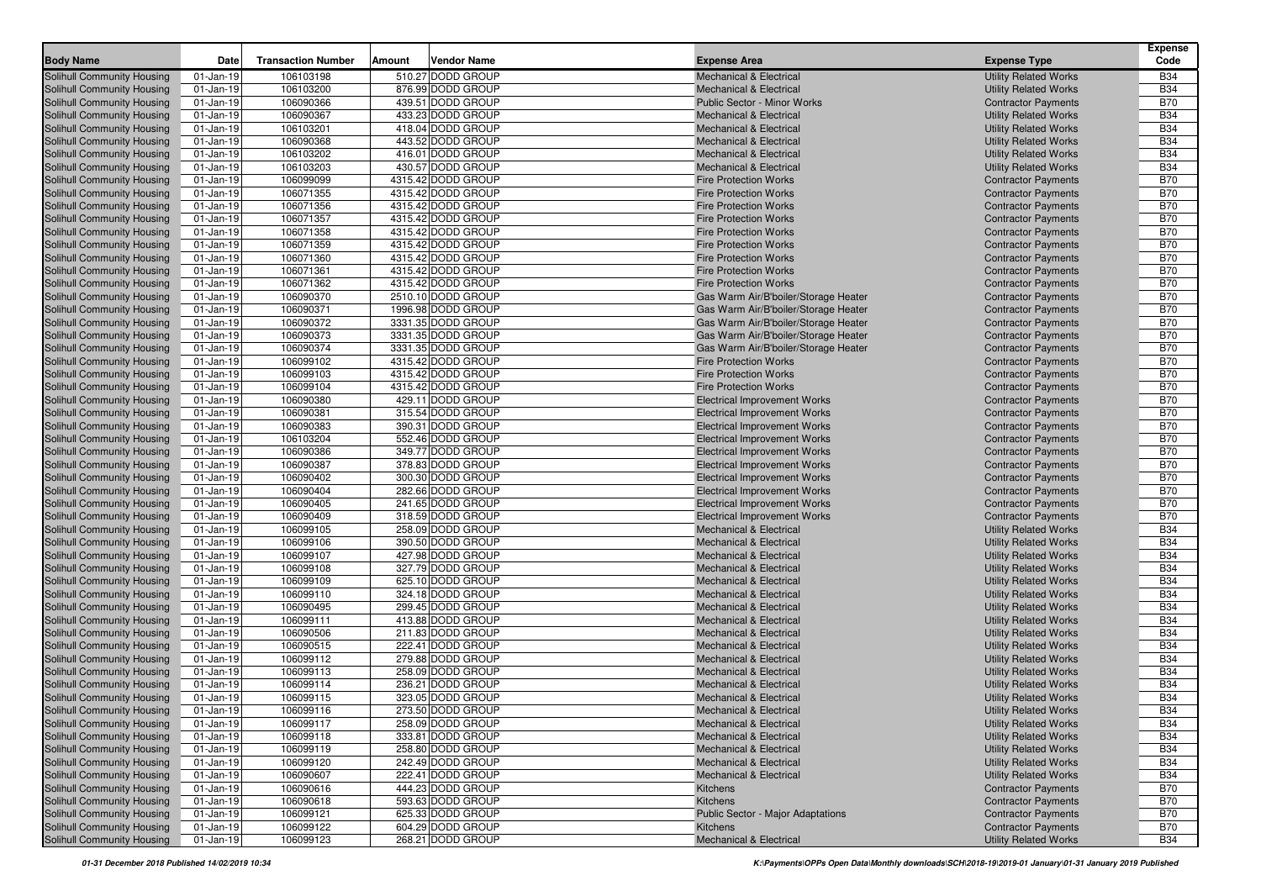| <b>Body Name</b>                                                | Date                         | <b>Transaction Number</b> | Amount | <b>Vendor Name</b>                     | <b>Expense Area</b>                                                      | <b>Expense Type</b>                                          | <b>Expense</b><br>Code   |
|-----------------------------------------------------------------|------------------------------|---------------------------|--------|----------------------------------------|--------------------------------------------------------------------------|--------------------------------------------------------------|--------------------------|
| <b>Solihull Community Housing</b>                               | $01$ -Jan-19                 | 106103198                 |        | 510.27 DODD GROUP                      | <b>Mechanical &amp; Electrical</b>                                       | <b>Utility Related Works</b>                                 | <b>B34</b>               |
| Solihull Community Housing                                      | $01$ -Jan-19                 | 106103200                 |        | 876.99 DODD GROUP                      | <b>Mechanical &amp; Electrical</b>                                       | <b>Utility Related Works</b>                                 | <b>B34</b>               |
| Solihull Community Housing                                      | 01-Jan-19                    | 106090366                 |        | 439.51 DODD GROUP                      | Public Sector - Minor Works                                              | <b>Contractor Payments</b>                                   | <b>B70</b>               |
| Solihull Community Housing                                      | 01-Jan-19                    | 106090367                 |        | 433.23 DODD GROUP                      | <b>Mechanical &amp; Electrical</b>                                       | <b>Utility Related Works</b>                                 | <b>B34</b>               |
| Solihull Community Housing                                      | $01$ -Jan-19                 | 106103201                 |        | 418.04 DODD GROUP                      | <b>Mechanical &amp; Electrical</b>                                       | <b>Utility Related Works</b>                                 | <b>B34</b>               |
| Solihull Community Housing                                      | $01$ -Jan-19                 | 106090368                 |        | 443.52 DODD GROUP                      | <b>Mechanical &amp; Electrical</b>                                       | <b>Utility Related Works</b>                                 | <b>B34</b>               |
| Solihull Community Housing                                      | $01$ -Jan-19                 | 106103202                 |        | 416.01 DODD GROUP                      | <b>Mechanical &amp; Electrical</b>                                       | <b>Utility Related Works</b>                                 | <b>B34</b>               |
| Solihull Community Housing                                      | $01$ -Jan-19                 | 106103203                 |        | 430.57 DODD GROUP                      | <b>Mechanical &amp; Electrical</b>                                       | <b>Utility Related Works</b>                                 | <b>B34</b>               |
| Solihull Community Housing                                      | $01$ -Jan-19                 | 106099099                 |        | 4315.42 DODD GROUP                     | <b>Fire Protection Works</b>                                             | <b>Contractor Payments</b>                                   | <b>B70</b>               |
| <b>Solihull Community Housing</b>                               | 01-Jan-19                    | 106071355                 |        | 4315.42 DODD GROUP                     | <b>Fire Protection Works</b>                                             | <b>Contractor Payments</b>                                   | <b>B70</b>               |
| Solihull Community Housing                                      | $01$ -Jan-19                 | 106071356                 |        | 4315.42 DODD GROUP                     | <b>Fire Protection Works</b>                                             | <b>Contractor Payments</b>                                   | <b>B70</b>               |
| Solihull Community Housing                                      | $01$ -Jan-19                 | 106071357                 |        | 4315.42 DODD GROUP                     | <b>Fire Protection Works</b>                                             | <b>Contractor Payments</b>                                   | <b>B70</b>               |
| Solihull Community Housing                                      | $01$ -Jan-19                 | 106071358                 |        | 4315.42 DODD GROUP                     | <b>Fire Protection Works</b>                                             | <b>Contractor Payments</b>                                   | <b>B70</b>               |
| Solihull Community Housing                                      | $01$ -Jan-19                 | 106071359                 |        | 4315.42 DODD GROUP                     | <b>Fire Protection Works</b>                                             | <b>Contractor Payments</b>                                   | <b>B70</b>               |
| Solihull Community Housing                                      | $01$ -Jan-19                 | 106071360                 |        | 4315.42 DODD GROUP                     | <b>Fire Protection Works</b>                                             | <b>Contractor Payments</b>                                   | <b>B70</b>               |
| Solihull Community Housing                                      | $01$ -Jan-19                 | 106071361                 |        | 4315.42 DODD GROUP                     | <b>Fire Protection Works</b>                                             | <b>Contractor Payments</b>                                   | <b>B70</b>               |
| Solihull Community Housing                                      | $01$ -Jan-19                 | 106071362                 |        | 4315.42 DODD GROUP                     | <b>Fire Protection Works</b>                                             | <b>Contractor Payments</b>                                   | <b>B70</b>               |
| Solihull Community Housing                                      | $01$ -Jan-19                 | 106090370                 |        | 2510.10 DODD GROUP                     | Gas Warm Air/B'boiler/Storage Heater                                     | <b>Contractor Payments</b>                                   | <b>B70</b>               |
| Solihull Community Housing                                      | $01$ -Jan-19                 | 106090371                 |        | 1996.98 DODD GROUP                     | Gas Warm Air/B'boiler/Storage Heater                                     | <b>Contractor Payments</b>                                   | <b>B70</b>               |
| Solihull Community Housing                                      | $01$ -Jan-19                 | 106090372                 |        | 3331.35 DODD GROUP                     | Gas Warm Air/B'boiler/Storage Heater                                     | <b>Contractor Payments</b>                                   | <b>B70</b>               |
| Solihull Community Housing                                      | $01$ -Jan-19                 | 106090373                 |        | 3331.35 DODD GROUP                     | Gas Warm Air/B'boiler/Storage Heater                                     | <b>Contractor Payments</b>                                   | <b>B70</b>               |
| Solihull Community Housing                                      | $01$ -Jan-19                 | 106090374                 |        | 3331.35 DODD GROUP                     | Gas Warm Air/B'boiler/Storage Heater                                     | <b>Contractor Payments</b>                                   | <b>B70</b>               |
| Solihull Community Housing                                      | $01$ -Jan-19                 | 106099102                 |        | 4315.42 DODD GROUP                     | <b>Fire Protection Works</b>                                             | <b>Contractor Payments</b>                                   | <b>B70</b>               |
| Solihull Community Housing                                      | $01$ -Jan-19                 | 106099103                 |        | 4315.42 DODD GROUP                     | <b>Fire Protection Works</b>                                             | <b>Contractor Payments</b>                                   | <b>B70</b>               |
| Solihull Community Housing                                      | $01$ -Jan-19                 | 106099104                 |        | 4315.42 DODD GROUP                     | <b>Fire Protection Works</b>                                             | <b>Contractor Payments</b>                                   | <b>B70</b>               |
| Solihull Community Housing                                      | $01$ -Jan-19                 | 106090380                 |        | 429.11 DODD GROUP                      | <b>Electrical Improvement Works</b>                                      | <b>Contractor Payments</b>                                   | <b>B70</b>               |
| Solihull Community Housing                                      | $01$ -Jan-19                 | 106090381                 |        | 315.54 DODD GROUP                      | <b>Electrical Improvement Works</b>                                      | <b>Contractor Payments</b>                                   | <b>B70</b>               |
| Solihull Community Housing                                      | $01$ -Jan-19                 | 106090383                 |        | 390.31 DODD GROUP                      | <b>Electrical Improvement Works</b>                                      | <b>Contractor Payments</b>                                   | <b>B70</b>               |
| Solihull Community Housing                                      | 01-Jan-19                    | 106103204                 |        | 552.46 DODD GROUP                      | <b>Electrical Improvement Works</b>                                      | <b>Contractor Payments</b>                                   | <b>B70</b>               |
| Solihull Community Housing                                      | $01$ -Jan-19                 | 106090386                 |        | 349.77 DODD GROUP                      | <b>Electrical Improvement Works</b>                                      | <b>Contractor Payments</b>                                   | <b>B70</b>               |
| Solihull Community Housing                                      | $01$ -Jan-19                 | 106090387                 |        | 378.83 DODD GROUP                      | <b>Electrical Improvement Works</b>                                      | <b>Contractor Payments</b>                                   | <b>B70</b>               |
| <b>Solihull Community Housing</b>                               | $01$ -Jan-19                 | 106090402                 |        | 300.30 DODD GROUP                      | <b>Electrical Improvement Works</b>                                      | <b>Contractor Payments</b>                                   | <b>B70</b>               |
| Solihull Community Housing                                      | $01$ -Jan-19                 | 106090404                 |        | 282.66 DODD GROUP                      | <b>Electrical Improvement Works</b>                                      | <b>Contractor Payments</b>                                   | <b>B70</b>               |
| Solihull Community Housing                                      | $01$ -Jan-19                 | 106090405                 |        | 241.65 DODD GROUP                      | <b>Electrical Improvement Works</b>                                      | <b>Contractor Payments</b>                                   | <b>B70</b>               |
| Solihull Community Housing                                      | $01$ -Jan-19                 | 106090409                 |        | 318.59 DODD GROUP                      | <b>Electrical Improvement Works</b>                                      | <b>Contractor Payments</b>                                   | <b>B70</b>               |
| Solihull Community Housing                                      | $01$ -Jan-19                 | 106099105                 |        | 258.09 DODD GROUP                      | <b>Mechanical &amp; Electrical</b>                                       | <b>Utility Related Works</b>                                 | <b>B34</b>               |
| Solihull Community Housing                                      | $01$ -Jan-19                 | 106099106                 |        | 390.50 DODD GROUP                      | <b>Mechanical &amp; Electrical</b>                                       | <b>Utility Related Works</b>                                 | <b>B34</b>               |
| Solihull Community Housing                                      | $01$ -Jan-19                 | 106099107                 |        | 427.98 DODD GROUP                      | <b>Mechanical &amp; Electrical</b>                                       | <b>Utility Related Works</b>                                 | <b>B34</b>               |
| Solihull Community Housing                                      | $01$ -Jan-19                 | 106099108                 |        | 327.79 DODD GROUP                      | <b>Mechanical &amp; Electrical</b>                                       | <b>Utility Related Works</b>                                 | <b>B34</b>               |
| Solihull Community Housing                                      | $01$ -Jan-19                 | 106099109                 |        | 625.10 DODD GROUP                      | <b>Mechanical &amp; Electrical</b>                                       | <b>Utility Related Works</b>                                 | <b>B34</b>               |
| Solihull Community Housing                                      | $01$ -Jan-19                 | 106099110                 |        | 324.18 DODD GROUP                      | <b>Mechanical &amp; Electrical</b>                                       | <b>Utility Related Works</b>                                 | <b>B34</b>               |
| Solihull Community Housing                                      | $01$ -Jan-19                 | 106090495                 |        | 299.45 DODD GROUP                      | <b>Mechanical &amp; Electrical</b>                                       | <b>Utility Related Works</b>                                 | <b>B34</b>               |
| Solihull Community Housing                                      | $01$ -Jan-19                 | 106099111                 |        | 413.88 DODD GROUP                      | <b>Mechanical &amp; Electrical</b>                                       | <b>Utility Related Works</b>                                 | <b>B34</b>               |
| Solihull Community Housing<br>Solihull Community Housing        | $01$ -Jan-19                 | 106090506                 |        | 211.83 DODD GROUP<br>222.41 DODD GROUP | <b>Mechanical &amp; Electrical</b>                                       | <b>Utility Related Works</b>                                 | <b>B34</b><br><b>B34</b> |
|                                                                 | $01$ -Jan-19<br>$01$ -Jan-19 | 106090515<br>106099112    |        | 279.88 DODD GROUP                      | <b>Mechanical &amp; Electrical</b><br><b>Mechanical &amp; Electrical</b> | <b>Utility Related Works</b>                                 | <b>B34</b>               |
| Solihull Community Housing<br><b>Solihull Community Housing</b> | $01$ -Jan-19                 | 106099113                 |        | 258.09 DODD GROUP                      | <b>Mechanical &amp; Electrical</b>                                       | <b>Utility Related Works</b><br><b>Utility Related Works</b> | <b>B34</b>               |
| <b>Solihull Community Housing</b>                               | $01$ -Jan-19                 | 106099114                 |        | 236.21 DODD GROUP                      | <b>Mechanical &amp; Electrical</b>                                       | <b>Utility Related Works</b>                                 | <b>B34</b>               |
| Solihull Community Housing                                      | $01$ -Jan-19                 | 106099115                 |        | 323.05 DODD GROUP                      | <b>Mechanical &amp; Electrical</b>                                       | <b>Utility Related Works</b>                                 | <b>B34</b>               |
| Solihull Community Housing                                      | $01$ -Jan-19                 | 106099116                 |        | 273.50 DODD GROUP                      | <b>Mechanical &amp; Electrical</b>                                       | <b>Utility Related Works</b>                                 | <b>B34</b>               |
| <b>Solihull Community Housing</b>                               | 01-Jan-19                    | 106099117                 |        | 258.09 DODD GROUP                      | <b>Mechanical &amp; Electrical</b>                                       | <b>Utility Related Works</b>                                 | <b>B34</b>               |
| Solihull Community Housing                                      | 01-Jan-19                    | 106099118                 |        | 333.81 DODD GROUP                      | <b>Mechanical &amp; Electrical</b>                                       | <b>Utility Related Works</b>                                 | <b>B34</b>               |
| Solihull Community Housing                                      | 01-Jan-19                    | 106099119                 |        | 258.80 DODD GROUP                      | <b>Mechanical &amp; Electrical</b>                                       | <b>Utility Related Works</b>                                 | <b>B34</b>               |
| Solihull Community Housing                                      | $01$ -Jan-19                 | 106099120                 |        | 242.49 DODD GROUP                      | <b>Mechanical &amp; Electrical</b>                                       | <b>Utility Related Works</b>                                 | <b>B34</b>               |
| <b>Solihull Community Housing</b>                               | $01$ -Jan-19                 | 106090607                 |        | 222.41 DODD GROUP                      | <b>Mechanical &amp; Electrical</b>                                       | <b>Utility Related Works</b>                                 | <b>B34</b>               |
| <b>Solihull Community Housing</b>                               | 01-Jan-19                    | 106090616                 |        | 444.23 DODD GROUP                      | Kitchens                                                                 | <b>Contractor Payments</b>                                   | <b>B70</b>               |
| <b>Solihull Community Housing</b>                               | $01$ -Jan-19                 | 106090618                 |        | 593.63 DODD GROUP                      | Kitchens                                                                 | <b>Contractor Payments</b>                                   | <b>B70</b>               |
| <b>Solihull Community Housing</b>                               | 01-Jan-19                    | 106099121                 |        | 625.33 DODD GROUP                      | Public Sector - Major Adaptations                                        | <b>Contractor Payments</b>                                   | <b>B70</b>               |
| <b>Solihull Community Housing</b>                               | 01-Jan-19                    | 106099122                 |        | 604.29 DODD GROUP                      | <b>Kitchens</b>                                                          | <b>Contractor Payments</b>                                   | <b>B70</b>               |
| Solihull Community Housing                                      | $01$ -Jan-19                 | 106099123                 |        | 268.21 DODD GROUP                      | <b>Mechanical &amp; Electrical</b>                                       | <b>Utility Related Works</b>                                 | <b>B34</b>               |
|                                                                 |                              |                           |        |                                        |                                                                          |                                                              |                          |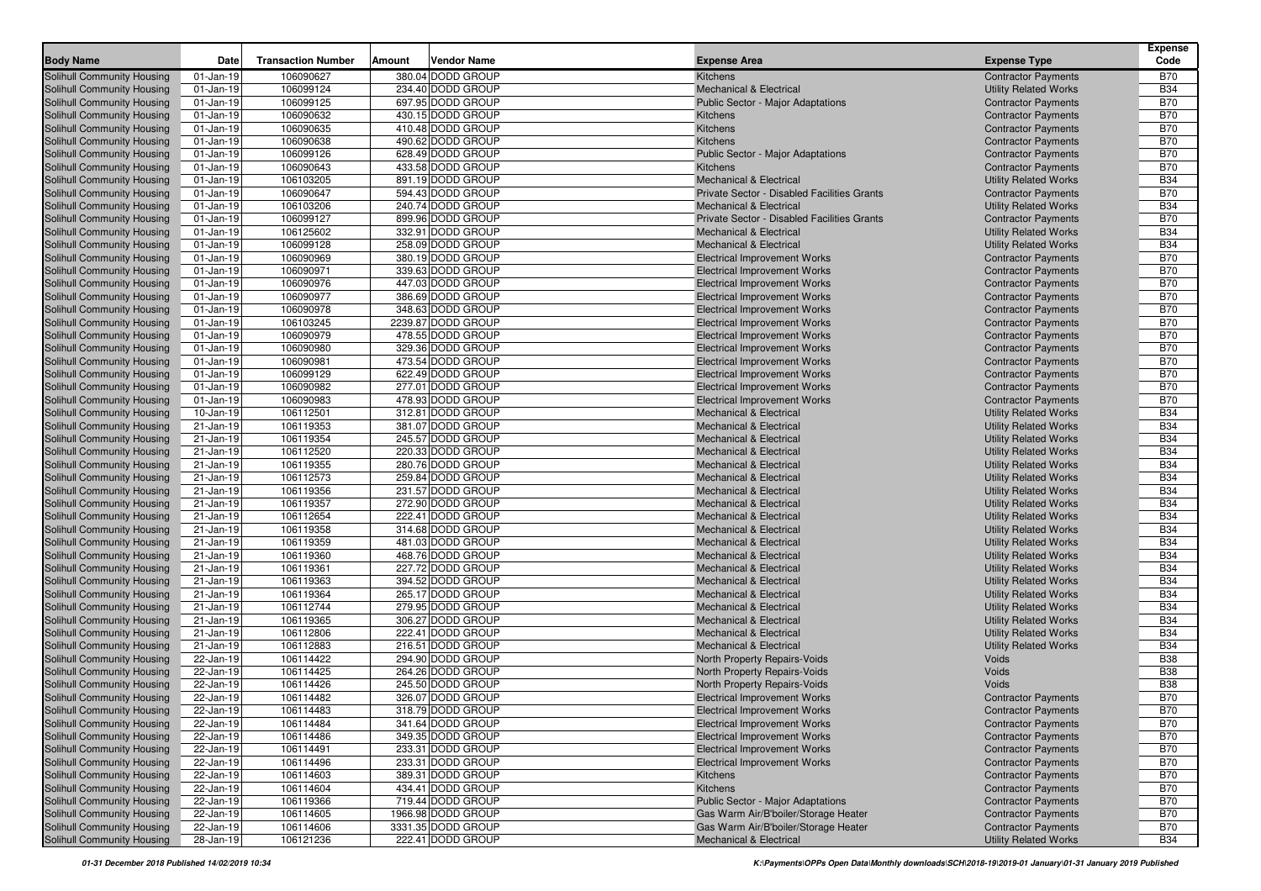| <b>Body Name</b>                                                | Date                   | <b>Transaction Number</b> | Amount | Vendor Name                            | <b>Expense Area</b>                                                      | <b>Expense Type</b>                                          | <b>Expense</b><br>Code   |
|-----------------------------------------------------------------|------------------------|---------------------------|--------|----------------------------------------|--------------------------------------------------------------------------|--------------------------------------------------------------|--------------------------|
|                                                                 |                        |                           |        | 380.04 DODD GROUP                      |                                                                          |                                                              |                          |
| Solihull Community Housing                                      | 01-Jan-19              | 106090627                 |        | 234.40 DODD GROUP                      | Kitchens                                                                 | <b>Contractor Payments</b>                                   | <b>B70</b><br><b>B34</b> |
| Solihull Community Housing<br><b>Solihull Community Housing</b> | 01-Jan-19<br>01-Jan-19 | 106099124<br>106099125    |        | 697.95 DODD GROUP                      | <b>Mechanical &amp; Electrical</b><br>Public Sector - Major Adaptations  | <b>Utility Related Works</b>                                 | <b>B70</b>               |
| <b>Solihull Community Housing</b>                               | 01-Jan-19              | 106090632                 |        | 430.15 DODD GROUP                      | Kitchens                                                                 | <b>Contractor Payments</b><br><b>Contractor Payments</b>     | <b>B70</b>               |
| <b>Solihull Community Housing</b>                               | 01-Jan-19              | 106090635                 |        | 410.48 DODD GROUP                      | Kitchens                                                                 | <b>Contractor Payments</b>                                   | <b>B70</b>               |
| Solihull Community Housing                                      | 01-Jan-19              | 106090638                 |        | 490.62 DODD GROUP                      | Kitchens                                                                 | <b>Contractor Payments</b>                                   | <b>B70</b>               |
| <b>Solihull Community Housing</b>                               | 01-Jan-19              | 106099126                 |        | 628.49 DODD GROUP                      | Public Sector - Major Adaptations                                        | <b>Contractor Payments</b>                                   | <b>B70</b>               |
| <b>Solihull Community Housing</b>                               | 01-Jan-19              | 106090643                 |        | 433.58 DODD GROUP                      | Kitchens                                                                 | <b>Contractor Payments</b>                                   | <b>B70</b>               |
| <b>Solihull Community Housing</b>                               | 01-Jan-19              | 106103205                 |        | 891.19 DODD GROUP                      | <b>Mechanical &amp; Electrical</b>                                       | <b>Utility Related Works</b>                                 | <b>B34</b>               |
| <b>Solihull Community Housing</b>                               | 01-Jan-19              | 106090647                 |        | 594.43 DODD GROUP                      | Private Sector - Disabled Facilities Grants                              | <b>Contractor Payments</b>                                   | <b>B70</b>               |
| <b>Solihull Community Housing</b>                               | 01-Jan-19              | 106103206                 |        | 240.74 DODD GROUP                      | <b>Mechanical &amp; Electrical</b>                                       | <b>Utility Related Works</b>                                 | <b>B34</b>               |
| Solihull Community Housing                                      | $01-Jan-19$            | 106099127                 |        | 899.96 DODD GROUP                      | Private Sector - Disabled Facilities Grants                              | <b>Contractor Payments</b>                                   | <b>B70</b>               |
| <b>Solihull Community Housing</b>                               | $01$ -Jan-19           | 106125602                 |        | 332.91 DODD GROUP                      | <b>Mechanical &amp; Electrical</b>                                       | <b>Utility Related Works</b>                                 | <b>B34</b>               |
| Solihull Community Housing                                      | $01$ -Jan-19           | 106099128                 |        | 258.09 DODD GROUP                      | <b>Mechanical &amp; Electrical</b>                                       | <b>Utility Related Works</b>                                 | <b>B34</b>               |
| <b>Solihull Community Housing</b>                               | $01$ -Jan-19           | 106090969                 |        | 380.19 DODD GROUP                      | <b>Electrical Improvement Works</b>                                      | <b>Contractor Payments</b>                                   | <b>B70</b>               |
| <b>Solihull Community Housing</b>                               | $01$ -Jan-19           | 106090971                 |        | 339.63 DODD GROUP                      | <b>Electrical Improvement Works</b>                                      | <b>Contractor Payments</b>                                   | <b>B70</b>               |
| <b>Solihull Community Housing</b>                               | $01$ -Jan-19           | 106090976                 |        | 447.03 DODD GROUP                      | <b>Electrical Improvement Works</b>                                      | <b>Contractor Payments</b>                                   | <b>B70</b>               |
| <b>Solihull Community Housing</b>                               | $01$ -Jan-19           | 106090977                 |        | 386.69 DODD GROUP                      | <b>Electrical Improvement Works</b>                                      | <b>Contractor Payments</b>                                   | <b>B70</b>               |
| <b>Solihull Community Housing</b>                               | $01$ -Jan-19           | 106090978                 |        | 348.63 DODD GROUP                      | <b>Electrical Improvement Works</b>                                      | <b>Contractor Payments</b>                                   | <b>B70</b>               |
| <b>Solihull Community Housing</b>                               | $01$ -Jan-19           | 106103245                 |        | 2239.87 DODD GROUP                     | <b>Electrical Improvement Works</b>                                      | <b>Contractor Payments</b>                                   | <b>B70</b>               |
| <b>Solihull Community Housing</b>                               | $01$ -Jan-19           | 106090979                 |        | 478.55 DODD GROUP                      | <b>Electrical Improvement Works</b>                                      | <b>Contractor Payments</b>                                   | <b>B70</b>               |
| Solihull Community Housing                                      | $01$ -Jan-19           | 106090980                 |        | 329.36 DODD GROUP                      | <b>Electrical Improvement Works</b>                                      | <b>Contractor Payments</b>                                   | <b>B70</b>               |
| <b>Solihull Community Housing</b>                               | $01$ -Jan-19           | 106090981                 |        | 473.54 DODD GROUP                      | <b>Electrical Improvement Works</b>                                      | <b>Contractor Payments</b>                                   | <b>B70</b>               |
| <b>Solihull Community Housing</b>                               | $01$ -Jan-19           | 106099129                 |        | 622.49 DODD GROUP                      | <b>Electrical Improvement Works</b>                                      | <b>Contractor Payments</b>                                   | <b>B70</b>               |
| <b>Solihull Community Housing</b>                               | $01$ -Jan-19           | 106090982                 |        | 277.01 DODD GROUP                      | <b>Electrical Improvement Works</b>                                      | <b>Contractor Payments</b>                                   | <b>B70</b>               |
| Solihull Community Housing                                      | $01$ -Jan-19           | 106090983                 |        | 478.93 DODD GROUP                      | <b>Electrical Improvement Works</b>                                      | <b>Contractor Payments</b>                                   | <b>B70</b>               |
| Solihull Community Housing                                      | 10-Jan-19              | 106112501                 |        | 312.81 DODD GROUP                      | <b>Mechanical &amp; Electrical</b>                                       | <b>Utility Related Works</b>                                 | <b>B34</b>               |
| <b>Solihull Community Housing</b>                               | 21-Jan-19              | 106119353                 |        | 381.07 DODD GROUP                      | <b>Mechanical &amp; Electrical</b>                                       | <b>Utility Related Works</b>                                 | <b>B34</b>               |
| <b>Solihull Community Housing</b>                               | 21-Jan-19              | 106119354                 |        | 245.57 DODD GROUP                      | <b>Mechanical &amp; Electrical</b>                                       | <b>Utility Related Works</b>                                 | <b>B34</b>               |
| <b>Solihull Community Housing</b>                               | 21-Jan-19              | 106112520                 |        | 220.33 DODD GROUP                      | <b>Mechanical &amp; Electrical</b>                                       | <b>Utility Related Works</b>                                 | <b>B34</b>               |
| <b>Solihull Community Housing</b>                               | 21-Jan-19              | 106119355                 |        | 280.76 DODD GROUP                      | <b>Mechanical &amp; Electrical</b>                                       | <b>Utility Related Works</b>                                 | <b>B34</b>               |
| <b>Solihull Community Housing</b>                               | 21-Jan-19              | 106112573                 |        | 259.84 DODD GROUP                      | <b>Mechanical &amp; Electrical</b>                                       | <b>Utility Related Works</b>                                 | <b>B34</b>               |
| <b>Solihull Community Housing</b>                               | 21-Jan-19              | 106119356                 |        | 231.57 DODD GROUP                      | <b>Mechanical &amp; Electrical</b>                                       | <b>Utility Related Works</b>                                 | <b>B34</b>               |
| <b>Solihull Community Housing</b>                               | 21-Jan-19              | 106119357                 |        | 272.90 DODD GROUP                      | <b>Mechanical &amp; Electrical</b>                                       | <b>Utility Related Works</b>                                 | <b>B34</b>               |
| Solihull Community Housing                                      | 21-Jan-19              | 106112654                 |        | 222.41 DODD GROUP                      | <b>Mechanical &amp; Electrical</b>                                       | <b>Utility Related Works</b>                                 | <b>B34</b>               |
| Solihull Community Housing                                      | 21-Jan-19              | 106119358                 |        | 314.68 DODD GROUP<br>481.03 DODD GROUP | <b>Mechanical &amp; Electrical</b>                                       | <b>Utility Related Works</b>                                 | <b>B34</b>               |
| Solihull Community Housing                                      | 21-Jan-19              | 106119359                 |        | 468.76 DODD GROUP                      | <b>Mechanical &amp; Electrical</b>                                       | <b>Utility Related Works</b>                                 | <b>B34</b><br><b>B34</b> |
| Solihull Community Housing                                      | 21-Jan-19<br>21-Jan-19 | 106119360<br>106119361    |        | 227.72 DODD GROUP                      | <b>Mechanical &amp; Electrical</b>                                       | <b>Utility Related Works</b>                                 | <b>B34</b>               |
| <b>Solihull Community Housing</b><br>Solihull Community Housing | 21-Jan-19              | 106119363                 |        | 394.52 DODD GROUP                      | <b>Mechanical &amp; Electrical</b><br><b>Mechanical &amp; Electrical</b> | <b>Utility Related Works</b><br><b>Utility Related Works</b> | <b>B34</b>               |
| Solihull Community Housing                                      | 21-Jan-19              | 106119364                 |        | 265.17 DODD GROUP                      | <b>Mechanical &amp; Electrical</b>                                       | <b>Utility Related Works</b>                                 | <b>B34</b>               |
| <b>Solihull Community Housing</b>                               | 21-Jan-19              | 106112744                 |        | 279.95 DODD GROUP                      | <b>Mechanical &amp; Electrical</b>                                       | <b>Utility Related Works</b>                                 | <b>B34</b>               |
| Solihull Community Housing                                      | 21-Jan-19              | 106119365                 |        | 306.27 DODD GROUP                      | <b>Mechanical &amp; Electrical</b>                                       | <b>Utility Related Works</b>                                 | <b>B34</b>               |
| Solihull Community Housing                                      | 21-Jan-19              | 106112806                 |        | 222.41 DODD GROUP                      | <b>Mechanical &amp; Electrical</b>                                       | <b>Utility Related Works</b>                                 | <b>B34</b>               |
| Solihull Community Housing                                      | 21-Jan-19              | 106112883                 |        | 216.51 DODD GROUP                      | <b>Mechanical &amp; Electrical</b>                                       | <b>Utility Related Works</b>                                 | <b>B34</b>               |
| Solihull Community Housing                                      | 22-Jan-19              | 106114422                 |        | 294.90 DODD GROUP                      | North Property Repairs-Voids                                             | Voids                                                        | <b>B38</b>               |
| Solihull Community Housing                                      | 22-Jan-19              | 106114425                 |        | 264.26 DODD GROUP                      | North Property Repairs-Voids                                             | Voids                                                        | <b>B38</b>               |
| Solihull Community Housing                                      | 22-Jan-19              | 106114426                 |        | 245.50 DODD GROUP                      | North Property Repairs-Voids                                             | Voids                                                        | <b>B38</b>               |
| Solihull Community Housing                                      | 22-Jan-19              | 106114482                 |        | 326.07 DODD GROUP                      | <b>Electrical Improvement Works</b>                                      | <b>Contractor Payments</b>                                   | <b>B70</b>               |
| Solihull Community Housing                                      | 22-Jan-19              | 106114483                 |        | 318.79 DODD GROUP                      | <b>Electrical Improvement Works</b>                                      | <b>Contractor Payments</b>                                   | <b>B70</b>               |
| Solihull Community Housing                                      | 22-Jan-19              | 106114484                 |        | 341.64 DODD GROUP                      | <b>Electrical Improvement Works</b>                                      | <b>Contractor Payments</b>                                   | <b>B70</b>               |
| <b>Solihull Community Housing</b>                               | 22-Jan-19              | 106114486                 |        | 349.35 DODD GROUP                      | <b>Electrical Improvement Works</b>                                      | <b>Contractor Payments</b>                                   | <b>B70</b>               |
| Solihull Community Housing                                      | 22-Jan-19              | 106114491                 |        | 233.31 DODD GROUP                      | <b>Electrical Improvement Works</b>                                      | <b>Contractor Payments</b>                                   | <b>B70</b>               |
| Solihull Community Housing                                      | 22-Jan-19              | 106114496                 |        | 233.31 DODD GROUP                      | <b>Electrical Improvement Works</b>                                      | <b>Contractor Payments</b>                                   | <b>B70</b>               |
| <b>Solihull Community Housing</b>                               | 22-Jan-19              | 106114603                 |        | 389.31 DODD GROUP                      | Kitchens                                                                 | <b>Contractor Payments</b>                                   | <b>B70</b>               |
| Solihull Community Housing                                      | 22-Jan-19              | 106114604                 |        | 434.41 DODD GROUP                      | Kitchens                                                                 | <b>Contractor Payments</b>                                   | <b>B70</b>               |
| Solihull Community Housing                                      | 22-Jan-19              | 106119366                 |        | 719.44 DODD GROUP                      | Public Sector - Major Adaptations                                        | <b>Contractor Payments</b>                                   | <b>B70</b>               |
| Solihull Community Housing                                      | 22-Jan-19              | 106114605                 |        | 1966.98 DODD GROUP                     | Gas Warm Air/B'boiler/Storage Heater                                     | <b>Contractor Payments</b>                                   | <b>B70</b>               |
| Solihull Community Housing                                      | 22-Jan-19              | 106114606                 |        | 3331.35 DODD GROUP                     | Gas Warm Air/B'boiler/Storage Heater                                     | <b>Contractor Payments</b>                                   | B70                      |
| Solihull Community Housing                                      | 28-Jan-19              | 106121236                 |        | 222.41 DODD GROUP                      | <b>Mechanical &amp; Electrical</b>                                       | <b>Utility Related Works</b>                                 | <b>B34</b>               |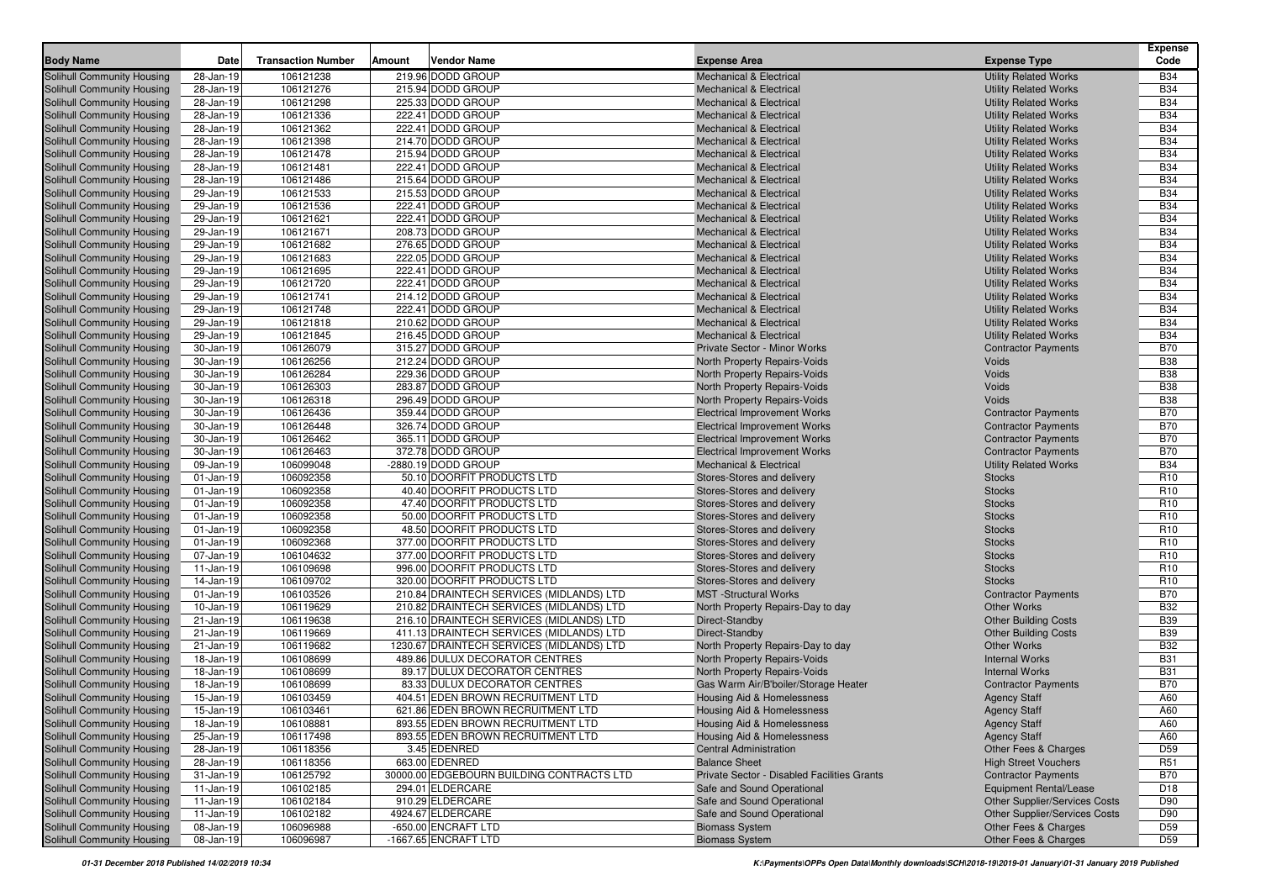| <b>Body Name</b>                                         | Date                   | <b>Transaction Number</b> | Amount | Vendor Name                                       | <b>Expense Area</b>                                                      | <b>Expense Type</b>                                                   | <b>Expense</b><br>Code        |
|----------------------------------------------------------|------------------------|---------------------------|--------|---------------------------------------------------|--------------------------------------------------------------------------|-----------------------------------------------------------------------|-------------------------------|
| <b>Solihull Community Housing</b>                        | 28-Jan-19              | 106121238                 |        | 219.96 DODD GROUP                                 | <b>Mechanical &amp; Electrical</b>                                       | <b>Utility Related Works</b>                                          | <b>B34</b>                    |
| Solihull Community Housing                               | 28-Jan-19              | 106121276                 |        | 215.94 DODD GROUP                                 | <b>Mechanical &amp; Electrical</b>                                       | <b>Utility Related Works</b>                                          | <b>B34</b>                    |
| <b>Solihull Community Housing</b>                        | 28-Jan-19              | 106121298                 |        | 225.33 DODD GROUP                                 | <b>Mechanical &amp; Electrical</b>                                       | <b>Utility Related Works</b>                                          | <b>B34</b>                    |
| Solihull Community Housing                               | 28-Jan-19              | 106121336                 |        | 222.41 DODD GROUP                                 | <b>Mechanical &amp; Electrical</b>                                       | <b>Utility Related Works</b>                                          | <b>B34</b>                    |
| Solihull Community Housing                               | 28-Jan-19              | 106121362                 |        | 222.41 DODD GROUP                                 | <b>Mechanical &amp; Electrical</b>                                       | <b>Utility Related Works</b>                                          | <b>B34</b>                    |
| Solihull Community Housing                               | 28-Jan-19              | 106121398                 |        | 214.70 DODD GROUP                                 | <b>Mechanical &amp; Electrical</b>                                       | <b>Utility Related Works</b>                                          | <b>B34</b>                    |
| Solihull Community Housing                               | 28-Jan-19              | 106121478                 |        | 215.94 DODD GROUP                                 | <b>Mechanical &amp; Electrical</b>                                       | <b>Utility Related Works</b>                                          | <b>B34</b>                    |
| Solihull Community Housing                               | 28-Jan-19              | 106121481                 |        | 222.41 DODD GROUP                                 | <b>Mechanical &amp; Electrical</b>                                       | <b>Utility Related Works</b>                                          | <b>B34</b>                    |
| Solihull Community Housing                               | 28-Jan-19              | 106121486                 |        | 215.64 DODD GROUP                                 | <b>Mechanical &amp; Electrical</b>                                       | <b>Utility Related Works</b>                                          | <b>B34</b>                    |
| <b>Solihull Community Housing</b>                        | 29-Jan-19              | 106121533                 |        | 215.53 DODD GROUP                                 | <b>Mechanical &amp; Electrical</b>                                       | <b>Utility Related Works</b>                                          | <b>B34</b>                    |
| Solihull Community Housing                               | 29-Jan-19              | 106121536                 |        | 222.41 DODD GROUP                                 | <b>Mechanical &amp; Electrical</b>                                       | <b>Utility Related Works</b>                                          | <b>B34</b>                    |
| Solihull Community Housing                               | 29-Jan-19              | 106121621                 |        | 222.41 DODD GROUP                                 | <b>Mechanical &amp; Electrical</b>                                       | <b>Utility Related Works</b>                                          | <b>B34</b>                    |
| Solihull Community Housing                               | 29-Jan-19              | 106121671                 |        | 208.73 DODD GROUP                                 | <b>Mechanical &amp; Electrical</b>                                       | <b>Utility Related Works</b>                                          | <b>B34</b>                    |
| Solihull Community Housing                               | 29-Jan-19              | 106121682                 |        | 276.65 DODD GROUP                                 | <b>Mechanical &amp; Electrical</b>                                       | <b>Utility Related Works</b>                                          | <b>B34</b>                    |
| Solihull Community Housing                               | 29-Jan-19              | 106121683                 |        | 222.05 DODD GROUP                                 | <b>Mechanical &amp; Electrical</b>                                       | <b>Utility Related Works</b>                                          | <b>B34</b>                    |
| Solihull Community Housing                               | 29-Jan-19              | 106121695                 |        | 222.41 DODD GROUP                                 | <b>Mechanical &amp; Electrical</b>                                       | <b>Utility Related Works</b>                                          | <b>B34</b>                    |
| <b>Solihull Community Housing</b>                        | 29-Jan-19              | 106121720                 |        | 222.41 DODD GROUP                                 | <b>Mechanical &amp; Electrical</b>                                       | <b>Utility Related Works</b>                                          | <b>B34</b>                    |
| <b>Solihull Community Housing</b>                        | 29-Jan-19              | 106121741                 |        | 214.12 DODD GROUP                                 | <b>Mechanical &amp; Electrical</b>                                       | <b>Utility Related Works</b>                                          | <b>B34</b><br><b>B34</b>      |
| Solihull Community Housing                               | 29-Jan-19              | 106121748                 |        | 222.41 DODD GROUP<br>210.62 DODD GROUP            | <b>Mechanical &amp; Electrical</b>                                       | <b>Utility Related Works</b>                                          | <b>B34</b>                    |
| Solihull Community Housing<br>Solihull Community Housing | 29-Jan-19<br>29-Jan-19 | 106121818<br>106121845    |        | 216.45 DODD GROUP                                 | <b>Mechanical &amp; Electrical</b><br><b>Mechanical &amp; Electrical</b> | <b>Utility Related Works</b>                                          | <b>B34</b>                    |
| Solihull Community Housing                               | 30-Jan-19              | 106126079                 |        | 315.27 DODD GROUP                                 | Private Sector - Minor Works                                             | <b>Utility Related Works</b>                                          | <b>B70</b>                    |
| Solihull Community Housing                               | 30-Jan-19              | 106126256                 |        | 212.24 DODD GROUP                                 | <b>North Property Repairs-Voids</b>                                      | <b>Contractor Payments</b><br>Voids                                   | <b>B38</b>                    |
| Solihull Community Housing                               | 30-Jan-19              | 106126284                 |        | 229.36 DODD GROUP                                 | North Property Repairs-Voids                                             | Voids                                                                 | <b>B38</b>                    |
| Solihull Community Housing                               | 30-Jan-19              | 106126303                 |        | 283.87 DODD GROUP                                 | North Property Repairs-Voids                                             | Voids                                                                 | <b>B38</b>                    |
| Solihull Community Housing                               | 30-Jan-19              | 106126318                 |        | 296.49 DODD GROUP                                 | North Property Repairs-Voids                                             | Voids                                                                 | <b>B38</b>                    |
| Solihull Community Housing                               | 30-Jan-19              | 106126436                 |        | 359.44 DODD GROUP                                 | <b>Electrical Improvement Works</b>                                      | <b>Contractor Payments</b>                                            | <b>B70</b>                    |
| Solihull Community Housing                               | 30-Jan-19              | 106126448                 |        | 326.74 DODD GROUP                                 | <b>Electrical Improvement Works</b>                                      | <b>Contractor Payments</b>                                            | <b>B70</b>                    |
| Solihull Community Housing                               | 30-Jan-19              | 106126462                 |        | 365.11 DODD GROUP                                 | <b>Electrical Improvement Works</b>                                      | <b>Contractor Payments</b>                                            | <b>B70</b>                    |
| Solihull Community Housing                               | 30-Jan-19              | 106126463                 |        | 372.78 DODD GROUP                                 | <b>Electrical Improvement Works</b>                                      | <b>Contractor Payments</b>                                            | <b>B70</b>                    |
| Solihull Community Housing                               | 09-Jan-19              | 106099048                 |        | -2880.19 DODD GROUP                               | <b>Mechanical &amp; Electrical</b>                                       | <b>Utility Related Works</b>                                          | <b>B34</b>                    |
| <b>Solihull Community Housing</b>                        | $01$ -Jan-19           | 106092358                 |        | 50.10 DOORFIT PRODUCTS LTD                        | Stores-Stores and delivery                                               | <b>Stocks</b>                                                         | R <sub>10</sub>               |
| Solihull Community Housing                               | $01$ -Jan-19           | 106092358                 |        | 40.40 DOORFIT PRODUCTS LTD                        | Stores-Stores and delivery                                               | <b>Stocks</b>                                                         | R <sub>10</sub>               |
| Solihull Community Housing                               | $01$ -Jan-19           | 106092358                 |        | 47.40 DOORFIT PRODUCTS LTD                        | Stores-Stores and delivery                                               | <b>Stocks</b>                                                         | R <sub>10</sub>               |
| Solihull Community Housing                               | $01$ -Jan-19           | 106092358                 |        | 50.00 DOORFIT PRODUCTS LTD                        | Stores-Stores and delivery                                               | <b>Stocks</b>                                                         | R10                           |
| Solihull Community Housing                               | $01$ -Jan-19           | 106092358                 |        | 48.50 DOORFIT PRODUCTS LTD                        | Stores-Stores and delivery                                               | <b>Stocks</b>                                                         | R <sub>10</sub>               |
| Solihull Community Housing                               | $01$ -Jan-19           | 106092368                 |        | 377.00 DOORFIT PRODUCTS LTD                       | Stores-Stores and delivery                                               | <b>Stocks</b>                                                         | R <sub>10</sub>               |
| Solihull Community Housing                               | 07-Jan-19              | 106104632                 |        | 377.00 DOORFIT PRODUCTS LTD                       | Stores-Stores and delivery                                               | <b>Stocks</b>                                                         | R <sub>10</sub>               |
| Solihull Community Housing                               | 11-Jan-19              | 106109698                 |        | 996.00 DOORFIT PRODUCTS LTD                       | Stores-Stores and delivery                                               | <b>Stocks</b>                                                         | R <sub>10</sub>               |
| <b>Solihull Community Housing</b>                        | 14-Jan-19              | 106109702                 |        | 320.00 DOORFIT PRODUCTS LTD                       | Stores-Stores and delivery                                               | <b>Stocks</b>                                                         | R <sub>10</sub>               |
| Solihull Community Housing                               | $01$ -Jan-19           | 106103526                 |        | 210.84 DRAINTECH SERVICES (MIDLANDS) LTD          | <b>MST</b> -Structural Works                                             | <b>Contractor Payments</b>                                            | <b>B70</b>                    |
| Solihull Community Housing                               | 10-Jan-19              | 106119629                 |        | 210.82 DRAINTECH SERVICES (MIDLANDS) LTD          | North Property Repairs-Day to day                                        | Other Works                                                           | <b>B32</b>                    |
| Solihull Community Housing                               | 21-Jan-19              | 106119638                 |        | 216.10 DRAINTECH SERVICES (MIDLANDS) LTD          | Direct-Standby                                                           | <b>Other Building Costs</b>                                           | <b>B39</b>                    |
| Solihull Community Housing                               | 21-Jan-19              | 106119669                 |        | 411.13 DRAINTECH SERVICES (MIDLANDS) LTD          | Direct-Standby                                                           | <b>Other Building Costs</b>                                           | <b>B39</b>                    |
| Solihull Community Housing                               | 21-Jan-19              | 106119682                 |        | 1230.67 DRAINTECH SERVICES (MIDLANDS) LTD         | North Property Repairs-Day to day                                        | <b>Other Works</b>                                                    | <b>B32</b>                    |
| Solihull Community Housing                               | 18-Jan-19              | 106108699                 |        | 489.86 DULUX DECORATOR CENTRES                    | North Property Repairs-Voids                                             | <b>Internal Works</b>                                                 | <b>B31</b>                    |
| Solihull Community Housing                               | 18-Jan-19              | 106108699                 |        | 89.17 DULUX DECORATOR CENTRES                     | North Property Repairs-Voids                                             | <b>Internal Works</b>                                                 | <b>B31</b>                    |
| Solihull Community Housing                               | 18-Jan-19              | 106108699                 |        | 83.33 DULUX DECORATOR CENTRES                     | Gas Warm Air/B'boiler/Storage Heater                                     | <b>Contractor Payments</b>                                            | <b>B70</b>                    |
| Solihull Community Housing                               | 15-Jan-19              | 106103459                 |        | 404.51 EDEN BROWN RECRUITMENT LTD                 | Housing Aid & Homelessness                                               | <b>Agency Staff</b>                                                   | A60                           |
| Solihull Community Housing                               | 15-Jan-19              | 106103461                 |        | 621.86 EDEN BROWN RECRUITMENT LTD                 | Housing Aid & Homelessness                                               | <b>Agency Staff</b>                                                   | A60                           |
| Solihull Community Housing                               | 18-Jan-19              | 106108881                 |        | 893.55 EDEN BROWN RECRUITMENT LTD                 | Housing Aid & Homelessness                                               | <b>Agency Staff</b>                                                   | A60                           |
| <b>Solihull Community Housing</b>                        | 25-Jan-19              | 106117498                 |        | 893.55 EDEN BROWN RECRUITMENT LTD<br>3.45 EDENRED | Housing Aid & Homelessness<br><b>Central Administration</b>              | <b>Agency Staff</b>                                                   | A60                           |
| Solihull Community Housing<br>Solihull Community Housing | 28-Jan-19              | 106118356                 |        | 663.00 EDENRED                                    | <b>Balance Sheet</b>                                                     | Other Fees & Charges                                                  | D <sub>59</sub>               |
| Solihull Community Housing                               | 28-Jan-19<br>31-Jan-19 | 106118356<br>106125792    |        | 30000.00 EDGEBOURN BUILDING CONTRACTS LTD         | Private Sector - Disabled Facilities Grants                              | <b>High Street Vouchers</b>                                           | R <sub>51</sub><br><b>B70</b> |
| Solihull Community Housing                               |                        | 106102185                 |        |                                                   |                                                                          | <b>Contractor Payments</b>                                            | D <sub>18</sub>               |
| <b>Solihull Community Housing</b>                        | 11-Jan-19<br>11-Jan-19 | 106102184                 |        | 294.01 ELDERCARE<br>910.29 ELDERCARE              | Safe and Sound Operational<br>Safe and Sound Operational                 | <b>Equipment Rental/Lease</b><br><b>Other Supplier/Services Costs</b> | D90                           |
| Solihull Community Housing                               | 11-Jan-19              | 106102182                 |        | 4924.67 ELDERCARE                                 | Safe and Sound Operational                                               | <b>Other Supplier/Services Costs</b>                                  | D90                           |
| Solihull Community Housing                               | 08-Jan-19              | 106096988                 |        | -650.00 ENCRAFT LTD                               | <b>Biomass System</b>                                                    | Other Fees & Charges                                                  | D59                           |
| <b>Solihull Community Housing</b>                        | 08-Jan-19              | 106096987                 |        | -1667.65 ENCRAFT LTD                              | <b>Biomass System</b>                                                    | Other Fees & Charges                                                  | D59                           |
|                                                          |                        |                           |        |                                                   |                                                                          |                                                                       |                               |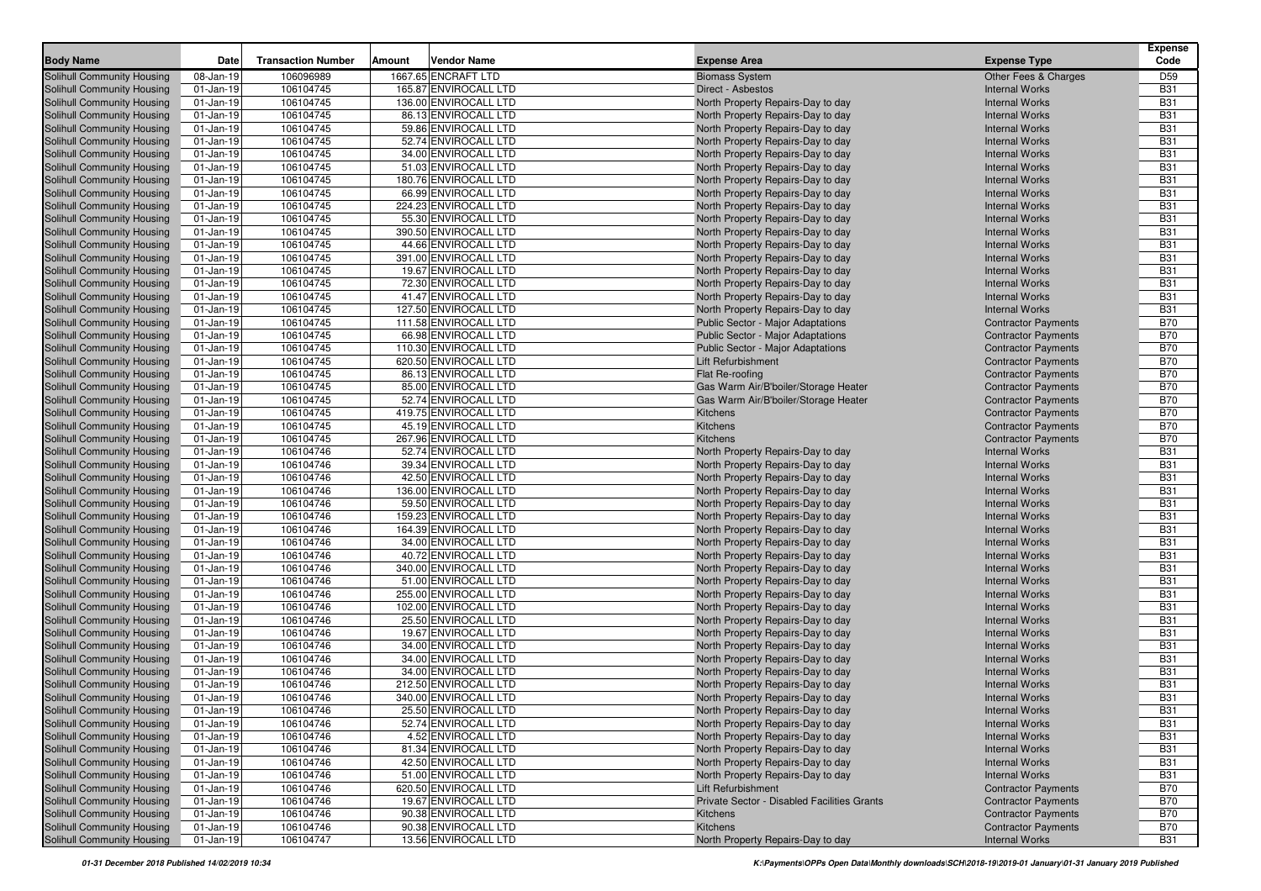| <b>Body Name</b>                                                       | Date                      | <b>Transaction Number</b> | <b>Amount</b> | <b>Vendor Name</b>                            | <b>Expense Area</b>                                                    | <b>Expense Type</b>                            | <b>Expense</b><br>Code   |
|------------------------------------------------------------------------|---------------------------|---------------------------|---------------|-----------------------------------------------|------------------------------------------------------------------------|------------------------------------------------|--------------------------|
| Solihull Community Housing                                             | 08-Jan-19                 | 106096989                 |               | 1667.65 ENCRAFT LTD                           | <b>Biomass System</b>                                                  | Other Fees & Charges                           | D59                      |
| <b>Solihull Community Housing</b>                                      | $01$ -Jan-19              | 106104745                 |               | 165.87 ENVIROCALL LTD                         | Direct - Asbestos                                                      | <b>Internal Works</b>                          | <b>B31</b>               |
| <b>Solihull Community Housing</b>                                      | $01$ -Jan-19              | 106104745                 |               | 136.00 ENVIROCALL LTD                         | North Property Repairs-Day to day                                      | <b>Internal Works</b>                          | <b>B31</b>               |
| <b>Solihull Community Housing</b>                                      | $01$ -Jan-19              | 106104745                 |               | 86.13 ENVIROCALL LTD                          | North Property Repairs-Day to day                                      | <b>Internal Works</b>                          | <b>B31</b>               |
| Solihull Community Housing                                             | $01$ -Jan-19              | 106104745                 |               | 59.86 ENVIROCALL LTD                          | North Property Repairs-Day to day                                      | <b>Internal Works</b>                          | <b>B31</b>               |
| <b>Solihull Community Housing</b>                                      | $01$ -Jan-19              | 106104745                 |               | 52.74 ENVIROCALL LTD                          | North Property Repairs-Day to day                                      | <b>Internal Works</b>                          | <b>B31</b>               |
| <b>Solihull Community Housing</b>                                      | $01$ -Jan-19              | 106104745                 |               | 34.00 ENVIROCALL LTD                          | North Property Repairs-Day to day                                      | <b>Internal Works</b>                          | <b>B31</b>               |
| <b>Solihull Community Housing</b>                                      | $01$ -Jan-19              | 106104745                 |               | 51.03 ENVIROCALL LTD                          | North Property Repairs-Day to day                                      | <b>Internal Works</b>                          | <b>B31</b>               |
| <b>Solihull Community Housing</b>                                      | 01-Jan-19                 | 106104745                 |               | 180.76 ENVIROCALL LTD                         | North Property Repairs-Day to day                                      | <b>Internal Works</b>                          | <b>B31</b>               |
| <b>Solihull Community Housing</b>                                      | $01$ -Jan-19              | 106104745                 |               | 66.99 ENVIROCALL LTD                          | North Property Repairs-Day to day                                      | <b>Internal Works</b>                          | <b>B31</b>               |
| Solihull Community Housing                                             | $01$ -Jan-19              | 106104745                 |               | 224.23 ENVIROCALL LTD                         | North Property Repairs-Day to day                                      | <b>Internal Works</b>                          | <b>B31</b>               |
| Solihull Community Housing                                             | $01$ -Jan-19              | 106104745                 |               | 55.30 ENVIROCALL LTD                          | North Property Repairs-Day to day                                      | <b>Internal Works</b>                          | <b>B31</b>               |
| <b>Solihull Community Housing</b>                                      | $01$ -Jan-19              | 106104745                 |               | 390.50 ENVIROCALL LTD                         | North Property Repairs-Day to day                                      | <b>Internal Works</b>                          | <b>B31</b>               |
| <b>Solihull Community Housing</b>                                      | $01$ -Jan-19              | 106104745                 |               | 44.66 ENVIROCALL LTD                          | North Property Repairs-Day to day                                      | <b>Internal Works</b>                          | <b>B31</b>               |
| <b>Solihull Community Housing</b>                                      | $01$ -Jan-19              | 106104745                 |               | 391.00 ENVIROCALL LTD                         | North Property Repairs-Day to day                                      | <b>Internal Works</b>                          | <b>B31</b>               |
| <b>Solihull Community Housing</b>                                      | $01$ -Jan-19              | 106104745                 |               | 19.67 ENVIROCALL LTD                          | North Property Repairs-Day to day                                      | <b>Internal Works</b>                          | <b>B31</b>               |
| <b>Solihull Community Housing</b>                                      | $01$ -Jan-19              | 106104745                 |               | 72.30 ENVIROCALL LTD                          | North Property Repairs-Day to day                                      | <b>Internal Works</b>                          | <b>B31</b>               |
| <b>Solihull Community Housing</b>                                      | 01-Jan-19                 | 106104745                 |               | 41.47 ENVIROCALL LTD                          | North Property Repairs-Day to day                                      | <b>Internal Works</b>                          | <b>B31</b>               |
| <b>Solihull Community Housing</b>                                      | $01$ -Jan-19              | 106104745                 |               | 127.50 ENVIROCALL LTD                         | North Property Repairs-Day to day                                      | <b>Internal Works</b>                          | <b>B31</b>               |
| <b>Solihull Community Housing</b>                                      | $01$ -Jan-19              | 106104745                 |               | 111.58 ENVIROCALL LTD                         | Public Sector - Major Adaptations                                      | <b>Contractor Payments</b>                     | <b>B70</b>               |
| <b>Solihull Community Housing</b>                                      | $01$ -Jan-19              | 106104745                 |               | 66.98 ENVIROCALL LTD                          | Public Sector - Major Adaptations                                      | <b>Contractor Payments</b>                     | <b>B70</b>               |
| <b>Solihull Community Housing</b>                                      | $01$ -Jan-19              | 106104745                 |               | 110.30 ENVIROCALL LTD                         | Public Sector - Major Adaptations                                      | <b>Contractor Payments</b>                     | <b>B70</b>               |
| <b>Solihull Community Housing</b>                                      | $01$ -Jan-19              | 106104745                 |               | 620.50 ENVIROCALL LTD                         | <b>Lift Refurbishment</b>                                              | <b>Contractor Payments</b>                     | <b>B70</b>               |
| <b>Solihull Community Housing</b>                                      | $01$ -Jan-19              | 106104745                 |               | 86.13 ENVIROCALL LTD                          | Flat Re-roofing                                                        | <b>Contractor Payments</b>                     | <b>B70</b>               |
| <b>Solihull Community Housing</b>                                      | 01-Jan-19                 | 106104745                 |               | 85.00 ENVIROCALL LTD                          | Gas Warm Air/B'boiler/Storage Heater                                   | <b>Contractor Payments</b>                     | <b>B70</b>               |
| <b>Solihull Community Housing</b>                                      | 01-Jan-19                 | 106104745                 |               | 52.74 ENVIROCALL LTD                          | Gas Warm Air/B'boiler/Storage Heater                                   | <b>Contractor Payments</b>                     | <b>B70</b>               |
| <b>Solihull Community Housing</b>                                      | $01$ -Jan-19              | 106104745                 |               | 419.75 ENVIROCALL LTD                         | Kitchens                                                               | <b>Contractor Payments</b>                     | <b>B70</b>               |
| Solihull Community Housing                                             | $01$ -Jan-19              | 106104745                 |               | 45.19 ENVIROCALL LTD                          | Kitchens                                                               | <b>Contractor Payments</b>                     | <b>B70</b>               |
| <b>Solihull Community Housing</b>                                      | $01$ -Jan-19              | 106104745                 |               | 267.96 ENVIROCALL LTD                         | <b>Kitchens</b>                                                        | <b>Contractor Payments</b>                     | <b>B70</b>               |
| <b>Solihull Community Housing</b>                                      | $01$ -Jan-19              | 106104746                 |               | 52.74 ENVIROCALL LTD                          | North Property Repairs-Day to day                                      | <b>Internal Works</b>                          | <b>B31</b>               |
| Solihull Community Housing                                             | $01$ -Jan-19              | 106104746                 |               | 39.34 ENVIROCALL LTD                          | North Property Repairs-Day to day                                      | <b>Internal Works</b>                          | <b>B31</b>               |
| <b>Solihull Community Housing</b>                                      | $01$ -Jan-19              | 106104746                 |               | 42.50 ENVIROCALL LTD                          | North Property Repairs-Day to day                                      | <b>Internal Works</b>                          | <b>B31</b>               |
| <b>Solihull Community Housing</b>                                      | $01$ -Jan-19              | 106104746                 |               | 136.00 ENVIROCALL LTD<br>59.50 ENVIROCALL LTD | North Property Repairs-Day to day                                      | <b>Internal Works</b>                          | <b>B31</b>               |
| <b>Solihull Community Housing</b><br><b>Solihull Community Housing</b> | 01-Jan-19<br>$01$ -Jan-19 | 106104746<br>106104746    |               | 159.23 ENVIROCALL LTD                         | North Property Repairs-Day to day                                      | <b>Internal Works</b><br><b>Internal Works</b> | <b>B31</b><br><b>B31</b> |
| <b>Solihull Community Housing</b>                                      | $01$ -Jan-19              | 106104746                 |               | 164.39 ENVIROCALL LTD                         | North Property Repairs-Day to day<br>North Property Repairs-Day to day | <b>Internal Works</b>                          | <b>B31</b>               |
| <b>Solihull Community Housing</b>                                      | $01$ -Jan-19              | 106104746                 |               | 34.00 ENVIROCALL LTD                          | North Property Repairs-Day to day                                      | <b>Internal Works</b>                          | <b>B31</b>               |
| <b>Solihull Community Housing</b>                                      | $01$ -Jan-19              | 106104746                 |               | 40.72 ENVIROCALL LTD                          | North Property Repairs-Day to day                                      | <b>Internal Works</b>                          | <b>B31</b>               |
| <b>Solihull Community Housing</b>                                      | $01$ -Jan-19              | 106104746                 |               | 340.00 ENVIROCALL LTD                         | North Property Repairs-Day to day                                      | <b>Internal Works</b>                          | <b>B31</b>               |
| <b>Solihull Community Housing</b>                                      | $01$ -Jan-19              | 106104746                 |               | 51.00 ENVIROCALL LTD                          | North Property Repairs-Day to day                                      | <b>Internal Works</b>                          | <b>B31</b>               |
| <b>Solihull Community Housing</b>                                      | $01$ -Jan-19              | 106104746                 |               | 255.00 ENVIROCALL LTD                         | North Property Repairs-Day to day                                      | <b>Internal Works</b>                          | <b>B31</b>               |
| <b>Solihull Community Housing</b>                                      | $01$ -Jan-19              | 106104746                 |               | 102.00 ENVIROCALL LTD                         | North Property Repairs-Day to day                                      | <b>Internal Works</b>                          | <b>B31</b>               |
| <b>Solihull Community Housing</b>                                      | 01-Jan-19                 | 106104746                 |               | 25.50 ENVIROCALL LTD                          | North Property Repairs-Day to day                                      | <b>Internal Works</b>                          | <b>B31</b>               |
| <b>Solihull Community Housing</b>                                      | $01$ -Jan-19              | 106104746                 |               | 19.67 ENVIROCALL LTD                          | North Property Repairs-Day to day                                      | <b>Internal Works</b>                          | <b>B31</b>               |
| Solihull Community Housing                                             | $01$ -Jan-19              | 106104746                 |               | 34.00 ENVIROCALL LTD                          | North Property Repairs-Day to day                                      | <b>Internal Works</b>                          | <b>B31</b>               |
| <b>Solihull Community Housing</b>                                      | $01$ -Jan-19              | 106104746                 |               | 34.00 ENVIROCALL LTD                          | North Property Repairs-Day to day                                      | <b>Internal Works</b>                          | <b>B31</b>               |
| <b>Solihull Community Housing</b>                                      | $01$ -Jan-19              | 106104746                 |               | 34.00 ENVIROCALL LTD                          | North Property Repairs-Day to day                                      | <b>Internal Works</b>                          | <b>B31</b>               |
| <b>Solihull Community Housing</b>                                      | $01$ -Jan-19              | 106104746                 |               | 212.50 ENVIROCALL LTD                         | North Property Repairs-Day to day                                      | <b>Internal Works</b>                          | <b>B31</b>               |
| Solihull Community Housing                                             | $01$ -Jan-19              | 106104746                 |               | 340.00 ENVIROCALL LTD                         | North Property Repairs-Day to day                                      | <b>Internal Works</b>                          | <b>B31</b>               |
| Solihull Community Housing                                             | 01-Jan-19                 | 106104746                 |               | 25.50 ENVIROCALL LTD                          | North Property Repairs-Day to day                                      | <b>Internal Works</b>                          | <b>B31</b>               |
| Solihull Community Housing                                             | 01-Jan-19                 | 106104746                 |               | 52.74 ENVIROCALL LTD                          | North Property Repairs-Day to day                                      | <b>Internal Works</b>                          | <b>B31</b>               |
| <b>Solihull Community Housing</b>                                      | $01 - Jan-19$             | 106104746                 |               | 4.52 ENVIROCALL LTD                           | North Property Repairs-Day to day                                      | <b>Internal Works</b>                          | <b>B31</b>               |
| <b>Solihull Community Housing</b>                                      | 01-Jan-19                 | 106104746                 |               | 81.34 ENVIROCALL LTD                          | North Property Repairs-Day to day                                      | <b>Internal Works</b>                          | <b>B31</b>               |
| <b>Solihull Community Housing</b>                                      | 01-Jan-19                 | 106104746                 |               | 42.50 ENVIROCALL LTD                          | North Property Repairs-Day to day                                      | <b>Internal Works</b>                          | <b>B31</b>               |
| Solihull Community Housing                                             | $01$ -Jan-19              | 106104746                 |               | 51.00 ENVIROCALL LTD                          | North Property Repairs-Day to day                                      | <b>Internal Works</b>                          | <b>B31</b>               |
| <b>Solihull Community Housing</b>                                      | $01$ -Jan-19              | 106104746                 |               | 620.50 ENVIROCALL LTD                         | Lift Refurbishment                                                     | <b>Contractor Payments</b>                     | B70                      |
| Solihull Community Housing                                             | $01$ -Jan-19              | 106104746                 |               | 19.67 ENVIROCALL LTD                          | Private Sector - Disabled Facilities Grants                            | <b>Contractor Payments</b>                     | <b>B70</b>               |
| Solihull Community Housing                                             | $01$ -Jan-19              | 106104746                 |               | 90.38 ENVIROCALL LTD                          | Kitchens                                                               | <b>Contractor Payments</b>                     | <b>B70</b>               |
| <b>Solihull Community Housing</b>                                      | $01-Jan-19$               | 106104746                 |               | 90.38 ENVIROCALL LTD                          | Kitchens                                                               | <b>Contractor Payments</b>                     | <b>B70</b>               |
| <b>Solihull Community Housing</b>                                      | 01-Jan-19                 | 106104747                 |               | 13.56 ENVIROCALL LTD                          | North Property Repairs-Day to day                                      | <b>Internal Works</b>                          | <b>B31</b>               |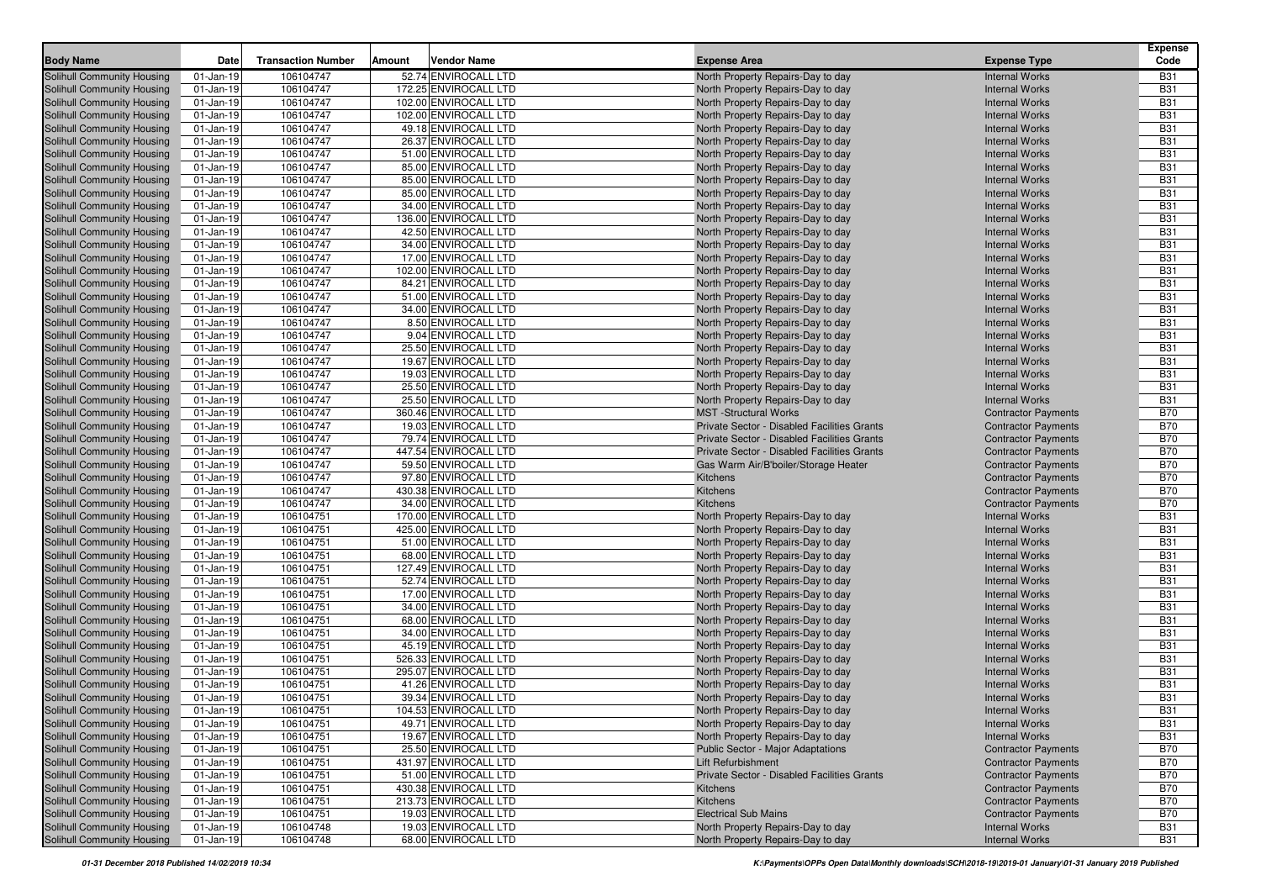| 106104747<br>52.74 ENVIROCALL LTD<br><b>Solihull Community Housing</b><br>$01$ -Jan-19<br>North Property Repairs-Day to day<br><b>Internal Works</b><br><b>B31</b><br>172.25 ENVIROCALL LTD<br><b>Solihull Community Housing</b><br>01-Jan-19<br>106104747<br>North Property Repairs-Day to day<br><b>B31</b><br><b>Internal Works</b><br>102.00 ENVIROCALL LTD<br><b>B31</b><br>01-Jan-19<br>106104747<br>North Property Repairs-Day to day<br><b>Internal Works</b><br>102.00 ENVIROCALL LTD<br>01-Jan-19<br>106104747<br>North Property Repairs-Day to day<br><b>Internal Works</b><br><b>B31</b><br><b>B31</b><br>$01$ -Jan-19<br>106104747<br>49.18 ENVIROCALL LTD<br>North Property Repairs-Day to day<br><b>Internal Works</b><br><b>B31</b><br>106104747<br>26.37 ENVIROCALL LTD<br>01-Jan-19<br>North Property Repairs-Day to day<br><b>Internal Works</b><br><b>B31</b><br>01-Jan-19<br>106104747<br>51.00 ENVIROCALL LTD<br>North Property Repairs-Day to day<br><b>Internal Works</b><br>85.00 ENVIROCALL LTD<br>01-Jan-19<br>106104747<br><b>B31</b><br>North Property Repairs-Day to day<br><b>Internal Works</b><br><b>B31</b><br>01-Jan-19<br>106104747<br>85.00 ENVIROCALL LTD<br>North Property Repairs-Day to day<br><b>Internal Works</b><br><b>B31</b><br>106104747<br>85.00 ENVIROCALL LTD<br>01-Jan-19<br>North Property Repairs-Day to day<br><b>Internal Works</b><br>34.00 ENVIROCALL LTD<br>01-Jan-19<br>106104747<br>North Property Repairs-Day to day<br><b>Internal Works</b><br><b>B31</b><br>106104747<br>136.00 ENVIROCALL LTD<br><b>B31</b><br>Solihull Community Housing<br>01-Jan-19<br>North Property Repairs-Day to day<br><b>Internal Works</b><br><b>B31</b><br><b>Solihull Community Housing</b><br>$01$ -Jan-19<br>106104747<br>42.50 ENVIROCALL LTD<br>North Property Repairs-Day to day<br><b>Internal Works</b><br><b>B31</b><br><b>Solihull Community Housing</b><br>$01$ -Jan-19<br>106104747<br>34.00 ENVIROCALL LTD<br>North Property Repairs-Day to day<br><b>Internal Works</b><br>17.00 ENVIROCALL LTD<br><b>B31</b><br><b>Solihull Community Housing</b><br>106104747<br>01-Jan-19<br>North Property Repairs-Day to day<br><b>Internal Works</b><br><b>B31</b><br>01-Jan-19<br>106104747<br>102.00 ENVIROCALL LTD<br><b>Solihull Community Housing</b><br>North Property Repairs-Day to day<br><b>Internal Works</b><br>84.21 ENVIROCALL LTD<br><b>B31</b><br><b>Solihull Community Housing</b><br>01-Jan-19<br>106104747<br><b>Internal Works</b><br>North Property Repairs-Day to day<br><b>Solihull Community Housing</b><br>01-Jan-19<br>106104747<br>51.00 ENVIROCALL LTD<br>North Property Repairs-Day to day<br><b>Internal Works</b><br><b>B31</b><br>106104747<br>34.00 ENVIROCALL LTD<br><b>B31</b><br>North Property Repairs-Day to day<br>Solihull Community Housing<br>01-Jan-19<br><b>Internal Works</b><br>8.50 ENVIROCALL LTD<br><b>B31</b><br><b>Solihull Community Housing</b><br>01-Jan-19<br>106104747<br>North Property Repairs-Day to day<br><b>Internal Works</b><br><b>Solihull Community Housing</b><br>01-Jan-19<br>106104747<br>9.04 ENVIROCALL LTD<br>North Property Repairs-Day to day<br><b>Internal Works</b><br><b>B31</b><br><b>B31</b><br><b>Solihull Community Housing</b><br>$01$ -Jan-19<br>106104747<br>25.50 ENVIROCALL LTD<br>North Property Repairs-Day to day<br><b>Internal Works</b><br>106104747<br><b>B31</b><br>01-Jan-19<br>19.67 ENVIROCALL LTD<br><b>Solihull Community Housing</b><br>North Property Repairs-Day to day<br><b>Internal Works</b><br><b>Solihull Community Housing</b><br>106104747<br>19.03 ENVIROCALL LTD<br><b>B31</b><br>01-Jan-19<br>North Property Repairs-Day to day<br><b>Internal Works</b><br><b>B31</b><br><b>Solihull Community Housing</b><br>01-Jan-19<br>106104747<br>25.50 ENVIROCALL LTD<br><b>Internal Works</b><br>North Property Repairs-Day to day<br>25.50 ENVIROCALL LTD<br><b>Solihull Community Housing</b><br>106104747<br>North Property Repairs-Day to day<br><b>Internal Works</b><br><b>B31</b><br>01-Jan-19<br>360.46 ENVIROCALL LTD<br><b>Solihull Community Housing</b><br>106104747<br><b>MST</b> -Structural Works<br><b>B70</b><br>01-Jan-19<br><b>Contractor Payments</b><br>106104747<br>19.03 ENVIROCALL LTD<br><b>B70</b><br>01-Jan-19<br>Private Sector - Disabled Facilities Grants<br>Solihull Community Housing<br><b>Contractor Payments</b><br><b>B70</b><br>Solihull Community Housing<br>01-Jan-19<br>106104747<br>79.74 ENVIROCALL LTD<br>Private Sector - Disabled Facilities Grants<br><b>Contractor Payments</b><br><b>B70</b><br><b>Solihull Community Housing</b><br>$01$ -Jan-19<br>106104747<br>447.54 ENVIROCALL LTD<br>Private Sector - Disabled Facilities Grants<br><b>Contractor Payments</b><br><b>B70</b><br><b>Solihull Community Housing</b><br>106104747<br>59.50 ENVIROCALL LTD<br>01-Jan-19<br>Gas Warm Air/B'boiler/Storage Heater<br><b>Contractor Payments</b><br><b>B70</b><br>01-Jan-19<br>106104747<br>97.80 ENVIROCALL LTD<br><b>Solihull Community Housing</b><br>Kitchens<br><b>Contractor Payments</b><br>106104747<br>430.38 ENVIROCALL LTD<br><b>B70</b><br><b>Solihull Community Housing</b><br>01-Jan-19<br>Kitchens<br><b>Contractor Payments</b><br><b>B70</b><br><b>Solihull Community Housing</b><br>01-Jan-19<br>106104747<br>34.00 ENVIROCALL LTD<br>Kitchens<br><b>Contractor Payments</b><br>106104751<br>170.00 ENVIROCALL LTD<br><b>Internal Works</b><br><b>B31</b><br>01-Jan-19<br>North Property Repairs-Day to day<br>425.00 ENVIROCALL LTD<br>01-Jan-19<br>106104751<br><b>Internal Works</b><br><b>B31</b><br>North Property Repairs-Day to day<br>51.00 ENVIROCALL LTD<br><b>B31</b><br>01-Jan-19<br>106104751<br>North Property Repairs-Day to day<br><b>Internal Works</b><br>$01$ -Jan-19<br>106104751<br>68.00 ENVIROCALL LTD<br>North Property Repairs-Day to day<br><b>Internal Works</b><br><b>B31</b><br><b>B31</b><br>$01$ -Jan-19<br>106104751<br>127.49 ENVIROCALL LTD<br>North Property Repairs-Day to day<br><b>Internal Works</b><br>106104751<br>52.74 ENVIROCALL LTD<br><b>B31</b><br>01-Jan-19<br>North Property Repairs-Day to day<br><b>Internal Works</b><br>17.00 ENVIROCALL LTD<br><b>B31</b><br>01-Jan-19<br>106104751<br>North Property Repairs-Day to day<br><b>Internal Works</b><br>34.00 ENVIROCALL LTD<br><b>Solihull Community Housing</b><br>106104751<br><b>Internal Works</b><br><b>B31</b><br>01-Jan-19<br>North Property Repairs-Day to day<br><b>Solihull Community Housing</b><br>106104751<br>68.00 ENVIROCALL LTD<br>North Property Repairs-Day to day<br><b>B31</b><br>01-Jan-19<br><b>Internal Works</b><br>34.00 ENVIROCALL LTD<br><b>B31</b><br>106104751<br><b>Solihull Community Housing</b><br>$01$ -Jan-19<br>North Property Repairs-Day to day<br><b>Internal Works</b><br>45.19 ENVIROCALL LTD<br>Solihull Community Housing<br>01-Jan-19<br>106104751<br>North Property Repairs-Day to day<br><b>Internal Works</b><br><b>B31</b><br><b>Solihull Community Housing</b><br>01-Jan-19<br>106104751<br>526.33 ENVIROCALL LTD<br>North Property Repairs-Day to day<br><b>Internal Works</b><br><b>B31</b><br>295.07 ENVIROCALL LTD<br><b>B31</b><br><b>Solihull Community Housing</b><br>106104751<br>North Property Repairs-Day to day<br>$01$ -Jan-19<br><b>Internal Works</b><br><b>B31</b><br><b>Solihull Community Housing</b><br>01-Jan-19<br>106104751<br>41.26 ENVIROCALL LTD<br>North Property Repairs-Day to day<br><b>Internal Works</b><br><b>B31</b><br><b>Solihull Community Housing</b><br>106104751<br>39.34 ENVIROCALL LTD<br>01-Jan-19<br>North Property Repairs-Day to day<br><b>Internal Works</b><br>106104751<br>104.53 ENVIROCALL LTD<br><b>B31</b><br>Solihull Community Housing<br>$01-Jan-19$<br>North Property Repairs-Day to day<br><b>Internal Works</b><br><b>B31</b><br><b>Solihull Community Housing</b><br>$01$ -Jan-19<br>106104751<br>49.71 ENVIROCALL LTD<br>North Property Repairs-Day to day<br><b>Internal Works</b><br>Solihull Community Housing<br>19.67 ENVIROCALL LTD<br>106104751<br>North Property Repairs-Day to day<br><b>Internal Works</b><br><b>B31</b><br>$01$ -Jan-19<br>Solihull Community Housing<br>106104751<br>25.50 ENVIROCALL LTD<br><b>B70</b><br>$01$ -Jan-19<br><b>Public Sector - Major Adaptations</b><br><b>Contractor Payments</b><br>Solihull Community Housing<br>431.97 ENVIROCALL LTD<br>$01$ -Jan-19<br>106104751<br>Lift Refurbishment<br><b>Contractor Payments</b><br><b>B70</b><br>51.00 ENVIROCALL LTD<br><b>Solihull Community Housing</b><br>$01$ -Jan-19<br>106104751<br>Private Sector - Disabled Facilities Grants<br><b>Contractor Payments</b><br><b>B70</b><br>Solihull Community Housing<br>106104751<br>430.38 ENVIROCALL LTD<br>$01$ -Jan-19<br><b>Contractor Payments</b><br><b>B70</b><br>Kitchens<br><b>Solihull Community Housing</b><br>$01$ -Jan-19<br>106104751<br>213.73 ENVIROCALL LTD<br>Kitchens<br><b>Contractor Payments</b><br><b>B70</b><br>Solihull Community Housing<br>19.03 ENVIROCALL LTD<br><b>Electrical Sub Mains</b><br>106104751<br><b>Contractor Payments</b><br><b>B70</b><br>$01$ -Jan-19<br><b>Solihull Community Housing</b><br>19.03 ENVIROCALL LTD<br>106104748<br>North Property Repairs-Day to day<br><b>Internal Works</b><br><b>B31</b><br>01-Jan-19<br>68.00 ENVIROCALL LTD<br>106104748<br>North Property Repairs-Day to day<br><b>Internal Works</b><br>$01$ -Jan-19<br>B31 | <b>Body Name</b>                  | Date | <b>Transaction Number</b> | Amount | Vendor Name | <b>Expense Area</b> | <b>Expense Type</b> | <b>Expense</b><br>Code |
|------------------------------------------------------------------------------------------------------------------------------------------------------------------------------------------------------------------------------------------------------------------------------------------------------------------------------------------------------------------------------------------------------------------------------------------------------------------------------------------------------------------------------------------------------------------------------------------------------------------------------------------------------------------------------------------------------------------------------------------------------------------------------------------------------------------------------------------------------------------------------------------------------------------------------------------------------------------------------------------------------------------------------------------------------------------------------------------------------------------------------------------------------------------------------------------------------------------------------------------------------------------------------------------------------------------------------------------------------------------------------------------------------------------------------------------------------------------------------------------------------------------------------------------------------------------------------------------------------------------------------------------------------------------------------------------------------------------------------------------------------------------------------------------------------------------------------------------------------------------------------------------------------------------------------------------------------------------------------------------------------------------------------------------------------------------------------------------------------------------------------------------------------------------------------------------------------------------------------------------------------------------------------------------------------------------------------------------------------------------------------------------------------------------------------------------------------------------------------------------------------------------------------------------------------------------------------------------------------------------------------------------------------------------------------------------------------------------------------------------------------------------------------------------------------------------------------------------------------------------------------------------------------------------------------------------------------------------------------------------------------------------------------------------------------------------------------------------------------------------------------------------------------------------------------------------------------------------------------------------------------------------------------------------------------------------------------------------------------------------------------------------------------------------------------------------------------------------------------------------------------------------------------------------------------------------------------------------------------------------------------------------------------------------------------------------------------------------------------------------------------------------------------------------------------------------------------------------------------------------------------------------------------------------------------------------------------------------------------------------------------------------------------------------------------------------------------------------------------------------------------------------------------------------------------------------------------------------------------------------------------------------------------------------------------------------------------------------------------------------------------------------------------------------------------------------------------------------------------------------------------------------------------------------------------------------------------------------------------------------------------------------------------------------------------------------------------------------------------------------------------------------------------------------------------------------------------------------------------------------------------------------------------------------------------------------------------------------------------------------------------------------------------------------------------------------------------------------------------------------------------------------------------------------------------------------------------------------------------------------------------------------------------------------------------------------------------------------------------------------------------------------------------------------------------------------------------------------------------------------------------------------------------------------------------------------------------------------------------------------------------------------------------------------------------------------------------------------------------------------------------------------------------------------------------------------------------------------------------------------------------------------------------------------------------------------------------------------------------------------------------------------------------------------------------------------------------------------------------------------------------------------------------------------------------------------------------------------------------------------------------------------------------------------------------------------------------------------------------------------------------------------------------------------------------------------------------------------------------------------------------------------------------------------------------------------------------------------------------------------------------------------------------------------------------------------------------------------------------------------------------------------------------------------------------------------------------------------------------------------------------------------------------------------------------------------------------------------------------------------------------------------------------------------------------------------------------------------------------------------------------------------------------------------------------------------------------------------------------------------------------------------------------------------------------------------------------------------------------------------------------------------------------------------------------------------------------------------------------------------------------------------------------------------------------------------------------------------------------------------------------------------------------------------------------------------------------------------------------------------------------------------------------------------------------------------------------------------------------------------------------------------------------------------------------------------------------------------------------------------------------------------------------------------------------------------------------------------------------------------------------------------------------------------------------------------------------------------------------------------------------------------------------------------------------------------------------------------------------------------------------------------------------------------------------------------------------------------------------------------------------------------------------------------------------------------------------------------------------------------------------------------------------------------------------------------------------------------------------------------------------------------------------------------------------------------------------------------------------------------------------------------------------------------------------------------------------------------------------------------------------------------------------------------------------------------------------------------------------------------------------------------------------------------------------------------------------------------------------------------------------------------------------------------------------------------------------------------------------------------------------------------------------------------------------------------------------------------------------------|-----------------------------------|------|---------------------------|--------|-------------|---------------------|---------------------|------------------------|
|                                                                                                                                                                                                                                                                                                                                                                                                                                                                                                                                                                                                                                                                                                                                                                                                                                                                                                                                                                                                                                                                                                                                                                                                                                                                                                                                                                                                                                                                                                                                                                                                                                                                                                                                                                                                                                                                                                                                                                                                                                                                                                                                                                                                                                                                                                                                                                                                                                                                                                                                                                                                                                                                                                                                                                                                                                                                                                                                                                                                                                                                                                                                                                                                                                                                                                                                                                                                                                                                                                                                                                                                                                                                                                                                                                                                                                                                                                                                                                                                                                                                                                                                                                                                                                                                                                                                                                                                                                                                                                                                                                                                                                                                                                                                                                                                                                                                                                                                                                                                                                                                                                                                                                                                                                                                                                                                                                                                                                                                                                                                                                                                                                                                                                                                                                                                                                                                                                                                                                                                                                                                                                                                                                                                                                                                                                                                                                                                                                                                                                                                                                                                                                                                                                                                                                                                                                                                                                                                                                                                                                                                                                                                                                                                                                                                                                                                                                                                                                                                                                                                                                                                                                                                                                                                                                                                                                                                                                                                                                                                                                                                                                                                                                                                                                                                                                                                                                                                                                                                                                                                                                                                                                                                                                                                                                                                                                                                                                                                                                                                                                                                                                                                                                                                                                                                                                                                                                                                                                                                                    |                                   |      |                           |        |             |                     |                     |                        |
|                                                                                                                                                                                                                                                                                                                                                                                                                                                                                                                                                                                                                                                                                                                                                                                                                                                                                                                                                                                                                                                                                                                                                                                                                                                                                                                                                                                                                                                                                                                                                                                                                                                                                                                                                                                                                                                                                                                                                                                                                                                                                                                                                                                                                                                                                                                                                                                                                                                                                                                                                                                                                                                                                                                                                                                                                                                                                                                                                                                                                                                                                                                                                                                                                                                                                                                                                                                                                                                                                                                                                                                                                                                                                                                                                                                                                                                                                                                                                                                                                                                                                                                                                                                                                                                                                                                                                                                                                                                                                                                                                                                                                                                                                                                                                                                                                                                                                                                                                                                                                                                                                                                                                                                                                                                                                                                                                                                                                                                                                                                                                                                                                                                                                                                                                                                                                                                                                                                                                                                                                                                                                                                                                                                                                                                                                                                                                                                                                                                                                                                                                                                                                                                                                                                                                                                                                                                                                                                                                                                                                                                                                                                                                                                                                                                                                                                                                                                                                                                                                                                                                                                                                                                                                                                                                                                                                                                                                                                                                                                                                                                                                                                                                                                                                                                                                                                                                                                                                                                                                                                                                                                                                                                                                                                                                                                                                                                                                                                                                                                                                                                                                                                                                                                                                                                                                                                                                                                                                                                                                    |                                   |      |                           |        |             |                     |                     |                        |
|                                                                                                                                                                                                                                                                                                                                                                                                                                                                                                                                                                                                                                                                                                                                                                                                                                                                                                                                                                                                                                                                                                                                                                                                                                                                                                                                                                                                                                                                                                                                                                                                                                                                                                                                                                                                                                                                                                                                                                                                                                                                                                                                                                                                                                                                                                                                                                                                                                                                                                                                                                                                                                                                                                                                                                                                                                                                                                                                                                                                                                                                                                                                                                                                                                                                                                                                                                                                                                                                                                                                                                                                                                                                                                                                                                                                                                                                                                                                                                                                                                                                                                                                                                                                                                                                                                                                                                                                                                                                                                                                                                                                                                                                                                                                                                                                                                                                                                                                                                                                                                                                                                                                                                                                                                                                                                                                                                                                                                                                                                                                                                                                                                                                                                                                                                                                                                                                                                                                                                                                                                                                                                                                                                                                                                                                                                                                                                                                                                                                                                                                                                                                                                                                                                                                                                                                                                                                                                                                                                                                                                                                                                                                                                                                                                                                                                                                                                                                                                                                                                                                                                                                                                                                                                                                                                                                                                                                                                                                                                                                                                                                                                                                                                                                                                                                                                                                                                                                                                                                                                                                                                                                                                                                                                                                                                                                                                                                                                                                                                                                                                                                                                                                                                                                                                                                                                                                                                                                                                                                                    | <b>Solihull Community Housing</b> |      |                           |        |             |                     |                     |                        |
|                                                                                                                                                                                                                                                                                                                                                                                                                                                                                                                                                                                                                                                                                                                                                                                                                                                                                                                                                                                                                                                                                                                                                                                                                                                                                                                                                                                                                                                                                                                                                                                                                                                                                                                                                                                                                                                                                                                                                                                                                                                                                                                                                                                                                                                                                                                                                                                                                                                                                                                                                                                                                                                                                                                                                                                                                                                                                                                                                                                                                                                                                                                                                                                                                                                                                                                                                                                                                                                                                                                                                                                                                                                                                                                                                                                                                                                                                                                                                                                                                                                                                                                                                                                                                                                                                                                                                                                                                                                                                                                                                                                                                                                                                                                                                                                                                                                                                                                                                                                                                                                                                                                                                                                                                                                                                                                                                                                                                                                                                                                                                                                                                                                                                                                                                                                                                                                                                                                                                                                                                                                                                                                                                                                                                                                                                                                                                                                                                                                                                                                                                                                                                                                                                                                                                                                                                                                                                                                                                                                                                                                                                                                                                                                                                                                                                                                                                                                                                                                                                                                                                                                                                                                                                                                                                                                                                                                                                                                                                                                                                                                                                                                                                                                                                                                                                                                                                                                                                                                                                                                                                                                                                                                                                                                                                                                                                                                                                                                                                                                                                                                                                                                                                                                                                                                                                                                                                                                                                                                                                    | <b>Solihull Community Housing</b> |      |                           |        |             |                     |                     |                        |
|                                                                                                                                                                                                                                                                                                                                                                                                                                                                                                                                                                                                                                                                                                                                                                                                                                                                                                                                                                                                                                                                                                                                                                                                                                                                                                                                                                                                                                                                                                                                                                                                                                                                                                                                                                                                                                                                                                                                                                                                                                                                                                                                                                                                                                                                                                                                                                                                                                                                                                                                                                                                                                                                                                                                                                                                                                                                                                                                                                                                                                                                                                                                                                                                                                                                                                                                                                                                                                                                                                                                                                                                                                                                                                                                                                                                                                                                                                                                                                                                                                                                                                                                                                                                                                                                                                                                                                                                                                                                                                                                                                                                                                                                                                                                                                                                                                                                                                                                                                                                                                                                                                                                                                                                                                                                                                                                                                                                                                                                                                                                                                                                                                                                                                                                                                                                                                                                                                                                                                                                                                                                                                                                                                                                                                                                                                                                                                                                                                                                                                                                                                                                                                                                                                                                                                                                                                                                                                                                                                                                                                                                                                                                                                                                                                                                                                                                                                                                                                                                                                                                                                                                                                                                                                                                                                                                                                                                                                                                                                                                                                                                                                                                                                                                                                                                                                                                                                                                                                                                                                                                                                                                                                                                                                                                                                                                                                                                                                                                                                                                                                                                                                                                                                                                                                                                                                                                                                                                                                                                                    | <b>Solihull Community Housing</b> |      |                           |        |             |                     |                     |                        |
|                                                                                                                                                                                                                                                                                                                                                                                                                                                                                                                                                                                                                                                                                                                                                                                                                                                                                                                                                                                                                                                                                                                                                                                                                                                                                                                                                                                                                                                                                                                                                                                                                                                                                                                                                                                                                                                                                                                                                                                                                                                                                                                                                                                                                                                                                                                                                                                                                                                                                                                                                                                                                                                                                                                                                                                                                                                                                                                                                                                                                                                                                                                                                                                                                                                                                                                                                                                                                                                                                                                                                                                                                                                                                                                                                                                                                                                                                                                                                                                                                                                                                                                                                                                                                                                                                                                                                                                                                                                                                                                                                                                                                                                                                                                                                                                                                                                                                                                                                                                                                                                                                                                                                                                                                                                                                                                                                                                                                                                                                                                                                                                                                                                                                                                                                                                                                                                                                                                                                                                                                                                                                                                                                                                                                                                                                                                                                                                                                                                                                                                                                                                                                                                                                                                                                                                                                                                                                                                                                                                                                                                                                                                                                                                                                                                                                                                                                                                                                                                                                                                                                                                                                                                                                                                                                                                                                                                                                                                                                                                                                                                                                                                                                                                                                                                                                                                                                                                                                                                                                                                                                                                                                                                                                                                                                                                                                                                                                                                                                                                                                                                                                                                                                                                                                                                                                                                                                                                                                                                                                    | <b>Solihull Community Housing</b> |      |                           |        |             |                     |                     |                        |
|                                                                                                                                                                                                                                                                                                                                                                                                                                                                                                                                                                                                                                                                                                                                                                                                                                                                                                                                                                                                                                                                                                                                                                                                                                                                                                                                                                                                                                                                                                                                                                                                                                                                                                                                                                                                                                                                                                                                                                                                                                                                                                                                                                                                                                                                                                                                                                                                                                                                                                                                                                                                                                                                                                                                                                                                                                                                                                                                                                                                                                                                                                                                                                                                                                                                                                                                                                                                                                                                                                                                                                                                                                                                                                                                                                                                                                                                                                                                                                                                                                                                                                                                                                                                                                                                                                                                                                                                                                                                                                                                                                                                                                                                                                                                                                                                                                                                                                                                                                                                                                                                                                                                                                                                                                                                                                                                                                                                                                                                                                                                                                                                                                                                                                                                                                                                                                                                                                                                                                                                                                                                                                                                                                                                                                                                                                                                                                                                                                                                                                                                                                                                                                                                                                                                                                                                                                                                                                                                                                                                                                                                                                                                                                                                                                                                                                                                                                                                                                                                                                                                                                                                                                                                                                                                                                                                                                                                                                                                                                                                                                                                                                                                                                                                                                                                                                                                                                                                                                                                                                                                                                                                                                                                                                                                                                                                                                                                                                                                                                                                                                                                                                                                                                                                                                                                                                                                                                                                                                                                                    | <b>Solihull Community Housing</b> |      |                           |        |             |                     |                     |                        |
|                                                                                                                                                                                                                                                                                                                                                                                                                                                                                                                                                                                                                                                                                                                                                                                                                                                                                                                                                                                                                                                                                                                                                                                                                                                                                                                                                                                                                                                                                                                                                                                                                                                                                                                                                                                                                                                                                                                                                                                                                                                                                                                                                                                                                                                                                                                                                                                                                                                                                                                                                                                                                                                                                                                                                                                                                                                                                                                                                                                                                                                                                                                                                                                                                                                                                                                                                                                                                                                                                                                                                                                                                                                                                                                                                                                                                                                                                                                                                                                                                                                                                                                                                                                                                                                                                                                                                                                                                                                                                                                                                                                                                                                                                                                                                                                                                                                                                                                                                                                                                                                                                                                                                                                                                                                                                                                                                                                                                                                                                                                                                                                                                                                                                                                                                                                                                                                                                                                                                                                                                                                                                                                                                                                                                                                                                                                                                                                                                                                                                                                                                                                                                                                                                                                                                                                                                                                                                                                                                                                                                                                                                                                                                                                                                                                                                                                                                                                                                                                                                                                                                                                                                                                                                                                                                                                                                                                                                                                                                                                                                                                                                                                                                                                                                                                                                                                                                                                                                                                                                                                                                                                                                                                                                                                                                                                                                                                                                                                                                                                                                                                                                                                                                                                                                                                                                                                                                                                                                                                                                    | <b>Solihull Community Housing</b> |      |                           |        |             |                     |                     |                        |
|                                                                                                                                                                                                                                                                                                                                                                                                                                                                                                                                                                                                                                                                                                                                                                                                                                                                                                                                                                                                                                                                                                                                                                                                                                                                                                                                                                                                                                                                                                                                                                                                                                                                                                                                                                                                                                                                                                                                                                                                                                                                                                                                                                                                                                                                                                                                                                                                                                                                                                                                                                                                                                                                                                                                                                                                                                                                                                                                                                                                                                                                                                                                                                                                                                                                                                                                                                                                                                                                                                                                                                                                                                                                                                                                                                                                                                                                                                                                                                                                                                                                                                                                                                                                                                                                                                                                                                                                                                                                                                                                                                                                                                                                                                                                                                                                                                                                                                                                                                                                                                                                                                                                                                                                                                                                                                                                                                                                                                                                                                                                                                                                                                                                                                                                                                                                                                                                                                                                                                                                                                                                                                                                                                                                                                                                                                                                                                                                                                                                                                                                                                                                                                                                                                                                                                                                                                                                                                                                                                                                                                                                                                                                                                                                                                                                                                                                                                                                                                                                                                                                                                                                                                                                                                                                                                                                                                                                                                                                                                                                                                                                                                                                                                                                                                                                                                                                                                                                                                                                                                                                                                                                                                                                                                                                                                                                                                                                                                                                                                                                                                                                                                                                                                                                                                                                                                                                                                                                                                                                                    | <b>Solihull Community Housing</b> |      |                           |        |             |                     |                     |                        |
|                                                                                                                                                                                                                                                                                                                                                                                                                                                                                                                                                                                                                                                                                                                                                                                                                                                                                                                                                                                                                                                                                                                                                                                                                                                                                                                                                                                                                                                                                                                                                                                                                                                                                                                                                                                                                                                                                                                                                                                                                                                                                                                                                                                                                                                                                                                                                                                                                                                                                                                                                                                                                                                                                                                                                                                                                                                                                                                                                                                                                                                                                                                                                                                                                                                                                                                                                                                                                                                                                                                                                                                                                                                                                                                                                                                                                                                                                                                                                                                                                                                                                                                                                                                                                                                                                                                                                                                                                                                                                                                                                                                                                                                                                                                                                                                                                                                                                                                                                                                                                                                                                                                                                                                                                                                                                                                                                                                                                                                                                                                                                                                                                                                                                                                                                                                                                                                                                                                                                                                                                                                                                                                                                                                                                                                                                                                                                                                                                                                                                                                                                                                                                                                                                                                                                                                                                                                                                                                                                                                                                                                                                                                                                                                                                                                                                                                                                                                                                                                                                                                                                                                                                                                                                                                                                                                                                                                                                                                                                                                                                                                                                                                                                                                                                                                                                                                                                                                                                                                                                                                                                                                                                                                                                                                                                                                                                                                                                                                                                                                                                                                                                                                                                                                                                                                                                                                                                                                                                                                                                    | <b>Solihull Community Housing</b> |      |                           |        |             |                     |                     |                        |
|                                                                                                                                                                                                                                                                                                                                                                                                                                                                                                                                                                                                                                                                                                                                                                                                                                                                                                                                                                                                                                                                                                                                                                                                                                                                                                                                                                                                                                                                                                                                                                                                                                                                                                                                                                                                                                                                                                                                                                                                                                                                                                                                                                                                                                                                                                                                                                                                                                                                                                                                                                                                                                                                                                                                                                                                                                                                                                                                                                                                                                                                                                                                                                                                                                                                                                                                                                                                                                                                                                                                                                                                                                                                                                                                                                                                                                                                                                                                                                                                                                                                                                                                                                                                                                                                                                                                                                                                                                                                                                                                                                                                                                                                                                                                                                                                                                                                                                                                                                                                                                                                                                                                                                                                                                                                                                                                                                                                                                                                                                                                                                                                                                                                                                                                                                                                                                                                                                                                                                                                                                                                                                                                                                                                                                                                                                                                                                                                                                                                                                                                                                                                                                                                                                                                                                                                                                                                                                                                                                                                                                                                                                                                                                                                                                                                                                                                                                                                                                                                                                                                                                                                                                                                                                                                                                                                                                                                                                                                                                                                                                                                                                                                                                                                                                                                                                                                                                                                                                                                                                                                                                                                                                                                                                                                                                                                                                                                                                                                                                                                                                                                                                                                                                                                                                                                                                                                                                                                                                                                                    | <b>Solihull Community Housing</b> |      |                           |        |             |                     |                     |                        |
|                                                                                                                                                                                                                                                                                                                                                                                                                                                                                                                                                                                                                                                                                                                                                                                                                                                                                                                                                                                                                                                                                                                                                                                                                                                                                                                                                                                                                                                                                                                                                                                                                                                                                                                                                                                                                                                                                                                                                                                                                                                                                                                                                                                                                                                                                                                                                                                                                                                                                                                                                                                                                                                                                                                                                                                                                                                                                                                                                                                                                                                                                                                                                                                                                                                                                                                                                                                                                                                                                                                                                                                                                                                                                                                                                                                                                                                                                                                                                                                                                                                                                                                                                                                                                                                                                                                                                                                                                                                                                                                                                                                                                                                                                                                                                                                                                                                                                                                                                                                                                                                                                                                                                                                                                                                                                                                                                                                                                                                                                                                                                                                                                                                                                                                                                                                                                                                                                                                                                                                                                                                                                                                                                                                                                                                                                                                                                                                                                                                                                                                                                                                                                                                                                                                                                                                                                                                                                                                                                                                                                                                                                                                                                                                                                                                                                                                                                                                                                                                                                                                                                                                                                                                                                                                                                                                                                                                                                                                                                                                                                                                                                                                                                                                                                                                                                                                                                                                                                                                                                                                                                                                                                                                                                                                                                                                                                                                                                                                                                                                                                                                                                                                                                                                                                                                                                                                                                                                                                                                                                    |                                   |      |                           |        |             |                     |                     |                        |
|                                                                                                                                                                                                                                                                                                                                                                                                                                                                                                                                                                                                                                                                                                                                                                                                                                                                                                                                                                                                                                                                                                                                                                                                                                                                                                                                                                                                                                                                                                                                                                                                                                                                                                                                                                                                                                                                                                                                                                                                                                                                                                                                                                                                                                                                                                                                                                                                                                                                                                                                                                                                                                                                                                                                                                                                                                                                                                                                                                                                                                                                                                                                                                                                                                                                                                                                                                                                                                                                                                                                                                                                                                                                                                                                                                                                                                                                                                                                                                                                                                                                                                                                                                                                                                                                                                                                                                                                                                                                                                                                                                                                                                                                                                                                                                                                                                                                                                                                                                                                                                                                                                                                                                                                                                                                                                                                                                                                                                                                                                                                                                                                                                                                                                                                                                                                                                                                                                                                                                                                                                                                                                                                                                                                                                                                                                                                                                                                                                                                                                                                                                                                                                                                                                                                                                                                                                                                                                                                                                                                                                                                                                                                                                                                                                                                                                                                                                                                                                                                                                                                                                                                                                                                                                                                                                                                                                                                                                                                                                                                                                                                                                                                                                                                                                                                                                                                                                                                                                                                                                                                                                                                                                                                                                                                                                                                                                                                                                                                                                                                                                                                                                                                                                                                                                                                                                                                                                                                                                                                                    |                                   |      |                           |        |             |                     |                     |                        |
|                                                                                                                                                                                                                                                                                                                                                                                                                                                                                                                                                                                                                                                                                                                                                                                                                                                                                                                                                                                                                                                                                                                                                                                                                                                                                                                                                                                                                                                                                                                                                                                                                                                                                                                                                                                                                                                                                                                                                                                                                                                                                                                                                                                                                                                                                                                                                                                                                                                                                                                                                                                                                                                                                                                                                                                                                                                                                                                                                                                                                                                                                                                                                                                                                                                                                                                                                                                                                                                                                                                                                                                                                                                                                                                                                                                                                                                                                                                                                                                                                                                                                                                                                                                                                                                                                                                                                                                                                                                                                                                                                                                                                                                                                                                                                                                                                                                                                                                                                                                                                                                                                                                                                                                                                                                                                                                                                                                                                                                                                                                                                                                                                                                                                                                                                                                                                                                                                                                                                                                                                                                                                                                                                                                                                                                                                                                                                                                                                                                                                                                                                                                                                                                                                                                                                                                                                                                                                                                                                                                                                                                                                                                                                                                                                                                                                                                                                                                                                                                                                                                                                                                                                                                                                                                                                                                                                                                                                                                                                                                                                                                                                                                                                                                                                                                                                                                                                                                                                                                                                                                                                                                                                                                                                                                                                                                                                                                                                                                                                                                                                                                                                                                                                                                                                                                                                                                                                                                                                                                                                    |                                   |      |                           |        |             |                     |                     |                        |
|                                                                                                                                                                                                                                                                                                                                                                                                                                                                                                                                                                                                                                                                                                                                                                                                                                                                                                                                                                                                                                                                                                                                                                                                                                                                                                                                                                                                                                                                                                                                                                                                                                                                                                                                                                                                                                                                                                                                                                                                                                                                                                                                                                                                                                                                                                                                                                                                                                                                                                                                                                                                                                                                                                                                                                                                                                                                                                                                                                                                                                                                                                                                                                                                                                                                                                                                                                                                                                                                                                                                                                                                                                                                                                                                                                                                                                                                                                                                                                                                                                                                                                                                                                                                                                                                                                                                                                                                                                                                                                                                                                                                                                                                                                                                                                                                                                                                                                                                                                                                                                                                                                                                                                                                                                                                                                                                                                                                                                                                                                                                                                                                                                                                                                                                                                                                                                                                                                                                                                                                                                                                                                                                                                                                                                                                                                                                                                                                                                                                                                                                                                                                                                                                                                                                                                                                                                                                                                                                                                                                                                                                                                                                                                                                                                                                                                                                                                                                                                                                                                                                                                                                                                                                                                                                                                                                                                                                                                                                                                                                                                                                                                                                                                                                                                                                                                                                                                                                                                                                                                                                                                                                                                                                                                                                                                                                                                                                                                                                                                                                                                                                                                                                                                                                                                                                                                                                                                                                                                                                                    |                                   |      |                           |        |             |                     |                     |                        |
|                                                                                                                                                                                                                                                                                                                                                                                                                                                                                                                                                                                                                                                                                                                                                                                                                                                                                                                                                                                                                                                                                                                                                                                                                                                                                                                                                                                                                                                                                                                                                                                                                                                                                                                                                                                                                                                                                                                                                                                                                                                                                                                                                                                                                                                                                                                                                                                                                                                                                                                                                                                                                                                                                                                                                                                                                                                                                                                                                                                                                                                                                                                                                                                                                                                                                                                                                                                                                                                                                                                                                                                                                                                                                                                                                                                                                                                                                                                                                                                                                                                                                                                                                                                                                                                                                                                                                                                                                                                                                                                                                                                                                                                                                                                                                                                                                                                                                                                                                                                                                                                                                                                                                                                                                                                                                                                                                                                                                                                                                                                                                                                                                                                                                                                                                                                                                                                                                                                                                                                                                                                                                                                                                                                                                                                                                                                                                                                                                                                                                                                                                                                                                                                                                                                                                                                                                                                                                                                                                                                                                                                                                                                                                                                                                                                                                                                                                                                                                                                                                                                                                                                                                                                                                                                                                                                                                                                                                                                                                                                                                                                                                                                                                                                                                                                                                                                                                                                                                                                                                                                                                                                                                                                                                                                                                                                                                                                                                                                                                                                                                                                                                                                                                                                                                                                                                                                                                                                                                                                                                    |                                   |      |                           |        |             |                     |                     |                        |
|                                                                                                                                                                                                                                                                                                                                                                                                                                                                                                                                                                                                                                                                                                                                                                                                                                                                                                                                                                                                                                                                                                                                                                                                                                                                                                                                                                                                                                                                                                                                                                                                                                                                                                                                                                                                                                                                                                                                                                                                                                                                                                                                                                                                                                                                                                                                                                                                                                                                                                                                                                                                                                                                                                                                                                                                                                                                                                                                                                                                                                                                                                                                                                                                                                                                                                                                                                                                                                                                                                                                                                                                                                                                                                                                                                                                                                                                                                                                                                                                                                                                                                                                                                                                                                                                                                                                                                                                                                                                                                                                                                                                                                                                                                                                                                                                                                                                                                                                                                                                                                                                                                                                                                                                                                                                                                                                                                                                                                                                                                                                                                                                                                                                                                                                                                                                                                                                                                                                                                                                                                                                                                                                                                                                                                                                                                                                                                                                                                                                                                                                                                                                                                                                                                                                                                                                                                                                                                                                                                                                                                                                                                                                                                                                                                                                                                                                                                                                                                                                                                                                                                                                                                                                                                                                                                                                                                                                                                                                                                                                                                                                                                                                                                                                                                                                                                                                                                                                                                                                                                                                                                                                                                                                                                                                                                                                                                                                                                                                                                                                                                                                                                                                                                                                                                                                                                                                                                                                                                                                                    |                                   |      |                           |        |             |                     |                     |                        |
|                                                                                                                                                                                                                                                                                                                                                                                                                                                                                                                                                                                                                                                                                                                                                                                                                                                                                                                                                                                                                                                                                                                                                                                                                                                                                                                                                                                                                                                                                                                                                                                                                                                                                                                                                                                                                                                                                                                                                                                                                                                                                                                                                                                                                                                                                                                                                                                                                                                                                                                                                                                                                                                                                                                                                                                                                                                                                                                                                                                                                                                                                                                                                                                                                                                                                                                                                                                                                                                                                                                                                                                                                                                                                                                                                                                                                                                                                                                                                                                                                                                                                                                                                                                                                                                                                                                                                                                                                                                                                                                                                                                                                                                                                                                                                                                                                                                                                                                                                                                                                                                                                                                                                                                                                                                                                                                                                                                                                                                                                                                                                                                                                                                                                                                                                                                                                                                                                                                                                                                                                                                                                                                                                                                                                                                                                                                                                                                                                                                                                                                                                                                                                                                                                                                                                                                                                                                                                                                                                                                                                                                                                                                                                                                                                                                                                                                                                                                                                                                                                                                                                                                                                                                                                                                                                                                                                                                                                                                                                                                                                                                                                                                                                                                                                                                                                                                                                                                                                                                                                                                                                                                                                                                                                                                                                                                                                                                                                                                                                                                                                                                                                                                                                                                                                                                                                                                                                                                                                                                                                    |                                   |      |                           |        |             |                     |                     |                        |
|                                                                                                                                                                                                                                                                                                                                                                                                                                                                                                                                                                                                                                                                                                                                                                                                                                                                                                                                                                                                                                                                                                                                                                                                                                                                                                                                                                                                                                                                                                                                                                                                                                                                                                                                                                                                                                                                                                                                                                                                                                                                                                                                                                                                                                                                                                                                                                                                                                                                                                                                                                                                                                                                                                                                                                                                                                                                                                                                                                                                                                                                                                                                                                                                                                                                                                                                                                                                                                                                                                                                                                                                                                                                                                                                                                                                                                                                                                                                                                                                                                                                                                                                                                                                                                                                                                                                                                                                                                                                                                                                                                                                                                                                                                                                                                                                                                                                                                                                                                                                                                                                                                                                                                                                                                                                                                                                                                                                                                                                                                                                                                                                                                                                                                                                                                                                                                                                                                                                                                                                                                                                                                                                                                                                                                                                                                                                                                                                                                                                                                                                                                                                                                                                                                                                                                                                                                                                                                                                                                                                                                                                                                                                                                                                                                                                                                                                                                                                                                                                                                                                                                                                                                                                                                                                                                                                                                                                                                                                                                                                                                                                                                                                                                                                                                                                                                                                                                                                                                                                                                                                                                                                                                                                                                                                                                                                                                                                                                                                                                                                                                                                                                                                                                                                                                                                                                                                                                                                                                                                                    |                                   |      |                           |        |             |                     |                     |                        |
|                                                                                                                                                                                                                                                                                                                                                                                                                                                                                                                                                                                                                                                                                                                                                                                                                                                                                                                                                                                                                                                                                                                                                                                                                                                                                                                                                                                                                                                                                                                                                                                                                                                                                                                                                                                                                                                                                                                                                                                                                                                                                                                                                                                                                                                                                                                                                                                                                                                                                                                                                                                                                                                                                                                                                                                                                                                                                                                                                                                                                                                                                                                                                                                                                                                                                                                                                                                                                                                                                                                                                                                                                                                                                                                                                                                                                                                                                                                                                                                                                                                                                                                                                                                                                                                                                                                                                                                                                                                                                                                                                                                                                                                                                                                                                                                                                                                                                                                                                                                                                                                                                                                                                                                                                                                                                                                                                                                                                                                                                                                                                                                                                                                                                                                                                                                                                                                                                                                                                                                                                                                                                                                                                                                                                                                                                                                                                                                                                                                                                                                                                                                                                                                                                                                                                                                                                                                                                                                                                                                                                                                                                                                                                                                                                                                                                                                                                                                                                                                                                                                                                                                                                                                                                                                                                                                                                                                                                                                                                                                                                                                                                                                                                                                                                                                                                                                                                                                                                                                                                                                                                                                                                                                                                                                                                                                                                                                                                                                                                                                                                                                                                                                                                                                                                                                                                                                                                                                                                                                                                    |                                   |      |                           |        |             |                     |                     |                        |
|                                                                                                                                                                                                                                                                                                                                                                                                                                                                                                                                                                                                                                                                                                                                                                                                                                                                                                                                                                                                                                                                                                                                                                                                                                                                                                                                                                                                                                                                                                                                                                                                                                                                                                                                                                                                                                                                                                                                                                                                                                                                                                                                                                                                                                                                                                                                                                                                                                                                                                                                                                                                                                                                                                                                                                                                                                                                                                                                                                                                                                                                                                                                                                                                                                                                                                                                                                                                                                                                                                                                                                                                                                                                                                                                                                                                                                                                                                                                                                                                                                                                                                                                                                                                                                                                                                                                                                                                                                                                                                                                                                                                                                                                                                                                                                                                                                                                                                                                                                                                                                                                                                                                                                                                                                                                                                                                                                                                                                                                                                                                                                                                                                                                                                                                                                                                                                                                                                                                                                                                                                                                                                                                                                                                                                                                                                                                                                                                                                                                                                                                                                                                                                                                                                                                                                                                                                                                                                                                                                                                                                                                                                                                                                                                                                                                                                                                                                                                                                                                                                                                                                                                                                                                                                                                                                                                                                                                                                                                                                                                                                                                                                                                                                                                                                                                                                                                                                                                                                                                                                                                                                                                                                                                                                                                                                                                                                                                                                                                                                                                                                                                                                                                                                                                                                                                                                                                                                                                                                                                                    |                                   |      |                           |        |             |                     |                     |                        |
|                                                                                                                                                                                                                                                                                                                                                                                                                                                                                                                                                                                                                                                                                                                                                                                                                                                                                                                                                                                                                                                                                                                                                                                                                                                                                                                                                                                                                                                                                                                                                                                                                                                                                                                                                                                                                                                                                                                                                                                                                                                                                                                                                                                                                                                                                                                                                                                                                                                                                                                                                                                                                                                                                                                                                                                                                                                                                                                                                                                                                                                                                                                                                                                                                                                                                                                                                                                                                                                                                                                                                                                                                                                                                                                                                                                                                                                                                                                                                                                                                                                                                                                                                                                                                                                                                                                                                                                                                                                                                                                                                                                                                                                                                                                                                                                                                                                                                                                                                                                                                                                                                                                                                                                                                                                                                                                                                                                                                                                                                                                                                                                                                                                                                                                                                                                                                                                                                                                                                                                                                                                                                                                                                                                                                                                                                                                                                                                                                                                                                                                                                                                                                                                                                                                                                                                                                                                                                                                                                                                                                                                                                                                                                                                                                                                                                                                                                                                                                                                                                                                                                                                                                                                                                                                                                                                                                                                                                                                                                                                                                                                                                                                                                                                                                                                                                                                                                                                                                                                                                                                                                                                                                                                                                                                                                                                                                                                                                                                                                                                                                                                                                                                                                                                                                                                                                                                                                                                                                                                                                    |                                   |      |                           |        |             |                     |                     |                        |
|                                                                                                                                                                                                                                                                                                                                                                                                                                                                                                                                                                                                                                                                                                                                                                                                                                                                                                                                                                                                                                                                                                                                                                                                                                                                                                                                                                                                                                                                                                                                                                                                                                                                                                                                                                                                                                                                                                                                                                                                                                                                                                                                                                                                                                                                                                                                                                                                                                                                                                                                                                                                                                                                                                                                                                                                                                                                                                                                                                                                                                                                                                                                                                                                                                                                                                                                                                                                                                                                                                                                                                                                                                                                                                                                                                                                                                                                                                                                                                                                                                                                                                                                                                                                                                                                                                                                                                                                                                                                                                                                                                                                                                                                                                                                                                                                                                                                                                                                                                                                                                                                                                                                                                                                                                                                                                                                                                                                                                                                                                                                                                                                                                                                                                                                                                                                                                                                                                                                                                                                                                                                                                                                                                                                                                                                                                                                                                                                                                                                                                                                                                                                                                                                                                                                                                                                                                                                                                                                                                                                                                                                                                                                                                                                                                                                                                                                                                                                                                                                                                                                                                                                                                                                                                                                                                                                                                                                                                                                                                                                                                                                                                                                                                                                                                                                                                                                                                                                                                                                                                                                                                                                                                                                                                                                                                                                                                                                                                                                                                                                                                                                                                                                                                                                                                                                                                                                                                                                                                                                                    |                                   |      |                           |        |             |                     |                     |                        |
|                                                                                                                                                                                                                                                                                                                                                                                                                                                                                                                                                                                                                                                                                                                                                                                                                                                                                                                                                                                                                                                                                                                                                                                                                                                                                                                                                                                                                                                                                                                                                                                                                                                                                                                                                                                                                                                                                                                                                                                                                                                                                                                                                                                                                                                                                                                                                                                                                                                                                                                                                                                                                                                                                                                                                                                                                                                                                                                                                                                                                                                                                                                                                                                                                                                                                                                                                                                                                                                                                                                                                                                                                                                                                                                                                                                                                                                                                                                                                                                                                                                                                                                                                                                                                                                                                                                                                                                                                                                                                                                                                                                                                                                                                                                                                                                                                                                                                                                                                                                                                                                                                                                                                                                                                                                                                                                                                                                                                                                                                                                                                                                                                                                                                                                                                                                                                                                                                                                                                                                                                                                                                                                                                                                                                                                                                                                                                                                                                                                                                                                                                                                                                                                                                                                                                                                                                                                                                                                                                                                                                                                                                                                                                                                                                                                                                                                                                                                                                                                                                                                                                                                                                                                                                                                                                                                                                                                                                                                                                                                                                                                                                                                                                                                                                                                                                                                                                                                                                                                                                                                                                                                                                                                                                                                                                                                                                                                                                                                                                                                                                                                                                                                                                                                                                                                                                                                                                                                                                                                                                    |                                   |      |                           |        |             |                     |                     |                        |
|                                                                                                                                                                                                                                                                                                                                                                                                                                                                                                                                                                                                                                                                                                                                                                                                                                                                                                                                                                                                                                                                                                                                                                                                                                                                                                                                                                                                                                                                                                                                                                                                                                                                                                                                                                                                                                                                                                                                                                                                                                                                                                                                                                                                                                                                                                                                                                                                                                                                                                                                                                                                                                                                                                                                                                                                                                                                                                                                                                                                                                                                                                                                                                                                                                                                                                                                                                                                                                                                                                                                                                                                                                                                                                                                                                                                                                                                                                                                                                                                                                                                                                                                                                                                                                                                                                                                                                                                                                                                                                                                                                                                                                                                                                                                                                                                                                                                                                                                                                                                                                                                                                                                                                                                                                                                                                                                                                                                                                                                                                                                                                                                                                                                                                                                                                                                                                                                                                                                                                                                                                                                                                                                                                                                                                                                                                                                                                                                                                                                                                                                                                                                                                                                                                                                                                                                                                                                                                                                                                                                                                                                                                                                                                                                                                                                                                                                                                                                                                                                                                                                                                                                                                                                                                                                                                                                                                                                                                                                                                                                                                                                                                                                                                                                                                                                                                                                                                                                                                                                                                                                                                                                                                                                                                                                                                                                                                                                                                                                                                                                                                                                                                                                                                                                                                                                                                                                                                                                                                                                                    |                                   |      |                           |        |             |                     |                     |                        |
|                                                                                                                                                                                                                                                                                                                                                                                                                                                                                                                                                                                                                                                                                                                                                                                                                                                                                                                                                                                                                                                                                                                                                                                                                                                                                                                                                                                                                                                                                                                                                                                                                                                                                                                                                                                                                                                                                                                                                                                                                                                                                                                                                                                                                                                                                                                                                                                                                                                                                                                                                                                                                                                                                                                                                                                                                                                                                                                                                                                                                                                                                                                                                                                                                                                                                                                                                                                                                                                                                                                                                                                                                                                                                                                                                                                                                                                                                                                                                                                                                                                                                                                                                                                                                                                                                                                                                                                                                                                                                                                                                                                                                                                                                                                                                                                                                                                                                                                                                                                                                                                                                                                                                                                                                                                                                                                                                                                                                                                                                                                                                                                                                                                                                                                                                                                                                                                                                                                                                                                                                                                                                                                                                                                                                                                                                                                                                                                                                                                                                                                                                                                                                                                                                                                                                                                                                                                                                                                                                                                                                                                                                                                                                                                                                                                                                                                                                                                                                                                                                                                                                                                                                                                                                                                                                                                                                                                                                                                                                                                                                                                                                                                                                                                                                                                                                                                                                                                                                                                                                                                                                                                                                                                                                                                                                                                                                                                                                                                                                                                                                                                                                                                                                                                                                                                                                                                                                                                                                                                                                    |                                   |      |                           |        |             |                     |                     |                        |
|                                                                                                                                                                                                                                                                                                                                                                                                                                                                                                                                                                                                                                                                                                                                                                                                                                                                                                                                                                                                                                                                                                                                                                                                                                                                                                                                                                                                                                                                                                                                                                                                                                                                                                                                                                                                                                                                                                                                                                                                                                                                                                                                                                                                                                                                                                                                                                                                                                                                                                                                                                                                                                                                                                                                                                                                                                                                                                                                                                                                                                                                                                                                                                                                                                                                                                                                                                                                                                                                                                                                                                                                                                                                                                                                                                                                                                                                                                                                                                                                                                                                                                                                                                                                                                                                                                                                                                                                                                                                                                                                                                                                                                                                                                                                                                                                                                                                                                                                                                                                                                                                                                                                                                                                                                                                                                                                                                                                                                                                                                                                                                                                                                                                                                                                                                                                                                                                                                                                                                                                                                                                                                                                                                                                                                                                                                                                                                                                                                                                                                                                                                                                                                                                                                                                                                                                                                                                                                                                                                                                                                                                                                                                                                                                                                                                                                                                                                                                                                                                                                                                                                                                                                                                                                                                                                                                                                                                                                                                                                                                                                                                                                                                                                                                                                                                                                                                                                                                                                                                                                                                                                                                                                                                                                                                                                                                                                                                                                                                                                                                                                                                                                                                                                                                                                                                                                                                                                                                                                                                                    |                                   |      |                           |        |             |                     |                     |                        |
|                                                                                                                                                                                                                                                                                                                                                                                                                                                                                                                                                                                                                                                                                                                                                                                                                                                                                                                                                                                                                                                                                                                                                                                                                                                                                                                                                                                                                                                                                                                                                                                                                                                                                                                                                                                                                                                                                                                                                                                                                                                                                                                                                                                                                                                                                                                                                                                                                                                                                                                                                                                                                                                                                                                                                                                                                                                                                                                                                                                                                                                                                                                                                                                                                                                                                                                                                                                                                                                                                                                                                                                                                                                                                                                                                                                                                                                                                                                                                                                                                                                                                                                                                                                                                                                                                                                                                                                                                                                                                                                                                                                                                                                                                                                                                                                                                                                                                                                                                                                                                                                                                                                                                                                                                                                                                                                                                                                                                                                                                                                                                                                                                                                                                                                                                                                                                                                                                                                                                                                                                                                                                                                                                                                                                                                                                                                                                                                                                                                                                                                                                                                                                                                                                                                                                                                                                                                                                                                                                                                                                                                                                                                                                                                                                                                                                                                                                                                                                                                                                                                                                                                                                                                                                                                                                                                                                                                                                                                                                                                                                                                                                                                                                                                                                                                                                                                                                                                                                                                                                                                                                                                                                                                                                                                                                                                                                                                                                                                                                                                                                                                                                                                                                                                                                                                                                                                                                                                                                                                                                    |                                   |      |                           |        |             |                     |                     |                        |
|                                                                                                                                                                                                                                                                                                                                                                                                                                                                                                                                                                                                                                                                                                                                                                                                                                                                                                                                                                                                                                                                                                                                                                                                                                                                                                                                                                                                                                                                                                                                                                                                                                                                                                                                                                                                                                                                                                                                                                                                                                                                                                                                                                                                                                                                                                                                                                                                                                                                                                                                                                                                                                                                                                                                                                                                                                                                                                                                                                                                                                                                                                                                                                                                                                                                                                                                                                                                                                                                                                                                                                                                                                                                                                                                                                                                                                                                                                                                                                                                                                                                                                                                                                                                                                                                                                                                                                                                                                                                                                                                                                                                                                                                                                                                                                                                                                                                                                                                                                                                                                                                                                                                                                                                                                                                                                                                                                                                                                                                                                                                                                                                                                                                                                                                                                                                                                                                                                                                                                                                                                                                                                                                                                                                                                                                                                                                                                                                                                                                                                                                                                                                                                                                                                                                                                                                                                                                                                                                                                                                                                                                                                                                                                                                                                                                                                                                                                                                                                                                                                                                                                                                                                                                                                                                                                                                                                                                                                                                                                                                                                                                                                                                                                                                                                                                                                                                                                                                                                                                                                                                                                                                                                                                                                                                                                                                                                                                                                                                                                                                                                                                                                                                                                                                                                                                                                                                                                                                                                                                                    |                                   |      |                           |        |             |                     |                     |                        |
|                                                                                                                                                                                                                                                                                                                                                                                                                                                                                                                                                                                                                                                                                                                                                                                                                                                                                                                                                                                                                                                                                                                                                                                                                                                                                                                                                                                                                                                                                                                                                                                                                                                                                                                                                                                                                                                                                                                                                                                                                                                                                                                                                                                                                                                                                                                                                                                                                                                                                                                                                                                                                                                                                                                                                                                                                                                                                                                                                                                                                                                                                                                                                                                                                                                                                                                                                                                                                                                                                                                                                                                                                                                                                                                                                                                                                                                                                                                                                                                                                                                                                                                                                                                                                                                                                                                                                                                                                                                                                                                                                                                                                                                                                                                                                                                                                                                                                                                                                                                                                                                                                                                                                                                                                                                                                                                                                                                                                                                                                                                                                                                                                                                                                                                                                                                                                                                                                                                                                                                                                                                                                                                                                                                                                                                                                                                                                                                                                                                                                                                                                                                                                                                                                                                                                                                                                                                                                                                                                                                                                                                                                                                                                                                                                                                                                                                                                                                                                                                                                                                                                                                                                                                                                                                                                                                                                                                                                                                                                                                                                                                                                                                                                                                                                                                                                                                                                                                                                                                                                                                                                                                                                                                                                                                                                                                                                                                                                                                                                                                                                                                                                                                                                                                                                                                                                                                                                                                                                                                                                    |                                   |      |                           |        |             |                     |                     |                        |
|                                                                                                                                                                                                                                                                                                                                                                                                                                                                                                                                                                                                                                                                                                                                                                                                                                                                                                                                                                                                                                                                                                                                                                                                                                                                                                                                                                                                                                                                                                                                                                                                                                                                                                                                                                                                                                                                                                                                                                                                                                                                                                                                                                                                                                                                                                                                                                                                                                                                                                                                                                                                                                                                                                                                                                                                                                                                                                                                                                                                                                                                                                                                                                                                                                                                                                                                                                                                                                                                                                                                                                                                                                                                                                                                                                                                                                                                                                                                                                                                                                                                                                                                                                                                                                                                                                                                                                                                                                                                                                                                                                                                                                                                                                                                                                                                                                                                                                                                                                                                                                                                                                                                                                                                                                                                                                                                                                                                                                                                                                                                                                                                                                                                                                                                                                                                                                                                                                                                                                                                                                                                                                                                                                                                                                                                                                                                                                                                                                                                                                                                                                                                                                                                                                                                                                                                                                                                                                                                                                                                                                                                                                                                                                                                                                                                                                                                                                                                                                                                                                                                                                                                                                                                                                                                                                                                                                                                                                                                                                                                                                                                                                                                                                                                                                                                                                                                                                                                                                                                                                                                                                                                                                                                                                                                                                                                                                                                                                                                                                                                                                                                                                                                                                                                                                                                                                                                                                                                                                                                                    |                                   |      |                           |        |             |                     |                     |                        |
|                                                                                                                                                                                                                                                                                                                                                                                                                                                                                                                                                                                                                                                                                                                                                                                                                                                                                                                                                                                                                                                                                                                                                                                                                                                                                                                                                                                                                                                                                                                                                                                                                                                                                                                                                                                                                                                                                                                                                                                                                                                                                                                                                                                                                                                                                                                                                                                                                                                                                                                                                                                                                                                                                                                                                                                                                                                                                                                                                                                                                                                                                                                                                                                                                                                                                                                                                                                                                                                                                                                                                                                                                                                                                                                                                                                                                                                                                                                                                                                                                                                                                                                                                                                                                                                                                                                                                                                                                                                                                                                                                                                                                                                                                                                                                                                                                                                                                                                                                                                                                                                                                                                                                                                                                                                                                                                                                                                                                                                                                                                                                                                                                                                                                                                                                                                                                                                                                                                                                                                                                                                                                                                                                                                                                                                                                                                                                                                                                                                                                                                                                                                                                                                                                                                                                                                                                                                                                                                                                                                                                                                                                                                                                                                                                                                                                                                                                                                                                                                                                                                                                                                                                                                                                                                                                                                                                                                                                                                                                                                                                                                                                                                                                                                                                                                                                                                                                                                                                                                                                                                                                                                                                                                                                                                                                                                                                                                                                                                                                                                                                                                                                                                                                                                                                                                                                                                                                                                                                                                                                    |                                   |      |                           |        |             |                     |                     |                        |
|                                                                                                                                                                                                                                                                                                                                                                                                                                                                                                                                                                                                                                                                                                                                                                                                                                                                                                                                                                                                                                                                                                                                                                                                                                                                                                                                                                                                                                                                                                                                                                                                                                                                                                                                                                                                                                                                                                                                                                                                                                                                                                                                                                                                                                                                                                                                                                                                                                                                                                                                                                                                                                                                                                                                                                                                                                                                                                                                                                                                                                                                                                                                                                                                                                                                                                                                                                                                                                                                                                                                                                                                                                                                                                                                                                                                                                                                                                                                                                                                                                                                                                                                                                                                                                                                                                                                                                                                                                                                                                                                                                                                                                                                                                                                                                                                                                                                                                                                                                                                                                                                                                                                                                                                                                                                                                                                                                                                                                                                                                                                                                                                                                                                                                                                                                                                                                                                                                                                                                                                                                                                                                                                                                                                                                                                                                                                                                                                                                                                                                                                                                                                                                                                                                                                                                                                                                                                                                                                                                                                                                                                                                                                                                                                                                                                                                                                                                                                                                                                                                                                                                                                                                                                                                                                                                                                                                                                                                                                                                                                                                                                                                                                                                                                                                                                                                                                                                                                                                                                                                                                                                                                                                                                                                                                                                                                                                                                                                                                                                                                                                                                                                                                                                                                                                                                                                                                                                                                                                                                                    |                                   |      |                           |        |             |                     |                     |                        |
|                                                                                                                                                                                                                                                                                                                                                                                                                                                                                                                                                                                                                                                                                                                                                                                                                                                                                                                                                                                                                                                                                                                                                                                                                                                                                                                                                                                                                                                                                                                                                                                                                                                                                                                                                                                                                                                                                                                                                                                                                                                                                                                                                                                                                                                                                                                                                                                                                                                                                                                                                                                                                                                                                                                                                                                                                                                                                                                                                                                                                                                                                                                                                                                                                                                                                                                                                                                                                                                                                                                                                                                                                                                                                                                                                                                                                                                                                                                                                                                                                                                                                                                                                                                                                                                                                                                                                                                                                                                                                                                                                                                                                                                                                                                                                                                                                                                                                                                                                                                                                                                                                                                                                                                                                                                                                                                                                                                                                                                                                                                                                                                                                                                                                                                                                                                                                                                                                                                                                                                                                                                                                                                                                                                                                                                                                                                                                                                                                                                                                                                                                                                                                                                                                                                                                                                                                                                                                                                                                                                                                                                                                                                                                                                                                                                                                                                                                                                                                                                                                                                                                                                                                                                                                                                                                                                                                                                                                                                                                                                                                                                                                                                                                                                                                                                                                                                                                                                                                                                                                                                                                                                                                                                                                                                                                                                                                                                                                                                                                                                                                                                                                                                                                                                                                                                                                                                                                                                                                                                                                    | <b>Solihull Community Housing</b> |      |                           |        |             |                     |                     |                        |
|                                                                                                                                                                                                                                                                                                                                                                                                                                                                                                                                                                                                                                                                                                                                                                                                                                                                                                                                                                                                                                                                                                                                                                                                                                                                                                                                                                                                                                                                                                                                                                                                                                                                                                                                                                                                                                                                                                                                                                                                                                                                                                                                                                                                                                                                                                                                                                                                                                                                                                                                                                                                                                                                                                                                                                                                                                                                                                                                                                                                                                                                                                                                                                                                                                                                                                                                                                                                                                                                                                                                                                                                                                                                                                                                                                                                                                                                                                                                                                                                                                                                                                                                                                                                                                                                                                                                                                                                                                                                                                                                                                                                                                                                                                                                                                                                                                                                                                                                                                                                                                                                                                                                                                                                                                                                                                                                                                                                                                                                                                                                                                                                                                                                                                                                                                                                                                                                                                                                                                                                                                                                                                                                                                                                                                                                                                                                                                                                                                                                                                                                                                                                                                                                                                                                                                                                                                                                                                                                                                                                                                                                                                                                                                                                                                                                                                                                                                                                                                                                                                                                                                                                                                                                                                                                                                                                                                                                                                                                                                                                                                                                                                                                                                                                                                                                                                                                                                                                                                                                                                                                                                                                                                                                                                                                                                                                                                                                                                                                                                                                                                                                                                                                                                                                                                                                                                                                                                                                                                                                                    | <b>Solihull Community Housing</b> |      |                           |        |             |                     |                     |                        |
|                                                                                                                                                                                                                                                                                                                                                                                                                                                                                                                                                                                                                                                                                                                                                                                                                                                                                                                                                                                                                                                                                                                                                                                                                                                                                                                                                                                                                                                                                                                                                                                                                                                                                                                                                                                                                                                                                                                                                                                                                                                                                                                                                                                                                                                                                                                                                                                                                                                                                                                                                                                                                                                                                                                                                                                                                                                                                                                                                                                                                                                                                                                                                                                                                                                                                                                                                                                                                                                                                                                                                                                                                                                                                                                                                                                                                                                                                                                                                                                                                                                                                                                                                                                                                                                                                                                                                                                                                                                                                                                                                                                                                                                                                                                                                                                                                                                                                                                                                                                                                                                                                                                                                                                                                                                                                                                                                                                                                                                                                                                                                                                                                                                                                                                                                                                                                                                                                                                                                                                                                                                                                                                                                                                                                                                                                                                                                                                                                                                                                                                                                                                                                                                                                                                                                                                                                                                                                                                                                                                                                                                                                                                                                                                                                                                                                                                                                                                                                                                                                                                                                                                                                                                                                                                                                                                                                                                                                                                                                                                                                                                                                                                                                                                                                                                                                                                                                                                                                                                                                                                                                                                                                                                                                                                                                                                                                                                                                                                                                                                                                                                                                                                                                                                                                                                                                                                                                                                                                                                                                    | <b>Solihull Community Housing</b> |      |                           |        |             |                     |                     |                        |
|                                                                                                                                                                                                                                                                                                                                                                                                                                                                                                                                                                                                                                                                                                                                                                                                                                                                                                                                                                                                                                                                                                                                                                                                                                                                                                                                                                                                                                                                                                                                                                                                                                                                                                                                                                                                                                                                                                                                                                                                                                                                                                                                                                                                                                                                                                                                                                                                                                                                                                                                                                                                                                                                                                                                                                                                                                                                                                                                                                                                                                                                                                                                                                                                                                                                                                                                                                                                                                                                                                                                                                                                                                                                                                                                                                                                                                                                                                                                                                                                                                                                                                                                                                                                                                                                                                                                                                                                                                                                                                                                                                                                                                                                                                                                                                                                                                                                                                                                                                                                                                                                                                                                                                                                                                                                                                                                                                                                                                                                                                                                                                                                                                                                                                                                                                                                                                                                                                                                                                                                                                                                                                                                                                                                                                                                                                                                                                                                                                                                                                                                                                                                                                                                                                                                                                                                                                                                                                                                                                                                                                                                                                                                                                                                                                                                                                                                                                                                                                                                                                                                                                                                                                                                                                                                                                                                                                                                                                                                                                                                                                                                                                                                                                                                                                                                                                                                                                                                                                                                                                                                                                                                                                                                                                                                                                                                                                                                                                                                                                                                                                                                                                                                                                                                                                                                                                                                                                                                                                                                                    | <b>Solihull Community Housing</b> |      |                           |        |             |                     |                     |                        |
|                                                                                                                                                                                                                                                                                                                                                                                                                                                                                                                                                                                                                                                                                                                                                                                                                                                                                                                                                                                                                                                                                                                                                                                                                                                                                                                                                                                                                                                                                                                                                                                                                                                                                                                                                                                                                                                                                                                                                                                                                                                                                                                                                                                                                                                                                                                                                                                                                                                                                                                                                                                                                                                                                                                                                                                                                                                                                                                                                                                                                                                                                                                                                                                                                                                                                                                                                                                                                                                                                                                                                                                                                                                                                                                                                                                                                                                                                                                                                                                                                                                                                                                                                                                                                                                                                                                                                                                                                                                                                                                                                                                                                                                                                                                                                                                                                                                                                                                                                                                                                                                                                                                                                                                                                                                                                                                                                                                                                                                                                                                                                                                                                                                                                                                                                                                                                                                                                                                                                                                                                                                                                                                                                                                                                                                                                                                                                                                                                                                                                                                                                                                                                                                                                                                                                                                                                                                                                                                                                                                                                                                                                                                                                                                                                                                                                                                                                                                                                                                                                                                                                                                                                                                                                                                                                                                                                                                                                                                                                                                                                                                                                                                                                                                                                                                                                                                                                                                                                                                                                                                                                                                                                                                                                                                                                                                                                                                                                                                                                                                                                                                                                                                                                                                                                                                                                                                                                                                                                                                                                    | <b>Solihull Community Housing</b> |      |                           |        |             |                     |                     |                        |
|                                                                                                                                                                                                                                                                                                                                                                                                                                                                                                                                                                                                                                                                                                                                                                                                                                                                                                                                                                                                                                                                                                                                                                                                                                                                                                                                                                                                                                                                                                                                                                                                                                                                                                                                                                                                                                                                                                                                                                                                                                                                                                                                                                                                                                                                                                                                                                                                                                                                                                                                                                                                                                                                                                                                                                                                                                                                                                                                                                                                                                                                                                                                                                                                                                                                                                                                                                                                                                                                                                                                                                                                                                                                                                                                                                                                                                                                                                                                                                                                                                                                                                                                                                                                                                                                                                                                                                                                                                                                                                                                                                                                                                                                                                                                                                                                                                                                                                                                                                                                                                                                                                                                                                                                                                                                                                                                                                                                                                                                                                                                                                                                                                                                                                                                                                                                                                                                                                                                                                                                                                                                                                                                                                                                                                                                                                                                                                                                                                                                                                                                                                                                                                                                                                                                                                                                                                                                                                                                                                                                                                                                                                                                                                                                                                                                                                                                                                                                                                                                                                                                                                                                                                                                                                                                                                                                                                                                                                                                                                                                                                                                                                                                                                                                                                                                                                                                                                                                                                                                                                                                                                                                                                                                                                                                                                                                                                                                                                                                                                                                                                                                                                                                                                                                                                                                                                                                                                                                                                                                                    | Solihull Community Housing        |      |                           |        |             |                     |                     |                        |
|                                                                                                                                                                                                                                                                                                                                                                                                                                                                                                                                                                                                                                                                                                                                                                                                                                                                                                                                                                                                                                                                                                                                                                                                                                                                                                                                                                                                                                                                                                                                                                                                                                                                                                                                                                                                                                                                                                                                                                                                                                                                                                                                                                                                                                                                                                                                                                                                                                                                                                                                                                                                                                                                                                                                                                                                                                                                                                                                                                                                                                                                                                                                                                                                                                                                                                                                                                                                                                                                                                                                                                                                                                                                                                                                                                                                                                                                                                                                                                                                                                                                                                                                                                                                                                                                                                                                                                                                                                                                                                                                                                                                                                                                                                                                                                                                                                                                                                                                                                                                                                                                                                                                                                                                                                                                                                                                                                                                                                                                                                                                                                                                                                                                                                                                                                                                                                                                                                                                                                                                                                                                                                                                                                                                                                                                                                                                                                                                                                                                                                                                                                                                                                                                                                                                                                                                                                                                                                                                                                                                                                                                                                                                                                                                                                                                                                                                                                                                                                                                                                                                                                                                                                                                                                                                                                                                                                                                                                                                                                                                                                                                                                                                                                                                                                                                                                                                                                                                                                                                                                                                                                                                                                                                                                                                                                                                                                                                                                                                                                                                                                                                                                                                                                                                                                                                                                                                                                                                                                                                                    | <b>Solihull Community Housing</b> |      |                           |        |             |                     |                     |                        |
|                                                                                                                                                                                                                                                                                                                                                                                                                                                                                                                                                                                                                                                                                                                                                                                                                                                                                                                                                                                                                                                                                                                                                                                                                                                                                                                                                                                                                                                                                                                                                                                                                                                                                                                                                                                                                                                                                                                                                                                                                                                                                                                                                                                                                                                                                                                                                                                                                                                                                                                                                                                                                                                                                                                                                                                                                                                                                                                                                                                                                                                                                                                                                                                                                                                                                                                                                                                                                                                                                                                                                                                                                                                                                                                                                                                                                                                                                                                                                                                                                                                                                                                                                                                                                                                                                                                                                                                                                                                                                                                                                                                                                                                                                                                                                                                                                                                                                                                                                                                                                                                                                                                                                                                                                                                                                                                                                                                                                                                                                                                                                                                                                                                                                                                                                                                                                                                                                                                                                                                                                                                                                                                                                                                                                                                                                                                                                                                                                                                                                                                                                                                                                                                                                                                                                                                                                                                                                                                                                                                                                                                                                                                                                                                                                                                                                                                                                                                                                                                                                                                                                                                                                                                                                                                                                                                                                                                                                                                                                                                                                                                                                                                                                                                                                                                                                                                                                                                                                                                                                                                                                                                                                                                                                                                                                                                                                                                                                                                                                                                                                                                                                                                                                                                                                                                                                                                                                                                                                                                                                    |                                   |      |                           |        |             |                     |                     |                        |
|                                                                                                                                                                                                                                                                                                                                                                                                                                                                                                                                                                                                                                                                                                                                                                                                                                                                                                                                                                                                                                                                                                                                                                                                                                                                                                                                                                                                                                                                                                                                                                                                                                                                                                                                                                                                                                                                                                                                                                                                                                                                                                                                                                                                                                                                                                                                                                                                                                                                                                                                                                                                                                                                                                                                                                                                                                                                                                                                                                                                                                                                                                                                                                                                                                                                                                                                                                                                                                                                                                                                                                                                                                                                                                                                                                                                                                                                                                                                                                                                                                                                                                                                                                                                                                                                                                                                                                                                                                                                                                                                                                                                                                                                                                                                                                                                                                                                                                                                                                                                                                                                                                                                                                                                                                                                                                                                                                                                                                                                                                                                                                                                                                                                                                                                                                                                                                                                                                                                                                                                                                                                                                                                                                                                                                                                                                                                                                                                                                                                                                                                                                                                                                                                                                                                                                                                                                                                                                                                                                                                                                                                                                                                                                                                                                                                                                                                                                                                                                                                                                                                                                                                                                                                                                                                                                                                                                                                                                                                                                                                                                                                                                                                                                                                                                                                                                                                                                                                                                                                                                                                                                                                                                                                                                                                                                                                                                                                                                                                                                                                                                                                                                                                                                                                                                                                                                                                                                                                                                                                                    |                                   |      |                           |        |             |                     |                     |                        |
|                                                                                                                                                                                                                                                                                                                                                                                                                                                                                                                                                                                                                                                                                                                                                                                                                                                                                                                                                                                                                                                                                                                                                                                                                                                                                                                                                                                                                                                                                                                                                                                                                                                                                                                                                                                                                                                                                                                                                                                                                                                                                                                                                                                                                                                                                                                                                                                                                                                                                                                                                                                                                                                                                                                                                                                                                                                                                                                                                                                                                                                                                                                                                                                                                                                                                                                                                                                                                                                                                                                                                                                                                                                                                                                                                                                                                                                                                                                                                                                                                                                                                                                                                                                                                                                                                                                                                                                                                                                                                                                                                                                                                                                                                                                                                                                                                                                                                                                                                                                                                                                                                                                                                                                                                                                                                                                                                                                                                                                                                                                                                                                                                                                                                                                                                                                                                                                                                                                                                                                                                                                                                                                                                                                                                                                                                                                                                                                                                                                                                                                                                                                                                                                                                                                                                                                                                                                                                                                                                                                                                                                                                                                                                                                                                                                                                                                                                                                                                                                                                                                                                                                                                                                                                                                                                                                                                                                                                                                                                                                                                                                                                                                                                                                                                                                                                                                                                                                                                                                                                                                                                                                                                                                                                                                                                                                                                                                                                                                                                                                                                                                                                                                                                                                                                                                                                                                                                                                                                                                                                    |                                   |      |                           |        |             |                     |                     |                        |
|                                                                                                                                                                                                                                                                                                                                                                                                                                                                                                                                                                                                                                                                                                                                                                                                                                                                                                                                                                                                                                                                                                                                                                                                                                                                                                                                                                                                                                                                                                                                                                                                                                                                                                                                                                                                                                                                                                                                                                                                                                                                                                                                                                                                                                                                                                                                                                                                                                                                                                                                                                                                                                                                                                                                                                                                                                                                                                                                                                                                                                                                                                                                                                                                                                                                                                                                                                                                                                                                                                                                                                                                                                                                                                                                                                                                                                                                                                                                                                                                                                                                                                                                                                                                                                                                                                                                                                                                                                                                                                                                                                                                                                                                                                                                                                                                                                                                                                                                                                                                                                                                                                                                                                                                                                                                                                                                                                                                                                                                                                                                                                                                                                                                                                                                                                                                                                                                                                                                                                                                                                                                                                                                                                                                                                                                                                                                                                                                                                                                                                                                                                                                                                                                                                                                                                                                                                                                                                                                                                                                                                                                                                                                                                                                                                                                                                                                                                                                                                                                                                                                                                                                                                                                                                                                                                                                                                                                                                                                                                                                                                                                                                                                                                                                                                                                                                                                                                                                                                                                                                                                                                                                                                                                                                                                                                                                                                                                                                                                                                                                                                                                                                                                                                                                                                                                                                                                                                                                                                                                                    |                                   |      |                           |        |             |                     |                     |                        |
|                                                                                                                                                                                                                                                                                                                                                                                                                                                                                                                                                                                                                                                                                                                                                                                                                                                                                                                                                                                                                                                                                                                                                                                                                                                                                                                                                                                                                                                                                                                                                                                                                                                                                                                                                                                                                                                                                                                                                                                                                                                                                                                                                                                                                                                                                                                                                                                                                                                                                                                                                                                                                                                                                                                                                                                                                                                                                                                                                                                                                                                                                                                                                                                                                                                                                                                                                                                                                                                                                                                                                                                                                                                                                                                                                                                                                                                                                                                                                                                                                                                                                                                                                                                                                                                                                                                                                                                                                                                                                                                                                                                                                                                                                                                                                                                                                                                                                                                                                                                                                                                                                                                                                                                                                                                                                                                                                                                                                                                                                                                                                                                                                                                                                                                                                                                                                                                                                                                                                                                                                                                                                                                                                                                                                                                                                                                                                                                                                                                                                                                                                                                                                                                                                                                                                                                                                                                                                                                                                                                                                                                                                                                                                                                                                                                                                                                                                                                                                                                                                                                                                                                                                                                                                                                                                                                                                                                                                                                                                                                                                                                                                                                                                                                                                                                                                                                                                                                                                                                                                                                                                                                                                                                                                                                                                                                                                                                                                                                                                                                                                                                                                                                                                                                                                                                                                                                                                                                                                                                                                    |                                   |      |                           |        |             |                     |                     |                        |
|                                                                                                                                                                                                                                                                                                                                                                                                                                                                                                                                                                                                                                                                                                                                                                                                                                                                                                                                                                                                                                                                                                                                                                                                                                                                                                                                                                                                                                                                                                                                                                                                                                                                                                                                                                                                                                                                                                                                                                                                                                                                                                                                                                                                                                                                                                                                                                                                                                                                                                                                                                                                                                                                                                                                                                                                                                                                                                                                                                                                                                                                                                                                                                                                                                                                                                                                                                                                                                                                                                                                                                                                                                                                                                                                                                                                                                                                                                                                                                                                                                                                                                                                                                                                                                                                                                                                                                                                                                                                                                                                                                                                                                                                                                                                                                                                                                                                                                                                                                                                                                                                                                                                                                                                                                                                                                                                                                                                                                                                                                                                                                                                                                                                                                                                                                                                                                                                                                                                                                                                                                                                                                                                                                                                                                                                                                                                                                                                                                                                                                                                                                                                                                                                                                                                                                                                                                                                                                                                                                                                                                                                                                                                                                                                                                                                                                                                                                                                                                                                                                                                                                                                                                                                                                                                                                                                                                                                                                                                                                                                                                                                                                                                                                                                                                                                                                                                                                                                                                                                                                                                                                                                                                                                                                                                                                                                                                                                                                                                                                                                                                                                                                                                                                                                                                                                                                                                                                                                                                                                                    |                                   |      |                           |        |             |                     |                     |                        |
|                                                                                                                                                                                                                                                                                                                                                                                                                                                                                                                                                                                                                                                                                                                                                                                                                                                                                                                                                                                                                                                                                                                                                                                                                                                                                                                                                                                                                                                                                                                                                                                                                                                                                                                                                                                                                                                                                                                                                                                                                                                                                                                                                                                                                                                                                                                                                                                                                                                                                                                                                                                                                                                                                                                                                                                                                                                                                                                                                                                                                                                                                                                                                                                                                                                                                                                                                                                                                                                                                                                                                                                                                                                                                                                                                                                                                                                                                                                                                                                                                                                                                                                                                                                                                                                                                                                                                                                                                                                                                                                                                                                                                                                                                                                                                                                                                                                                                                                                                                                                                                                                                                                                                                                                                                                                                                                                                                                                                                                                                                                                                                                                                                                                                                                                                                                                                                                                                                                                                                                                                                                                                                                                                                                                                                                                                                                                                                                                                                                                                                                                                                                                                                                                                                                                                                                                                                                                                                                                                                                                                                                                                                                                                                                                                                                                                                                                                                                                                                                                                                                                                                                                                                                                                                                                                                                                                                                                                                                                                                                                                                                                                                                                                                                                                                                                                                                                                                                                                                                                                                                                                                                                                                                                                                                                                                                                                                                                                                                                                                                                                                                                                                                                                                                                                                                                                                                                                                                                                                                                                    |                                   |      |                           |        |             |                     |                     |                        |
|                                                                                                                                                                                                                                                                                                                                                                                                                                                                                                                                                                                                                                                                                                                                                                                                                                                                                                                                                                                                                                                                                                                                                                                                                                                                                                                                                                                                                                                                                                                                                                                                                                                                                                                                                                                                                                                                                                                                                                                                                                                                                                                                                                                                                                                                                                                                                                                                                                                                                                                                                                                                                                                                                                                                                                                                                                                                                                                                                                                                                                                                                                                                                                                                                                                                                                                                                                                                                                                                                                                                                                                                                                                                                                                                                                                                                                                                                                                                                                                                                                                                                                                                                                                                                                                                                                                                                                                                                                                                                                                                                                                                                                                                                                                                                                                                                                                                                                                                                                                                                                                                                                                                                                                                                                                                                                                                                                                                                                                                                                                                                                                                                                                                                                                                                                                                                                                                                                                                                                                                                                                                                                                                                                                                                                                                                                                                                                                                                                                                                                                                                                                                                                                                                                                                                                                                                                                                                                                                                                                                                                                                                                                                                                                                                                                                                                                                                                                                                                                                                                                                                                                                                                                                                                                                                                                                                                                                                                                                                                                                                                                                                                                                                                                                                                                                                                                                                                                                                                                                                                                                                                                                                                                                                                                                                                                                                                                                                                                                                                                                                                                                                                                                                                                                                                                                                                                                                                                                                                                                                    |                                   |      |                           |        |             |                     |                     |                        |
|                                                                                                                                                                                                                                                                                                                                                                                                                                                                                                                                                                                                                                                                                                                                                                                                                                                                                                                                                                                                                                                                                                                                                                                                                                                                                                                                                                                                                                                                                                                                                                                                                                                                                                                                                                                                                                                                                                                                                                                                                                                                                                                                                                                                                                                                                                                                                                                                                                                                                                                                                                                                                                                                                                                                                                                                                                                                                                                                                                                                                                                                                                                                                                                                                                                                                                                                                                                                                                                                                                                                                                                                                                                                                                                                                                                                                                                                                                                                                                                                                                                                                                                                                                                                                                                                                                                                                                                                                                                                                                                                                                                                                                                                                                                                                                                                                                                                                                                                                                                                                                                                                                                                                                                                                                                                                                                                                                                                                                                                                                                                                                                                                                                                                                                                                                                                                                                                                                                                                                                                                                                                                                                                                                                                                                                                                                                                                                                                                                                                                                                                                                                                                                                                                                                                                                                                                                                                                                                                                                                                                                                                                                                                                                                                                                                                                                                                                                                                                                                                                                                                                                                                                                                                                                                                                                                                                                                                                                                                                                                                                                                                                                                                                                                                                                                                                                                                                                                                                                                                                                                                                                                                                                                                                                                                                                                                                                                                                                                                                                                                                                                                                                                                                                                                                                                                                                                                                                                                                                                                                    |                                   |      |                           |        |             |                     |                     |                        |
|                                                                                                                                                                                                                                                                                                                                                                                                                                                                                                                                                                                                                                                                                                                                                                                                                                                                                                                                                                                                                                                                                                                                                                                                                                                                                                                                                                                                                                                                                                                                                                                                                                                                                                                                                                                                                                                                                                                                                                                                                                                                                                                                                                                                                                                                                                                                                                                                                                                                                                                                                                                                                                                                                                                                                                                                                                                                                                                                                                                                                                                                                                                                                                                                                                                                                                                                                                                                                                                                                                                                                                                                                                                                                                                                                                                                                                                                                                                                                                                                                                                                                                                                                                                                                                                                                                                                                                                                                                                                                                                                                                                                                                                                                                                                                                                                                                                                                                                                                                                                                                                                                                                                                                                                                                                                                                                                                                                                                                                                                                                                                                                                                                                                                                                                                                                                                                                                                                                                                                                                                                                                                                                                                                                                                                                                                                                                                                                                                                                                                                                                                                                                                                                                                                                                                                                                                                                                                                                                                                                                                                                                                                                                                                                                                                                                                                                                                                                                                                                                                                                                                                                                                                                                                                                                                                                                                                                                                                                                                                                                                                                                                                                                                                                                                                                                                                                                                                                                                                                                                                                                                                                                                                                                                                                                                                                                                                                                                                                                                                                                                                                                                                                                                                                                                                                                                                                                                                                                                                                                                    |                                   |      |                           |        |             |                     |                     |                        |
|                                                                                                                                                                                                                                                                                                                                                                                                                                                                                                                                                                                                                                                                                                                                                                                                                                                                                                                                                                                                                                                                                                                                                                                                                                                                                                                                                                                                                                                                                                                                                                                                                                                                                                                                                                                                                                                                                                                                                                                                                                                                                                                                                                                                                                                                                                                                                                                                                                                                                                                                                                                                                                                                                                                                                                                                                                                                                                                                                                                                                                                                                                                                                                                                                                                                                                                                                                                                                                                                                                                                                                                                                                                                                                                                                                                                                                                                                                                                                                                                                                                                                                                                                                                                                                                                                                                                                                                                                                                                                                                                                                                                                                                                                                                                                                                                                                                                                                                                                                                                                                                                                                                                                                                                                                                                                                                                                                                                                                                                                                                                                                                                                                                                                                                                                                                                                                                                                                                                                                                                                                                                                                                                                                                                                                                                                                                                                                                                                                                                                                                                                                                                                                                                                                                                                                                                                                                                                                                                                                                                                                                                                                                                                                                                                                                                                                                                                                                                                                                                                                                                                                                                                                                                                                                                                                                                                                                                                                                                                                                                                                                                                                                                                                                                                                                                                                                                                                                                                                                                                                                                                                                                                                                                                                                                                                                                                                                                                                                                                                                                                                                                                                                                                                                                                                                                                                                                                                                                                                                                                    |                                   |      |                           |        |             |                     |                     |                        |
|                                                                                                                                                                                                                                                                                                                                                                                                                                                                                                                                                                                                                                                                                                                                                                                                                                                                                                                                                                                                                                                                                                                                                                                                                                                                                                                                                                                                                                                                                                                                                                                                                                                                                                                                                                                                                                                                                                                                                                                                                                                                                                                                                                                                                                                                                                                                                                                                                                                                                                                                                                                                                                                                                                                                                                                                                                                                                                                                                                                                                                                                                                                                                                                                                                                                                                                                                                                                                                                                                                                                                                                                                                                                                                                                                                                                                                                                                                                                                                                                                                                                                                                                                                                                                                                                                                                                                                                                                                                                                                                                                                                                                                                                                                                                                                                                                                                                                                                                                                                                                                                                                                                                                                                                                                                                                                                                                                                                                                                                                                                                                                                                                                                                                                                                                                                                                                                                                                                                                                                                                                                                                                                                                                                                                                                                                                                                                                                                                                                                                                                                                                                                                                                                                                                                                                                                                                                                                                                                                                                                                                                                                                                                                                                                                                                                                                                                                                                                                                                                                                                                                                                                                                                                                                                                                                                                                                                                                                                                                                                                                                                                                                                                                                                                                                                                                                                                                                                                                                                                                                                                                                                                                                                                                                                                                                                                                                                                                                                                                                                                                                                                                                                                                                                                                                                                                                                                                                                                                                                                                    |                                   |      |                           |        |             |                     |                     |                        |
|                                                                                                                                                                                                                                                                                                                                                                                                                                                                                                                                                                                                                                                                                                                                                                                                                                                                                                                                                                                                                                                                                                                                                                                                                                                                                                                                                                                                                                                                                                                                                                                                                                                                                                                                                                                                                                                                                                                                                                                                                                                                                                                                                                                                                                                                                                                                                                                                                                                                                                                                                                                                                                                                                                                                                                                                                                                                                                                                                                                                                                                                                                                                                                                                                                                                                                                                                                                                                                                                                                                                                                                                                                                                                                                                                                                                                                                                                                                                                                                                                                                                                                                                                                                                                                                                                                                                                                                                                                                                                                                                                                                                                                                                                                                                                                                                                                                                                                                                                                                                                                                                                                                                                                                                                                                                                                                                                                                                                                                                                                                                                                                                                                                                                                                                                                                                                                                                                                                                                                                                                                                                                                                                                                                                                                                                                                                                                                                                                                                                                                                                                                                                                                                                                                                                                                                                                                                                                                                                                                                                                                                                                                                                                                                                                                                                                                                                                                                                                                                                                                                                                                                                                                                                                                                                                                                                                                                                                                                                                                                                                                                                                                                                                                                                                                                                                                                                                                                                                                                                                                                                                                                                                                                                                                                                                                                                                                                                                                                                                                                                                                                                                                                                                                                                                                                                                                                                                                                                                                                                                    |                                   |      |                           |        |             |                     |                     |                        |
|                                                                                                                                                                                                                                                                                                                                                                                                                                                                                                                                                                                                                                                                                                                                                                                                                                                                                                                                                                                                                                                                                                                                                                                                                                                                                                                                                                                                                                                                                                                                                                                                                                                                                                                                                                                                                                                                                                                                                                                                                                                                                                                                                                                                                                                                                                                                                                                                                                                                                                                                                                                                                                                                                                                                                                                                                                                                                                                                                                                                                                                                                                                                                                                                                                                                                                                                                                                                                                                                                                                                                                                                                                                                                                                                                                                                                                                                                                                                                                                                                                                                                                                                                                                                                                                                                                                                                                                                                                                                                                                                                                                                                                                                                                                                                                                                                                                                                                                                                                                                                                                                                                                                                                                                                                                                                                                                                                                                                                                                                                                                                                                                                                                                                                                                                                                                                                                                                                                                                                                                                                                                                                                                                                                                                                                                                                                                                                                                                                                                                                                                                                                                                                                                                                                                                                                                                                                                                                                                                                                                                                                                                                                                                                                                                                                                                                                                                                                                                                                                                                                                                                                                                                                                                                                                                                                                                                                                                                                                                                                                                                                                                                                                                                                                                                                                                                                                                                                                                                                                                                                                                                                                                                                                                                                                                                                                                                                                                                                                                                                                                                                                                                                                                                                                                                                                                                                                                                                                                                                                                    |                                   |      |                           |        |             |                     |                     |                        |
|                                                                                                                                                                                                                                                                                                                                                                                                                                                                                                                                                                                                                                                                                                                                                                                                                                                                                                                                                                                                                                                                                                                                                                                                                                                                                                                                                                                                                                                                                                                                                                                                                                                                                                                                                                                                                                                                                                                                                                                                                                                                                                                                                                                                                                                                                                                                                                                                                                                                                                                                                                                                                                                                                                                                                                                                                                                                                                                                                                                                                                                                                                                                                                                                                                                                                                                                                                                                                                                                                                                                                                                                                                                                                                                                                                                                                                                                                                                                                                                                                                                                                                                                                                                                                                                                                                                                                                                                                                                                                                                                                                                                                                                                                                                                                                                                                                                                                                                                                                                                                                                                                                                                                                                                                                                                                                                                                                                                                                                                                                                                                                                                                                                                                                                                                                                                                                                                                                                                                                                                                                                                                                                                                                                                                                                                                                                                                                                                                                                                                                                                                                                                                                                                                                                                                                                                                                                                                                                                                                                                                                                                                                                                                                                                                                                                                                                                                                                                                                                                                                                                                                                                                                                                                                                                                                                                                                                                                                                                                                                                                                                                                                                                                                                                                                                                                                                                                                                                                                                                                                                                                                                                                                                                                                                                                                                                                                                                                                                                                                                                                                                                                                                                                                                                                                                                                                                                                                                                                                                                                    |                                   |      |                           |        |             |                     |                     |                        |
|                                                                                                                                                                                                                                                                                                                                                                                                                                                                                                                                                                                                                                                                                                                                                                                                                                                                                                                                                                                                                                                                                                                                                                                                                                                                                                                                                                                                                                                                                                                                                                                                                                                                                                                                                                                                                                                                                                                                                                                                                                                                                                                                                                                                                                                                                                                                                                                                                                                                                                                                                                                                                                                                                                                                                                                                                                                                                                                                                                                                                                                                                                                                                                                                                                                                                                                                                                                                                                                                                                                                                                                                                                                                                                                                                                                                                                                                                                                                                                                                                                                                                                                                                                                                                                                                                                                                                                                                                                                                                                                                                                                                                                                                                                                                                                                                                                                                                                                                                                                                                                                                                                                                                                                                                                                                                                                                                                                                                                                                                                                                                                                                                                                                                                                                                                                                                                                                                                                                                                                                                                                                                                                                                                                                                                                                                                                                                                                                                                                                                                                                                                                                                                                                                                                                                                                                                                                                                                                                                                                                                                                                                                                                                                                                                                                                                                                                                                                                                                                                                                                                                                                                                                                                                                                                                                                                                                                                                                                                                                                                                                                                                                                                                                                                                                                                                                                                                                                                                                                                                                                                                                                                                                                                                                                                                                                                                                                                                                                                                                                                                                                                                                                                                                                                                                                                                                                                                                                                                                                                                    |                                   |      |                           |        |             |                     |                     |                        |
|                                                                                                                                                                                                                                                                                                                                                                                                                                                                                                                                                                                                                                                                                                                                                                                                                                                                                                                                                                                                                                                                                                                                                                                                                                                                                                                                                                                                                                                                                                                                                                                                                                                                                                                                                                                                                                                                                                                                                                                                                                                                                                                                                                                                                                                                                                                                                                                                                                                                                                                                                                                                                                                                                                                                                                                                                                                                                                                                                                                                                                                                                                                                                                                                                                                                                                                                                                                                                                                                                                                                                                                                                                                                                                                                                                                                                                                                                                                                                                                                                                                                                                                                                                                                                                                                                                                                                                                                                                                                                                                                                                                                                                                                                                                                                                                                                                                                                                                                                                                                                                                                                                                                                                                                                                                                                                                                                                                                                                                                                                                                                                                                                                                                                                                                                                                                                                                                                                                                                                                                                                                                                                                                                                                                                                                                                                                                                                                                                                                                                                                                                                                                                                                                                                                                                                                                                                                                                                                                                                                                                                                                                                                                                                                                                                                                                                                                                                                                                                                                                                                                                                                                                                                                                                                                                                                                                                                                                                                                                                                                                                                                                                                                                                                                                                                                                                                                                                                                                                                                                                                                                                                                                                                                                                                                                                                                                                                                                                                                                                                                                                                                                                                                                                                                                                                                                                                                                                                                                                                                                    |                                   |      |                           |        |             |                     |                     |                        |
|                                                                                                                                                                                                                                                                                                                                                                                                                                                                                                                                                                                                                                                                                                                                                                                                                                                                                                                                                                                                                                                                                                                                                                                                                                                                                                                                                                                                                                                                                                                                                                                                                                                                                                                                                                                                                                                                                                                                                                                                                                                                                                                                                                                                                                                                                                                                                                                                                                                                                                                                                                                                                                                                                                                                                                                                                                                                                                                                                                                                                                                                                                                                                                                                                                                                                                                                                                                                                                                                                                                                                                                                                                                                                                                                                                                                                                                                                                                                                                                                                                                                                                                                                                                                                                                                                                                                                                                                                                                                                                                                                                                                                                                                                                                                                                                                                                                                                                                                                                                                                                                                                                                                                                                                                                                                                                                                                                                                                                                                                                                                                                                                                                                                                                                                                                                                                                                                                                                                                                                                                                                                                                                                                                                                                                                                                                                                                                                                                                                                                                                                                                                                                                                                                                                                                                                                                                                                                                                                                                                                                                                                                                                                                                                                                                                                                                                                                                                                                                                                                                                                                                                                                                                                                                                                                                                                                                                                                                                                                                                                                                                                                                                                                                                                                                                                                                                                                                                                                                                                                                                                                                                                                                                                                                                                                                                                                                                                                                                                                                                                                                                                                                                                                                                                                                                                                                                                                                                                                                                                                    | Solihull Community Housing        |      |                           |        |             |                     |                     |                        |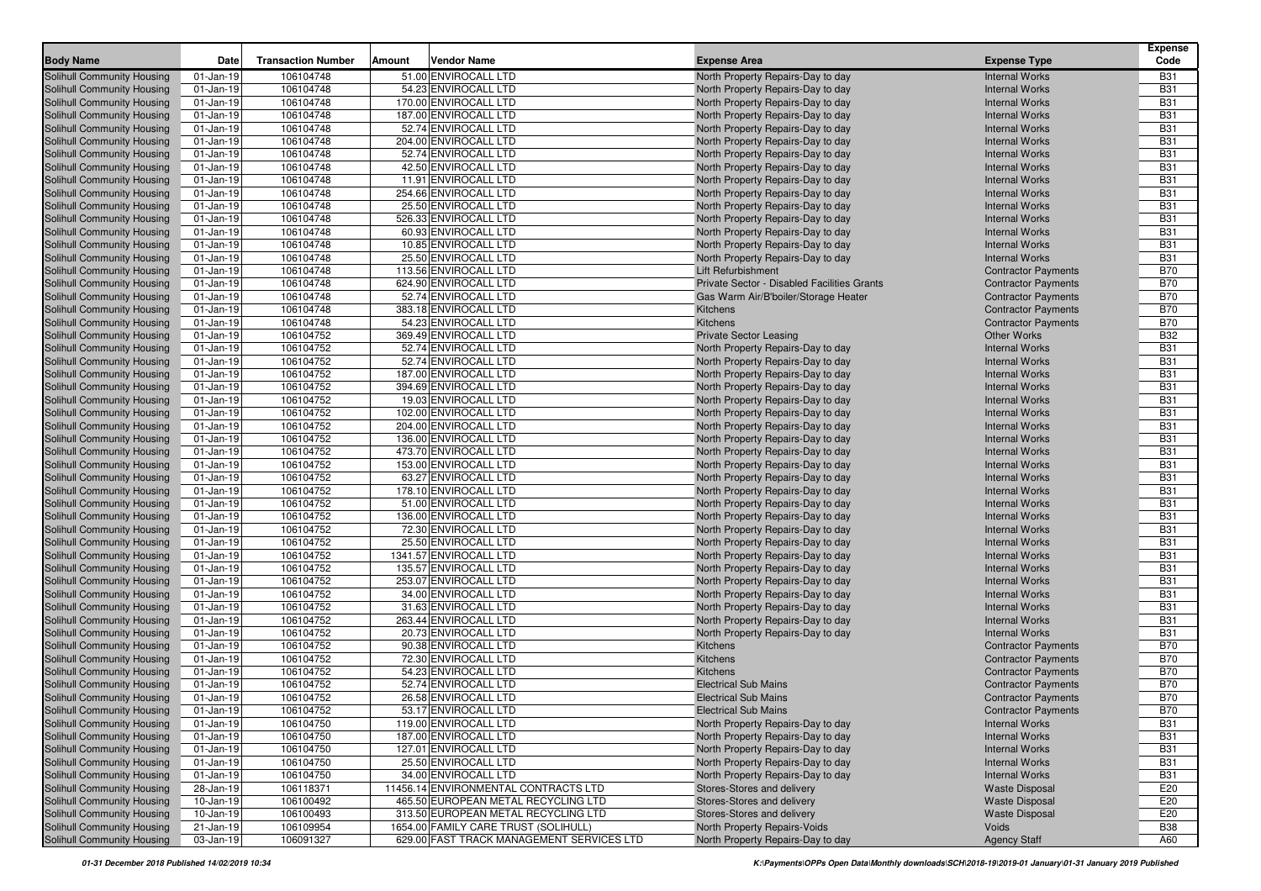| <b>Body Name</b>                                                       | Date                         | <b>Transaction Number</b> | Amount | <b>Vendor Name</b>                        | <b>Expense Area</b>                                                    | <b>Expense Type</b>                            | <b>Expense</b><br>Code   |
|------------------------------------------------------------------------|------------------------------|---------------------------|--------|-------------------------------------------|------------------------------------------------------------------------|------------------------------------------------|--------------------------|
|                                                                        |                              | 106104748                 |        | 51.00 ENVIROCALL LTD                      |                                                                        |                                                | <b>B31</b>               |
| Solihull Community Housing                                             | $01$ -Jan-19                 | 106104748                 |        | 54.23 ENVIROCALL LTD                      | North Property Repairs-Day to day                                      | <b>Internal Works</b><br><b>Internal Works</b> | <b>B31</b>               |
| <b>Solihull Community Housing</b>                                      | $01$ -Jan-19                 | 106104748                 |        | 170.00 ENVIROCALL LTD                     | North Property Repairs-Day to day                                      | <b>Internal Works</b>                          |                          |
| <b>Solihull Community Housing</b><br><b>Solihull Community Housing</b> | $01$ -Jan-19<br>$01$ -Jan-19 | 106104748                 |        | 187.00 ENVIROCALL LTD                     | North Property Repairs-Day to day                                      | <b>Internal Works</b>                          | <b>B31</b><br><b>B31</b> |
| <b>Solihull Community Housing</b>                                      | $01$ -Jan-19                 | 106104748                 |        | 52.74 ENVIROCALL LTD                      | North Property Repairs-Day to day<br>North Property Repairs-Day to day | <b>Internal Works</b>                          | <b>B31</b>               |
| Solihull Community Housing                                             | $01$ -Jan-19                 | 106104748                 |        | 204.00 ENVIROCALL LTD                     | North Property Repairs-Day to day                                      | <b>Internal Works</b>                          | <b>B31</b>               |
| <b>Solihull Community Housing</b>                                      | $01$ -Jan-19                 | 106104748                 |        | 52.74 ENVIROCALL LTD                      | North Property Repairs-Day to day                                      | <b>Internal Works</b>                          | <b>B31</b>               |
| <b>Solihull Community Housing</b>                                      | 01-Jan-19                    | 106104748                 |        | 42.50 ENVIROCALL LTD                      | North Property Repairs-Day to day                                      | <b>Internal Works</b>                          | <b>B31</b>               |
| <b>Solihull Community Housing</b>                                      | 01-Jan-19                    | 106104748                 |        | 11.91 ENVIROCALL LTD                      | North Property Repairs-Day to day                                      | <b>Internal Works</b>                          | <b>B31</b>               |
| <b>Solihull Community Housing</b>                                      | 01-Jan-19                    | 106104748                 |        | 254.66 ENVIROCALL LTD                     | North Property Repairs-Day to day                                      | <b>Internal Works</b>                          | <b>B31</b>               |
| <b>Solihull Community Housing</b>                                      | $01$ -Jan-19                 | 106104748                 |        | 25.50 ENVIROCALL LTD                      | North Property Repairs-Day to day                                      | <b>Internal Works</b>                          | <b>B31</b>               |
| <b>Solihull Community Housing</b>                                      | $01$ -Jan-19                 | 106104748                 |        | 526.33 ENVIROCALL LTD                     | North Property Repairs-Day to day                                      | <b>Internal Works</b>                          | <b>B31</b>               |
| <b>Solihull Community Housing</b>                                      | $01$ -Jan-19                 | 106104748                 |        | 60.93 ENVIROCALL LTD                      | North Property Repairs-Day to day                                      | <b>Internal Works</b>                          | <b>B31</b>               |
| <b>Solihull Community Housing</b>                                      | $01$ -Jan-19                 | 106104748                 |        | 10.85 ENVIROCALL LTD                      | North Property Repairs-Day to day                                      | <b>Internal Works</b>                          | <b>B31</b>               |
| Solihull Community Housing                                             | $01$ -Jan-19                 | 106104748                 |        | 25.50 ENVIROCALL LTD                      | North Property Repairs-Day to day                                      | <b>Internal Works</b>                          | <b>B31</b>               |
| <b>Solihull Community Housing</b>                                      | $01$ -Jan-19                 | 106104748                 |        | 113.56 ENVIROCALL LTD                     | Lift Refurbishment                                                     | <b>Contractor Payments</b>                     | <b>B70</b>               |
| <b>Solihull Community Housing</b>                                      | 01-Jan-19                    | 106104748                 |        | 624.90 ENVIROCALL LTD                     | Private Sector - Disabled Facilities Grants                            | <b>Contractor Payments</b>                     | <b>B70</b>               |
| <b>Solihull Community Housing</b>                                      | 01-Jan-19                    | 106104748                 |        | 52.74 ENVIROCALL LTD                      | Gas Warm Air/B'boiler/Storage Heater                                   | <b>Contractor Payments</b>                     | <b>B70</b>               |
| <b>Solihull Community Housing</b>                                      | $01$ -Jan-19                 | 106104748                 |        | 383.18 ENVIROCALL LTD                     | Kitchens                                                               | <b>Contractor Payments</b>                     | <b>B70</b>               |
| <b>Solihull Community Housing</b>                                      | $01$ -Jan-19                 | 106104748                 |        | 54.23 ENVIROCALL LTD                      | Kitchens                                                               | <b>Contractor Payments</b>                     | <b>B70</b>               |
| Solihull Community Housing                                             | $01$ -Jan-19                 | 106104752                 |        | 369.49 ENVIROCALL LTD                     | <b>Private Sector Leasing</b>                                          | <b>Other Works</b>                             | <b>B32</b>               |
| <b>Solihull Community Housing</b>                                      | $01$ -Jan-19                 | 106104752                 |        | 52.74 ENVIROCALL LTD                      | North Property Repairs-Day to day                                      | <b>Internal Works</b>                          | <b>B31</b>               |
| <b>Solihull Community Housing</b>                                      | $01$ -Jan-19                 | 106104752                 |        | 52.74 ENVIROCALL LTD                      | North Property Repairs-Day to day                                      | <b>Internal Works</b>                          | <b>B31</b>               |
| <b>Solihull Community Housing</b>                                      | $01$ -Jan-19                 | 106104752                 |        | 187.00 ENVIROCALL LTD                     | North Property Repairs-Day to day                                      | <b>Internal Works</b>                          | <b>B31</b>               |
| <b>Solihull Community Housing</b>                                      | 01-Jan-19                    | 106104752                 |        | 394.69 ENVIROCALL LTD                     | North Property Repairs-Day to day                                      | <b>Internal Works</b>                          | <b>B31</b>               |
| <b>Solihull Community Housing</b>                                      | 01-Jan-19                    | 106104752                 |        | 19.03 ENVIROCALL LTD                      | North Property Repairs-Day to day                                      | <b>Internal Works</b>                          | <b>B31</b>               |
| <b>Solihull Community Housing</b>                                      | 01-Jan-19                    | 106104752                 |        | 102.00 ENVIROCALL LTD                     | North Property Repairs-Day to day                                      | <b>Internal Works</b>                          | <b>B31</b>               |
| Solihull Community Housing                                             | $01$ -Jan-19                 | 106104752                 |        | 204.00 ENVIROCALL LTD                     | North Property Repairs-Day to day                                      | <b>Internal Works</b>                          | <b>B31</b>               |
| Solihull Community Housing                                             | $01$ -Jan-19                 | 106104752                 |        | 136.00 ENVIROCALL LTD                     | North Property Repairs-Day to day                                      | <b>Internal Works</b>                          | <b>B31</b>               |
| <b>Solihull Community Housing</b>                                      | $01$ -Jan-19                 | 106104752                 |        | 473.70 ENVIROCALL LTD                     | North Property Repairs-Day to day                                      | <b>Internal Works</b>                          | <b>B31</b>               |
| <b>Solihull Community Housing</b>                                      | 01-Jan-19                    | 106104752                 |        | 153.00 ENVIROCALL LTD                     | North Property Repairs-Day to day                                      | <b>Internal Works</b>                          | <b>B31</b>               |
| <b>Solihull Community Housing</b>                                      | $01$ -Jan-19                 | 106104752                 |        | 63.27 ENVIROCALL LTD                      | North Property Repairs-Day to day                                      | <b>Internal Works</b>                          | <b>B31</b>               |
| <b>Solihull Community Housing</b>                                      | $01$ -Jan-19                 | 106104752                 |        | 178.10 ENVIROCALL LTD                     | North Property Repairs-Day to day                                      | <b>Internal Works</b>                          | <b>B31</b>               |
| <b>Solihull Community Housing</b>                                      | 01-Jan-19                    | 106104752                 |        | 51.00 ENVIROCALL LTD                      | North Property Repairs-Day to day                                      | <b>Internal Works</b>                          | <b>B31</b>               |
| <b>Solihull Community Housing</b>                                      | 01-Jan-19                    | 106104752                 |        | 136.00 ENVIROCALL LTD                     | North Property Repairs-Day to day                                      | <b>Internal Works</b>                          | <b>B31</b>               |
| <b>Solihull Community Housing</b>                                      | 01-Jan-19                    | 106104752                 |        | 72.30 ENVIROCALL LTD                      | North Property Repairs-Day to day                                      | <b>Internal Works</b>                          | <b>B31</b>               |
| <b>Solihull Community Housing</b>                                      | $01$ -Jan-19                 | 106104752                 |        | 25.50 ENVIROCALL LTD                      | North Property Repairs-Day to day                                      | <b>Internal Works</b>                          | <b>B31</b>               |
| <b>Solihull Community Housing</b>                                      | $01$ -Jan-19                 | 106104752                 |        | 1341.57 ENVIROCALL LTD                    | North Property Repairs-Day to day                                      | <b>Internal Works</b>                          | <b>B31</b>               |
| <b>Solihull Community Housing</b>                                      | $01$ -Jan-19                 | 106104752                 |        | 135.57 ENVIROCALL LTD                     | North Property Repairs-Day to day                                      | <b>Internal Works</b>                          | <b>B31</b>               |
| <b>Solihull Community Housing</b>                                      | 01-Jan-19                    | 106104752                 |        | 253.07 ENVIROCALL LTD                     | North Property Repairs-Day to day                                      | <b>Internal Works</b>                          | <b>B31</b>               |
| <b>Solihull Community Housing</b>                                      | $01$ -Jan-19                 | 106104752                 |        | 34.00 ENVIROCALL LTD                      | North Property Repairs-Day to day                                      | <b>Internal Works</b>                          | <b>B31</b>               |
| <b>Solihull Community Housing</b>                                      | 01-Jan-19                    | 106104752                 |        | 31.63 ENVIROCALL LTD                      | North Property Repairs-Day to day                                      | <b>Internal Works</b>                          | <b>B31</b>               |
| <b>Solihull Community Housing</b>                                      | 01-Jan-19                    | 106104752                 |        | 263.44 ENVIROCALL LTD                     | North Property Repairs-Day to day                                      | <b>Internal Works</b>                          | <b>B31</b>               |
| <b>Solihull Community Housing</b>                                      | $01$ -Jan-19                 | 106104752                 |        | 20.73 ENVIROCALL LTD                      | North Property Repairs-Day to day                                      | <b>Internal Works</b>                          | <b>B31</b>               |
| <b>Solihull Community Housing</b>                                      | $01$ -Jan-19                 | 106104752                 |        | 90.38 ENVIROCALL LTD                      | Kitchens                                                               | <b>Contractor Payments</b>                     | <b>B70</b>               |
| <b>Solihull Community Housing</b>                                      | $01$ -Jan-19                 | 106104752                 |        | 72.30 ENVIROCALL LTD                      | Kitchens                                                               | <b>Contractor Payments</b>                     | <b>B70</b>               |
| <b>Solihull Community Housing</b>                                      | $01$ -Jan-19                 | 106104752                 |        | 54.23 ENVIROCALL LTD                      | Kitchens                                                               | <b>Contractor Payments</b>                     | <b>B70</b>               |
| Solihull Community Housing                                             | $01$ -Jan-19                 | 106104752                 |        | 52.74 ENVIROCALL LTD                      | <b>Electrical Sub Mains</b>                                            | <b>Contractor Payments</b>                     | <b>B70</b>               |
| Solihull Community Housing                                             | $01$ -Jan-19                 | 106104752                 |        | 26.58 ENVIROCALL LTD                      | <b>Electrical Sub Mains</b>                                            | <b>Contractor Payments</b>                     | <b>B70</b>               |
| Solihull Community Housing                                             | 01-Jan-19                    | 106104752                 |        | 53.17 ENVIROCALL LTD                      | <b>Electrical Sub Mains</b>                                            | <b>Contractor Payments</b>                     | <b>B70</b>               |
| <b>Solihull Community Housing</b>                                      | $01$ -Jan-19                 | 106104750                 |        | 119.00 ENVIROCALL LTD                     | North Property Repairs-Day to day                                      | <b>Internal Works</b>                          | <b>B31</b>               |
| <b>Solihull Community Housing</b>                                      | $01$ -Jan-19                 | 106104750                 |        | 187.00 ENVIROCALL LTD                     | North Property Repairs-Day to day                                      | <b>Internal Works</b>                          | <b>B31</b>               |
| <b>Solihull Community Housing</b>                                      | $01$ -Jan-19                 | 106104750                 |        | 127.01 ENVIROCALL LTD                     | North Property Repairs-Day to day                                      | <b>Internal Works</b>                          | <b>B31</b>               |
| <b>Solihull Community Housing</b>                                      | $01$ -Jan-19                 | 106104750                 |        | 25.50 ENVIROCALL LTD                      | North Property Repairs-Day to day                                      | <b>Internal Works</b>                          | <b>B31</b>               |
| Solihull Community Housing                                             | $01$ -Jan-19                 | 106104750                 |        | 34.00 ENVIROCALL LTD                      | North Property Repairs-Day to day                                      | <b>Internal Works</b>                          | <b>B31</b>               |
| Solihull Community Housing                                             | 28-Jan-19                    | 106118371                 |        | 11456.14 ENVIRONMENTAL CONTRACTS LTD      | Stores-Stores and delivery                                             | <b>Waste Disposal</b>                          | E20                      |
| <b>Solihull Community Housing</b>                                      | 10-Jan-19                    | 106100492                 |        | 465.50 EUROPEAN METAL RECYCLING LTD       | Stores-Stores and delivery                                             | <b>Waste Disposal</b>                          | E20                      |
| Solihull Community Housing                                             | 10-Jan-19                    | 106100493                 |        | 313.50 EUROPEAN METAL RECYCLING LTD       | Stores-Stores and delivery                                             | <b>Waste Disposal</b>                          | E20                      |
| Solihull Community Housing                                             | 21-Jan-19                    | 106109954                 |        | 1654.00 FAMILY CARE TRUST (SOLIHULL)      | North Property Repairs-Voids                                           | Voids                                          | <b>B38</b>               |
| <b>Solihull Community Housing</b>                                      | 03-Jan-19                    | 106091327                 |        | 629.00 FAST TRACK MANAGEMENT SERVICES LTD | North Property Repairs-Day to day                                      | <b>Agency Staff</b>                            | A60                      |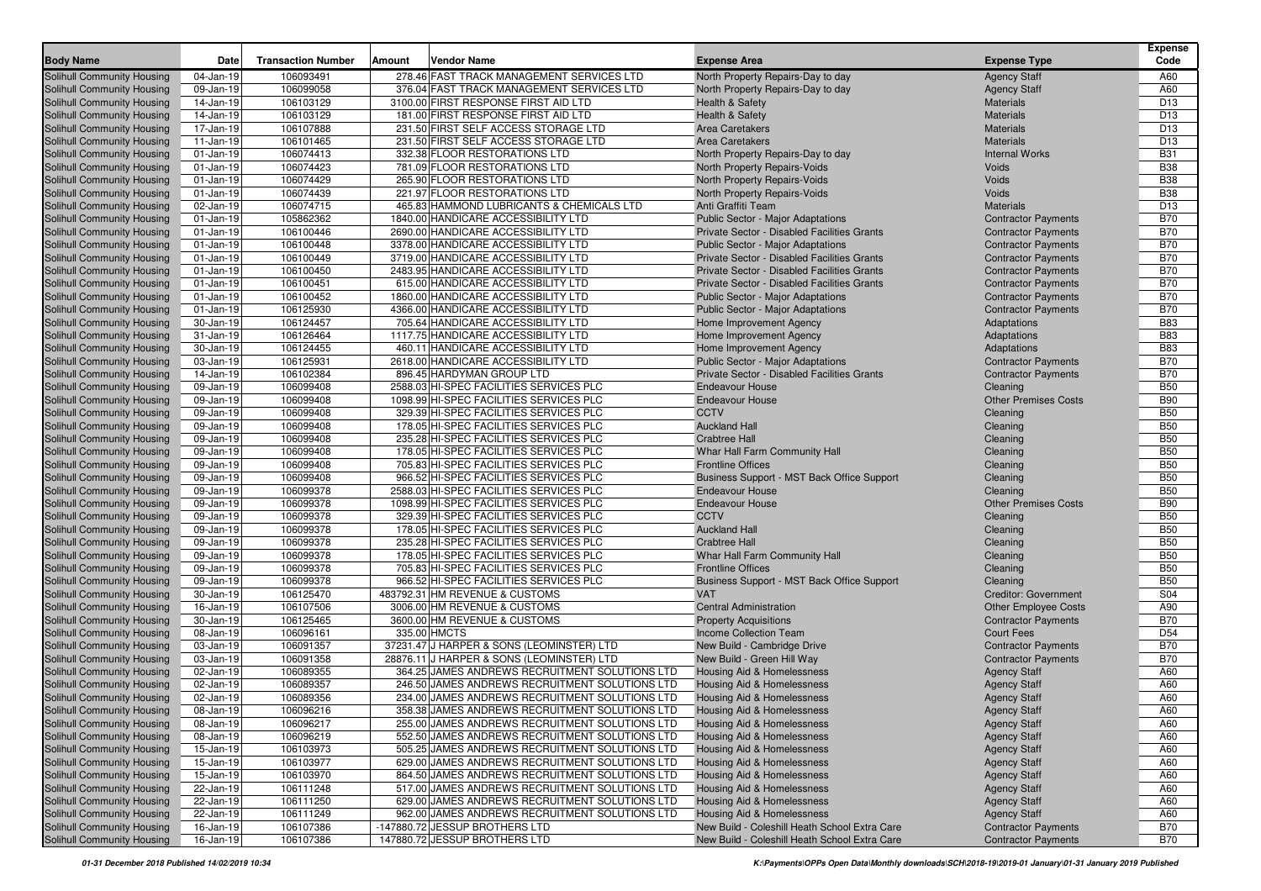|                                                          |                        |                           |        |                                                                                  |                                                           |                                      | <b>Expense</b>                     |
|----------------------------------------------------------|------------------------|---------------------------|--------|----------------------------------------------------------------------------------|-----------------------------------------------------------|--------------------------------------|------------------------------------|
| <b>Body Name</b>                                         | Date                   | <b>Transaction Number</b> | Amount | <b>Vendor Name</b>                                                               | <b>Expense Area</b>                                       | <b>Expense Type</b>                  | Code                               |
| Solihull Community Housing                               | 04-Jan-19              | 106093491                 |        | 278.46 FAST TRACK MANAGEMENT SERVICES LTD                                        | North Property Repairs-Day to day                         | <b>Agency Staff</b>                  | A60                                |
| Solihull Community Housing                               | 09-Jan-19              | 106099058                 |        | 376.04 FAST TRACK MANAGEMENT SERVICES LTD                                        | North Property Repairs-Day to day                         | <b>Agency Staff</b>                  | A60                                |
| Solihull Community Housing                               | 14-Jan-19              | 106103129                 |        | 3100.00 FIRST RESPONSE FIRST AID LTD                                             | Health & Safety                                           | <b>Materials</b>                     | D <sub>13</sub>                    |
| Solihull Community Housing<br>Solihull Community Housing | 14-Jan-19<br>17-Jan-19 | 106103129<br>106107888    |        | 181.00 FIRST RESPONSE FIRST AID LTD<br>231.50 FIRST SELF ACCESS STORAGE LTD      | <b>Health &amp; Safety</b><br><b>Area Caretakers</b>      | <b>Materials</b><br><b>Materials</b> | D <sub>13</sub><br>D <sub>13</sub> |
| Solihull Community Housing                               | 11-Jan-19              | 106101465                 |        | 231.50 FIRST SELF ACCESS STORAGE LTD                                             | <b>Area Caretakers</b>                                    | <b>Materials</b>                     | D <sub>13</sub>                    |
| Solihull Community Housing                               | 01-Jan-19              | 106074413                 |        | 332.38 FLOOR RESTORATIONS LTD                                                    | North Property Repairs-Day to day                         | <b>Internal Works</b>                | <b>B31</b>                         |
| Solihull Community Housing                               | 01-Jan-19              | 106074423                 |        | 781.09 FLOOR RESTORATIONS LTD                                                    | North Property Repairs-Voids                              | Voids                                | <b>B38</b>                         |
| Solihull Community Housing                               | 01-Jan-19              | 106074429                 |        | 265.90 FLOOR RESTORATIONS LTD                                                    | North Property Repairs-Voids                              | Voids                                | <b>B38</b>                         |
| Solihull Community Housing                               | 01-Jan-19              | 106074439                 |        | 221.97 FLOOR RESTORATIONS LTD                                                    | North Property Repairs-Voids                              | Voids                                | <b>B38</b>                         |
| Solihull Community Housing                               | 02-Jan-19              | 106074715                 |        | 465.83 HAMMOND LUBRICANTS & CHEMICALS LTD                                        | Anti Graffiti Team                                        | <b>Materials</b>                     | D <sub>13</sub>                    |
| Solihull Community Housing                               | $01$ -Jan-19           | 105862362                 |        | 1840.00 HANDICARE ACCESSIBILITY LTD                                              | Public Sector - Major Adaptations                         | <b>Contractor Payments</b>           | <b>B70</b>                         |
| Solihull Community Housing                               | 01-Jan-19              | 106100446                 |        | 2690.00 HANDICARE ACCESSIBILITY LTD                                              | Private Sector - Disabled Facilities Grants               | <b>Contractor Payments</b>           | <b>B70</b>                         |
| Solihull Community Housing                               | $01$ -Jan-19           | 106100448                 |        | 3378.00 HANDICARE ACCESSIBILITY LTD                                              | <b>Public Sector - Major Adaptations</b>                  | <b>Contractor Payments</b>           | <b>B70</b>                         |
| Solihull Community Housing                               | $01$ -Jan-19           | 106100449                 |        | 3719.00 HANDICARE ACCESSIBILITY LTD                                              | Private Sector - Disabled Facilities Grants               | <b>Contractor Payments</b>           | <b>B70</b>                         |
| <b>Solihull Community Housing</b>                        | 01-Jan-19              | 106100450                 |        | 2483.95 HANDICARE ACCESSIBILITY LTD                                              | Private Sector - Disabled Facilities Grants               | <b>Contractor Payments</b>           | <b>B70</b>                         |
| Solihull Community Housing                               | 01-Jan-19              | 106100451                 |        | 615.00 HANDICARE ACCESSIBILITY LTD                                               | Private Sector - Disabled Facilities Grants               | <b>Contractor Payments</b>           | <b>B70</b>                         |
| Solihull Community Housing                               | 01-Jan-19              | 106100452                 |        | 1860.00 HANDICARE ACCESSIBILITY LTD                                              | Public Sector - Major Adaptations                         | <b>Contractor Payments</b>           | <b>B70</b>                         |
| Solihull Community Housing                               | $01$ -Jan-19           | 106125930                 |        | 4366.00 HANDICARE ACCESSIBILITY LTD                                              | Public Sector - Major Adaptations                         | <b>Contractor Payments</b>           | <b>B70</b>                         |
| Solihull Community Housing                               | 30-Jan-19              | 106124457                 |        | 705.64 HANDICARE ACCESSIBILITY LTD                                               | Home Improvement Agency                                   | Adaptations                          | <b>B83</b>                         |
| Solihull Community Housing                               | 31-Jan-19              | 106126464                 |        | 1117.75 HANDICARE ACCESSIBILITY LTD                                              | Home Improvement Agency                                   | Adaptations                          | <b>B83</b>                         |
| Solihull Community Housing                               | 30-Jan-19              | 106124455                 |        | 460.11 HANDICARE ACCESSIBILITY LTD                                               | Home Improvement Agency                                   | Adaptations                          | <b>B83</b>                         |
| Solihull Community Housing                               | 03-Jan-19              | 106125931                 |        | 2618.00 HANDICARE ACCESSIBILITY LTD                                              | Public Sector - Major Adaptations                         | <b>Contractor Payments</b>           | <b>B70</b>                         |
| Solihull Community Housing                               | 14-Jan-19              | 106102384                 |        | 896.45 HARDYMAN GROUP LTD                                                        | Private Sector - Disabled Facilities Grants               | <b>Contractor Payments</b>           | <b>B70</b>                         |
| Solihull Community Housing                               | 09-Jan-19              | 106099408                 |        | 2588.03 HI-SPEC FACILITIES SERVICES PLC                                          | <b>Endeavour House</b>                                    | Cleaning                             | <b>B50</b>                         |
| Solihull Community Housing                               | 09-Jan-19              | 106099408                 |        | 1098.99 HI-SPEC FACILITIES SERVICES PLC                                          | <b>Endeavour House</b>                                    | <b>Other Premises Costs</b>          | <b>B90</b>                         |
| Solihull Community Housing                               | 09-Jan-19              | 106099408                 |        | 329.39 HI-SPEC FACILITIES SERVICES PLC                                           | <b>CCTV</b>                                               | Cleaning                             | <b>B50</b>                         |
| Solihull Community Housing                               | 09-Jan-19              | 106099408                 |        | 178.05 HI-SPEC FACILITIES SERVICES PLC                                           | <b>Auckland Hall</b>                                      | Cleaning                             | <b>B50</b>                         |
| Solihull Community Housing                               | 09-Jan-19              | 106099408                 |        | 235.28 HI-SPEC FACILITIES SERVICES PLC                                           | <b>Crabtree Hall</b>                                      | Cleaning                             | <b>B50</b>                         |
| Solihull Community Housing                               | 09-Jan-19              | 106099408                 |        | 178.05 HI-SPEC FACILITIES SERVICES PLC                                           | Whar Hall Farm Community Hall                             | Cleaning                             | <b>B50</b>                         |
| Solihull Community Housing                               | 09-Jan-19              | 106099408                 |        | 705.83 HI-SPEC FACILITIES SERVICES PLC                                           | <b>Frontline Offices</b>                                  | Cleaning                             | <b>B50</b>                         |
| Solihull Community Housing                               | 09-Jan-19              | 106099408                 |        | 966.52 HI-SPEC FACILITIES SERVICES PLC                                           | Business Support - MST Back Office Support                | Cleaning                             | <b>B50</b>                         |
| Solihull Community Housing                               | 09-Jan-19              | 106099378                 |        | 2588.03 HI-SPEC FACILITIES SERVICES PLC                                          | <b>Endeavour House</b>                                    | Cleaning                             | <b>B50</b>                         |
| Solihull Community Housing                               | 09-Jan-19              | 106099378                 |        | 1098.99 HI-SPEC FACILITIES SERVICES PLC                                          | <b>Endeavour House</b>                                    | <b>Other Premises Costs</b>          | <b>B90</b>                         |
| Solihull Community Housing                               | 09-Jan-19              | 106099378                 |        | 329.39 HI-SPEC FACILITIES SERVICES PLC                                           | <b>CCTV</b>                                               | Cleaning                             | <b>B50</b>                         |
| Solihull Community Housing                               | 09-Jan-19              | 106099378                 |        | 178.05 HI-SPEC FACILITIES SERVICES PLC                                           | <b>Auckland Hall</b>                                      | Cleaning                             | <b>B50</b>                         |
| Solihull Community Housing                               | 09-Jan-19              | 106099378<br>106099378    |        | 235.28 HI-SPEC FACILITIES SERVICES PLC<br>178.05 HI-SPEC FACILITIES SERVICES PLC | <b>Crabtree Hall</b>                                      | Cleaning                             | <b>B50</b><br><b>B50</b>           |
| Solihull Community Housing<br>Solihull Community Housing | 09-Jan-19<br>09-Jan-19 | 106099378                 |        | 705.83 HI-SPEC FACILITIES SERVICES PLC                                           | Whar Hall Farm Community Hall<br><b>Frontline Offices</b> | Cleaning<br>Cleaning                 | <b>B50</b>                         |
| Solihull Community Housing                               | 09-Jan-19              | 106099378                 |        | 966.52 HI-SPEC FACILITIES SERVICES PLC                                           | Business Support - MST Back Office Support                | Cleaning                             | <b>B50</b>                         |
| <b>Solihull Community Housing</b>                        | 30-Jan-19              | 106125470                 |        | 483792.31 HM REVENUE & CUSTOMS                                                   | <b>VAT</b>                                                | <b>Creditor: Government</b>          | S04                                |
| Solihull Community Housing                               | 16-Jan-19              | 106107506                 |        | 3006.00 HM REVENUE & CUSTOMS                                                     | <b>Central Administration</b>                             | <b>Other Employee Costs</b>          | A90                                |
| Solihull Community Housing                               | 30-Jan-19              | 106125465                 |        | 3600.00 HM REVENUE & CUSTOMS                                                     | <b>Property Acquisitions</b>                              | <b>Contractor Payments</b>           | <b>B70</b>                         |
| Solihull Community Housing                               | 08-Jan-19              | 106096161                 |        | 335.00 HMCTS                                                                     | <b>Income Collection Team</b>                             | <b>Court Fees</b>                    | D <sub>54</sub>                    |
| Solihull Community Housing                               | 03-Jan-19              | 106091357                 |        | 37231.47 J HARPER & SONS (LEOMINSTER) LTD                                        | New Build - Cambridge Drive                               | <b>Contractor Payments</b>           | <b>B70</b>                         |
| Solihull Community Housing                               | 03-Jan-19              | 106091358                 |        | 28876.11 J HARPER & SONS (LEOMINSTER) LTD                                        | New Build - Green Hill Way                                | <b>Contractor Payments</b>           | <b>B70</b>                         |
| Solihull Community Housing                               | 02-Jan-19              | 106089355                 |        | 364.25 JAMES ANDREWS RECRUITMENT SOLUTIONS LTD                                   | Housing Aid & Homelessness                                | <b>Agency Staff</b>                  | A60                                |
| Solihull Community Housing                               | 02-Jan-19              | 106089357                 |        | 246.50 JAMES ANDREWS RECRUITMENT SOLUTIONS LTD                                   | Housing Aid & Homelessness                                | <b>Agency Staff</b>                  | A60                                |
| Solihull Community Housing                               | 02-Jan-19              | 106089356                 |        | 234.00 JAMES ANDREWS RECRUITMENT SOLUTIONS LTD                                   | <b>Housing Aid &amp; Homelessness</b>                     | <b>Agency Staff</b>                  | A60                                |
| Solihull Community Housing                               | 08-Jan-19              | 106096216                 |        | 358.38 JAMES ANDREWS RECRUITMENT SOLUTIONS LTD                                   | Housing Aid & Homelessness                                | <b>Agency Staff</b>                  | A60                                |
| Solihull Community Housing                               | 08-Jan-19              | 106096217                 |        | 255.00 JAMES ANDREWS RECRUITMENT SOLUTIONS LTD                                   | Housing Aid & Homelessness                                | <b>Agency Staff</b>                  | A60                                |
| <b>Solihull Community Housing</b>                        | 08-Jan-19              | 106096219                 |        | 552.50 JAMES ANDREWS RECRUITMENT SOLUTIONS LTD                                   | Housing Aid & Homelessness                                | <b>Agency Staff</b>                  | A60                                |
| Solihull Community Housing                               | 15-Jan-19              | 106103973                 |        | 505.25 JAMES ANDREWS RECRUITMENT SOLUTIONS LTD                                   | Housing Aid & Homelessness                                | <b>Agency Staff</b>                  | A60                                |
| <b>Solihull Community Housing</b>                        | 15-Jan-19              | 106103977                 |        | 629.00 JAMES ANDREWS RECRUITMENT SOLUTIONS LTD                                   | <b>Housing Aid &amp; Homelessness</b>                     | <b>Agency Staff</b>                  | A60                                |
| <b>Solihull Community Housing</b>                        | 15-Jan-19              | 106103970                 |        | 864.50 JAMES ANDREWS RECRUITMENT SOLUTIONS LTD                                   | Housing Aid & Homelessness                                | <b>Agency Staff</b>                  | A60                                |
| <b>Solihull Community Housing</b>                        | 22-Jan-19              | 106111248                 |        | 517.00 JAMES ANDREWS RECRUITMENT SOLUTIONS LTD                                   | Housing Aid & Homelessness                                | <b>Agency Staff</b>                  | A60                                |
| <b>Solihull Community Housing</b>                        | 22-Jan-19              | 106111250                 |        | 629.00 JAMES ANDREWS RECRUITMENT SOLUTIONS LTD                                   | Housing Aid & Homelessness                                | <b>Agency Staff</b>                  | A60                                |
| <b>Solihull Community Housing</b>                        | 22-Jan-19              | 106111249                 |        | 962.00 JAMES ANDREWS RECRUITMENT SOLUTIONS LTD                                   | Housing Aid & Homelessness                                | <b>Agency Staff</b>                  | A60                                |
| <b>Solihull Community Housing</b>                        | 16-Jan-19              | 106107386                 |        | -147880.72 JESSUP BROTHERS LTD                                                   | New Build - Coleshill Heath School Extra Care             | <b>Contractor Payments</b>           | <b>B70</b>                         |
| <b>Solihull Community Housing</b>                        | 16-Jan-19              | 106107386                 |        | 147880.72 JESSUP BROTHERS LTD                                                    | New Build - Coleshill Heath School Extra Care             | <b>Contractor Payments</b>           | B70                                |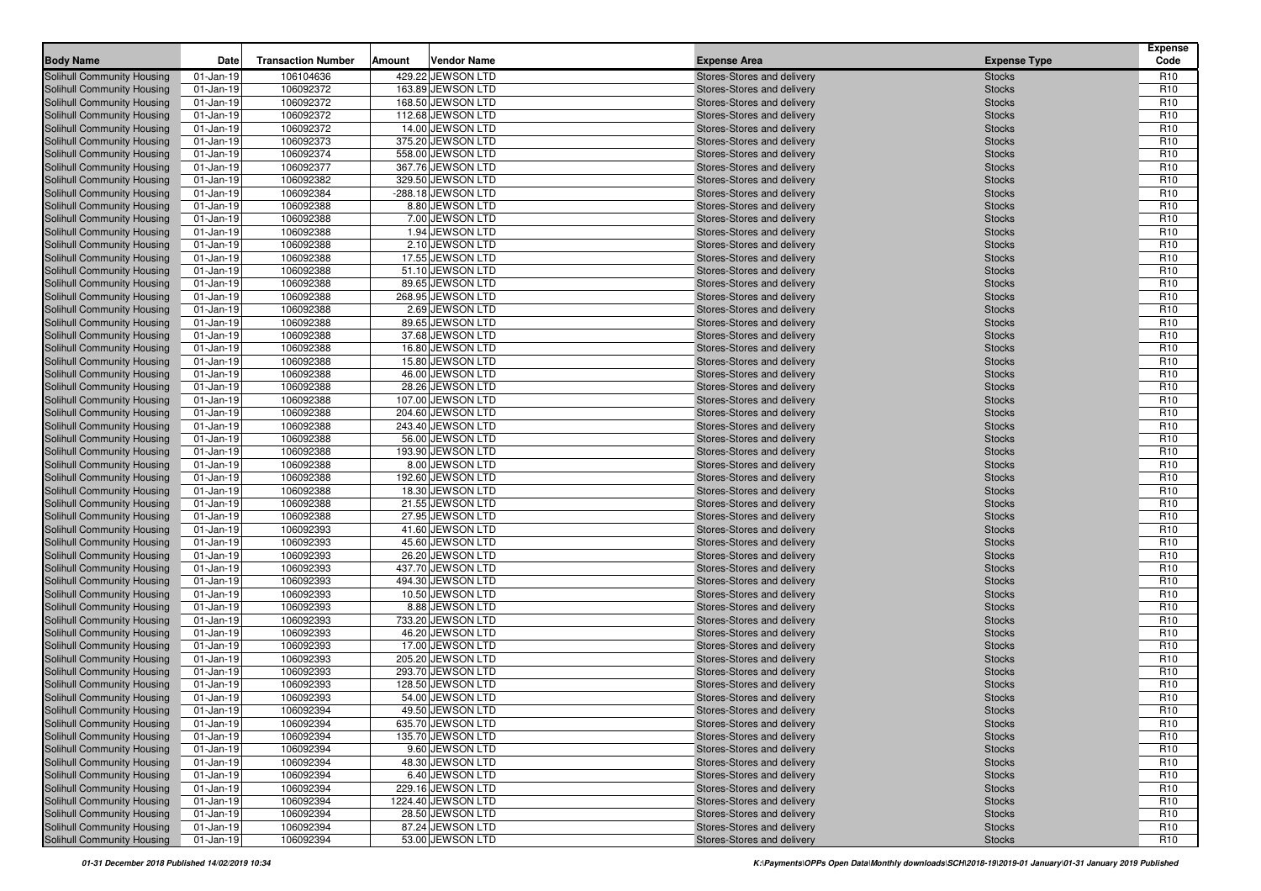| 106104636<br>429.22 JEWSON LTD<br>$01$ -Jan-19<br>Stores-Stores and delivery<br>R <sub>10</sub><br><b>Stocks</b><br>R <sub>10</sub><br>01-Jan-19<br>106092372<br>163.89 JEWSON LTD<br>Stores-Stores and delivery<br><b>Stocks</b><br>106092372<br>168.50 JEWSON LTD<br>Stores-Stores and delivery<br><b>Stocks</b><br>R <sub>10</sub><br>Solihull Community Housing<br>01-Jan-19<br>106092372<br>112.68 JEWSON LTD<br>Stores-Stores and delivery<br>R <sub>10</sub><br>01-Jan-19<br><b>Stocks</b><br>106092372<br>14.00 JEWSON LTD<br>01-Jan-19<br>Stores-Stores and delivery<br><b>Stocks</b><br>R <sub>10</sub><br>R <sub>10</sub><br>106092373<br>375.20 JEWSON LTD<br><b>Stocks</b><br>01-Jan-19<br>Stores-Stores and delivery<br>01-Jan-19<br>106092374<br>558.00 JEWSON LTD<br><b>Stocks</b><br>R <sub>10</sub><br>Stores-Stores and delivery<br>106092377<br>367.76 JEWSON LTD<br>R <sub>10</sub><br>01-Jan-19<br>Stores-Stores and delivery<br><b>Stocks</b><br>106092382<br>329.50 JEWSON LTD<br>01-Jan-19<br>R <sub>10</sub><br>Stores-Stores and delivery<br><b>Stocks</b><br>106092384<br>-288.18 JEWSON LTD<br><b>Stocks</b><br>R <sub>10</sub><br>$01$ -Jan-19<br>Stores-Stores and delivery<br>8.80 JEWSON LTD<br>R <sub>10</sub><br>$01$ -Jan-19<br>106092388<br>Stores-Stores and delivery<br><b>Stocks</b><br>7.00 JEWSON LTD<br>106092388<br><b>Stocks</b><br>R <sub>10</sub><br>$01$ -Jan-19<br>Stores-Stores and delivery<br>106092388<br>1.94 JEWSON LTD<br>R <sub>10</sub><br>$01$ -Jan-19<br>Stores-Stores and delivery<br><b>Stocks</b><br>106092388<br>$01$ -Jan-19<br>2.10 JEWSON LTD<br>Stores-Stores and delivery<br><b>Stocks</b><br>R <sub>10</sub><br>$01$ -Jan-19<br>106092388<br>17.55 JEWSON LTD<br>Stores-Stores and delivery<br>R <sub>10</sub><br><b>Stocks</b><br>106092388<br>51.10 JEWSON LTD<br>R <sub>10</sub><br>01-Jan-19<br>Stores-Stores and delivery<br><b>Stocks</b><br>106092388<br>89.65 JEWSON LTD<br><b>Stocks</b><br>R <sub>10</sub><br>01-Jan-19<br>Stores-Stores and delivery<br>106092388<br>268.95 JEWSON LTD<br>$01$ -Jan-19<br>R <sub>10</sub><br>Stores-Stores and delivery<br><b>Stocks</b><br>106092388<br>2.69 JEWSON LTD<br>R <sub>10</sub><br>01-Jan-19<br>Stores-Stores and delivery<br><b>Stocks</b><br>R <sub>10</sub><br><b>Solihull Community Housing</b><br>106092388<br>89.65 JEWSON LTD<br>01-Jan-19<br>Stores-Stores and delivery<br><b>Stocks</b><br>106092388<br>37.68 JEWSON LTD<br><b>Stocks</b><br>R <sub>10</sub><br>Solihull Community Housing<br>$01$ -Jan-19<br>Stores-Stores and delivery<br>106092388<br>Solihull Community Housing<br>$01$ -Jan-19<br>16.80 JEWSON LTD<br>R <sub>10</sub><br>Stores-Stores and delivery<br><b>Stocks</b><br>106092388<br>R <sub>10</sub><br>Solihull Community Housing<br>$01$ -Jan-19<br>15.80 JEWSON LTD<br>Stores-Stores and delivery<br><b>Stocks</b><br><b>Solihull Community Housing</b><br>106092388<br>46.00 JEWSON LTD<br>R <sub>10</sub><br>01-Jan-19<br>Stores-Stores and delivery<br><b>Stocks</b><br>106092388<br>28.26 JEWSON LTD<br>Solihull Community Housing<br>R <sub>10</sub><br>01-Jan-19<br>Stores-Stores and delivery<br><b>Stocks</b><br>106092388<br>Solihull Community Housing<br>$01$ -Jan-19<br>107.00 JEWSON LTD<br>R <sub>10</sub><br>Stores-Stores and delivery<br><b>Stocks</b><br><b>Solihull Community Housing</b><br>$01$ -Jan-19<br>106092388<br>204.60 JEWSON LTD<br>R <sub>10</sub><br>Stores-Stores and delivery<br><b>Stocks</b><br>106092388<br>R <sub>10</sub><br>$01$ -Jan-19<br>243.40 JEWSON LTD<br><b>Stocks</b><br><b>Solihull Community Housing</b><br>Stores-Stores and delivery<br>106092388<br>56.00 JEWSON LTD<br>R <sub>10</sub><br><b>Solihull Community Housing</b><br>$01$ -Jan-19<br>Stores-Stores and delivery<br><b>Stocks</b><br>106092388<br><b>Solihull Community Housing</b><br>$01$ -Jan-19<br>193.90 JEWSON LTD<br><b>Stocks</b><br>R <sub>10</sub><br>Stores-Stores and delivery<br>R <sub>10</sub><br><b>Solihull Community Housing</b><br>$01$ -Jan-19<br>106092388<br>8.00 JEWSON LTD<br>Stores-Stores and delivery<br><b>Stocks</b><br>106092388<br>R <sub>10</sub><br>$01$ -Jan-19<br>192.60 JEWSON LTD<br><b>Stocks</b><br><b>Solihull Community Housing</b><br>Stores-Stores and delivery<br><b>Solihull Community Housing</b><br>106092388<br>18.30 JEWSON LTD<br>R <sub>10</sub><br>01-Jan-19<br>Stores-Stores and delivery<br><b>Stocks</b><br>106092388<br>21.55 JEWSON LTD<br>R <sub>10</sub><br><b>Solihull Community Housing</b><br>$01$ -Jan-19<br>Stores-Stores and delivery<br><b>Stocks</b><br>106092388<br>27.95 JEWSON LTD<br><b>Solihull Community Housing</b><br>$01$ -Jan-19<br><b>Stocks</b><br>R <sub>10</sub><br>Stores-Stores and delivery<br><b>Solihull Community Housing</b><br>106092393<br>41.60 JEWSON LTD<br>R <sub>10</sub><br>01-Jan-19<br>Stores-Stores and delivery<br><b>Stocks</b><br>R <sub>10</sub><br>106092393<br>45.60 JEWSON LTD<br><b>Stocks</b><br>Solihull Community Housing<br>$01$ -Jan-19<br>Stores-Stores and delivery<br>26.20 JEWSON LTD<br><b>Solihull Community Housing</b><br>01-Jan-19<br>106092393<br>R <sub>10</sub><br>Stores-Stores and delivery<br><b>Stocks</b><br>106092393<br>437.70 JEWSON LTD<br><b>Solihull Community Housing</b><br>01-Jan-19<br>Stores-Stores and delivery<br><b>Stocks</b><br>R <sub>10</sub><br>R <sub>10</sub><br><b>Solihull Community Housing</b><br>01-Jan-19<br>106092393<br>494.30 JEWSON LTD<br>Stores-Stores and delivery<br><b>Stocks</b><br>R <sub>10</sub><br>01-Jan-19<br>106092393<br>10.50 JEWSON LTD<br><b>Solihull Community Housing</b><br>Stores-Stores and delivery<br><b>Stocks</b><br>106092393<br>8.88 JEWSON LTD<br><b>Solihull Community Housing</b><br>01-Jan-19<br>R <sub>10</sub><br>Stores-Stores and delivery<br><b>Stocks</b><br>106092393<br>733.20 JEWSON LTD<br><b>Solihull Community Housing</b><br>01-Jan-19<br>R <sub>10</sub><br>Stores-Stores and delivery<br><b>Stocks</b><br>Solihull Community Housing<br>106092393<br>46.20 JEWSON LTD<br>R <sub>10</sub><br>01-Jan-19<br>Stores-Stores and delivery<br><b>Stocks</b><br>R <sub>10</sub><br><b>Solihull Community Housing</b><br>106092393<br>17.00 JEWSON LTD<br>01-Jan-19<br>Stores-Stores and delivery<br><b>Stocks</b><br>106092393<br>205.20 JEWSON LTD<br>R <sub>10</sub><br><b>Solihull Community Housing</b><br>$01$ -Jan-19<br>Stores-Stores and delivery<br><b>Stocks</b><br><b>Solihull Community Housing</b><br>01-Jan-19<br>106092393<br>293.70 JEWSON LTD<br>R <sub>10</sub><br>Stores-Stores and delivery<br><b>Stocks</b><br>R <sub>10</sub><br><b>Solihull Community Housing</b><br>$01$ -Jan-19<br>106092393<br>128.50 JEWSON LTD<br>Stores-Stores and delivery<br><b>Stocks</b><br>R <sub>10</sub><br>Solihull Community Housing<br>01-Jan-19<br>106092393<br>54.00 JEWSON LTD<br>Stores-Stores and delivery<br><b>Stocks</b><br>Solihull Community Housing<br>106092394<br>49.50 JEWSON LTD<br>R <sub>10</sub><br>$\overline{01}$ -Jan-19<br>Stores-Stores and delivery<br><b>Stocks</b><br>106092394<br>635.70 JEWSON LTD<br><b>Solihull Community Housing</b><br>01-Jan-19<br>Stores-Stores and delivery<br>R <sub>10</sub><br><b>Stocks</b><br>Solihull Community Housing<br>106092394<br>135.70 JEWSON LTD<br>Stores-Stores and delivery<br>R <sub>10</sub><br>01-Jan-19<br><b>Stocks</b><br><b>Solihull Community Housing</b><br>Stores-Stores and delivery<br>01-Jan-19<br>106092394<br>9.60 JEWSON LTD<br>R <sub>10</sub><br><b>Stocks</b><br><b>Solihull Community Housing</b><br>48.30 JEWSON LTD<br>01-Jan-19<br>106092394<br>Stores-Stores and delivery<br>R <sub>10</sub><br><b>Stocks</b><br>106092394<br>6.40 JEWSON LTD<br><b>Solihull Community Housing</b><br>$01$ -Jan-19<br>Stores-Stores and delivery<br>R <sub>10</sub><br><b>Stocks</b><br>Solihull Community Housing<br>229.16 JEWSON LTD<br>$01$ -Jan-19<br>106092394<br>Stores-Stores and delivery<br>R <sub>10</sub><br><b>Stocks</b><br>Solihull Community Housing<br>$01$ -Jan-19<br>106092394<br>1224.40 JEWSON LTD<br>Stores-Stores and delivery<br>R <sub>10</sub><br><b>Stocks</b><br>Solihull Community Housing<br>106092394<br>28.50 JEWSON LTD<br>Stores-Stores and delivery<br>$01$ -Jan-19<br><b>Stocks</b><br>R <sub>10</sub><br>Solihull Community Housing<br>106092394<br>87.24 JEWSON LTD<br>Stores-Stores and delivery<br>R <sub>10</sub><br>01-Jan-19<br><b>Stocks</b><br>53.00 JEWSON LTD | <b>Body Name</b>                  | Date      | <b>Transaction Number</b> | Amount | <b>Vendor Name</b> | <b>Expense Area</b>        | <b>Expense Type</b> | <b>Expense</b><br>Code |
|---------------------------------------------------------------------------------------------------------------------------------------------------------------------------------------------------------------------------------------------------------------------------------------------------------------------------------------------------------------------------------------------------------------------------------------------------------------------------------------------------------------------------------------------------------------------------------------------------------------------------------------------------------------------------------------------------------------------------------------------------------------------------------------------------------------------------------------------------------------------------------------------------------------------------------------------------------------------------------------------------------------------------------------------------------------------------------------------------------------------------------------------------------------------------------------------------------------------------------------------------------------------------------------------------------------------------------------------------------------------------------------------------------------------------------------------------------------------------------------------------------------------------------------------------------------------------------------------------------------------------------------------------------------------------------------------------------------------------------------------------------------------------------------------------------------------------------------------------------------------------------------------------------------------------------------------------------------------------------------------------------------------------------------------------------------------------------------------------------------------------------------------------------------------------------------------------------------------------------------------------------------------------------------------------------------------------------------------------------------------------------------------------------------------------------------------------------------------------------------------------------------------------------------------------------------------------------------------------------------------------------------------------------------------------------------------------------------------------------------------------------------------------------------------------------------------------------------------------------------------------------------------------------------------------------------------------------------------------------------------------------------------------------------------------------------------------------------------------------------------------------------------------------------------------------------------------------------------------------------------------------------------------------------------------------------------------------------------------------------------------------------------------------------------------------------------------------------------------------------------------------------------------------------------------------------------------------------------------------------------------------------------------------------------------------------------------------------------------------------------------------------------------------------------------------------------------------------------------------------------------------------------------------------------------------------------------------------------------------------------------------------------------------------------------------------------------------------------------------------------------------------------------------------------------------------------------------------------------------------------------------------------------------------------------------------------------------------------------------------------------------------------------------------------------------------------------------------------------------------------------------------------------------------------------------------------------------------------------------------------------------------------------------------------------------------------------------------------------------------------------------------------------------------------------------------------------------------------------------------------------------------------------------------------------------------------------------------------------------------------------------------------------------------------------------------------------------------------------------------------------------------------------------------------------------------------------------------------------------------------------------------------------------------------------------------------------------------------------------------------------------------------------------------------------------------------------------------------------------------------------------------------------------------------------------------------------------------------------------------------------------------------------------------------------------------------------------------------------------------------------------------------------------------------------------------------------------------------------------------------------------------------------------------------------------------------------------------------------------------------------------------------------------------------------------------------------------------------------------------------------------------------------------------------------------------------------------------------------------------------------------------------------------------------------------------------------------------------------------------------------------------------------------------------------------------------------------------------------------------------------------------------------------------------------------------------------------------------------------------------------------------------------------------------------------------------------------------------------------------------------------------------------------------------------------------------------------------------------------------------------------------------------------------------------------------------------------------------------------------------------------------------------------------------------------------------------------------------------------------------------------------------------------------------------------------------------------------------------------------------------------------------------------------------------------------------------------------------------------------------------------------------------------------------------------------------------------------------------------------------------------------------------------------------------------------------------------------------------------------------------------------------------------------------------------------------------------------------------------------------------------------------------------------------------------------------------------------------------------------------------------------------------------------------------------------------------------------------------------------------------------------------------------------------------------------------------------------------------------------------------------------------------------------------------------------------------------------------------------------------------------------------------------------------------------------------------------------------------------------------------------------------------------------------------------------------------------------------------------------|-----------------------------------|-----------|---------------------------|--------|--------------------|----------------------------|---------------------|------------------------|
|                                                                                                                                                                                                                                                                                                                                                                                                                                                                                                                                                                                                                                                                                                                                                                                                                                                                                                                                                                                                                                                                                                                                                                                                                                                                                                                                                                                                                                                                                                                                                                                                                                                                                                                                                                                                                                                                                                                                                                                                                                                                                                                                                                                                                                                                                                                                                                                                                                                                                                                                                                                                                                                                                                                                                                                                                                                                                                                                                                                                                                                                                                                                                                                                                                                                                                                                                                                                                                                                                                                                                                                                                                                                                                                                                                                                                                                                                                                                                                                                                                                                                                                                                                                                                                                                                                                                                                                                                                                                                                                                                                                                                                                                                                                                                                                                                                                                                                                                                                                                                                                                                                                                                                                                                                                                                                                                                                                                                                                                                                                                                                                                                                                                                                                                                                                                                                                                                                                                                                                                                                                                                                                                                                                                                                                                                                                                                                                                                                                                                                                                                                                                                                                                                                                                                                                                                                                                                                                                                                                                                                                                                                                                                                                                                                                                                                                                                                                                                                                                                                                                                                                                                                                                                                                                                                                                                                                                                                                                                                                                                                                                                                                                                                                                                                                                                                                                                                                                                                                                                       | Solihull Community Housing        |           |                           |        |                    |                            |                     |                        |
|                                                                                                                                                                                                                                                                                                                                                                                                                                                                                                                                                                                                                                                                                                                                                                                                                                                                                                                                                                                                                                                                                                                                                                                                                                                                                                                                                                                                                                                                                                                                                                                                                                                                                                                                                                                                                                                                                                                                                                                                                                                                                                                                                                                                                                                                                                                                                                                                                                                                                                                                                                                                                                                                                                                                                                                                                                                                                                                                                                                                                                                                                                                                                                                                                                                                                                                                                                                                                                                                                                                                                                                                                                                                                                                                                                                                                                                                                                                                                                                                                                                                                                                                                                                                                                                                                                                                                                                                                                                                                                                                                                                                                                                                                                                                                                                                                                                                                                                                                                                                                                                                                                                                                                                                                                                                                                                                                                                                                                                                                                                                                                                                                                                                                                                                                                                                                                                                                                                                                                                                                                                                                                                                                                                                                                                                                                                                                                                                                                                                                                                                                                                                                                                                                                                                                                                                                                                                                                                                                                                                                                                                                                                                                                                                                                                                                                                                                                                                                                                                                                                                                                                                                                                                                                                                                                                                                                                                                                                                                                                                                                                                                                                                                                                                                                                                                                                                                                                                                                                                                       | <b>Solihull Community Housing</b> |           |                           |        |                    |                            |                     |                        |
|                                                                                                                                                                                                                                                                                                                                                                                                                                                                                                                                                                                                                                                                                                                                                                                                                                                                                                                                                                                                                                                                                                                                                                                                                                                                                                                                                                                                                                                                                                                                                                                                                                                                                                                                                                                                                                                                                                                                                                                                                                                                                                                                                                                                                                                                                                                                                                                                                                                                                                                                                                                                                                                                                                                                                                                                                                                                                                                                                                                                                                                                                                                                                                                                                                                                                                                                                                                                                                                                                                                                                                                                                                                                                                                                                                                                                                                                                                                                                                                                                                                                                                                                                                                                                                                                                                                                                                                                                                                                                                                                                                                                                                                                                                                                                                                                                                                                                                                                                                                                                                                                                                                                                                                                                                                                                                                                                                                                                                                                                                                                                                                                                                                                                                                                                                                                                                                                                                                                                                                                                                                                                                                                                                                                                                                                                                                                                                                                                                                                                                                                                                                                                                                                                                                                                                                                                                                                                                                                                                                                                                                                                                                                                                                                                                                                                                                                                                                                                                                                                                                                                                                                                                                                                                                                                                                                                                                                                                                                                                                                                                                                                                                                                                                                                                                                                                                                                                                                                                                                                       |                                   |           |                           |        |                    |                            |                     |                        |
|                                                                                                                                                                                                                                                                                                                                                                                                                                                                                                                                                                                                                                                                                                                                                                                                                                                                                                                                                                                                                                                                                                                                                                                                                                                                                                                                                                                                                                                                                                                                                                                                                                                                                                                                                                                                                                                                                                                                                                                                                                                                                                                                                                                                                                                                                                                                                                                                                                                                                                                                                                                                                                                                                                                                                                                                                                                                                                                                                                                                                                                                                                                                                                                                                                                                                                                                                                                                                                                                                                                                                                                                                                                                                                                                                                                                                                                                                                                                                                                                                                                                                                                                                                                                                                                                                                                                                                                                                                                                                                                                                                                                                                                                                                                                                                                                                                                                                                                                                                                                                                                                                                                                                                                                                                                                                                                                                                                                                                                                                                                                                                                                                                                                                                                                                                                                                                                                                                                                                                                                                                                                                                                                                                                                                                                                                                                                                                                                                                                                                                                                                                                                                                                                                                                                                                                                                                                                                                                                                                                                                                                                                                                                                                                                                                                                                                                                                                                                                                                                                                                                                                                                                                                                                                                                                                                                                                                                                                                                                                                                                                                                                                                                                                                                                                                                                                                                                                                                                                                                                       | <b>Solihull Community Housing</b> |           |                           |        |                    |                            |                     |                        |
|                                                                                                                                                                                                                                                                                                                                                                                                                                                                                                                                                                                                                                                                                                                                                                                                                                                                                                                                                                                                                                                                                                                                                                                                                                                                                                                                                                                                                                                                                                                                                                                                                                                                                                                                                                                                                                                                                                                                                                                                                                                                                                                                                                                                                                                                                                                                                                                                                                                                                                                                                                                                                                                                                                                                                                                                                                                                                                                                                                                                                                                                                                                                                                                                                                                                                                                                                                                                                                                                                                                                                                                                                                                                                                                                                                                                                                                                                                                                                                                                                                                                                                                                                                                                                                                                                                                                                                                                                                                                                                                                                                                                                                                                                                                                                                                                                                                                                                                                                                                                                                                                                                                                                                                                                                                                                                                                                                                                                                                                                                                                                                                                                                                                                                                                                                                                                                                                                                                                                                                                                                                                                                                                                                                                                                                                                                                                                                                                                                                                                                                                                                                                                                                                                                                                                                                                                                                                                                                                                                                                                                                                                                                                                                                                                                                                                                                                                                                                                                                                                                                                                                                                                                                                                                                                                                                                                                                                                                                                                                                                                                                                                                                                                                                                                                                                                                                                                                                                                                                                                       | <b>Solihull Community Housing</b> |           |                           |        |                    |                            |                     |                        |
|                                                                                                                                                                                                                                                                                                                                                                                                                                                                                                                                                                                                                                                                                                                                                                                                                                                                                                                                                                                                                                                                                                                                                                                                                                                                                                                                                                                                                                                                                                                                                                                                                                                                                                                                                                                                                                                                                                                                                                                                                                                                                                                                                                                                                                                                                                                                                                                                                                                                                                                                                                                                                                                                                                                                                                                                                                                                                                                                                                                                                                                                                                                                                                                                                                                                                                                                                                                                                                                                                                                                                                                                                                                                                                                                                                                                                                                                                                                                                                                                                                                                                                                                                                                                                                                                                                                                                                                                                                                                                                                                                                                                                                                                                                                                                                                                                                                                                                                                                                                                                                                                                                                                                                                                                                                                                                                                                                                                                                                                                                                                                                                                                                                                                                                                                                                                                                                                                                                                                                                                                                                                                                                                                                                                                                                                                                                                                                                                                                                                                                                                                                                                                                                                                                                                                                                                                                                                                                                                                                                                                                                                                                                                                                                                                                                                                                                                                                                                                                                                                                                                                                                                                                                                                                                                                                                                                                                                                                                                                                                                                                                                                                                                                                                                                                                                                                                                                                                                                                                                                       | <b>Solihull Community Housing</b> |           |                           |        |                    |                            |                     |                        |
|                                                                                                                                                                                                                                                                                                                                                                                                                                                                                                                                                                                                                                                                                                                                                                                                                                                                                                                                                                                                                                                                                                                                                                                                                                                                                                                                                                                                                                                                                                                                                                                                                                                                                                                                                                                                                                                                                                                                                                                                                                                                                                                                                                                                                                                                                                                                                                                                                                                                                                                                                                                                                                                                                                                                                                                                                                                                                                                                                                                                                                                                                                                                                                                                                                                                                                                                                                                                                                                                                                                                                                                                                                                                                                                                                                                                                                                                                                                                                                                                                                                                                                                                                                                                                                                                                                                                                                                                                                                                                                                                                                                                                                                                                                                                                                                                                                                                                                                                                                                                                                                                                                                                                                                                                                                                                                                                                                                                                                                                                                                                                                                                                                                                                                                                                                                                                                                                                                                                                                                                                                                                                                                                                                                                                                                                                                                                                                                                                                                                                                                                                                                                                                                                                                                                                                                                                                                                                                                                                                                                                                                                                                                                                                                                                                                                                                                                                                                                                                                                                                                                                                                                                                                                                                                                                                                                                                                                                                                                                                                                                                                                                                                                                                                                                                                                                                                                                                                                                                                                                       | <b>Solihull Community Housing</b> |           |                           |        |                    |                            |                     |                        |
|                                                                                                                                                                                                                                                                                                                                                                                                                                                                                                                                                                                                                                                                                                                                                                                                                                                                                                                                                                                                                                                                                                                                                                                                                                                                                                                                                                                                                                                                                                                                                                                                                                                                                                                                                                                                                                                                                                                                                                                                                                                                                                                                                                                                                                                                                                                                                                                                                                                                                                                                                                                                                                                                                                                                                                                                                                                                                                                                                                                                                                                                                                                                                                                                                                                                                                                                                                                                                                                                                                                                                                                                                                                                                                                                                                                                                                                                                                                                                                                                                                                                                                                                                                                                                                                                                                                                                                                                                                                                                                                                                                                                                                                                                                                                                                                                                                                                                                                                                                                                                                                                                                                                                                                                                                                                                                                                                                                                                                                                                                                                                                                                                                                                                                                                                                                                                                                                                                                                                                                                                                                                                                                                                                                                                                                                                                                                                                                                                                                                                                                                                                                                                                                                                                                                                                                                                                                                                                                                                                                                                                                                                                                                                                                                                                                                                                                                                                                                                                                                                                                                                                                                                                                                                                                                                                                                                                                                                                                                                                                                                                                                                                                                                                                                                                                                                                                                                                                                                                                                                       | <b>Solihull Community Housing</b> |           |                           |        |                    |                            |                     |                        |
|                                                                                                                                                                                                                                                                                                                                                                                                                                                                                                                                                                                                                                                                                                                                                                                                                                                                                                                                                                                                                                                                                                                                                                                                                                                                                                                                                                                                                                                                                                                                                                                                                                                                                                                                                                                                                                                                                                                                                                                                                                                                                                                                                                                                                                                                                                                                                                                                                                                                                                                                                                                                                                                                                                                                                                                                                                                                                                                                                                                                                                                                                                                                                                                                                                                                                                                                                                                                                                                                                                                                                                                                                                                                                                                                                                                                                                                                                                                                                                                                                                                                                                                                                                                                                                                                                                                                                                                                                                                                                                                                                                                                                                                                                                                                                                                                                                                                                                                                                                                                                                                                                                                                                                                                                                                                                                                                                                                                                                                                                                                                                                                                                                                                                                                                                                                                                                                                                                                                                                                                                                                                                                                                                                                                                                                                                                                                                                                                                                                                                                                                                                                                                                                                                                                                                                                                                                                                                                                                                                                                                                                                                                                                                                                                                                                                                                                                                                                                                                                                                                                                                                                                                                                                                                                                                                                                                                                                                                                                                                                                                                                                                                                                                                                                                                                                                                                                                                                                                                                                                       | <b>Solihull Community Housing</b> |           |                           |        |                    |                            |                     |                        |
|                                                                                                                                                                                                                                                                                                                                                                                                                                                                                                                                                                                                                                                                                                                                                                                                                                                                                                                                                                                                                                                                                                                                                                                                                                                                                                                                                                                                                                                                                                                                                                                                                                                                                                                                                                                                                                                                                                                                                                                                                                                                                                                                                                                                                                                                                                                                                                                                                                                                                                                                                                                                                                                                                                                                                                                                                                                                                                                                                                                                                                                                                                                                                                                                                                                                                                                                                                                                                                                                                                                                                                                                                                                                                                                                                                                                                                                                                                                                                                                                                                                                                                                                                                                                                                                                                                                                                                                                                                                                                                                                                                                                                                                                                                                                                                                                                                                                                                                                                                                                                                                                                                                                                                                                                                                                                                                                                                                                                                                                                                                                                                                                                                                                                                                                                                                                                                                                                                                                                                                                                                                                                                                                                                                                                                                                                                                                                                                                                                                                                                                                                                                                                                                                                                                                                                                                                                                                                                                                                                                                                                                                                                                                                                                                                                                                                                                                                                                                                                                                                                                                                                                                                                                                                                                                                                                                                                                                                                                                                                                                                                                                                                                                                                                                                                                                                                                                                                                                                                                                                       | <b>Solihull Community Housing</b> |           |                           |        |                    |                            |                     |                        |
|                                                                                                                                                                                                                                                                                                                                                                                                                                                                                                                                                                                                                                                                                                                                                                                                                                                                                                                                                                                                                                                                                                                                                                                                                                                                                                                                                                                                                                                                                                                                                                                                                                                                                                                                                                                                                                                                                                                                                                                                                                                                                                                                                                                                                                                                                                                                                                                                                                                                                                                                                                                                                                                                                                                                                                                                                                                                                                                                                                                                                                                                                                                                                                                                                                                                                                                                                                                                                                                                                                                                                                                                                                                                                                                                                                                                                                                                                                                                                                                                                                                                                                                                                                                                                                                                                                                                                                                                                                                                                                                                                                                                                                                                                                                                                                                                                                                                                                                                                                                                                                                                                                                                                                                                                                                                                                                                                                                                                                                                                                                                                                                                                                                                                                                                                                                                                                                                                                                                                                                                                                                                                                                                                                                                                                                                                                                                                                                                                                                                                                                                                                                                                                                                                                                                                                                                                                                                                                                                                                                                                                                                                                                                                                                                                                                                                                                                                                                                                                                                                                                                                                                                                                                                                                                                                                                                                                                                                                                                                                                                                                                                                                                                                                                                                                                                                                                                                                                                                                                                                       | <b>Solihull Community Housing</b> |           |                           |        |                    |                            |                     |                        |
|                                                                                                                                                                                                                                                                                                                                                                                                                                                                                                                                                                                                                                                                                                                                                                                                                                                                                                                                                                                                                                                                                                                                                                                                                                                                                                                                                                                                                                                                                                                                                                                                                                                                                                                                                                                                                                                                                                                                                                                                                                                                                                                                                                                                                                                                                                                                                                                                                                                                                                                                                                                                                                                                                                                                                                                                                                                                                                                                                                                                                                                                                                                                                                                                                                                                                                                                                                                                                                                                                                                                                                                                                                                                                                                                                                                                                                                                                                                                                                                                                                                                                                                                                                                                                                                                                                                                                                                                                                                                                                                                                                                                                                                                                                                                                                                                                                                                                                                                                                                                                                                                                                                                                                                                                                                                                                                                                                                                                                                                                                                                                                                                                                                                                                                                                                                                                                                                                                                                                                                                                                                                                                                                                                                                                                                                                                                                                                                                                                                                                                                                                                                                                                                                                                                                                                                                                                                                                                                                                                                                                                                                                                                                                                                                                                                                                                                                                                                                                                                                                                                                                                                                                                                                                                                                                                                                                                                                                                                                                                                                                                                                                                                                                                                                                                                                                                                                                                                                                                                                                       | <b>Solihull Community Housing</b> |           |                           |        |                    |                            |                     |                        |
|                                                                                                                                                                                                                                                                                                                                                                                                                                                                                                                                                                                                                                                                                                                                                                                                                                                                                                                                                                                                                                                                                                                                                                                                                                                                                                                                                                                                                                                                                                                                                                                                                                                                                                                                                                                                                                                                                                                                                                                                                                                                                                                                                                                                                                                                                                                                                                                                                                                                                                                                                                                                                                                                                                                                                                                                                                                                                                                                                                                                                                                                                                                                                                                                                                                                                                                                                                                                                                                                                                                                                                                                                                                                                                                                                                                                                                                                                                                                                                                                                                                                                                                                                                                                                                                                                                                                                                                                                                                                                                                                                                                                                                                                                                                                                                                                                                                                                                                                                                                                                                                                                                                                                                                                                                                                                                                                                                                                                                                                                                                                                                                                                                                                                                                                                                                                                                                                                                                                                                                                                                                                                                                                                                                                                                                                                                                                                                                                                                                                                                                                                                                                                                                                                                                                                                                                                                                                                                                                                                                                                                                                                                                                                                                                                                                                                                                                                                                                                                                                                                                                                                                                                                                                                                                                                                                                                                                                                                                                                                                                                                                                                                                                                                                                                                                                                                                                                                                                                                                                                       | <b>Solihull Community Housing</b> |           |                           |        |                    |                            |                     |                        |
|                                                                                                                                                                                                                                                                                                                                                                                                                                                                                                                                                                                                                                                                                                                                                                                                                                                                                                                                                                                                                                                                                                                                                                                                                                                                                                                                                                                                                                                                                                                                                                                                                                                                                                                                                                                                                                                                                                                                                                                                                                                                                                                                                                                                                                                                                                                                                                                                                                                                                                                                                                                                                                                                                                                                                                                                                                                                                                                                                                                                                                                                                                                                                                                                                                                                                                                                                                                                                                                                                                                                                                                                                                                                                                                                                                                                                                                                                                                                                                                                                                                                                                                                                                                                                                                                                                                                                                                                                                                                                                                                                                                                                                                                                                                                                                                                                                                                                                                                                                                                                                                                                                                                                                                                                                                                                                                                                                                                                                                                                                                                                                                                                                                                                                                                                                                                                                                                                                                                                                                                                                                                                                                                                                                                                                                                                                                                                                                                                                                                                                                                                                                                                                                                                                                                                                                                                                                                                                                                                                                                                                                                                                                                                                                                                                                                                                                                                                                                                                                                                                                                                                                                                                                                                                                                                                                                                                                                                                                                                                                                                                                                                                                                                                                                                                                                                                                                                                                                                                                                                       | <b>Solihull Community Housing</b> |           |                           |        |                    |                            |                     |                        |
|                                                                                                                                                                                                                                                                                                                                                                                                                                                                                                                                                                                                                                                                                                                                                                                                                                                                                                                                                                                                                                                                                                                                                                                                                                                                                                                                                                                                                                                                                                                                                                                                                                                                                                                                                                                                                                                                                                                                                                                                                                                                                                                                                                                                                                                                                                                                                                                                                                                                                                                                                                                                                                                                                                                                                                                                                                                                                                                                                                                                                                                                                                                                                                                                                                                                                                                                                                                                                                                                                                                                                                                                                                                                                                                                                                                                                                                                                                                                                                                                                                                                                                                                                                                                                                                                                                                                                                                                                                                                                                                                                                                                                                                                                                                                                                                                                                                                                                                                                                                                                                                                                                                                                                                                                                                                                                                                                                                                                                                                                                                                                                                                                                                                                                                                                                                                                                                                                                                                                                                                                                                                                                                                                                                                                                                                                                                                                                                                                                                                                                                                                                                                                                                                                                                                                                                                                                                                                                                                                                                                                                                                                                                                                                                                                                                                                                                                                                                                                                                                                                                                                                                                                                                                                                                                                                                                                                                                                                                                                                                                                                                                                                                                                                                                                                                                                                                                                                                                                                                                                       | <b>Solihull Community Housing</b> |           |                           |        |                    |                            |                     |                        |
|                                                                                                                                                                                                                                                                                                                                                                                                                                                                                                                                                                                                                                                                                                                                                                                                                                                                                                                                                                                                                                                                                                                                                                                                                                                                                                                                                                                                                                                                                                                                                                                                                                                                                                                                                                                                                                                                                                                                                                                                                                                                                                                                                                                                                                                                                                                                                                                                                                                                                                                                                                                                                                                                                                                                                                                                                                                                                                                                                                                                                                                                                                                                                                                                                                                                                                                                                                                                                                                                                                                                                                                                                                                                                                                                                                                                                                                                                                                                                                                                                                                                                                                                                                                                                                                                                                                                                                                                                                                                                                                                                                                                                                                                                                                                                                                                                                                                                                                                                                                                                                                                                                                                                                                                                                                                                                                                                                                                                                                                                                                                                                                                                                                                                                                                                                                                                                                                                                                                                                                                                                                                                                                                                                                                                                                                                                                                                                                                                                                                                                                                                                                                                                                                                                                                                                                                                                                                                                                                                                                                                                                                                                                                                                                                                                                                                                                                                                                                                                                                                                                                                                                                                                                                                                                                                                                                                                                                                                                                                                                                                                                                                                                                                                                                                                                                                                                                                                                                                                                                                       | <b>Solihull Community Housing</b> |           |                           |        |                    |                            |                     |                        |
|                                                                                                                                                                                                                                                                                                                                                                                                                                                                                                                                                                                                                                                                                                                                                                                                                                                                                                                                                                                                                                                                                                                                                                                                                                                                                                                                                                                                                                                                                                                                                                                                                                                                                                                                                                                                                                                                                                                                                                                                                                                                                                                                                                                                                                                                                                                                                                                                                                                                                                                                                                                                                                                                                                                                                                                                                                                                                                                                                                                                                                                                                                                                                                                                                                                                                                                                                                                                                                                                                                                                                                                                                                                                                                                                                                                                                                                                                                                                                                                                                                                                                                                                                                                                                                                                                                                                                                                                                                                                                                                                                                                                                                                                                                                                                                                                                                                                                                                                                                                                                                                                                                                                                                                                                                                                                                                                                                                                                                                                                                                                                                                                                                                                                                                                                                                                                                                                                                                                                                                                                                                                                                                                                                                                                                                                                                                                                                                                                                                                                                                                                                                                                                                                                                                                                                                                                                                                                                                                                                                                                                                                                                                                                                                                                                                                                                                                                                                                                                                                                                                                                                                                                                                                                                                                                                                                                                                                                                                                                                                                                                                                                                                                                                                                                                                                                                                                                                                                                                                                                       | <b>Solihull Community Housing</b> |           |                           |        |                    |                            |                     |                        |
|                                                                                                                                                                                                                                                                                                                                                                                                                                                                                                                                                                                                                                                                                                                                                                                                                                                                                                                                                                                                                                                                                                                                                                                                                                                                                                                                                                                                                                                                                                                                                                                                                                                                                                                                                                                                                                                                                                                                                                                                                                                                                                                                                                                                                                                                                                                                                                                                                                                                                                                                                                                                                                                                                                                                                                                                                                                                                                                                                                                                                                                                                                                                                                                                                                                                                                                                                                                                                                                                                                                                                                                                                                                                                                                                                                                                                                                                                                                                                                                                                                                                                                                                                                                                                                                                                                                                                                                                                                                                                                                                                                                                                                                                                                                                                                                                                                                                                                                                                                                                                                                                                                                                                                                                                                                                                                                                                                                                                                                                                                                                                                                                                                                                                                                                                                                                                                                                                                                                                                                                                                                                                                                                                                                                                                                                                                                                                                                                                                                                                                                                                                                                                                                                                                                                                                                                                                                                                                                                                                                                                                                                                                                                                                                                                                                                                                                                                                                                                                                                                                                                                                                                                                                                                                                                                                                                                                                                                                                                                                                                                                                                                                                                                                                                                                                                                                                                                                                                                                                                                       | <b>Solihull Community Housing</b> |           |                           |        |                    |                            |                     |                        |
|                                                                                                                                                                                                                                                                                                                                                                                                                                                                                                                                                                                                                                                                                                                                                                                                                                                                                                                                                                                                                                                                                                                                                                                                                                                                                                                                                                                                                                                                                                                                                                                                                                                                                                                                                                                                                                                                                                                                                                                                                                                                                                                                                                                                                                                                                                                                                                                                                                                                                                                                                                                                                                                                                                                                                                                                                                                                                                                                                                                                                                                                                                                                                                                                                                                                                                                                                                                                                                                                                                                                                                                                                                                                                                                                                                                                                                                                                                                                                                                                                                                                                                                                                                                                                                                                                                                                                                                                                                                                                                                                                                                                                                                                                                                                                                                                                                                                                                                                                                                                                                                                                                                                                                                                                                                                                                                                                                                                                                                                                                                                                                                                                                                                                                                                                                                                                                                                                                                                                                                                                                                                                                                                                                                                                                                                                                                                                                                                                                                                                                                                                                                                                                                                                                                                                                                                                                                                                                                                                                                                                                                                                                                                                                                                                                                                                                                                                                                                                                                                                                                                                                                                                                                                                                                                                                                                                                                                                                                                                                                                                                                                                                                                                                                                                                                                                                                                                                                                                                                                                       | <b>Solihull Community Housing</b> |           |                           |        |                    |                            |                     |                        |
|                                                                                                                                                                                                                                                                                                                                                                                                                                                                                                                                                                                                                                                                                                                                                                                                                                                                                                                                                                                                                                                                                                                                                                                                                                                                                                                                                                                                                                                                                                                                                                                                                                                                                                                                                                                                                                                                                                                                                                                                                                                                                                                                                                                                                                                                                                                                                                                                                                                                                                                                                                                                                                                                                                                                                                                                                                                                                                                                                                                                                                                                                                                                                                                                                                                                                                                                                                                                                                                                                                                                                                                                                                                                                                                                                                                                                                                                                                                                                                                                                                                                                                                                                                                                                                                                                                                                                                                                                                                                                                                                                                                                                                                                                                                                                                                                                                                                                                                                                                                                                                                                                                                                                                                                                                                                                                                                                                                                                                                                                                                                                                                                                                                                                                                                                                                                                                                                                                                                                                                                                                                                                                                                                                                                                                                                                                                                                                                                                                                                                                                                                                                                                                                                                                                                                                                                                                                                                                                                                                                                                                                                                                                                                                                                                                                                                                                                                                                                                                                                                                                                                                                                                                                                                                                                                                                                                                                                                                                                                                                                                                                                                                                                                                                                                                                                                                                                                                                                                                                                                       |                                   |           |                           |        |                    |                            |                     |                        |
|                                                                                                                                                                                                                                                                                                                                                                                                                                                                                                                                                                                                                                                                                                                                                                                                                                                                                                                                                                                                                                                                                                                                                                                                                                                                                                                                                                                                                                                                                                                                                                                                                                                                                                                                                                                                                                                                                                                                                                                                                                                                                                                                                                                                                                                                                                                                                                                                                                                                                                                                                                                                                                                                                                                                                                                                                                                                                                                                                                                                                                                                                                                                                                                                                                                                                                                                                                                                                                                                                                                                                                                                                                                                                                                                                                                                                                                                                                                                                                                                                                                                                                                                                                                                                                                                                                                                                                                                                                                                                                                                                                                                                                                                                                                                                                                                                                                                                                                                                                                                                                                                                                                                                                                                                                                                                                                                                                                                                                                                                                                                                                                                                                                                                                                                                                                                                                                                                                                                                                                                                                                                                                                                                                                                                                                                                                                                                                                                                                                                                                                                                                                                                                                                                                                                                                                                                                                                                                                                                                                                                                                                                                                                                                                                                                                                                                                                                                                                                                                                                                                                                                                                                                                                                                                                                                                                                                                                                                                                                                                                                                                                                                                                                                                                                                                                                                                                                                                                                                                                                       |                                   |           |                           |        |                    |                            |                     |                        |
|                                                                                                                                                                                                                                                                                                                                                                                                                                                                                                                                                                                                                                                                                                                                                                                                                                                                                                                                                                                                                                                                                                                                                                                                                                                                                                                                                                                                                                                                                                                                                                                                                                                                                                                                                                                                                                                                                                                                                                                                                                                                                                                                                                                                                                                                                                                                                                                                                                                                                                                                                                                                                                                                                                                                                                                                                                                                                                                                                                                                                                                                                                                                                                                                                                                                                                                                                                                                                                                                                                                                                                                                                                                                                                                                                                                                                                                                                                                                                                                                                                                                                                                                                                                                                                                                                                                                                                                                                                                                                                                                                                                                                                                                                                                                                                                                                                                                                                                                                                                                                                                                                                                                                                                                                                                                                                                                                                                                                                                                                                                                                                                                                                                                                                                                                                                                                                                                                                                                                                                                                                                                                                                                                                                                                                                                                                                                                                                                                                                                                                                                                                                                                                                                                                                                                                                                                                                                                                                                                                                                                                                                                                                                                                                                                                                                                                                                                                                                                                                                                                                                                                                                                                                                                                                                                                                                                                                                                                                                                                                                                                                                                                                                                                                                                                                                                                                                                                                                                                                                                       |                                   |           |                           |        |                    |                            |                     |                        |
|                                                                                                                                                                                                                                                                                                                                                                                                                                                                                                                                                                                                                                                                                                                                                                                                                                                                                                                                                                                                                                                                                                                                                                                                                                                                                                                                                                                                                                                                                                                                                                                                                                                                                                                                                                                                                                                                                                                                                                                                                                                                                                                                                                                                                                                                                                                                                                                                                                                                                                                                                                                                                                                                                                                                                                                                                                                                                                                                                                                                                                                                                                                                                                                                                                                                                                                                                                                                                                                                                                                                                                                                                                                                                                                                                                                                                                                                                                                                                                                                                                                                                                                                                                                                                                                                                                                                                                                                                                                                                                                                                                                                                                                                                                                                                                                                                                                                                                                                                                                                                                                                                                                                                                                                                                                                                                                                                                                                                                                                                                                                                                                                                                                                                                                                                                                                                                                                                                                                                                                                                                                                                                                                                                                                                                                                                                                                                                                                                                                                                                                                                                                                                                                                                                                                                                                                                                                                                                                                                                                                                                                                                                                                                                                                                                                                                                                                                                                                                                                                                                                                                                                                                                                                                                                                                                                                                                                                                                                                                                                                                                                                                                                                                                                                                                                                                                                                                                                                                                                                                       |                                   |           |                           |        |                    |                            |                     |                        |
|                                                                                                                                                                                                                                                                                                                                                                                                                                                                                                                                                                                                                                                                                                                                                                                                                                                                                                                                                                                                                                                                                                                                                                                                                                                                                                                                                                                                                                                                                                                                                                                                                                                                                                                                                                                                                                                                                                                                                                                                                                                                                                                                                                                                                                                                                                                                                                                                                                                                                                                                                                                                                                                                                                                                                                                                                                                                                                                                                                                                                                                                                                                                                                                                                                                                                                                                                                                                                                                                                                                                                                                                                                                                                                                                                                                                                                                                                                                                                                                                                                                                                                                                                                                                                                                                                                                                                                                                                                                                                                                                                                                                                                                                                                                                                                                                                                                                                                                                                                                                                                                                                                                                                                                                                                                                                                                                                                                                                                                                                                                                                                                                                                                                                                                                                                                                                                                                                                                                                                                                                                                                                                                                                                                                                                                                                                                                                                                                                                                                                                                                                                                                                                                                                                                                                                                                                                                                                                                                                                                                                                                                                                                                                                                                                                                                                                                                                                                                                                                                                                                                                                                                                                                                                                                                                                                                                                                                                                                                                                                                                                                                                                                                                                                                                                                                                                                                                                                                                                                                                       |                                   |           |                           |        |                    |                            |                     |                        |
|                                                                                                                                                                                                                                                                                                                                                                                                                                                                                                                                                                                                                                                                                                                                                                                                                                                                                                                                                                                                                                                                                                                                                                                                                                                                                                                                                                                                                                                                                                                                                                                                                                                                                                                                                                                                                                                                                                                                                                                                                                                                                                                                                                                                                                                                                                                                                                                                                                                                                                                                                                                                                                                                                                                                                                                                                                                                                                                                                                                                                                                                                                                                                                                                                                                                                                                                                                                                                                                                                                                                                                                                                                                                                                                                                                                                                                                                                                                                                                                                                                                                                                                                                                                                                                                                                                                                                                                                                                                                                                                                                                                                                                                                                                                                                                                                                                                                                                                                                                                                                                                                                                                                                                                                                                                                                                                                                                                                                                                                                                                                                                                                                                                                                                                                                                                                                                                                                                                                                                                                                                                                                                                                                                                                                                                                                                                                                                                                                                                                                                                                                                                                                                                                                                                                                                                                                                                                                                                                                                                                                                                                                                                                                                                                                                                                                                                                                                                                                                                                                                                                                                                                                                                                                                                                                                                                                                                                                                                                                                                                                                                                                                                                                                                                                                                                                                                                                                                                                                                                                       |                                   |           |                           |        |                    |                            |                     |                        |
|                                                                                                                                                                                                                                                                                                                                                                                                                                                                                                                                                                                                                                                                                                                                                                                                                                                                                                                                                                                                                                                                                                                                                                                                                                                                                                                                                                                                                                                                                                                                                                                                                                                                                                                                                                                                                                                                                                                                                                                                                                                                                                                                                                                                                                                                                                                                                                                                                                                                                                                                                                                                                                                                                                                                                                                                                                                                                                                                                                                                                                                                                                                                                                                                                                                                                                                                                                                                                                                                                                                                                                                                                                                                                                                                                                                                                                                                                                                                                                                                                                                                                                                                                                                                                                                                                                                                                                                                                                                                                                                                                                                                                                                                                                                                                                                                                                                                                                                                                                                                                                                                                                                                                                                                                                                                                                                                                                                                                                                                                                                                                                                                                                                                                                                                                                                                                                                                                                                                                                                                                                                                                                                                                                                                                                                                                                                                                                                                                                                                                                                                                                                                                                                                                                                                                                                                                                                                                                                                                                                                                                                                                                                                                                                                                                                                                                                                                                                                                                                                                                                                                                                                                                                                                                                                                                                                                                                                                                                                                                                                                                                                                                                                                                                                                                                                                                                                                                                                                                                                                       |                                   |           |                           |        |                    |                            |                     |                        |
|                                                                                                                                                                                                                                                                                                                                                                                                                                                                                                                                                                                                                                                                                                                                                                                                                                                                                                                                                                                                                                                                                                                                                                                                                                                                                                                                                                                                                                                                                                                                                                                                                                                                                                                                                                                                                                                                                                                                                                                                                                                                                                                                                                                                                                                                                                                                                                                                                                                                                                                                                                                                                                                                                                                                                                                                                                                                                                                                                                                                                                                                                                                                                                                                                                                                                                                                                                                                                                                                                                                                                                                                                                                                                                                                                                                                                                                                                                                                                                                                                                                                                                                                                                                                                                                                                                                                                                                                                                                                                                                                                                                                                                                                                                                                                                                                                                                                                                                                                                                                                                                                                                                                                                                                                                                                                                                                                                                                                                                                                                                                                                                                                                                                                                                                                                                                                                                                                                                                                                                                                                                                                                                                                                                                                                                                                                                                                                                                                                                                                                                                                                                                                                                                                                                                                                                                                                                                                                                                                                                                                                                                                                                                                                                                                                                                                                                                                                                                                                                                                                                                                                                                                                                                                                                                                                                                                                                                                                                                                                                                                                                                                                                                                                                                                                                                                                                                                                                                                                                                                       |                                   |           |                           |        |                    |                            |                     |                        |
|                                                                                                                                                                                                                                                                                                                                                                                                                                                                                                                                                                                                                                                                                                                                                                                                                                                                                                                                                                                                                                                                                                                                                                                                                                                                                                                                                                                                                                                                                                                                                                                                                                                                                                                                                                                                                                                                                                                                                                                                                                                                                                                                                                                                                                                                                                                                                                                                                                                                                                                                                                                                                                                                                                                                                                                                                                                                                                                                                                                                                                                                                                                                                                                                                                                                                                                                                                                                                                                                                                                                                                                                                                                                                                                                                                                                                                                                                                                                                                                                                                                                                                                                                                                                                                                                                                                                                                                                                                                                                                                                                                                                                                                                                                                                                                                                                                                                                                                                                                                                                                                                                                                                                                                                                                                                                                                                                                                                                                                                                                                                                                                                                                                                                                                                                                                                                                                                                                                                                                                                                                                                                                                                                                                                                                                                                                                                                                                                                                                                                                                                                                                                                                                                                                                                                                                                                                                                                                                                                                                                                                                                                                                                                                                                                                                                                                                                                                                                                                                                                                                                                                                                                                                                                                                                                                                                                                                                                                                                                                                                                                                                                                                                                                                                                                                                                                                                                                                                                                                                                       |                                   |           |                           |        |                    |                            |                     |                        |
|                                                                                                                                                                                                                                                                                                                                                                                                                                                                                                                                                                                                                                                                                                                                                                                                                                                                                                                                                                                                                                                                                                                                                                                                                                                                                                                                                                                                                                                                                                                                                                                                                                                                                                                                                                                                                                                                                                                                                                                                                                                                                                                                                                                                                                                                                                                                                                                                                                                                                                                                                                                                                                                                                                                                                                                                                                                                                                                                                                                                                                                                                                                                                                                                                                                                                                                                                                                                                                                                                                                                                                                                                                                                                                                                                                                                                                                                                                                                                                                                                                                                                                                                                                                                                                                                                                                                                                                                                                                                                                                                                                                                                                                                                                                                                                                                                                                                                                                                                                                                                                                                                                                                                                                                                                                                                                                                                                                                                                                                                                                                                                                                                                                                                                                                                                                                                                                                                                                                                                                                                                                                                                                                                                                                                                                                                                                                                                                                                                                                                                                                                                                                                                                                                                                                                                                                                                                                                                                                                                                                                                                                                                                                                                                                                                                                                                                                                                                                                                                                                                                                                                                                                                                                                                                                                                                                                                                                                                                                                                                                                                                                                                                                                                                                                                                                                                                                                                                                                                                                                       |                                   |           |                           |        |                    |                            |                     |                        |
|                                                                                                                                                                                                                                                                                                                                                                                                                                                                                                                                                                                                                                                                                                                                                                                                                                                                                                                                                                                                                                                                                                                                                                                                                                                                                                                                                                                                                                                                                                                                                                                                                                                                                                                                                                                                                                                                                                                                                                                                                                                                                                                                                                                                                                                                                                                                                                                                                                                                                                                                                                                                                                                                                                                                                                                                                                                                                                                                                                                                                                                                                                                                                                                                                                                                                                                                                                                                                                                                                                                                                                                                                                                                                                                                                                                                                                                                                                                                                                                                                                                                                                                                                                                                                                                                                                                                                                                                                                                                                                                                                                                                                                                                                                                                                                                                                                                                                                                                                                                                                                                                                                                                                                                                                                                                                                                                                                                                                                                                                                                                                                                                                                                                                                                                                                                                                                                                                                                                                                                                                                                                                                                                                                                                                                                                                                                                                                                                                                                                                                                                                                                                                                                                                                                                                                                                                                                                                                                                                                                                                                                                                                                                                                                                                                                                                                                                                                                                                                                                                                                                                                                                                                                                                                                                                                                                                                                                                                                                                                                                                                                                                                                                                                                                                                                                                                                                                                                                                                                                                       |                                   |           |                           |        |                    |                            |                     |                        |
|                                                                                                                                                                                                                                                                                                                                                                                                                                                                                                                                                                                                                                                                                                                                                                                                                                                                                                                                                                                                                                                                                                                                                                                                                                                                                                                                                                                                                                                                                                                                                                                                                                                                                                                                                                                                                                                                                                                                                                                                                                                                                                                                                                                                                                                                                                                                                                                                                                                                                                                                                                                                                                                                                                                                                                                                                                                                                                                                                                                                                                                                                                                                                                                                                                                                                                                                                                                                                                                                                                                                                                                                                                                                                                                                                                                                                                                                                                                                                                                                                                                                                                                                                                                                                                                                                                                                                                                                                                                                                                                                                                                                                                                                                                                                                                                                                                                                                                                                                                                                                                                                                                                                                                                                                                                                                                                                                                                                                                                                                                                                                                                                                                                                                                                                                                                                                                                                                                                                                                                                                                                                                                                                                                                                                                                                                                                                                                                                                                                                                                                                                                                                                                                                                                                                                                                                                                                                                                                                                                                                                                                                                                                                                                                                                                                                                                                                                                                                                                                                                                                                                                                                                                                                                                                                                                                                                                                                                                                                                                                                                                                                                                                                                                                                                                                                                                                                                                                                                                                                                       |                                   |           |                           |        |                    |                            |                     |                        |
|                                                                                                                                                                                                                                                                                                                                                                                                                                                                                                                                                                                                                                                                                                                                                                                                                                                                                                                                                                                                                                                                                                                                                                                                                                                                                                                                                                                                                                                                                                                                                                                                                                                                                                                                                                                                                                                                                                                                                                                                                                                                                                                                                                                                                                                                                                                                                                                                                                                                                                                                                                                                                                                                                                                                                                                                                                                                                                                                                                                                                                                                                                                                                                                                                                                                                                                                                                                                                                                                                                                                                                                                                                                                                                                                                                                                                                                                                                                                                                                                                                                                                                                                                                                                                                                                                                                                                                                                                                                                                                                                                                                                                                                                                                                                                                                                                                                                                                                                                                                                                                                                                                                                                                                                                                                                                                                                                                                                                                                                                                                                                                                                                                                                                                                                                                                                                                                                                                                                                                                                                                                                                                                                                                                                                                                                                                                                                                                                                                                                                                                                                                                                                                                                                                                                                                                                                                                                                                                                                                                                                                                                                                                                                                                                                                                                                                                                                                                                                                                                                                                                                                                                                                                                                                                                                                                                                                                                                                                                                                                                                                                                                                                                                                                                                                                                                                                                                                                                                                                                                       |                                   |           |                           |        |                    |                            |                     |                        |
|                                                                                                                                                                                                                                                                                                                                                                                                                                                                                                                                                                                                                                                                                                                                                                                                                                                                                                                                                                                                                                                                                                                                                                                                                                                                                                                                                                                                                                                                                                                                                                                                                                                                                                                                                                                                                                                                                                                                                                                                                                                                                                                                                                                                                                                                                                                                                                                                                                                                                                                                                                                                                                                                                                                                                                                                                                                                                                                                                                                                                                                                                                                                                                                                                                                                                                                                                                                                                                                                                                                                                                                                                                                                                                                                                                                                                                                                                                                                                                                                                                                                                                                                                                                                                                                                                                                                                                                                                                                                                                                                                                                                                                                                                                                                                                                                                                                                                                                                                                                                                                                                                                                                                                                                                                                                                                                                                                                                                                                                                                                                                                                                                                                                                                                                                                                                                                                                                                                                                                                                                                                                                                                                                                                                                                                                                                                                                                                                                                                                                                                                                                                                                                                                                                                                                                                                                                                                                                                                                                                                                                                                                                                                                                                                                                                                                                                                                                                                                                                                                                                                                                                                                                                                                                                                                                                                                                                                                                                                                                                                                                                                                                                                                                                                                                                                                                                                                                                                                                                                                       |                                   |           |                           |        |                    |                            |                     |                        |
|                                                                                                                                                                                                                                                                                                                                                                                                                                                                                                                                                                                                                                                                                                                                                                                                                                                                                                                                                                                                                                                                                                                                                                                                                                                                                                                                                                                                                                                                                                                                                                                                                                                                                                                                                                                                                                                                                                                                                                                                                                                                                                                                                                                                                                                                                                                                                                                                                                                                                                                                                                                                                                                                                                                                                                                                                                                                                                                                                                                                                                                                                                                                                                                                                                                                                                                                                                                                                                                                                                                                                                                                                                                                                                                                                                                                                                                                                                                                                                                                                                                                                                                                                                                                                                                                                                                                                                                                                                                                                                                                                                                                                                                                                                                                                                                                                                                                                                                                                                                                                                                                                                                                                                                                                                                                                                                                                                                                                                                                                                                                                                                                                                                                                                                                                                                                                                                                                                                                                                                                                                                                                                                                                                                                                                                                                                                                                                                                                                                                                                                                                                                                                                                                                                                                                                                                                                                                                                                                                                                                                                                                                                                                                                                                                                                                                                                                                                                                                                                                                                                                                                                                                                                                                                                                                                                                                                                                                                                                                                                                                                                                                                                                                                                                                                                                                                                                                                                                                                                                                       |                                   |           |                           |        |                    |                            |                     |                        |
|                                                                                                                                                                                                                                                                                                                                                                                                                                                                                                                                                                                                                                                                                                                                                                                                                                                                                                                                                                                                                                                                                                                                                                                                                                                                                                                                                                                                                                                                                                                                                                                                                                                                                                                                                                                                                                                                                                                                                                                                                                                                                                                                                                                                                                                                                                                                                                                                                                                                                                                                                                                                                                                                                                                                                                                                                                                                                                                                                                                                                                                                                                                                                                                                                                                                                                                                                                                                                                                                                                                                                                                                                                                                                                                                                                                                                                                                                                                                                                                                                                                                                                                                                                                                                                                                                                                                                                                                                                                                                                                                                                                                                                                                                                                                                                                                                                                                                                                                                                                                                                                                                                                                                                                                                                                                                                                                                                                                                                                                                                                                                                                                                                                                                                                                                                                                                                                                                                                                                                                                                                                                                                                                                                                                                                                                                                                                                                                                                                                                                                                                                                                                                                                                                                                                                                                                                                                                                                                                                                                                                                                                                                                                                                                                                                                                                                                                                                                                                                                                                                                                                                                                                                                                                                                                                                                                                                                                                                                                                                                                                                                                                                                                                                                                                                                                                                                                                                                                                                                                                       |                                   |           |                           |        |                    |                            |                     |                        |
|                                                                                                                                                                                                                                                                                                                                                                                                                                                                                                                                                                                                                                                                                                                                                                                                                                                                                                                                                                                                                                                                                                                                                                                                                                                                                                                                                                                                                                                                                                                                                                                                                                                                                                                                                                                                                                                                                                                                                                                                                                                                                                                                                                                                                                                                                                                                                                                                                                                                                                                                                                                                                                                                                                                                                                                                                                                                                                                                                                                                                                                                                                                                                                                                                                                                                                                                                                                                                                                                                                                                                                                                                                                                                                                                                                                                                                                                                                                                                                                                                                                                                                                                                                                                                                                                                                                                                                                                                                                                                                                                                                                                                                                                                                                                                                                                                                                                                                                                                                                                                                                                                                                                                                                                                                                                                                                                                                                                                                                                                                                                                                                                                                                                                                                                                                                                                                                                                                                                                                                                                                                                                                                                                                                                                                                                                                                                                                                                                                                                                                                                                                                                                                                                                                                                                                                                                                                                                                                                                                                                                                                                                                                                                                                                                                                                                                                                                                                                                                                                                                                                                                                                                                                                                                                                                                                                                                                                                                                                                                                                                                                                                                                                                                                                                                                                                                                                                                                                                                                                                       |                                   |           |                           |        |                    |                            |                     |                        |
|                                                                                                                                                                                                                                                                                                                                                                                                                                                                                                                                                                                                                                                                                                                                                                                                                                                                                                                                                                                                                                                                                                                                                                                                                                                                                                                                                                                                                                                                                                                                                                                                                                                                                                                                                                                                                                                                                                                                                                                                                                                                                                                                                                                                                                                                                                                                                                                                                                                                                                                                                                                                                                                                                                                                                                                                                                                                                                                                                                                                                                                                                                                                                                                                                                                                                                                                                                                                                                                                                                                                                                                                                                                                                                                                                                                                                                                                                                                                                                                                                                                                                                                                                                                                                                                                                                                                                                                                                                                                                                                                                                                                                                                                                                                                                                                                                                                                                                                                                                                                                                                                                                                                                                                                                                                                                                                                                                                                                                                                                                                                                                                                                                                                                                                                                                                                                                                                                                                                                                                                                                                                                                                                                                                                                                                                                                                                                                                                                                                                                                                                                                                                                                                                                                                                                                                                                                                                                                                                                                                                                                                                                                                                                                                                                                                                                                                                                                                                                                                                                                                                                                                                                                                                                                                                                                                                                                                                                                                                                                                                                                                                                                                                                                                                                                                                                                                                                                                                                                                                                       |                                   |           |                           |        |                    |                            |                     |                        |
|                                                                                                                                                                                                                                                                                                                                                                                                                                                                                                                                                                                                                                                                                                                                                                                                                                                                                                                                                                                                                                                                                                                                                                                                                                                                                                                                                                                                                                                                                                                                                                                                                                                                                                                                                                                                                                                                                                                                                                                                                                                                                                                                                                                                                                                                                                                                                                                                                                                                                                                                                                                                                                                                                                                                                                                                                                                                                                                                                                                                                                                                                                                                                                                                                                                                                                                                                                                                                                                                                                                                                                                                                                                                                                                                                                                                                                                                                                                                                                                                                                                                                                                                                                                                                                                                                                                                                                                                                                                                                                                                                                                                                                                                                                                                                                                                                                                                                                                                                                                                                                                                                                                                                                                                                                                                                                                                                                                                                                                                                                                                                                                                                                                                                                                                                                                                                                                                                                                                                                                                                                                                                                                                                                                                                                                                                                                                                                                                                                                                                                                                                                                                                                                                                                                                                                                                                                                                                                                                                                                                                                                                                                                                                                                                                                                                                                                                                                                                                                                                                                                                                                                                                                                                                                                                                                                                                                                                                                                                                                                                                                                                                                                                                                                                                                                                                                                                                                                                                                                                                       |                                   |           |                           |        |                    |                            |                     |                        |
|                                                                                                                                                                                                                                                                                                                                                                                                                                                                                                                                                                                                                                                                                                                                                                                                                                                                                                                                                                                                                                                                                                                                                                                                                                                                                                                                                                                                                                                                                                                                                                                                                                                                                                                                                                                                                                                                                                                                                                                                                                                                                                                                                                                                                                                                                                                                                                                                                                                                                                                                                                                                                                                                                                                                                                                                                                                                                                                                                                                                                                                                                                                                                                                                                                                                                                                                                                                                                                                                                                                                                                                                                                                                                                                                                                                                                                                                                                                                                                                                                                                                                                                                                                                                                                                                                                                                                                                                                                                                                                                                                                                                                                                                                                                                                                                                                                                                                                                                                                                                                                                                                                                                                                                                                                                                                                                                                                                                                                                                                                                                                                                                                                                                                                                                                                                                                                                                                                                                                                                                                                                                                                                                                                                                                                                                                                                                                                                                                                                                                                                                                                                                                                                                                                                                                                                                                                                                                                                                                                                                                                                                                                                                                                                                                                                                                                                                                                                                                                                                                                                                                                                                                                                                                                                                                                                                                                                                                                                                                                                                                                                                                                                                                                                                                                                                                                                                                                                                                                                                                       |                                   |           |                           |        |                    |                            |                     |                        |
|                                                                                                                                                                                                                                                                                                                                                                                                                                                                                                                                                                                                                                                                                                                                                                                                                                                                                                                                                                                                                                                                                                                                                                                                                                                                                                                                                                                                                                                                                                                                                                                                                                                                                                                                                                                                                                                                                                                                                                                                                                                                                                                                                                                                                                                                                                                                                                                                                                                                                                                                                                                                                                                                                                                                                                                                                                                                                                                                                                                                                                                                                                                                                                                                                                                                                                                                                                                                                                                                                                                                                                                                                                                                                                                                                                                                                                                                                                                                                                                                                                                                                                                                                                                                                                                                                                                                                                                                                                                                                                                                                                                                                                                                                                                                                                                                                                                                                                                                                                                                                                                                                                                                                                                                                                                                                                                                                                                                                                                                                                                                                                                                                                                                                                                                                                                                                                                                                                                                                                                                                                                                                                                                                                                                                                                                                                                                                                                                                                                                                                                                                                                                                                                                                                                                                                                                                                                                                                                                                                                                                                                                                                                                                                                                                                                                                                                                                                                                                                                                                                                                                                                                                                                                                                                                                                                                                                                                                                                                                                                                                                                                                                                                                                                                                                                                                                                                                                                                                                                                                       |                                   |           |                           |        |                    |                            |                     |                        |
|                                                                                                                                                                                                                                                                                                                                                                                                                                                                                                                                                                                                                                                                                                                                                                                                                                                                                                                                                                                                                                                                                                                                                                                                                                                                                                                                                                                                                                                                                                                                                                                                                                                                                                                                                                                                                                                                                                                                                                                                                                                                                                                                                                                                                                                                                                                                                                                                                                                                                                                                                                                                                                                                                                                                                                                                                                                                                                                                                                                                                                                                                                                                                                                                                                                                                                                                                                                                                                                                                                                                                                                                                                                                                                                                                                                                                                                                                                                                                                                                                                                                                                                                                                                                                                                                                                                                                                                                                                                                                                                                                                                                                                                                                                                                                                                                                                                                                                                                                                                                                                                                                                                                                                                                                                                                                                                                                                                                                                                                                                                                                                                                                                                                                                                                                                                                                                                                                                                                                                                                                                                                                                                                                                                                                                                                                                                                                                                                                                                                                                                                                                                                                                                                                                                                                                                                                                                                                                                                                                                                                                                                                                                                                                                                                                                                                                                                                                                                                                                                                                                                                                                                                                                                                                                                                                                                                                                                                                                                                                                                                                                                                                                                                                                                                                                                                                                                                                                                                                                                                       |                                   |           |                           |        |                    |                            |                     |                        |
|                                                                                                                                                                                                                                                                                                                                                                                                                                                                                                                                                                                                                                                                                                                                                                                                                                                                                                                                                                                                                                                                                                                                                                                                                                                                                                                                                                                                                                                                                                                                                                                                                                                                                                                                                                                                                                                                                                                                                                                                                                                                                                                                                                                                                                                                                                                                                                                                                                                                                                                                                                                                                                                                                                                                                                                                                                                                                                                                                                                                                                                                                                                                                                                                                                                                                                                                                                                                                                                                                                                                                                                                                                                                                                                                                                                                                                                                                                                                                                                                                                                                                                                                                                                                                                                                                                                                                                                                                                                                                                                                                                                                                                                                                                                                                                                                                                                                                                                                                                                                                                                                                                                                                                                                                                                                                                                                                                                                                                                                                                                                                                                                                                                                                                                                                                                                                                                                                                                                                                                                                                                                                                                                                                                                                                                                                                                                                                                                                                                                                                                                                                                                                                                                                                                                                                                                                                                                                                                                                                                                                                                                                                                                                                                                                                                                                                                                                                                                                                                                                                                                                                                                                                                                                                                                                                                                                                                                                                                                                                                                                                                                                                                                                                                                                                                                                                                                                                                                                                                                                       |                                   |           |                           |        |                    |                            |                     |                        |
|                                                                                                                                                                                                                                                                                                                                                                                                                                                                                                                                                                                                                                                                                                                                                                                                                                                                                                                                                                                                                                                                                                                                                                                                                                                                                                                                                                                                                                                                                                                                                                                                                                                                                                                                                                                                                                                                                                                                                                                                                                                                                                                                                                                                                                                                                                                                                                                                                                                                                                                                                                                                                                                                                                                                                                                                                                                                                                                                                                                                                                                                                                                                                                                                                                                                                                                                                                                                                                                                                                                                                                                                                                                                                                                                                                                                                                                                                                                                                                                                                                                                                                                                                                                                                                                                                                                                                                                                                                                                                                                                                                                                                                                                                                                                                                                                                                                                                                                                                                                                                                                                                                                                                                                                                                                                                                                                                                                                                                                                                                                                                                                                                                                                                                                                                                                                                                                                                                                                                                                                                                                                                                                                                                                                                                                                                                                                                                                                                                                                                                                                                                                                                                                                                                                                                                                                                                                                                                                                                                                                                                                                                                                                                                                                                                                                                                                                                                                                                                                                                                                                                                                                                                                                                                                                                                                                                                                                                                                                                                                                                                                                                                                                                                                                                                                                                                                                                                                                                                                                                       |                                   |           |                           |        |                    |                            |                     |                        |
|                                                                                                                                                                                                                                                                                                                                                                                                                                                                                                                                                                                                                                                                                                                                                                                                                                                                                                                                                                                                                                                                                                                                                                                                                                                                                                                                                                                                                                                                                                                                                                                                                                                                                                                                                                                                                                                                                                                                                                                                                                                                                                                                                                                                                                                                                                                                                                                                                                                                                                                                                                                                                                                                                                                                                                                                                                                                                                                                                                                                                                                                                                                                                                                                                                                                                                                                                                                                                                                                                                                                                                                                                                                                                                                                                                                                                                                                                                                                                                                                                                                                                                                                                                                                                                                                                                                                                                                                                                                                                                                                                                                                                                                                                                                                                                                                                                                                                                                                                                                                                                                                                                                                                                                                                                                                                                                                                                                                                                                                                                                                                                                                                                                                                                                                                                                                                                                                                                                                                                                                                                                                                                                                                                                                                                                                                                                                                                                                                                                                                                                                                                                                                                                                                                                                                                                                                                                                                                                                                                                                                                                                                                                                                                                                                                                                                                                                                                                                                                                                                                                                                                                                                                                                                                                                                                                                                                                                                                                                                                                                                                                                                                                                                                                                                                                                                                                                                                                                                                                                                       |                                   |           |                           |        |                    |                            |                     |                        |
|                                                                                                                                                                                                                                                                                                                                                                                                                                                                                                                                                                                                                                                                                                                                                                                                                                                                                                                                                                                                                                                                                                                                                                                                                                                                                                                                                                                                                                                                                                                                                                                                                                                                                                                                                                                                                                                                                                                                                                                                                                                                                                                                                                                                                                                                                                                                                                                                                                                                                                                                                                                                                                                                                                                                                                                                                                                                                                                                                                                                                                                                                                                                                                                                                                                                                                                                                                                                                                                                                                                                                                                                                                                                                                                                                                                                                                                                                                                                                                                                                                                                                                                                                                                                                                                                                                                                                                                                                                                                                                                                                                                                                                                                                                                                                                                                                                                                                                                                                                                                                                                                                                                                                                                                                                                                                                                                                                                                                                                                                                                                                                                                                                                                                                                                                                                                                                                                                                                                                                                                                                                                                                                                                                                                                                                                                                                                                                                                                                                                                                                                                                                                                                                                                                                                                                                                                                                                                                                                                                                                                                                                                                                                                                                                                                                                                                                                                                                                                                                                                                                                                                                                                                                                                                                                                                                                                                                                                                                                                                                                                                                                                                                                                                                                                                                                                                                                                                                                                                                                                       |                                   |           |                           |        |                    |                            |                     |                        |
|                                                                                                                                                                                                                                                                                                                                                                                                                                                                                                                                                                                                                                                                                                                                                                                                                                                                                                                                                                                                                                                                                                                                                                                                                                                                                                                                                                                                                                                                                                                                                                                                                                                                                                                                                                                                                                                                                                                                                                                                                                                                                                                                                                                                                                                                                                                                                                                                                                                                                                                                                                                                                                                                                                                                                                                                                                                                                                                                                                                                                                                                                                                                                                                                                                                                                                                                                                                                                                                                                                                                                                                                                                                                                                                                                                                                                                                                                                                                                                                                                                                                                                                                                                                                                                                                                                                                                                                                                                                                                                                                                                                                                                                                                                                                                                                                                                                                                                                                                                                                                                                                                                                                                                                                                                                                                                                                                                                                                                                                                                                                                                                                                                                                                                                                                                                                                                                                                                                                                                                                                                                                                                                                                                                                                                                                                                                                                                                                                                                                                                                                                                                                                                                                                                                                                                                                                                                                                                                                                                                                                                                                                                                                                                                                                                                                                                                                                                                                                                                                                                                                                                                                                                                                                                                                                                                                                                                                                                                                                                                                                                                                                                                                                                                                                                                                                                                                                                                                                                                                                       |                                   |           |                           |        |                    |                            |                     |                        |
|                                                                                                                                                                                                                                                                                                                                                                                                                                                                                                                                                                                                                                                                                                                                                                                                                                                                                                                                                                                                                                                                                                                                                                                                                                                                                                                                                                                                                                                                                                                                                                                                                                                                                                                                                                                                                                                                                                                                                                                                                                                                                                                                                                                                                                                                                                                                                                                                                                                                                                                                                                                                                                                                                                                                                                                                                                                                                                                                                                                                                                                                                                                                                                                                                                                                                                                                                                                                                                                                                                                                                                                                                                                                                                                                                                                                                                                                                                                                                                                                                                                                                                                                                                                                                                                                                                                                                                                                                                                                                                                                                                                                                                                                                                                                                                                                                                                                                                                                                                                                                                                                                                                                                                                                                                                                                                                                                                                                                                                                                                                                                                                                                                                                                                                                                                                                                                                                                                                                                                                                                                                                                                                                                                                                                                                                                                                                                                                                                                                                                                                                                                                                                                                                                                                                                                                                                                                                                                                                                                                                                                                                                                                                                                                                                                                                                                                                                                                                                                                                                                                                                                                                                                                                                                                                                                                                                                                                                                                                                                                                                                                                                                                                                                                                                                                                                                                                                                                                                                                                                       |                                   |           |                           |        |                    |                            |                     |                        |
|                                                                                                                                                                                                                                                                                                                                                                                                                                                                                                                                                                                                                                                                                                                                                                                                                                                                                                                                                                                                                                                                                                                                                                                                                                                                                                                                                                                                                                                                                                                                                                                                                                                                                                                                                                                                                                                                                                                                                                                                                                                                                                                                                                                                                                                                                                                                                                                                                                                                                                                                                                                                                                                                                                                                                                                                                                                                                                                                                                                                                                                                                                                                                                                                                                                                                                                                                                                                                                                                                                                                                                                                                                                                                                                                                                                                                                                                                                                                                                                                                                                                                                                                                                                                                                                                                                                                                                                                                                                                                                                                                                                                                                                                                                                                                                                                                                                                                                                                                                                                                                                                                                                                                                                                                                                                                                                                                                                                                                                                                                                                                                                                                                                                                                                                                                                                                                                                                                                                                                                                                                                                                                                                                                                                                                                                                                                                                                                                                                                                                                                                                                                                                                                                                                                                                                                                                                                                                                                                                                                                                                                                                                                                                                                                                                                                                                                                                                                                                                                                                                                                                                                                                                                                                                                                                                                                                                                                                                                                                                                                                                                                                                                                                                                                                                                                                                                                                                                                                                                                                       |                                   |           |                           |        |                    |                            |                     |                        |
|                                                                                                                                                                                                                                                                                                                                                                                                                                                                                                                                                                                                                                                                                                                                                                                                                                                                                                                                                                                                                                                                                                                                                                                                                                                                                                                                                                                                                                                                                                                                                                                                                                                                                                                                                                                                                                                                                                                                                                                                                                                                                                                                                                                                                                                                                                                                                                                                                                                                                                                                                                                                                                                                                                                                                                                                                                                                                                                                                                                                                                                                                                                                                                                                                                                                                                                                                                                                                                                                                                                                                                                                                                                                                                                                                                                                                                                                                                                                                                                                                                                                                                                                                                                                                                                                                                                                                                                                                                                                                                                                                                                                                                                                                                                                                                                                                                                                                                                                                                                                                                                                                                                                                                                                                                                                                                                                                                                                                                                                                                                                                                                                                                                                                                                                                                                                                                                                                                                                                                                                                                                                                                                                                                                                                                                                                                                                                                                                                                                                                                                                                                                                                                                                                                                                                                                                                                                                                                                                                                                                                                                                                                                                                                                                                                                                                                                                                                                                                                                                                                                                                                                                                                                                                                                                                                                                                                                                                                                                                                                                                                                                                                                                                                                                                                                                                                                                                                                                                                                                                       |                                   |           |                           |        |                    |                            |                     |                        |
|                                                                                                                                                                                                                                                                                                                                                                                                                                                                                                                                                                                                                                                                                                                                                                                                                                                                                                                                                                                                                                                                                                                                                                                                                                                                                                                                                                                                                                                                                                                                                                                                                                                                                                                                                                                                                                                                                                                                                                                                                                                                                                                                                                                                                                                                                                                                                                                                                                                                                                                                                                                                                                                                                                                                                                                                                                                                                                                                                                                                                                                                                                                                                                                                                                                                                                                                                                                                                                                                                                                                                                                                                                                                                                                                                                                                                                                                                                                                                                                                                                                                                                                                                                                                                                                                                                                                                                                                                                                                                                                                                                                                                                                                                                                                                                                                                                                                                                                                                                                                                                                                                                                                                                                                                                                                                                                                                                                                                                                                                                                                                                                                                                                                                                                                                                                                                                                                                                                                                                                                                                                                                                                                                                                                                                                                                                                                                                                                                                                                                                                                                                                                                                                                                                                                                                                                                                                                                                                                                                                                                                                                                                                                                                                                                                                                                                                                                                                                                                                                                                                                                                                                                                                                                                                                                                                                                                                                                                                                                                                                                                                                                                                                                                                                                                                                                                                                                                                                                                                                                       |                                   |           |                           |        |                    |                            |                     |                        |
|                                                                                                                                                                                                                                                                                                                                                                                                                                                                                                                                                                                                                                                                                                                                                                                                                                                                                                                                                                                                                                                                                                                                                                                                                                                                                                                                                                                                                                                                                                                                                                                                                                                                                                                                                                                                                                                                                                                                                                                                                                                                                                                                                                                                                                                                                                                                                                                                                                                                                                                                                                                                                                                                                                                                                                                                                                                                                                                                                                                                                                                                                                                                                                                                                                                                                                                                                                                                                                                                                                                                                                                                                                                                                                                                                                                                                                                                                                                                                                                                                                                                                                                                                                                                                                                                                                                                                                                                                                                                                                                                                                                                                                                                                                                                                                                                                                                                                                                                                                                                                                                                                                                                                                                                                                                                                                                                                                                                                                                                                                                                                                                                                                                                                                                                                                                                                                                                                                                                                                                                                                                                                                                                                                                                                                                                                                                                                                                                                                                                                                                                                                                                                                                                                                                                                                                                                                                                                                                                                                                                                                                                                                                                                                                                                                                                                                                                                                                                                                                                                                                                                                                                                                                                                                                                                                                                                                                                                                                                                                                                                                                                                                                                                                                                                                                                                                                                                                                                                                                                                       |                                   |           |                           |        |                    |                            |                     |                        |
|                                                                                                                                                                                                                                                                                                                                                                                                                                                                                                                                                                                                                                                                                                                                                                                                                                                                                                                                                                                                                                                                                                                                                                                                                                                                                                                                                                                                                                                                                                                                                                                                                                                                                                                                                                                                                                                                                                                                                                                                                                                                                                                                                                                                                                                                                                                                                                                                                                                                                                                                                                                                                                                                                                                                                                                                                                                                                                                                                                                                                                                                                                                                                                                                                                                                                                                                                                                                                                                                                                                                                                                                                                                                                                                                                                                                                                                                                                                                                                                                                                                                                                                                                                                                                                                                                                                                                                                                                                                                                                                                                                                                                                                                                                                                                                                                                                                                                                                                                                                                                                                                                                                                                                                                                                                                                                                                                                                                                                                                                                                                                                                                                                                                                                                                                                                                                                                                                                                                                                                                                                                                                                                                                                                                                                                                                                                                                                                                                                                                                                                                                                                                                                                                                                                                                                                                                                                                                                                                                                                                                                                                                                                                                                                                                                                                                                                                                                                                                                                                                                                                                                                                                                                                                                                                                                                                                                                                                                                                                                                                                                                                                                                                                                                                                                                                                                                                                                                                                                                                                       |                                   |           |                           |        |                    |                            |                     |                        |
|                                                                                                                                                                                                                                                                                                                                                                                                                                                                                                                                                                                                                                                                                                                                                                                                                                                                                                                                                                                                                                                                                                                                                                                                                                                                                                                                                                                                                                                                                                                                                                                                                                                                                                                                                                                                                                                                                                                                                                                                                                                                                                                                                                                                                                                                                                                                                                                                                                                                                                                                                                                                                                                                                                                                                                                                                                                                                                                                                                                                                                                                                                                                                                                                                                                                                                                                                                                                                                                                                                                                                                                                                                                                                                                                                                                                                                                                                                                                                                                                                                                                                                                                                                                                                                                                                                                                                                                                                                                                                                                                                                                                                                                                                                                                                                                                                                                                                                                                                                                                                                                                                                                                                                                                                                                                                                                                                                                                                                                                                                                                                                                                                                                                                                                                                                                                                                                                                                                                                                                                                                                                                                                                                                                                                                                                                                                                                                                                                                                                                                                                                                                                                                                                                                                                                                                                                                                                                                                                                                                                                                                                                                                                                                                                                                                                                                                                                                                                                                                                                                                                                                                                                                                                                                                                                                                                                                                                                                                                                                                                                                                                                                                                                                                                                                                                                                                                                                                                                                                                                       |                                   |           |                           |        |                    |                            |                     |                        |
|                                                                                                                                                                                                                                                                                                                                                                                                                                                                                                                                                                                                                                                                                                                                                                                                                                                                                                                                                                                                                                                                                                                                                                                                                                                                                                                                                                                                                                                                                                                                                                                                                                                                                                                                                                                                                                                                                                                                                                                                                                                                                                                                                                                                                                                                                                                                                                                                                                                                                                                                                                                                                                                                                                                                                                                                                                                                                                                                                                                                                                                                                                                                                                                                                                                                                                                                                                                                                                                                                                                                                                                                                                                                                                                                                                                                                                                                                                                                                                                                                                                                                                                                                                                                                                                                                                                                                                                                                                                                                                                                                                                                                                                                                                                                                                                                                                                                                                                                                                                                                                                                                                                                                                                                                                                                                                                                                                                                                                                                                                                                                                                                                                                                                                                                                                                                                                                                                                                                                                                                                                                                                                                                                                                                                                                                                                                                                                                                                                                                                                                                                                                                                                                                                                                                                                                                                                                                                                                                                                                                                                                                                                                                                                                                                                                                                                                                                                                                                                                                                                                                                                                                                                                                                                                                                                                                                                                                                                                                                                                                                                                                                                                                                                                                                                                                                                                                                                                                                                                                                       |                                   |           |                           |        |                    |                            |                     |                        |
|                                                                                                                                                                                                                                                                                                                                                                                                                                                                                                                                                                                                                                                                                                                                                                                                                                                                                                                                                                                                                                                                                                                                                                                                                                                                                                                                                                                                                                                                                                                                                                                                                                                                                                                                                                                                                                                                                                                                                                                                                                                                                                                                                                                                                                                                                                                                                                                                                                                                                                                                                                                                                                                                                                                                                                                                                                                                                                                                                                                                                                                                                                                                                                                                                                                                                                                                                                                                                                                                                                                                                                                                                                                                                                                                                                                                                                                                                                                                                                                                                                                                                                                                                                                                                                                                                                                                                                                                                                                                                                                                                                                                                                                                                                                                                                                                                                                                                                                                                                                                                                                                                                                                                                                                                                                                                                                                                                                                                                                                                                                                                                                                                                                                                                                                                                                                                                                                                                                                                                                                                                                                                                                                                                                                                                                                                                                                                                                                                                                                                                                                                                                                                                                                                                                                                                                                                                                                                                                                                                                                                                                                                                                                                                                                                                                                                                                                                                                                                                                                                                                                                                                                                                                                                                                                                                                                                                                                                                                                                                                                                                                                                                                                                                                                                                                                                                                                                                                                                                                                                       |                                   |           |                           |        |                    |                            |                     |                        |
|                                                                                                                                                                                                                                                                                                                                                                                                                                                                                                                                                                                                                                                                                                                                                                                                                                                                                                                                                                                                                                                                                                                                                                                                                                                                                                                                                                                                                                                                                                                                                                                                                                                                                                                                                                                                                                                                                                                                                                                                                                                                                                                                                                                                                                                                                                                                                                                                                                                                                                                                                                                                                                                                                                                                                                                                                                                                                                                                                                                                                                                                                                                                                                                                                                                                                                                                                                                                                                                                                                                                                                                                                                                                                                                                                                                                                                                                                                                                                                                                                                                                                                                                                                                                                                                                                                                                                                                                                                                                                                                                                                                                                                                                                                                                                                                                                                                                                                                                                                                                                                                                                                                                                                                                                                                                                                                                                                                                                                                                                                                                                                                                                                                                                                                                                                                                                                                                                                                                                                                                                                                                                                                                                                                                                                                                                                                                                                                                                                                                                                                                                                                                                                                                                                                                                                                                                                                                                                                                                                                                                                                                                                                                                                                                                                                                                                                                                                                                                                                                                                                                                                                                                                                                                                                                                                                                                                                                                                                                                                                                                                                                                                                                                                                                                                                                                                                                                                                                                                                                                       |                                   |           |                           |        |                    |                            |                     |                        |
|                                                                                                                                                                                                                                                                                                                                                                                                                                                                                                                                                                                                                                                                                                                                                                                                                                                                                                                                                                                                                                                                                                                                                                                                                                                                                                                                                                                                                                                                                                                                                                                                                                                                                                                                                                                                                                                                                                                                                                                                                                                                                                                                                                                                                                                                                                                                                                                                                                                                                                                                                                                                                                                                                                                                                                                                                                                                                                                                                                                                                                                                                                                                                                                                                                                                                                                                                                                                                                                                                                                                                                                                                                                                                                                                                                                                                                                                                                                                                                                                                                                                                                                                                                                                                                                                                                                                                                                                                                                                                                                                                                                                                                                                                                                                                                                                                                                                                                                                                                                                                                                                                                                                                                                                                                                                                                                                                                                                                                                                                                                                                                                                                                                                                                                                                                                                                                                                                                                                                                                                                                                                                                                                                                                                                                                                                                                                                                                                                                                                                                                                                                                                                                                                                                                                                                                                                                                                                                                                                                                                                                                                                                                                                                                                                                                                                                                                                                                                                                                                                                                                                                                                                                                                                                                                                                                                                                                                                                                                                                                                                                                                                                                                                                                                                                                                                                                                                                                                                                                                                       |                                   |           |                           |        |                    |                            |                     |                        |
|                                                                                                                                                                                                                                                                                                                                                                                                                                                                                                                                                                                                                                                                                                                                                                                                                                                                                                                                                                                                                                                                                                                                                                                                                                                                                                                                                                                                                                                                                                                                                                                                                                                                                                                                                                                                                                                                                                                                                                                                                                                                                                                                                                                                                                                                                                                                                                                                                                                                                                                                                                                                                                                                                                                                                                                                                                                                                                                                                                                                                                                                                                                                                                                                                                                                                                                                                                                                                                                                                                                                                                                                                                                                                                                                                                                                                                                                                                                                                                                                                                                                                                                                                                                                                                                                                                                                                                                                                                                                                                                                                                                                                                                                                                                                                                                                                                                                                                                                                                                                                                                                                                                                                                                                                                                                                                                                                                                                                                                                                                                                                                                                                                                                                                                                                                                                                                                                                                                                                                                                                                                                                                                                                                                                                                                                                                                                                                                                                                                                                                                                                                                                                                                                                                                                                                                                                                                                                                                                                                                                                                                                                                                                                                                                                                                                                                                                                                                                                                                                                                                                                                                                                                                                                                                                                                                                                                                                                                                                                                                                                                                                                                                                                                                                                                                                                                                                                                                                                                                                                       |                                   |           |                           |        |                    |                            |                     |                        |
|                                                                                                                                                                                                                                                                                                                                                                                                                                                                                                                                                                                                                                                                                                                                                                                                                                                                                                                                                                                                                                                                                                                                                                                                                                                                                                                                                                                                                                                                                                                                                                                                                                                                                                                                                                                                                                                                                                                                                                                                                                                                                                                                                                                                                                                                                                                                                                                                                                                                                                                                                                                                                                                                                                                                                                                                                                                                                                                                                                                                                                                                                                                                                                                                                                                                                                                                                                                                                                                                                                                                                                                                                                                                                                                                                                                                                                                                                                                                                                                                                                                                                                                                                                                                                                                                                                                                                                                                                                                                                                                                                                                                                                                                                                                                                                                                                                                                                                                                                                                                                                                                                                                                                                                                                                                                                                                                                                                                                                                                                                                                                                                                                                                                                                                                                                                                                                                                                                                                                                                                                                                                                                                                                                                                                                                                                                                                                                                                                                                                                                                                                                                                                                                                                                                                                                                                                                                                                                                                                                                                                                                                                                                                                                                                                                                                                                                                                                                                                                                                                                                                                                                                                                                                                                                                                                                                                                                                                                                                                                                                                                                                                                                                                                                                                                                                                                                                                                                                                                                                                       | Solihull Community Housing        | 01-Jan-19 | 106092394                 |        |                    | Stores-Stores and delivery | <b>Stocks</b>       | R <sub>10</sub>        |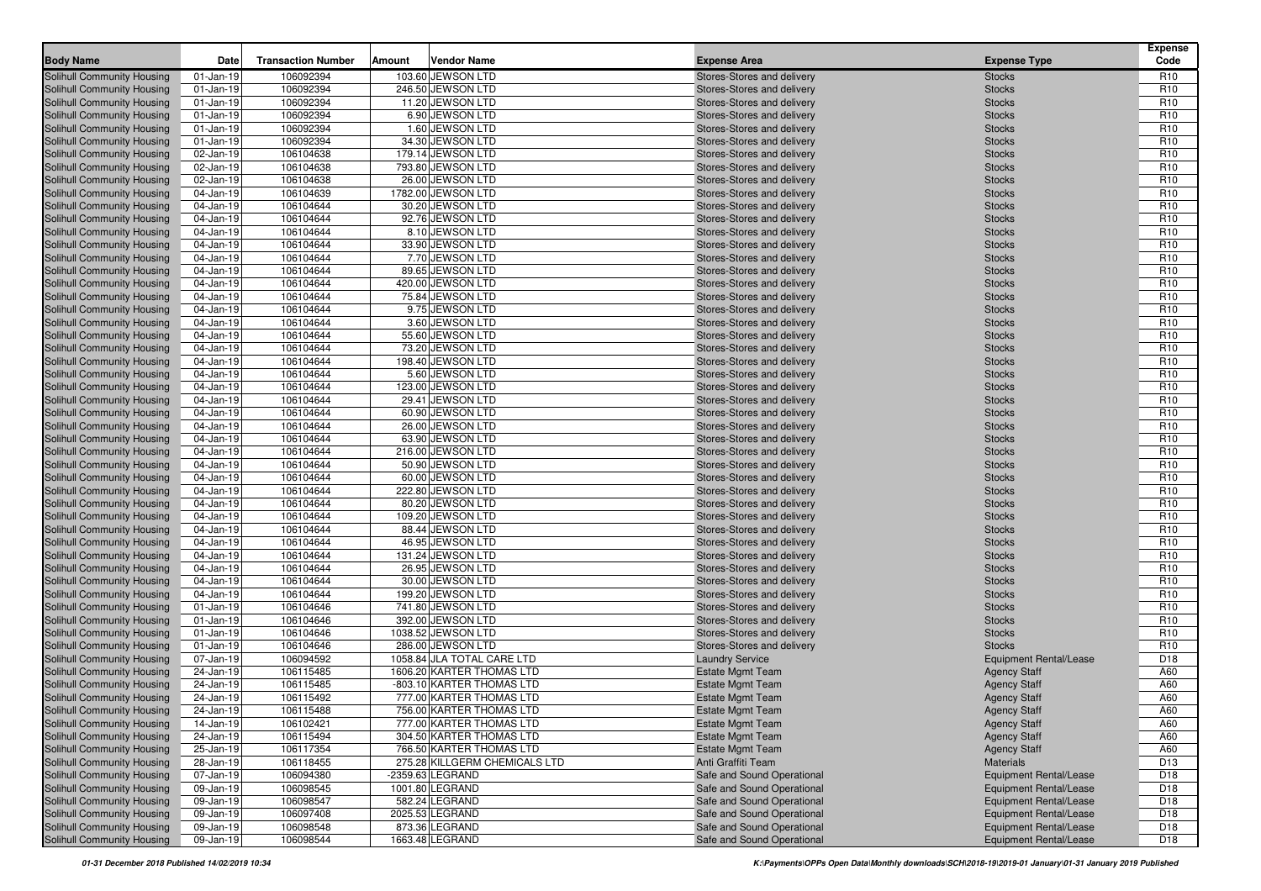| <b>Body Name</b>                                                       | Date                         | <b>Transaction Number</b> | <b>Vendor Name</b><br>Amount           | <b>Expense Area</b>                                      | <b>Expense Type</b>            | <b>Expense</b><br>Code             |
|------------------------------------------------------------------------|------------------------------|---------------------------|----------------------------------------|----------------------------------------------------------|--------------------------------|------------------------------------|
| Solihull Community Housing                                             | $01$ -Jan-19                 | 106092394                 | 103.60 JEWSON LTD                      | Stores-Stores and delivery                               | <b>Stocks</b>                  | R <sub>10</sub>                    |
| Solihull Community Housing                                             | $01$ -Jan-19                 | 106092394                 | 246.50 JEWSON LTD                      | Stores-Stores and delivery                               | <b>Stocks</b>                  | R <sub>10</sub>                    |
| Solihull Community Housing                                             | $01$ -Jan-19                 | 106092394                 | 11.20 JEWSON LTD                       | Stores-Stores and delivery                               | <b>Stocks</b>                  | R <sub>10</sub>                    |
| <b>Solihull Community Housing</b>                                      | $01$ -Jan-19                 | 106092394                 | 6.90 JEWSON LTD                        | Stores-Stores and delivery                               | <b>Stocks</b>                  | R <sub>10</sub>                    |
| Solihull Community Housing                                             | $01$ -Jan-19                 | 106092394                 | 1.60 JEWSON LTD                        | Stores-Stores and delivery                               | <b>Stocks</b>                  | R <sub>10</sub>                    |
| <b>Solihull Community Housing</b>                                      | $01$ -Jan-19                 | 106092394                 | 34.30 JEWSON LTD                       | Stores-Stores and delivery                               | <b>Stocks</b>                  | R <sub>10</sub>                    |
| <b>Solihull Community Housing</b>                                      | 02-Jan-19                    | 106104638                 | 179.14 JEWSON LTD                      | Stores-Stores and delivery                               | <b>Stocks</b>                  | R <sub>10</sub>                    |
| <b>Solihull Community Housing</b>                                      | 02-Jan-19                    | 106104638                 | 793.80 JEWSON LTD                      | Stores-Stores and delivery                               | <b>Stocks</b>                  | R <sub>10</sub>                    |
| <b>Solihull Community Housing</b>                                      | 02-Jan-19                    | 106104638                 | 26.00 JEWSON LTD                       | Stores-Stores and delivery                               | <b>Stocks</b>                  | R <sub>10</sub>                    |
| Solihull Community Housing                                             | 04-Jan-19                    | 106104639                 | 1782.00 JEWSON LTD                     | Stores-Stores and delivery                               | <b>Stocks</b>                  | R <sub>10</sub>                    |
| <b>Solihull Community Housing</b>                                      | 04-Jan-19                    | 106104644                 | 30.20 JEWSON LTD                       | Stores-Stores and delivery                               | <b>Stocks</b>                  | R <sub>10</sub>                    |
| <b>Solihull Community Housing</b>                                      | 04-Jan-19                    | 106104644                 | 92.76 JEWSON LTD                       | Stores-Stores and delivery                               | <b>Stocks</b>                  | R <sub>10</sub>                    |
| Solihull Community Housing                                             | 04-Jan-19                    | 106104644                 | 8.10 JEWSON LTD                        | Stores-Stores and delivery                               | <b>Stocks</b>                  | R <sub>10</sub>                    |
| Solihull Community Housing                                             | 04-Jan-19                    | 106104644                 | 33.90 JEWSON LTD                       | Stores-Stores and delivery                               | <b>Stocks</b>                  | R <sub>10</sub>                    |
| Solihull Community Housing                                             | 04-Jan-19                    | 106104644                 | 7.70 JEWSON LTD                        | Stores-Stores and delivery                               | <b>Stocks</b>                  | R <sub>10</sub>                    |
| <b>Solihull Community Housing</b>                                      | 04-Jan-19                    | 106104644                 | 89.65 JEWSON LTD                       | Stores-Stores and delivery                               | <b>Stocks</b>                  | R <sub>10</sub>                    |
| <b>Solihull Community Housing</b>                                      | 04-Jan-19                    | 106104644                 | 420.00 JEWSON LTD                      | Stores-Stores and delivery                               | <b>Stocks</b>                  | R <sub>10</sub>                    |
| <b>Solihull Community Housing</b>                                      | 04-Jan-19                    | 106104644                 | 75.84 JEWSON LTD                       | Stores-Stores and delivery                               | <b>Stocks</b>                  | R <sub>10</sub>                    |
| <b>Solihull Community Housing</b>                                      | 04-Jan-19                    | 106104644                 | 9.75 JEWSON LTD                        | Stores-Stores and delivery                               | <b>Stocks</b>                  | R <sub>10</sub>                    |
| <b>Solihull Community Housing</b>                                      | 04-Jan-19                    | 106104644                 | 3.60 JEWSON LTD                        | Stores-Stores and delivery                               | <b>Stocks</b>                  | R <sub>10</sub>                    |
| <b>Solihull Community Housing</b>                                      | 04-Jan-19                    | 106104644                 | 55.60 JEWSON LTD                       | Stores-Stores and delivery                               | <b>Stocks</b>                  | R <sub>10</sub>                    |
| <b>Solihull Community Housing</b>                                      | 04-Jan-19                    | 106104644                 | 73.20 JEWSON LTD                       | Stores-Stores and delivery                               | <b>Stocks</b>                  | R <sub>10</sub>                    |
| <b>Solihull Community Housing</b>                                      | 04-Jan-19                    | 106104644                 | 198.40 JEWSON LTD                      | Stores-Stores and delivery                               | <b>Stocks</b>                  | R <sub>10</sub>                    |
| <b>Solihull Community Housing</b>                                      | 04-Jan-19                    | 106104644                 | 5.60 JEWSON LTD                        | Stores-Stores and delivery                               | <b>Stocks</b>                  | R <sub>10</sub>                    |
| <b>Solihull Community Housing</b>                                      | 04-Jan-19                    | 106104644                 | 123.00 JEWSON LTD                      | Stores-Stores and delivery                               | <b>Stocks</b>                  | R <sub>10</sub>                    |
| <b>Solihull Community Housing</b>                                      | 04-Jan-19                    | 106104644                 | 29.41 JEWSON LTD                       | Stores-Stores and delivery                               | <b>Stocks</b>                  | R <sub>10</sub>                    |
| <b>Solihull Community Housing</b>                                      | 04-Jan-19                    | 106104644                 | 60.90 JEWSON LTD                       | Stores-Stores and delivery                               | <b>Stocks</b>                  | R <sub>10</sub>                    |
| Solihull Community Housing                                             | 04-Jan-19                    | 106104644                 | 26.00 JEWSON LTD                       | Stores-Stores and delivery                               | <b>Stocks</b>                  | R <sub>10</sub>                    |
| <b>Solihull Community Housing</b>                                      | 04-Jan-19                    | 106104644                 | 63.90 JEWSON LTD                       | Stores-Stores and delivery                               | <b>Stocks</b>                  | R <sub>10</sub>                    |
| <b>Solihull Community Housing</b>                                      | 04-Jan-19                    | 106104644                 | 216.00 JEWSON LTD                      | Stores-Stores and delivery                               | <b>Stocks</b>                  | R <sub>10</sub>                    |
| <b>Solihull Community Housing</b>                                      | 04-Jan-19                    | 106104644                 | 50.90 JEWSON LTD                       | Stores-Stores and delivery                               | <b>Stocks</b>                  | R <sub>10</sub>                    |
| <b>Solihull Community Housing</b>                                      | 04-Jan-19                    | 106104644                 | 60.00 JEWSON LTD                       | Stores-Stores and delivery                               | <b>Stocks</b>                  | R <sub>10</sub>                    |
| <b>Solihull Community Housing</b>                                      | 04-Jan-19                    | 106104644                 | 222.80 JEWSON LTD                      | Stores-Stores and delivery                               | <b>Stocks</b>                  | R <sub>10</sub>                    |
| <b>Solihull Community Housing</b>                                      | 04-Jan-19                    | 106104644                 | 80.20 JEWSON LTD                       | Stores-Stores and delivery                               | <b>Stocks</b>                  | R <sub>10</sub>                    |
| <b>Solihull Community Housing</b>                                      | 04-Jan-19                    | 106104644                 | 109.20 JEWSON LTD                      | Stores-Stores and delivery                               | <b>Stocks</b>                  | R <sub>10</sub>                    |
| <b>Solihull Community Housing</b>                                      | 04-Jan-19                    | 106104644                 | 88.44 JEWSON LTD                       | Stores-Stores and delivery                               | <b>Stocks</b>                  | R <sub>10</sub>                    |
| Solihull Community Housing                                             | 04-Jan-19                    | 106104644                 | 46.95 JEWSON LTD                       | Stores-Stores and delivery                               | <b>Stocks</b>                  | R <sub>10</sub>                    |
| <b>Solihull Community Housing</b>                                      | 04-Jan-19                    | 106104644                 | 131.24 JEWSON LTD                      | Stores-Stores and delivery                               | <b>Stocks</b>                  | R <sub>10</sub>                    |
| <b>Solihull Community Housing</b>                                      | 04-Jan-19                    | 106104644                 | 26.95 JEWSON LTD                       | Stores-Stores and delivery                               | <b>Stocks</b>                  | R <sub>10</sub>                    |
| <b>Solihull Community Housing</b>                                      | 04-Jan-19                    | 106104644                 | 30.00 JEWSON LTD                       | Stores-Stores and delivery                               | <b>Stocks</b>                  | R <sub>10</sub>                    |
| <b>Solihull Community Housing</b><br><b>Solihull Community Housing</b> | 04-Jan-19                    | 106104644<br>106104646    | 199.20 JEWSON LTD<br>741.80 JEWSON LTD | Stores-Stores and delivery                               | <b>Stocks</b><br><b>Stocks</b> | R <sub>10</sub><br>R <sub>10</sub> |
| <b>Solihull Community Housing</b>                                      | $01$ -Jan-19<br>$01$ -Jan-19 | 106104646                 | 392.00 JEWSON LTD                      | Stores-Stores and delivery<br>Stores-Stores and delivery | <b>Stocks</b>                  | R <sub>10</sub>                    |
| <b>Solihull Community Housing</b>                                      | $01$ -Jan-19                 | 106104646                 | 1038.52 JEWSON LTD                     | Stores-Stores and delivery                               | <b>Stocks</b>                  | R <sub>10</sub>                    |
| <b>Solihull Community Housing</b>                                      | $01$ -Jan-19                 | 106104646                 | 286.00 JEWSON LTD                      | Stores-Stores and delivery                               | <b>Stocks</b>                  | R <sub>10</sub>                    |
| <b>Solihull Community Housing</b>                                      | 07-Jan-19                    | 106094592                 | 1058.84 JLA TOTAL CARE LTD             | <b>Laundry Service</b>                                   | <b>Equipment Rental/Lease</b>  | D18                                |
| <b>Solihull Community Housing</b>                                      | 24-Jan-19                    | 106115485                 | 1606.20 KARTER THOMAS LTD              | <b>Estate Mgmt Team</b>                                  | <b>Agency Staff</b>            | A60                                |
| <b>Solihull Community Housing</b>                                      | 24-Jan-19                    | 106115485                 | -803.10 KARTER THOMAS LTD              | <b>Estate Mgmt Team</b>                                  | <b>Agency Staff</b>            | A60                                |
| Solihull Community Housing                                             | 24-Jan-19                    | 106115492                 | 777.00 KARTER THOMAS LTD               | <b>Estate Mgmt Team</b>                                  | <b>Agency Staff</b>            | A60                                |
| <b>Solihull Community Housing</b>                                      | 24-Jan-19                    | 106115488                 | 756.00 KARTER THOMAS LTD               | <b>Estate Mgmt Team</b>                                  | <b>Agency Staff</b>            | A60                                |
| <b>Solihull Community Housing</b>                                      | 14-Jan-19                    | 106102421                 | 777.00 KARTER THOMAS LTD               | <b>Estate Mgmt Team</b>                                  | <b>Agency Staff</b>            | A60                                |
| Solihull Community Housing                                             | 24-Jan-19                    | 106115494                 | 304.50 KARTER THOMAS LTD               | <b>Estate Mgmt Team</b>                                  | <b>Agency Staff</b>            | A60                                |
| Solihull Community Housing                                             | 25-Jan-19                    | 106117354                 | 766.50 KARTER THOMAS LTD               | <b>Estate Mgmt Team</b>                                  | <b>Agency Staff</b>            | A60                                |
| <b>Solihull Community Housing</b>                                      | 28-Jan-19                    | 106118455                 | 275.28 KILLGERM CHEMICALS LTD          | Anti Graffiti Team                                       | <b>Materials</b>               | D <sub>13</sub>                    |
| <b>Solihull Community Housing</b>                                      | 07-Jan-19                    | 106094380                 | -2359.63 LEGRAND                       | Safe and Sound Operational                               | Equipment Rental/Lease         | D <sub>18</sub>                    |
| <b>Solihull Community Housing</b>                                      | 09-Jan-19                    | 106098545                 | 1001.80 LEGRAND                        | Safe and Sound Operational                               | Equipment Rental/Lease         | D <sub>18</sub>                    |
| <b>Solihull Community Housing</b>                                      | 09-Jan-19                    | 106098547                 | 582.24 LEGRAND                         | Safe and Sound Operational                               | Equipment Rental/Lease         | D <sub>18</sub>                    |
| Solihull Community Housing                                             | 09-Jan-19                    | 106097408                 | 2025.53 LEGRAND                        | Safe and Sound Operational                               | <b>Equipment Rental/Lease</b>  | D18                                |
| <b>Solihull Community Housing</b>                                      | 09-Jan-19                    | 106098548                 | 873.36 LEGRAND                         | Safe and Sound Operational                               | <b>Equipment Rental/Lease</b>  | D <sub>18</sub>                    |
| <b>Solihull Community Housing</b>                                      | 09-Jan-19                    | 106098544                 | 1663.48 LEGRAND                        | Safe and Sound Operational                               | Equipment Rental/Lease         | D18                                |
|                                                                        |                              |                           |                                        |                                                          |                                |                                    |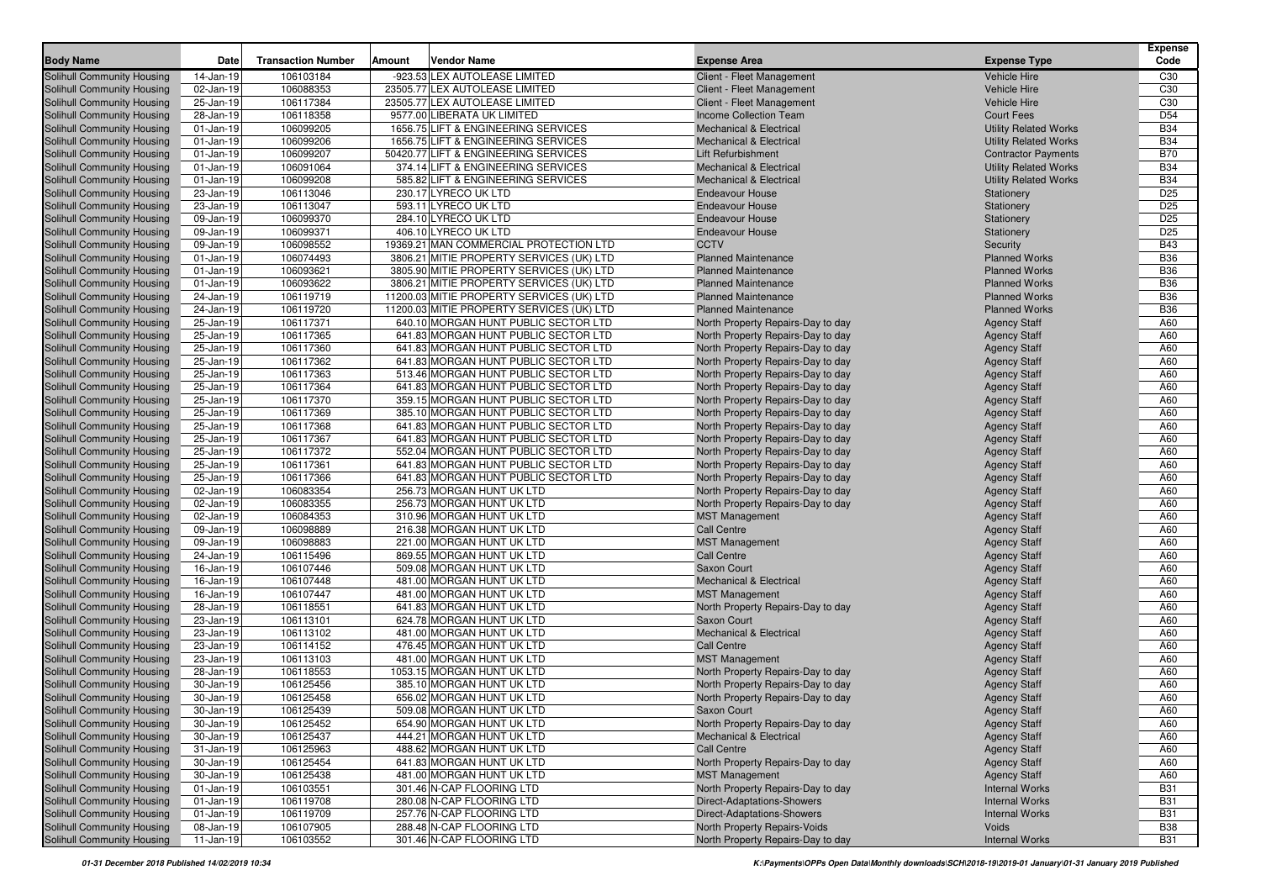| <b>Body Name</b>                  | Date         | <b>Transaction Number</b> | Amount | <b>Vendor Name</b>                        | <b>Expense Area</b>                | <b>Expense Type</b>          | <b>Expense</b><br>Code |
|-----------------------------------|--------------|---------------------------|--------|-------------------------------------------|------------------------------------|------------------------------|------------------------|
| <b>Solihull Community Housing</b> | 14-Jan-19    | 106103184                 |        | -923.53 LEX AUTOLEASE LIMITED             | Client - Fleet Management          | <b>Vehicle Hire</b>          | C30                    |
| Solihull Community Housing        | 02-Jan-19    | 106088353                 |        | 23505.77 LEX AUTOLEASE LIMITED            | Client - Fleet Management          | <b>Vehicle Hire</b>          | C30                    |
| <b>Solihull Community Housing</b> | 25-Jan-19    | 106117384                 |        | 23505.77 LEX AUTOLEASE LIMITED            | Client - Fleet Management          | <b>Vehicle Hire</b>          | C30                    |
| Solihull Community Housing        | 28-Jan-19    | 106118358                 |        | 9577.00 LIBERATA UK LIMITED               | Income Collection Team             | <b>Court Fees</b>            | D <sub>54</sub>        |
| <b>Solihull Community Housing</b> | $01$ -Jan-19 | 106099205                 |        | 1656.75 LIFT & ENGINEERING SERVICES       | <b>Mechanical &amp; Electrical</b> | <b>Utility Related Works</b> | <b>B34</b>             |
| Solihull Community Housing        | $01$ -Jan-19 | 106099206                 |        | 1656.75 LIFT & ENGINEERING SERVICES       | <b>Mechanical &amp; Electrical</b> | <b>Utility Related Works</b> | <b>B34</b>             |
| <b>Solihull Community Housing</b> | $01$ -Jan-19 | 106099207                 |        | 50420.77 LIFT & ENGINEERING SERVICES      | <b>Lift Refurbishment</b>          | <b>Contractor Payments</b>   | <b>B70</b>             |
| <b>Solihull Community Housing</b> | 01-Jan-19    | 106091064                 |        | 374.14 LIFT & ENGINEERING SERVICES        | <b>Mechanical &amp; Electrical</b> | <b>Utility Related Works</b> | <b>B34</b>             |
| <b>Solihull Community Housing</b> | 01-Jan-19    | 106099208                 |        | 585.82 LIFT & ENGINEERING SERVICES        | <b>Mechanical &amp; Electrical</b> | <b>Utility Related Works</b> | <b>B34</b>             |
| <b>Solihull Community Housing</b> | 23-Jan-19    | 106113046                 |        | 230.17 LYRECO UK LTD                      | <b>Endeavour House</b>             | Stationery                   | D <sub>25</sub>        |
| <b>Solihull Community Housing</b> | 23-Jan-19    | 106113047                 |        | 593.11 LYRECO UK LTD                      | <b>Endeavour House</b>             | Stationery                   | D <sub>25</sub>        |
| <b>Solihull Community Housing</b> | 09-Jan-19    | 106099370                 |        | 284.10 LYRECO UK LTD                      | <b>Endeavour House</b>             | Stationery                   | D <sub>25</sub>        |
| <b>Solihull Community Housing</b> | 09-Jan-19    | 106099371                 |        | 406.10 LYRECO UK LTD                      | <b>Endeavour House</b>             | Stationery                   | D <sub>25</sub>        |
| <b>Solihull Community Housing</b> | 09-Jan-19    | 106098552                 |        | 19369.21 MAN COMMERCIAL PROTECTION LTD    | <b>CCTV</b>                        | Security                     | <b>B43</b>             |
| <b>Solihull Community Housing</b> | $01$ -Jan-19 | 106074493                 |        | 3806.21 MITIE PROPERTY SERVICES (UK) LTD  | <b>Planned Maintenance</b>         | <b>Planned Works</b>         | <b>B36</b>             |
| <b>Solihull Community Housing</b> | $01$ -Jan-19 | 106093621                 |        | 3805.90 MITIE PROPERTY SERVICES (UK) LTD  | <b>Planned Maintenance</b>         | <b>Planned Works</b>         | <b>B36</b>             |
| <b>Solihull Community Housing</b> | 01-Jan-19    | 106093622                 |        | 3806.21 MITIE PROPERTY SERVICES (UK) LTD  | <b>Planned Maintenance</b>         | <b>Planned Works</b>         | <b>B36</b>             |
| <b>Solihull Community Housing</b> | 24-Jan-19    | 106119719                 |        | 11200.03 MITIE PROPERTY SERVICES (UK) LTD | <b>Planned Maintenance</b>         | <b>Planned Works</b>         | <b>B36</b>             |
| <b>Solihull Community Housing</b> | 24-Jan-19    | 106119720                 |        | 11200.03 MITIE PROPERTY SERVICES (UK) LTD | <b>Planned Maintenance</b>         | <b>Planned Works</b>         | <b>B36</b>             |
| <b>Solihull Community Housing</b> | 25-Jan-19    | 106117371                 |        | 640.10 MORGAN HUNT PUBLIC SECTOR LTD      | North Property Repairs-Day to day  | <b>Agency Staff</b>          | A60                    |
| <b>Solihull Community Housing</b> | 25-Jan-19    | 106117365                 |        | 641.83 MORGAN HUNT PUBLIC SECTOR LTD      | North Property Repairs-Day to day  | <b>Agency Staff</b>          | A60                    |
| <b>Solihull Community Housing</b> | 25-Jan-19    | 106117360                 |        | 641.83 MORGAN HUNT PUBLIC SECTOR LTD      | North Property Repairs-Day to day  | <b>Agency Staff</b>          | A60                    |
| <b>Solihull Community Housing</b> | 25-Jan-19    | 106117362                 |        | 641.83 MORGAN HUNT PUBLIC SECTOR LTD      | North Property Repairs-Day to day  | <b>Agency Staff</b>          | A60                    |
| <b>Solihull Community Housing</b> | 25-Jan-19    | 106117363                 |        | 513.46 MORGAN HUNT PUBLIC SECTOR LTD      | North Property Repairs-Day to day  | <b>Agency Staff</b>          | A60                    |
| Solihull Community Housing        | 25-Jan-19    | 106117364                 |        | 641.83 MORGAN HUNT PUBLIC SECTOR LTD      | North Property Repairs-Day to day  | <b>Agency Staff</b>          | A60                    |
| <b>Solihull Community Housing</b> | 25-Jan-19    | 106117370                 |        | 359.15 MORGAN HUNT PUBLIC SECTOR LTD      | North Property Repairs-Day to day  | <b>Agency Staff</b>          | A60                    |
| <b>Solihull Community Housing</b> | 25-Jan-19    | 106117369                 |        | 385.10 MORGAN HUNT PUBLIC SECTOR LTD      | North Property Repairs-Day to day  | <b>Agency Staff</b>          | A60                    |
| <b>Solihull Community Housing</b> | 25-Jan-19    | 106117368                 |        | 641.83 MORGAN HUNT PUBLIC SECTOR LTD      | North Property Repairs-Day to day  | <b>Agency Staff</b>          | A60                    |
| Solihull Community Housing        | 25-Jan-19    | 106117367                 |        | 641.83 MORGAN HUNT PUBLIC SECTOR LTD      | North Property Repairs-Day to day  | <b>Agency Staff</b>          | A60                    |
| Solihull Community Housing        | 25-Jan-19    | 106117372                 |        | 552.04 MORGAN HUNT PUBLIC SECTOR LTD      | North Property Repairs-Day to day  | <b>Agency Staff</b>          | A60                    |
| Solihull Community Housing        | 25-Jan-19    | 106117361                 |        | 641.83 MORGAN HUNT PUBLIC SECTOR LTD      | North Property Repairs-Day to day  | <b>Agency Staff</b>          | A60                    |
| Solihull Community Housing        | 25-Jan-19    | 106117366                 |        | 641.83 MORGAN HUNT PUBLIC SECTOR LTD      | North Property Repairs-Day to day  | <b>Agency Staff</b>          | A60                    |
| Solihull Community Housing        | 02-Jan-19    | 106083354                 |        | 256.73 MORGAN HUNT UK LTD                 | North Property Repairs-Day to day  | <b>Agency Staff</b>          | A60                    |
| Solihull Community Housing        | 02-Jan-19    | 106083355                 |        | 256.73 MORGAN HUNT UK LTD                 | North Property Repairs-Day to day  | <b>Agency Staff</b>          | A60                    |
| Solihull Community Housing        | 02-Jan-19    | 106084353                 |        | 310.96 MORGAN HUNT UK LTD                 | <b>MST Management</b>              | <b>Agency Staff</b>          | A60                    |
| Solihull Community Housing        | 09-Jan-19    | 106098889                 |        | 216.38 MORGAN HUNT UK LTD                 | <b>Call Centre</b>                 | <b>Agency Staff</b>          | A60                    |
| Solihull Community Housing        | 09-Jan-19    | 106098883                 |        | 221.00 MORGAN HUNT UK LTD                 | <b>MST Management</b>              | <b>Agency Staff</b>          | A60                    |
| Solihull Community Housing        | 24-Jan-19    | 106115496                 |        | 869.55 MORGAN HUNT UK LTD                 | <b>Call Centre</b>                 | <b>Agency Staff</b>          | A60                    |
| Solihull Community Housing        | 16-Jan-19    | 106107446                 |        | 509.08 MORGAN HUNT UK LTD                 | Saxon Court                        | <b>Agency Staff</b>          | A60                    |
| Solihull Community Housing        | 16-Jan-19    | 106107448                 |        | 481.00 MORGAN HUNT UK LTD                 | <b>Mechanical &amp; Electrical</b> | <b>Agency Staff</b>          | A60                    |
| Solihull Community Housing        | 16-Jan-19    | 106107447                 |        | 481.00 MORGAN HUNT UK LTD                 | <b>MST Management</b>              | <b>Agency Staff</b>          | A60                    |
| Solihull Community Housing        | 28-Jan-19    | 106118551                 |        | 641.83 MORGAN HUNT UK LTD                 | North Property Repairs-Day to day  | <b>Agency Staff</b>          | A60                    |
| Solihull Community Housing        | 23-Jan-19    | 106113101                 |        | 624.78 MORGAN HUNT UK LTD                 | Saxon Court                        | <b>Agency Staff</b>          | A60                    |
| Solihull Community Housing        | 23-Jan-19    | 106113102                 |        | 481.00 MORGAN HUNT UK LTD                 | <b>Mechanical &amp; Electrical</b> | <b>Agency Staff</b>          | A60                    |
| Solihull Community Housing        | 23-Jan-19    | 106114152                 |        | 476.45 MORGAN HUNT UK LTD                 | <b>Call Centre</b>                 | <b>Agency Staff</b>          | A60                    |
| <b>Solihull Community Housing</b> | 23-Jan-19    | 106113103                 |        | 481.00 MORGAN HUNT UK LTD                 | <b>MST Management</b>              | <b>Agency Staff</b>          | A60                    |
| Solihull Community Housing        | 28-Jan-19    | 106118553                 |        | 1053.15 MORGAN HUNT UK LTD                | North Property Repairs-Day to day  | <b>Agency Staff</b>          | A60                    |
| Solihull Community Housing        | 30-Jan-19    | 106125456                 |        | 385.10 MORGAN HUNT UK LTD                 | North Property Repairs-Day to day  | <b>Agency Staff</b>          | A60                    |
| Solihull Community Housing        | 30-Jan-19    | 106125458                 |        | 656.02 MORGAN HUNT UK LTD                 | North Property Repairs-Day to day  | <b>Agency Staff</b>          | A60                    |
| Solihull Community Housing        | 30-Jan-19    | 106125439                 |        | 509.08 MORGAN HUNT UK LTD                 | Saxon Court                        | <b>Agency Staff</b>          | A60                    |
| <b>Solihull Community Housing</b> | 30-Jan-19    | 106125452                 |        | 654.90 MORGAN HUNT UK LTD                 | North Property Repairs-Day to day  | <b>Agency Staff</b>          | A60                    |
| Solihull Community Housing        | 30-Jan-19    | 106125437                 |        | 444.21 MORGAN HUNT UK LTD                 | <b>Mechanical &amp; Electrical</b> | <b>Agency Staff</b>          | A60                    |
| <b>Solihull Community Housing</b> | 31-Jan-19    | 106125963                 |        | 488.62 MORGAN HUNT UK LTD                 | Call Centre                        | <b>Agency Staff</b>          | A60                    |
| <b>Solihull Community Housing</b> | 30-Jan-19    | 106125454                 |        | 641.83 MORGAN HUNT UK LTD                 | North Property Repairs-Day to day  | <b>Agency Staff</b>          | A60                    |
| Solihull Community Housing        | 30-Jan-19    | 106125438                 |        | 481.00 MORGAN HUNT UK LTD                 | <b>MST Management</b>              | <b>Agency Staff</b>          | A60                    |
| Solihull Community Housing        | $01$ -Jan-19 | 106103551                 |        | 301.46 N-CAP FLOORING LTD                 | North Property Repairs-Day to day  | <b>Internal Works</b>        | <b>B31</b>             |
| Solihull Community Housing        | $01$ -Jan-19 | 106119708                 |        | 280.08 N-CAP FLOORING LTD                 | <b>Direct-Adaptations-Showers</b>  | <b>Internal Works</b>        | <b>B31</b>             |
| Solihull Community Housing        | $01$ -Jan-19 | 106119709                 |        | 257.76 N-CAP FLOORING LTD                 | <b>Direct-Adaptations-Showers</b>  | <b>Internal Works</b>        | <b>B31</b>             |
| Solihull Community Housing        | 08-Jan-19    | 106107905                 |        | 288.48 N-CAP FLOORING LTD                 | North Property Repairs-Voids       | Voids                        | <b>B38</b>             |
| Solihull Community Housing        | 11-Jan-19    | 106103552                 |        | 301.46 N-CAP FLOORING LTD                 | North Property Repairs-Day to day  | <b>Internal Works</b>        | <b>B31</b>             |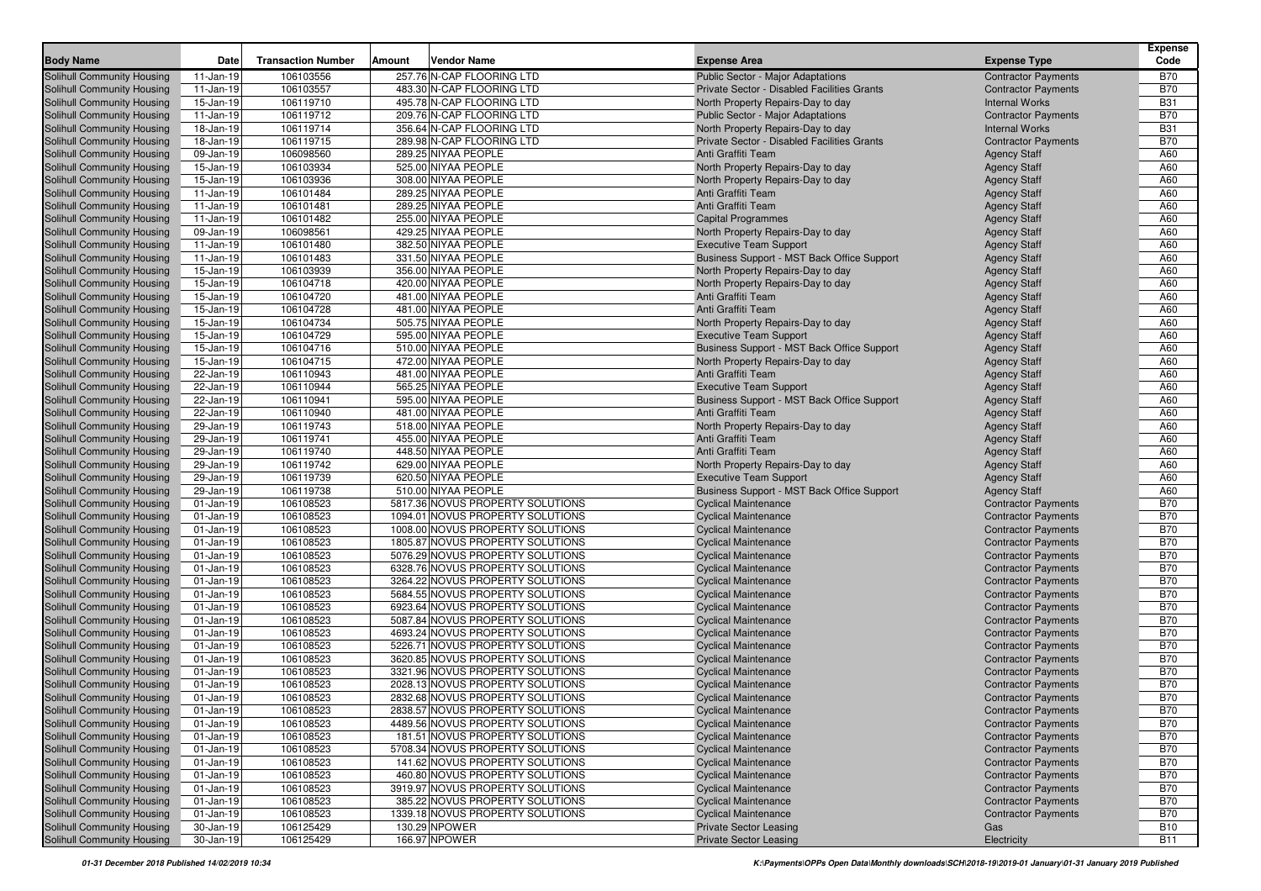| <b>Body Name</b>           | Date         | <b>Transaction Number</b> | Amount | <b>Vendor Name</b>               | <b>Expense Area</b>                         | <b>Expense Type</b>        | <b>Expense</b><br>Code |
|----------------------------|--------------|---------------------------|--------|----------------------------------|---------------------------------------------|----------------------------|------------------------|
| Solihull Community Housing | 11-Jan-19    | 106103556                 |        | 257.76 N-CAP FLOORING LTD        | <b>Public Sector - Major Adaptations</b>    | <b>Contractor Payments</b> | <b>B70</b>             |
| Solihull Community Housing | $11-Jan-19$  | 106103557                 |        | 483.30 N-CAP FLOORING LTD        | Private Sector - Disabled Facilities Grants | <b>Contractor Payments</b> | <b>B70</b>             |
| Solihull Community Housing | 15-Jan-19    | 106119710                 |        | 495.78 N-CAP FLOORING LTD        | North Property Repairs-Day to day           | <b>Internal Works</b>      | <b>B31</b>             |
| Solihull Community Housing | $11-Jan-19$  | 106119712                 |        | 209.76 N-CAP FLOORING LTD        | <b>Public Sector - Major Adaptations</b>    | <b>Contractor Payments</b> | <b>B70</b>             |
| Solihull Community Housing | 18-Jan-19    | 106119714                 |        | 356.64 N-CAP FLOORING LTD        | North Property Repairs-Day to day           | <b>Internal Works</b>      | <b>B31</b>             |
| Solihull Community Housing | 18-Jan-19    | 106119715                 |        | 289.98 N-CAP FLOORING LTD        | Private Sector - Disabled Facilities Grants | <b>Contractor Payments</b> | <b>B70</b>             |
| Solihull Community Housing | 09-Jan-19    | 106098560                 |        | 289.25 NIYAA PEOPLE              | Anti Graffiti Team                          | <b>Agency Staff</b>        | A60                    |
| Solihull Community Housing | 15-Jan-19    | 106103934                 |        | 525.00 NIYAA PEOPLE              | North Property Repairs-Day to day           | <b>Agency Staff</b>        | A60                    |
| Solihull Community Housing | 15-Jan-19    | 106103936                 |        | 308.00 NIYAA PEOPLE              | North Property Repairs-Day to day           | <b>Agency Staff</b>        | A60                    |
| Solihull Community Housing | $11-Jan-19$  | 106101484                 |        | 289.25 NIYAA PEOPLE              | Anti Graffiti Team                          | <b>Agency Staff</b>        | A60                    |
| Solihull Community Housing | $11-Jan-19$  | 106101481                 |        | 289.25 NIYAA PEOPLE              | Anti Graffiti Team                          | <b>Agency Staff</b>        | A60                    |
| Solihull Community Housing | $11-Jan-19$  | 106101482                 |        | 255.00 NIYAA PEOPLE              | <b>Capital Programmes</b>                   | <b>Agency Staff</b>        | A60                    |
| Solihull Community Housing | 09-Jan-19    | 106098561                 |        | 429.25 NIYAA PEOPLE              | North Property Repairs-Day to day           | <b>Agency Staff</b>        | A60                    |
| Solihull Community Housing | $11-Jan-19$  | 106101480                 |        | 382.50 NIYAA PEOPLE              | <b>Executive Team Support</b>               | <b>Agency Staff</b>        | A60                    |
| Solihull Community Housing | $11-Jan-19$  | 106101483                 |        | 331.50 NIYAA PEOPLE              | Business Support - MST Back Office Support  | <b>Agency Staff</b>        | A60                    |
| Solihull Community Housing | 15-Jan-19    | 106103939                 |        | 356.00 NIYAA PEOPLE              | North Property Repairs-Day to day           | <b>Agency Staff</b>        | A60                    |
| Solihull Community Housing | 15-Jan-19    | 106104718                 |        | 420.00 NIYAA PEOPLE              | North Property Repairs-Day to day           | <b>Agency Staff</b>        | A60                    |
| Solihull Community Housing | 15-Jan-19    | 106104720                 |        | 481.00 NIYAA PEOPLE              | Anti Graffiti Team                          | <b>Agency Staff</b>        | A60                    |
| Solihull Community Housing | 15-Jan-19    | 106104728                 |        | 481.00 NIYAA PEOPLE              | Anti Graffiti Team                          | <b>Agency Staff</b>        | A60                    |
| Solihull Community Housing | 15-Jan-19    | 106104734                 |        | 505.75 NIYAA PEOPLE              | North Property Repairs-Day to day           | <b>Agency Staff</b>        | A60                    |
| Solihull Community Housing | 15-Jan-19    | 106104729                 |        | 595.00 NIYAA PEOPLE              | <b>Executive Team Support</b>               | <b>Agency Staff</b>        | A60                    |
| Solihull Community Housing | 15-Jan-19    | 106104716                 |        | 510.00 NIYAA PEOPLE              | Business Support - MST Back Office Support  | <b>Agency Staff</b>        | A60                    |
| Solihull Community Housing | 15-Jan-19    | 106104715                 |        | 472.00 NIYAA PEOPLE              | North Property Repairs-Day to day           | <b>Agency Staff</b>        | A60                    |
| Solihull Community Housing | 22-Jan-19    | 106110943                 |        | 481.00 NIYAA PEOPLE              | Anti Graffiti Team                          | <b>Agency Staff</b>        | A60                    |
| Solihull Community Housing | 22-Jan-19    | 106110944                 |        | 565.25 NIYAA PEOPLE              | <b>Executive Team Support</b>               | <b>Agency Staff</b>        | A60                    |
| Solihull Community Housing | 22-Jan-19    | 106110941                 |        | 595.00 NIYAA PEOPLE              | Business Support - MST Back Office Support  | <b>Agency Staff</b>        | A60                    |
| Solihull Community Housing | 22-Jan-19    | 106110940                 |        | 481.00 NIYAA PEOPLE              | Anti Graffiti Team                          | <b>Agency Staff</b>        | A60                    |
| Solihull Community Housing | 29-Jan-19    | 106119743                 |        | 518.00 NIYAA PEOPLE              | North Property Repairs-Day to day           | <b>Agency Staff</b>        | A60                    |
| Solihull Community Housing | 29-Jan-19    | 106119741                 |        | 455.00 NIYAA PEOPLE              | Anti Graffiti Team                          | <b>Agency Staff</b>        | A60                    |
| Solihull Community Housing | 29-Jan-19    | 106119740                 |        | 448.50 NIYAA PEOPLE              | Anti Graffiti Team                          | <b>Agency Staff</b>        | A60                    |
| Solihull Community Housing | 29-Jan-19    | 106119742                 |        | 629.00 NIYAA PEOPLE              | North Property Repairs-Day to day           | <b>Agency Staff</b>        | A60                    |
| Solihull Community Housing | 29-Jan-19    | 106119739                 |        | 620.50 NIYAA PEOPLE              | <b>Executive Team Support</b>               | <b>Agency Staff</b>        | A60                    |
| Solihull Community Housing | 29-Jan-19    | 106119738                 |        | 510.00 NIYAA PEOPLE              | Business Support - MST Back Office Support  | <b>Agency Staff</b>        | A60                    |
| Solihull Community Housing | $01$ -Jan-19 | 106108523                 |        | 5817.36 NOVUS PROPERTY SOLUTIONS | <b>Cyclical Maintenance</b>                 | <b>Contractor Payments</b> | <b>B70</b>             |
| Solihull Community Housing | 01-Jan-19    | 106108523                 |        | 1094.01 NOVUS PROPERTY SOLUTIONS | <b>Cyclical Maintenance</b>                 | <b>Contractor Payments</b> | <b>B70</b>             |
| Solihull Community Housing | $01$ -Jan-19 | 106108523                 |        | 1008.00 NOVUS PROPERTY SOLUTIONS | <b>Cyclical Maintenance</b>                 | <b>Contractor Payments</b> | <b>B70</b>             |
| Solihull Community Housing | $01$ -Jan-19 | 106108523                 |        | 1805.87 NOVUS PROPERTY SOLUTIONS | <b>Cyclical Maintenance</b>                 | <b>Contractor Payments</b> | <b>B70</b>             |
| Solihull Community Housing | $01$ -Jan-19 | 106108523                 |        | 5076.29 NOVUS PROPERTY SOLUTIONS | <b>Cyclical Maintenance</b>                 | <b>Contractor Payments</b> | <b>B70</b>             |
| Solihull Community Housing | $01$ -Jan-19 | 106108523                 |        | 6328.76 NOVUS PROPERTY SOLUTIONS | <b>Cyclical Maintenance</b>                 | <b>Contractor Payments</b> | <b>B70</b>             |
| Solihull Community Housing | $01$ -Jan-19 | 106108523                 |        | 3264.22 NOVUS PROPERTY SOLUTIONS | <b>Cyclical Maintenance</b>                 | <b>Contractor Payments</b> | <b>B70</b>             |
| Solihull Community Housing | $01$ -Jan-19 | 106108523                 |        | 5684.55 NOVUS PROPERTY SOLUTIONS | <b>Cyclical Maintenance</b>                 | <b>Contractor Payments</b> | <b>B70</b>             |
| Solihull Community Housing | $01$ -Jan-19 | 106108523                 |        | 6923.64 NOVUS PROPERTY SOLUTIONS | <b>Cyclical Maintenance</b>                 | <b>Contractor Payments</b> | <b>B70</b>             |
| Solihull Community Housing | 01-Jan-19    | 106108523                 |        | 5087.84 NOVUS PROPERTY SOLUTIONS | <b>Cyclical Maintenance</b>                 | <b>Contractor Payments</b> | <b>B70</b>             |
| Solihull Community Housing | $01$ -Jan-19 | 106108523                 |        | 4693.24 NOVUS PROPERTY SOLUTIONS | <b>Cyclical Maintenance</b>                 | <b>Contractor Payments</b> | <b>B70</b>             |
| Solihull Community Housing | $01$ -Jan-19 | 106108523                 |        | 5226.71 NOVUS PROPERTY SOLUTIONS | <b>Cyclical Maintenance</b>                 | <b>Contractor Payments</b> | <b>B70</b>             |
| Solihull Community Housing | $01$ -Jan-19 | 106108523                 |        | 3620.85 NOVUS PROPERTY SOLUTIONS | <b>Cyclical Maintenance</b>                 | <b>Contractor Payments</b> | <b>B70</b>             |
| Solihull Community Housing | $01$ -Jan-19 | 106108523                 |        | 3321.96 NOVUS PROPERTY SOLUTIONS | <b>Cyclical Maintenance</b>                 | <b>Contractor Payments</b> | <b>B70</b>             |
| Solihull Community Housing | $01$ -Jan-19 | 106108523                 |        | 2028.13 NOVUS PROPERTY SOLUTIONS | <b>Cyclical Maintenance</b>                 | <b>Contractor Payments</b> | <b>B70</b>             |
| Solihull Community Housing | $01$ -Jan-19 | 106108523                 |        | 2832.68 NOVUS PROPERTY SOLUTIONS | <b>Cyclical Maintenance</b>                 | <b>Contractor Payments</b> | <b>B70</b>             |
| Solihull Community Housing | $01-Jan-19$  | 106108523                 |        | 2838.57 NOVUS PROPERTY SOLUTIONS | Cyclical Maintenance                        | <b>Contractor Payments</b> | <b>B70</b>             |
| Solihull Community Housing | $01$ -Jan-19 | 106108523                 |        | 4489.56 NOVUS PROPERTY SOLUTIONS | <b>Cyclical Maintenance</b>                 | <b>Contractor Payments</b> | <b>B70</b>             |
| Solihull Community Housing | 01-Jan-19    | 106108523                 |        | 181.51 NOVUS PROPERTY SOLUTIONS  | <b>Cyclical Maintenance</b>                 | <b>Contractor Payments</b> | <b>B70</b>             |
| Solihull Community Housing | 01-Jan-19    | 106108523                 |        | 5708.34 NOVUS PROPERTY SOLUTIONS | <b>Cyclical Maintenance</b>                 | <b>Contractor Payments</b> | <b>B70</b>             |
| Solihull Community Housing | 01-Jan-19    | 106108523                 |        | 141.62 NOVUS PROPERTY SOLUTIONS  | <b>Cyclical Maintenance</b>                 | <b>Contractor Payments</b> | <b>B70</b>             |
| Solihull Community Housing | $01$ -Jan-19 | 106108523                 |        | 460.80 NOVUS PROPERTY SOLUTIONS  | <b>Cyclical Maintenance</b>                 | <b>Contractor Payments</b> | <b>B70</b>             |
| Solihull Community Housing | 01-Jan-19    | 106108523                 |        | 3919.97 NOVUS PROPERTY SOLUTIONS | <b>Cyclical Maintenance</b>                 | <b>Contractor Payments</b> | <b>B70</b>             |
| Solihull Community Housing | $01$ -Jan-19 | 106108523                 |        | 385.22 NOVUS PROPERTY SOLUTIONS  | <b>Cyclical Maintenance</b>                 | <b>Contractor Payments</b> | <b>B70</b>             |
| Solihull Community Housing | $01$ -Jan-19 | 106108523                 |        | 1339.18 NOVUS PROPERTY SOLUTIONS | <b>Cyclical Maintenance</b>                 | <b>Contractor Payments</b> | <b>B70</b>             |
| Solihull Community Housing | 30-Jan-19    | 106125429                 |        | 130.29 NPOWER                    | <b>Private Sector Leasing</b>               | Gas                        | <b>B10</b>             |
| Solihull Community Housing | 30-Jan-19    | 106125429                 |        | 166.97 NPOWER                    | <b>Private Sector Leasing</b>               | Electricity                | <b>B11</b>             |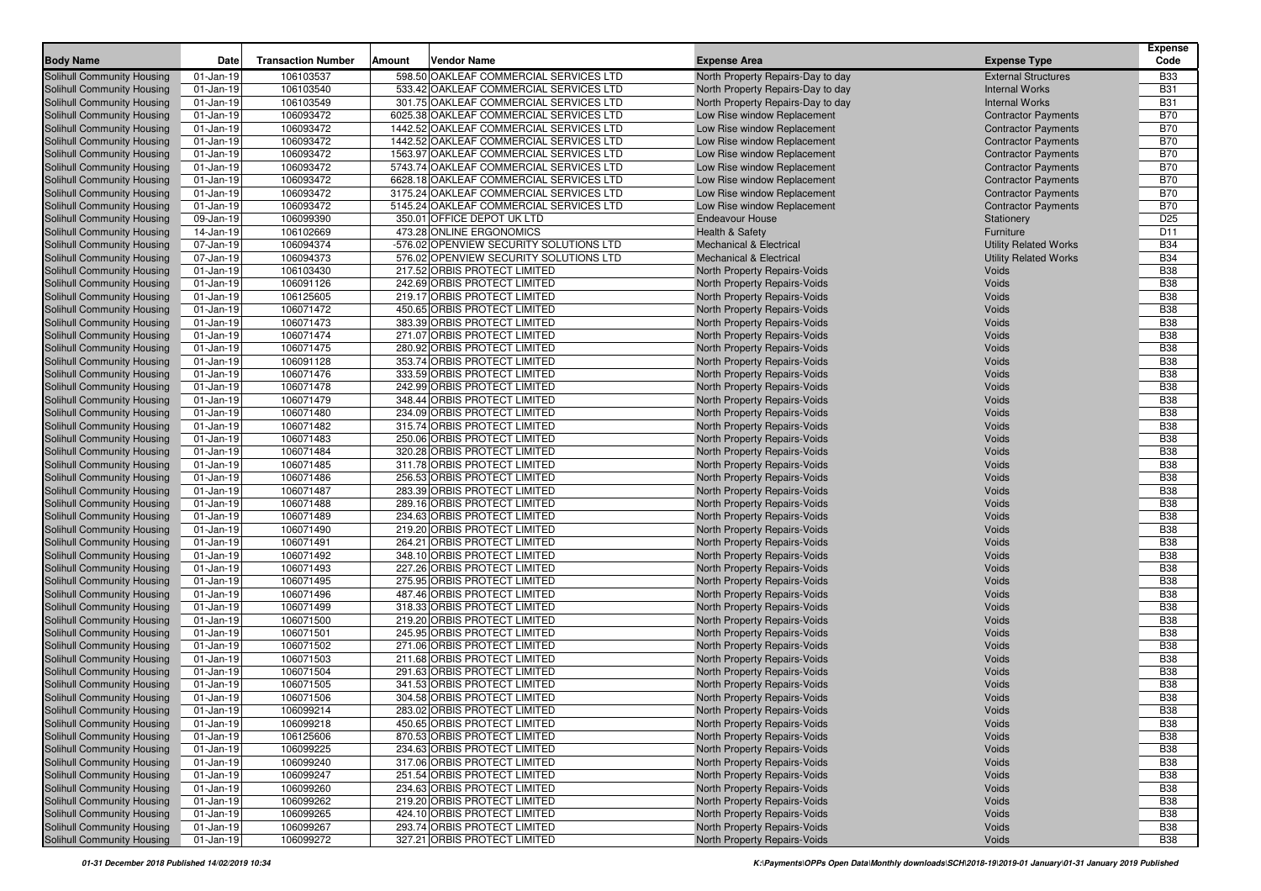| <b>Body Name</b>                  | Date          | <b>Transaction Number</b> | <b>Amount</b> | <b>Vendor Name</b>                      | <b>Expense Area</b>                 | <b>Expense Type</b>          | <b>Expense</b><br>Code |
|-----------------------------------|---------------|---------------------------|---------------|-----------------------------------------|-------------------------------------|------------------------------|------------------------|
| <b>Solihull Community Housing</b> | 01-Jan-19     | 106103537                 |               | 598.50 OAKLEAF COMMERCIAL SERVICES LTD  | North Property Repairs-Day to day   | <b>External Structures</b>   | <b>B33</b>             |
| <b>Solihull Community Housing</b> | 01-Jan-19     | 106103540                 |               | 533.42 OAKLEAF COMMERCIAL SERVICES LTD  | North Property Repairs-Day to day   | <b>Internal Works</b>        | <b>B31</b>             |
| <b>Solihull Community Housing</b> | $01-Jan-19$   | 106103549                 |               | 301.75 OAKLEAF COMMERCIAL SERVICES LTD  | North Property Repairs-Day to day   | <b>Internal Works</b>        | <b>B31</b>             |
| <b>Solihull Community Housing</b> | 01-Jan-19     | 106093472                 |               | 6025.38 OAKLEAF COMMERCIAL SERVICES LTD | Low Rise window Replacement         | <b>Contractor Payments</b>   | <b>B70</b>             |
| Solihull Community Housing        | $01-Jan-19$   | 106093472                 |               | 1442.52 OAKLEAF COMMERCIAL SERVICES LTD | Low Rise window Replacement         | <b>Contractor Payments</b>   | <b>B70</b>             |
| <b>Solihull Community Housing</b> | $01-Jan-19$   | 106093472                 |               | 1442.52 OAKLEAF COMMERCIAL SERVICES LTD | Low Rise window Replacement         | <b>Contractor Payments</b>   | <b>B70</b>             |
| <b>Solihull Community Housing</b> | $01-Jan-19$   | 106093472                 |               | 1563.97 OAKLEAF COMMERCIAL SERVICES LTD | Low Rise window Replacement         | <b>Contractor Payments</b>   | <b>B70</b>             |
| <b>Solihull Community Housing</b> | $01-Jan-19$   | 106093472                 |               | 5743.74 OAKLEAF COMMERCIAL SERVICES LTD | Low Rise window Replacement         | <b>Contractor Payments</b>   | <b>B70</b>             |
| <b>Solihull Community Housing</b> | $01-Jan-19$   | 106093472                 |               | 6628.18 OAKLEAF COMMERCIAL SERVICES LTD | Low Rise window Replacement         | <b>Contractor Payments</b>   | <b>B70</b>             |
| <b>Solihull Community Housing</b> | 01-Jan-19     | 106093472                 |               | 3175.24 OAKLEAF COMMERCIAL SERVICES LTD | Low Rise window Replacement         | <b>Contractor Payments</b>   | <b>B70</b>             |
| <b>Solihull Community Housing</b> | 01-Jan-19     | 106093472                 |               | 5145.24 OAKLEAF COMMERCIAL SERVICES LTD | Low Rise window Replacement         | <b>Contractor Payments</b>   | <b>B70</b>             |
| <b>Solihull Community Housing</b> | 09-Jan-19     | 106099390                 |               | 350.01 OFFICE DEPOT UK LTD              | <b>Endeavour House</b>              | Stationery                   | D <sub>25</sub>        |
| Solihull Community Housing        | 14-Jan-19     | 106102669                 |               | 473.28 ONLINE ERGONOMICS                | <b>Health &amp; Safety</b>          | Furniture                    | D <sub>11</sub>        |
| Solihull Community Housing        | 07-Jan-19     | 106094374                 |               | -576.02 OPENVIEW SECURITY SOLUTIONS LTD | <b>Mechanical &amp; Electrical</b>  | <b>Utility Related Works</b> | <b>B34</b>             |
| <b>Solihull Community Housing</b> | 07-Jan-19     | 106094373                 |               | 576.02 OPENVIEW SECURITY SOLUTIONS LTD  | <b>Mechanical &amp; Electrical</b>  | <b>Utility Related Works</b> | <b>B34</b>             |
| <b>Solihull Community Housing</b> | $01-Jan-19$   | 106103430                 |               | 217.52 ORBIS PROTECT LIMITED            | North Property Repairs-Voids        | <b>Voids</b>                 | <b>B38</b>             |
| <b>Solihull Community Housing</b> | $01-Jan-19$   | 106091126                 |               | 242.69 ORBIS PROTECT LIMITED            | North Property Repairs-Voids        | Voids                        | <b>B38</b>             |
| <b>Solihull Community Housing</b> | $01-Jan-19$   | 106125605                 |               | 219.17 ORBIS PROTECT LIMITED            | North Property Repairs-Voids        | Voids                        | <b>B38</b>             |
| <b>Solihull Community Housing</b> | $01 - Jan-19$ | 106071472                 |               | 450.65 ORBIS PROTECT LIMITED            | North Property Repairs-Voids        | Voids                        | <b>B38</b>             |
| <b>Solihull Community Housing</b> | 01-Jan-19     | 106071473                 |               | 383.39 ORBIS PROTECT LIMITED            | North Property Repairs-Voids        | Voids                        | <b>B38</b>             |
| <b>Solihull Community Housing</b> | $01$ -Jan-19  | 106071474                 |               | 271.07 ORBIS PROTECT LIMITED            | North Property Repairs-Voids        | Voids                        | <b>B38</b>             |
| <b>Solihull Community Housing</b> | $01$ -Jan-19  | 106071475                 |               | 280.92 ORBIS PROTECT LIMITED            | North Property Repairs-Voids        | Voids                        | <b>B38</b>             |
| Solihull Community Housing        | $01-Jan-19$   | 106091128                 |               | 353.74 ORBIS PROTECT LIMITED            | North Property Repairs-Voids        | Voids                        | <b>B38</b>             |
| <b>Solihull Community Housing</b> | $01-Jan-19$   | 106071476                 |               | 333.59 ORBIS PROTECT LIMITED            | North Property Repairs-Voids        | Voids                        | <b>B38</b>             |
| <b>Solihull Community Housing</b> | $01-Jan-19$   | 106071478                 |               | 242.99 ORBIS PROTECT LIMITED            | North Property Repairs-Voids        | Voids                        | <b>B38</b>             |
| <b>Solihull Community Housing</b> | 01-Jan-19     | 106071479                 |               | 348.44 ORBIS PROTECT LIMITED            | North Property Repairs-Voids        | Voids                        | <b>B38</b>             |
| Solihull Community Housing        | 01-Jan-19     | 106071480                 |               | 234.09 ORBIS PROTECT LIMITED            | North Property Repairs-Voids        | Voids                        | <b>B38</b>             |
| <b>Solihull Community Housing</b> | $01-Jan-19$   | 106071482                 |               | 315.74 ORBIS PROTECT LIMITED            | North Property Repairs-Voids        | Voids                        | <b>B38</b>             |
| <b>Solihull Community Housing</b> | $01$ -Jan-19  | 106071483                 |               | 250.06 ORBIS PROTECT LIMITED            | North Property Repairs-Voids        | Voids                        | <b>B38</b>             |
| <b>Solihull Community Housing</b> | $01-Jan-19$   | 106071484                 |               | 320.28 ORBIS PROTECT LIMITED            | North Property Repairs-Voids        | Voids                        | <b>B38</b>             |
| <b>Solihull Community Housing</b> | $01$ -Jan-19  | 106071485                 |               | 311.78 ORBIS PROTECT LIMITED            | North Property Repairs-Voids        | Voids                        | <b>B38</b>             |
| <b>Solihull Community Housing</b> | $01-Jan-19$   | 106071486                 |               | 256.53 ORBIS PROTECT LIMITED            | North Property Repairs-Voids        | Voids                        | <b>B38</b>             |
| <b>Solihull Community Housing</b> | $01-Jan-19$   | 106071487                 |               | 283.39 ORBIS PROTECT LIMITED            | North Property Repairs-Voids        | Voids                        | <b>B38</b>             |
| <b>Solihull Community Housing</b> | $01-Jan-19$   | 106071488                 |               | 289.16 ORBIS PROTECT LIMITED            | North Property Repairs-Voids        | Voids                        | <b>B38</b>             |
| <b>Solihull Community Housing</b> | $01$ -Jan-19  | 106071489                 |               | 234.63 ORBIS PROTECT LIMITED            | North Property Repairs-Voids        | Voids                        | <b>B38</b>             |
| Solihull Community Housing        | 01-Jan-19     | 106071490                 |               | 219.20 ORBIS PROTECT LIMITED            | North Property Repairs-Voids        | Voids                        | <b>B38</b>             |
| Solihull Community Housing        | $01$ -Jan-19  | 106071491                 |               | 264.21 ORBIS PROTECT LIMITED            | North Property Repairs-Voids        | Voids                        | <b>B38</b>             |
| Solihull Community Housing        | $01$ -Jan-19  | 106071492                 |               | 348.10 ORBIS PROTECT LIMITED            | North Property Repairs-Voids        | Voids                        | <b>B38</b>             |
| Solihull Community Housing        | $01$ -Jan-19  | 106071493                 |               | 227.26 ORBIS PROTECT LIMITED            | North Property Repairs-Voids        | Voids                        | <b>B38</b>             |
| Solihull Community Housing        | $01$ -Jan-19  | 106071495                 |               | 275.95 ORBIS PROTECT LIMITED            | North Property Repairs-Voids        | Voids                        | <b>B38</b>             |
| <b>Solihull Community Housing</b> | $01$ -Jan-19  | 106071496                 |               | 487.46 ORBIS PROTECT LIMITED            | North Property Repairs-Voids        | Voids                        | <b>B38</b>             |
| <b>Solihull Community Housing</b> | $01$ -Jan-19  | 106071499                 |               | 318.33 ORBIS PROTECT LIMITED            | North Property Repairs-Voids        | Voids                        | <b>B38</b>             |
| Solihull Community Housing        | 01-Jan-19     | 106071500                 |               | 219.20 ORBIS PROTECT LIMITED            | North Property Repairs-Voids        | Voids                        | <b>B38</b>             |
| <b>Solihull Community Housing</b> | 01-Jan-19     | 106071501                 |               | 245.95 ORBIS PROTECT LIMITED            | North Property Repairs-Voids        | Voids                        | <b>B38</b>             |
| <b>Solihull Community Housing</b> | 01-Jan-19     | 106071502                 |               | 271.06 ORBIS PROTECT LIMITED            | North Property Repairs-Voids        | Voids                        | <b>B38</b>             |
| <b>Solihull Community Housing</b> | $01$ -Jan-19  | 106071503                 |               | 211.68 ORBIS PROTECT LIMITED            | North Property Repairs-Voids        | Voids                        | <b>B38</b>             |
| <b>Solihull Community Housing</b> | $01$ -Jan-19  | 106071504                 |               | 291.63 ORBIS PROTECT LIMITED            | North Property Repairs-Voids        | Voids                        | <b>B38</b>             |
| Solihull Community Housing        | $01$ -Jan-19  | 106071505                 |               | 341.53 ORBIS PROTECT LIMITED            | North Property Repairs-Voids        | Voids                        | <b>B38</b>             |
| <b>Solihull Community Housing</b> | $01$ -Jan-19  | 106071506                 |               | 304.58 ORBIS PROTECT LIMITED            | <b>North Property Repairs-Voids</b> | Voids                        | <b>B38</b>             |
| <b>Solihull Community Housing</b> | 01-Jan-19     | 106099214                 |               | 283.02 ORBIS PROTECT LIMITED            | North Property Repairs-Voids        | Voids                        | <b>B38</b>             |
| Solihull Community Housing        | $01$ -Jan-19  | 106099218                 |               | 450.65 ORBIS PROTECT LIMITED            | North Property Repairs-Voids        | Voids                        | <b>B38</b>             |
| <b>Solihull Community Housing</b> | 01-Jan-19     | 106125606                 |               | 870.53 ORBIS PROTECT LIMITED            | North Property Repairs-Voids        | Voids                        | <b>B38</b>             |
| Solihull Community Housing        | $01$ -Jan-19  | 106099225                 |               | 234.63 ORBIS PROTECT LIMITED            | North Property Repairs-Voids        | Voids                        | <b>B38</b>             |
| Solihull Community Housing        | 01-Jan-19     | 106099240                 |               | 317.06 ORBIS PROTECT LIMITED            | North Property Repairs-Voids        | Voids                        | <b>B38</b>             |
| Solihull Community Housing        | 01-Jan-19     | 106099247                 |               | 251.54 ORBIS PROTECT LIMITED            | North Property Repairs-Voids        | Voids                        | <b>B38</b>             |
| <b>Solihull Community Housing</b> | 01-Jan-19     | 106099260                 |               | 234.63 ORBIS PROTECT LIMITED            | North Property Repairs-Voids        | Voids                        | <b>B38</b>             |
| Solihull Community Housing        | $01$ -Jan-19  | 106099262                 |               | 219.20 ORBIS PROTECT LIMITED            | North Property Repairs-Voids        | Voids                        | <b>B38</b>             |
| <b>Solihull Community Housing</b> | $01$ -Jan-19  | 106099265                 |               | 424.10 ORBIS PROTECT LIMITED            | North Property Repairs-Voids        | Voids                        | <b>B38</b>             |
| Solihull Community Housing        | 01-Jan-19     | 106099267                 |               | 293.74 ORBIS PROTECT LIMITED            | North Property Repairs-Voids        | Voids                        | <b>B38</b>             |
| Solihull Community Housing        | 01-Jan-19     | 106099272                 |               | 327.21 ORBIS PROTECT LIMITED            | North Property Repairs-Voids        | Voids                        | <b>B38</b>             |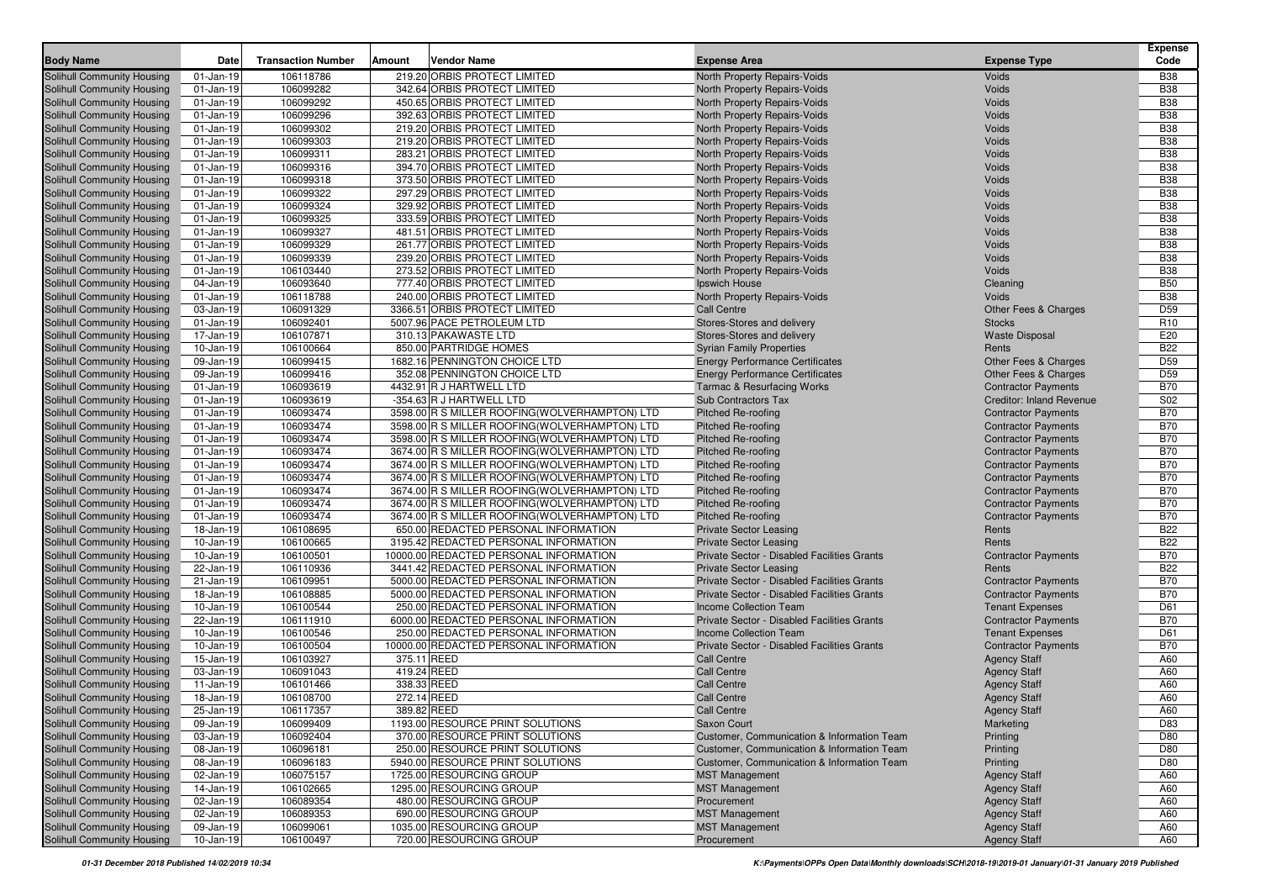| 106118786<br>219.20 ORBIS PROTECT LIMITED<br><b>B38</b><br>Solihull Community Housing<br>North Property Repairs-Voids<br><b>Voids</b><br>01-Jan-19<br><b>B38</b><br><b>Solihull Community Housing</b><br>$01$ -Jan-19<br>106099282<br>342.64 ORBIS PROTECT LIMITED<br>North Property Repairs-Voids<br><b>Voids</b><br>106099292<br><b>B38</b><br><b>Solihull Community Housing</b><br>$01$ -Jan-19<br>450.65 ORBIS PROTECT LIMITED<br>North Property Repairs-Voids<br><b>Voids</b><br><b>B38</b><br><b>Solihull Community Housing</b><br>$01$ -Jan-19<br>106099296<br>392.63 ORBIS PROTECT LIMITED<br>North Property Repairs-Voids<br><b>Voids</b><br>106099302<br>219.20 ORBIS PROTECT LIMITED<br><b>B38</b><br>$01$ -Jan-19<br>North Property Repairs-Voids<br>Voids<br>Solihull Community Housing<br>106099303<br>219.20 ORBIS PROTECT LIMITED<br><b>B38</b><br><b>Solihull Community Housing</b><br>$01$ -Jan-19<br>North Property Repairs-Voids<br>Voids<br>106099311<br><b>B38</b><br><b>Solihull Community Housing</b><br>$01$ -Jan-19<br>283.21 ORBIS PROTECT LIMITED<br>North Property Repairs-Voids<br>Voids<br><b>B38</b><br><b>Solihull Community Housing</b><br>$01$ -Jan-19<br>106099316<br>394.70 ORBIS PROTECT LIMITED<br>North Property Repairs-Voids<br>Voids<br><b>B38</b><br>$01$ -Jan-19<br>106099318<br>373.50 ORBIS PROTECT LIMITED<br>North Property Repairs-Voids<br>Voids<br><b>Solihull Community Housing</b><br>106099322<br><b>B38</b><br>$01-Jan-19$<br>297.29 ORBIS PROTECT LIMITED<br>North Property Repairs-Voids<br>Voids<br><b>Solihull Community Housing</b><br>106099324<br>329.92 ORBIS PROTECT LIMITED<br><b>B38</b><br><b>Solihull Community Housing</b><br>$01$ -Jan-19<br>North Property Repairs-Voids<br>Voids<br>106099325<br><b>B38</b><br>Solihull Community Housing<br>$01$ -Jan-19<br>333.59 ORBIS PROTECT LIMITED<br>North Property Repairs-Voids<br>Voids<br><b>B38</b><br><b>Solihull Community Housing</b><br>$01$ -Jan-19<br>106099327<br>481.51 ORBIS PROTECT LIMITED<br>North Property Repairs-Voids<br><b>Voids</b><br>106099329<br>261.77 ORBIS PROTECT LIMITED<br><b>B38</b><br><b>Solihull Community Housing</b><br>$01$ -Jan-19<br>North Property Repairs-Voids<br>Voids<br><b>B38</b><br><b>Solihull Community Housing</b><br>$01-Jan-19$<br>106099339<br>239.20 ORBIS PROTECT LIMITED<br>North Property Repairs-Voids<br><b>Voids</b><br><b>B38</b><br><b>Solihull Community Housing</b><br>$01-Jan-19$<br>106103440<br>273.52 ORBIS PROTECT LIMITED<br>North Property Repairs-Voids<br><b>Voids</b><br>106093640<br><b>B50</b><br>04-Jan-19<br>777.40 ORBIS PROTECT LIMITED<br>Cleaning<br>Ipswich House<br>240.00 ORBIS PROTECT LIMITED<br><b>B38</b><br>$01-Jan-19$<br>106118788<br>North Property Repairs-Voids<br><b>Voids</b><br>106091329<br>3366.51 ORBIS PROTECT LIMITED<br>D <sub>59</sub><br>03-Jan-19<br><b>Call Centre</b><br>Other Fees & Charges<br>$01-Jan-19$<br>106092401<br>5007.96 PACE PETROLEUM LTD<br>Stores-Stores and delivery<br><b>Stocks</b><br>R <sub>10</sub><br>106107871<br>E20<br>17-Jan-19<br>310.13 PAKAWASTE LTD<br>Stores-Stores and delivery<br><b>Waste Disposal</b><br>106100664<br>850.00 PARTRIDGE HOMES<br><b>B22</b><br>10-Jan-19<br><b>Syrian Family Properties</b><br>Rents<br>106099415<br>D <sub>59</sub><br>09-Jan-19<br>1682.16 PENNINGTON CHOICE LTD<br><b>Energy Performance Certificates</b><br>Other Fees & Charges<br>D <sub>59</sub><br>09-Jan-19<br>106099416<br>352.08 PENNINGTON CHOICE LTD<br><b>Energy Performance Certificates</b><br>Other Fees & Charges<br>106093619<br><b>B70</b><br>$01-Jan-19$<br>4432.91 R J HARTWELL LTD<br><b>Tarmac &amp; Resurfacing Works</b><br><b>Contractor Payments</b><br>106093619<br>S02<br>-354.63 R J HARTWELL LTD<br>Sub Contractors Tax<br><b>Creditor: Inland Revenue</b><br>$01$ -Jan-19<br>106093474<br><b>B70</b><br>$01-Jan-19$<br>3598.00 R S MILLER ROOFING(WOLVERHAMPTON) LTD<br><b>Pitched Re-roofing</b><br><b>Contractor Payments</b><br>106093474<br><b>B70</b><br>$01-Jan-19$<br>3598.00 R S MILLER ROOFING (WOLVERHAMPTON) LTD<br><b>Pitched Re-roofing</b><br><b>Contractor Payments</b><br>106093474<br>3598.00 R S MILLER ROOFING(WOLVERHAMPTON) LTD<br><b>B70</b><br>$01-Jan-19$<br><b>Pitched Re-roofing</b><br><b>Contractor Payments</b><br>106093474<br><b>B70</b><br>$01-Jan-19$<br>3674.00 R S MILLER ROOFING (WOLVERHAMPTON) LTD<br><b>Pitched Re-roofing</b><br><b>Contractor Payments</b><br>106093474<br><b>B70</b><br>$01-Jan-19$<br>3674.00 R S MILLER ROOFING (WOLVERHAMPTON) LTD<br><b>Pitched Re-roofing</b><br><b>Contractor Payments</b><br>106093474<br><b>B70</b><br><b>Solihull Community Housing</b><br>$01-Jan-19$<br>3674.00 R S MILLER ROOFING (WOLVERHAMPTON) LTD<br><b>Pitched Re-roofing</b><br><b>Contractor Payments</b><br>106093474<br><b>B70</b><br><b>Solihull Community Housing</b><br>$01-Jan-19$<br>3674.00 R S MILLER ROOFING (WOLVERHAMPTON) LTD<br><b>Pitched Re-roofing</b><br><b>Contractor Payments</b><br>106093474<br><b>B70</b><br><b>Solihull Community Housing</b><br>$01-Jan-19$<br>3674.00 R S MILLER ROOFING (WOLVERHAMPTON) LTD<br><b>Pitched Re-roofing</b><br><b>Contractor Payments</b><br>106093474<br><b>B70</b><br>Solihull Community Housing<br>$01-Jan-19$<br>3674.00 R S MILLER ROOFING (WOLVERHAMPTON) LTD<br><b>Pitched Re-roofing</b><br><b>Contractor Payments</b><br>106108695<br><b>B22</b><br><b>Solihull Community Housing</b><br>18-Jan-19<br>650.00 REDACTED PERSONAL INFORMATION<br><b>Private Sector Leasing</b><br>Rents<br><b>B22</b><br><b>Solihull Community Housing</b><br>106100665<br>3195.42 REDACTED PERSONAL INFORMATION<br><b>Private Sector Leasing</b><br>10-Jan-19<br>Rents<br>10000.00 REDACTED PERSONAL INFORMATION<br><b>B70</b><br><b>Solihull Community Housing</b><br>10-Jan-19<br>106100501<br>Private Sector - Disabled Facilities Grants<br><b>Contractor Payments</b><br>106110936<br>3441.42 REDACTED PERSONAL INFORMATION<br><b>B22</b><br><b>Solihull Community Housing</b><br>22-Jan-19<br><b>Private Sector Leasing</b><br>Rents<br>5000.00 REDACTED PERSONAL INFORMATION<br><b>B70</b><br><b>Solihull Community Housing</b><br>21-Jan-19<br>106109951<br>Private Sector - Disabled Facilities Grants<br><b>Contractor Payments</b><br><b>B70</b><br><b>Solihull Community Housing</b><br>18-Jan-19<br>106108885<br>5000.00 REDACTED PERSONAL INFORMATION<br>Private Sector - Disabled Facilities Grants<br><b>Contractor Payments</b><br>106100544<br>D61<br><b>Solihull Community Housing</b><br>10-Jan-19<br>250.00 REDACTED PERSONAL INFORMATION<br><b>Income Collection Team</b><br><b>Tenant Expenses</b><br>6000.00 REDACTED PERSONAL INFORMATION<br><b>B70</b><br><b>Solihull Community Housing</b><br>22-Jan-19<br>106111910<br>Private Sector - Disabled Facilities Grants<br><b>Contractor Payments</b><br>106100546<br>250.00 REDACTED PERSONAL INFORMATION<br>D61<br><b>Solihull Community Housing</b><br>10-Jan-19<br><b>Income Collection Team</b><br><b>Tenant Expenses</b><br>10000.00 REDACTED PERSONAL INFORMATION<br><b>B70</b><br><b>Solihull Community Housing</b><br>106100504<br>Private Sector - Disabled Facilities Grants<br><b>Contractor Payments</b><br>10-Jan-19<br>106103927<br>375.11 REED<br>A60<br>15-Jan-19<br><b>Call Centre</b><br><b>Solihull Community Housing</b><br><b>Agency Staff</b><br>106091043<br>419.24 REED<br>A60<br>Solihull Community Housing<br>03-Jan-19<br><b>Call Centre</b><br><b>Agency Staff</b><br>338.33 REED<br><b>Solihull Community Housing</b><br>11-Jan-19<br>106101466<br><b>Call Centre</b><br>A60<br><b>Agency Staff</b><br>A60<br>Solihull Community Housing<br>18-Jan-19<br>106108700<br>272.14 REED<br><b>Call Centre</b><br><b>Agency Staff</b><br>389.82 REED<br>A60<br>Solihull Community Housing<br>$25 - Jan-19$<br>106117357<br><b>Call Centre</b><br><b>Agency Staff</b><br>1193.00 RESOURCE PRINT SOLUTIONS<br>D83<br><b>Solihull Community Housing</b><br>09-Jan-19<br>106099409<br>Marketing<br>Saxon Court<br>106092404<br>370.00 RESOURCE PRINT SOLUTIONS<br><b>Solihull Community Housing</b><br>03-Jan-19<br>Customer, Communication & Information Team<br>Printing<br>D80<br>106096181<br><b>Solihull Community Housing</b><br>08-Jan-19<br>250.00 RESOURCE PRINT SOLUTIONS<br>Customer, Communication & Information Team<br>Printing<br>D80<br>D80<br><b>Solihull Community Housing</b><br>106096183<br>5940.00 RESOURCE PRINT SOLUTIONS<br>Customer, Communication & Information Team<br>Printing<br>08-Jan-19<br>106075157<br>1725.00 RESOURCING GROUP<br>Solihull Community Housing<br>02-Jan-19<br><b>MST Management</b><br><b>Agency Staff</b><br>A60<br>Solihull Community Housing<br>106102665<br>1295.00 RESOURCING GROUP<br><b>Agency Staff</b><br>14-Jan-19<br><b>MST Management</b><br>A60<br>106089354<br>480.00 RESOURCING GROUP<br>Solihull Community Housing<br>02-Jan-19<br>Procurement<br><b>Agency Staff</b><br>A60<br>Solihull Community Housing<br>02-Jan-19<br>106089353<br>690.00 RESOURCING GROUP<br><b>MST Management</b><br><b>Agency Staff</b><br>A60<br>1035.00 RESOURCING GROUP<br>09-Jan-19<br>106099061<br><b>MST Management</b><br><b>Agency Staff</b><br>A60<br>720.00 RESOURCING GROUP<br>106100497<br>Procurement<br><b>Agency Staff</b><br>A60<br>10-Jan-19 | <b>Body Name</b>                  | Date | <b>Transaction Number</b> | Amount | <b>Vendor Name</b> | <b>Expense Area</b> | <b>Expense Type</b> | <b>Expense</b><br>Code |
|-----------------------------------------------------------------------------------------------------------------------------------------------------------------------------------------------------------------------------------------------------------------------------------------------------------------------------------------------------------------------------------------------------------------------------------------------------------------------------------------------------------------------------------------------------------------------------------------------------------------------------------------------------------------------------------------------------------------------------------------------------------------------------------------------------------------------------------------------------------------------------------------------------------------------------------------------------------------------------------------------------------------------------------------------------------------------------------------------------------------------------------------------------------------------------------------------------------------------------------------------------------------------------------------------------------------------------------------------------------------------------------------------------------------------------------------------------------------------------------------------------------------------------------------------------------------------------------------------------------------------------------------------------------------------------------------------------------------------------------------------------------------------------------------------------------------------------------------------------------------------------------------------------------------------------------------------------------------------------------------------------------------------------------------------------------------------------------------------------------------------------------------------------------------------------------------------------------------------------------------------------------------------------------------------------------------------------------------------------------------------------------------------------------------------------------------------------------------------------------------------------------------------------------------------------------------------------------------------------------------------------------------------------------------------------------------------------------------------------------------------------------------------------------------------------------------------------------------------------------------------------------------------------------------------------------------------------------------------------------------------------------------------------------------------------------------------------------------------------------------------------------------------------------------------------------------------------------------------------------------------------------------------------------------------------------------------------------------------------------------------------------------------------------------------------------------------------------------------------------------------------------------------------------------------------------------------------------------------------------------------------------------------------------------------------------------------------------------------------------------------------------------------------------------------------------------------------------------------------------------------------------------------------------------------------------------------------------------------------------------------------------------------------------------------------------------------------------------------------------------------------------------------------------------------------------------------------------------------------------------------------------------------------------------------------------------------------------------------------------------------------------------------------------------------------------------------------------------------------------------------------------------------------------------------------------------------------------------------------------------------------------------------------------------------------------------------------------------------------------------------------------------------------------------------------------------------------------------------------------------------------------------------------------------------------------------------------------------------------------------------------------------------------------------------------------------------------------------------------------------------------------------------------------------------------------------------------------------------------------------------------------------------------------------------------------------------------------------------------------------------------------------------------------------------------------------------------------------------------------------------------------------------------------------------------------------------------------------------------------------------------------------------------------------------------------------------------------------------------------------------------------------------------------------------------------------------------------------------------------------------------------------------------------------------------------------------------------------------------------------------------------------------------------------------------------------------------------------------------------------------------------------------------------------------------------------------------------------------------------------------------------------------------------------------------------------------------------------------------------------------------------------------------------------------------------------------------------------------------------------------------------------------------------------------------------------------------------------------------------------------------------------------------------------------------------------------------------------------------------------------------------------------------------------------------------------------------------------------------------------------------------------------------------------------------------------------------------------------------------------------------------------------------------------------------------------------------------------------------------------------------------------------------------------------------------------------------------------------------------------------------------------------------------------------------------------------------------------------------------------------------------------------------------------------------------------------------------------------------------------------------------------------------------------------------------------------------------------------------------------------------------------------------------------------------------------------------------------------------------------------------------------------------------------------------------------------------------------------------------------------------------------------------------------------------------------------------------------------------------------------------------------------------------------------------------------------------------------------------------------------------------------------------------------------------------------------------------------------------------------------------------------------------------------------------------------------------------------------------------------------------------------------------------------------------------------------------------------------------------------------------------------------------------------------------------------------------------------------------------------------------------------------------------------------------------------------------------------------------------------------------------------------------------------------------------------------------------------------------------------------------------------------------------------------------------------------------------------------------------------------------------------------------------------------------------------------------------------------------------------------------------------------------------------------------------------------------------------------------------------------------------------------------------------------------------------------------------------------------------------------------------|-----------------------------------|------|---------------------------|--------|--------------------|---------------------|---------------------|------------------------|
|                                                                                                                                                                                                                                                                                                                                                                                                                                                                                                                                                                                                                                                                                                                                                                                                                                                                                                                                                                                                                                                                                                                                                                                                                                                                                                                                                                                                                                                                                                                                                                                                                                                                                                                                                                                                                                                                                                                                                                                                                                                                                                                                                                                                                                                                                                                                                                                                                                                                                                                                                                                                                                                                                                                                                                                                                                                                                                                                                                                                                                                                                                                                                                                                                                                                                                                                                                                                                                                                                                                                                                                                                                                                                                                                                                                                                                                                                                                                                                                                                                                                                                                                                                                                                                                                                                                                                                                                                                                                                                                                                                                                                                                                                                                                                                                                                                                                                                                                                                                                                                                                                                                                                                                                                                                                                                                                                                                                                                                                                                                                                                                                                                                                                                                                                                                                                                                                                                                                                                                                                                                                                                                                                                                                                                                                                                                                                                                                                                                                                                                                                                                                                                                                                                                                                                                                                                                                                                                                                                                                                                                                                                                                                                                                                                                                                                                                                                                                                                                                                                                                                                                                                                                                                                                                                                                                                                                                                                                                                                                                                                                                                                                                                                                                                                                                                                                                                                                                                                                                                                                                                                                                                                                                                                                                                                                                                                                                                                                                                                                                                                                                                                                                                                                                                                                                                                                                                                                   |                                   |      |                           |        |                    |                     |                     |                        |
|                                                                                                                                                                                                                                                                                                                                                                                                                                                                                                                                                                                                                                                                                                                                                                                                                                                                                                                                                                                                                                                                                                                                                                                                                                                                                                                                                                                                                                                                                                                                                                                                                                                                                                                                                                                                                                                                                                                                                                                                                                                                                                                                                                                                                                                                                                                                                                                                                                                                                                                                                                                                                                                                                                                                                                                                                                                                                                                                                                                                                                                                                                                                                                                                                                                                                                                                                                                                                                                                                                                                                                                                                                                                                                                                                                                                                                                                                                                                                                                                                                                                                                                                                                                                                                                                                                                                                                                                                                                                                                                                                                                                                                                                                                                                                                                                                                                                                                                                                                                                                                                                                                                                                                                                                                                                                                                                                                                                                                                                                                                                                                                                                                                                                                                                                                                                                                                                                                                                                                                                                                                                                                                                                                                                                                                                                                                                                                                                                                                                                                                                                                                                                                                                                                                                                                                                                                                                                                                                                                                                                                                                                                                                                                                                                                                                                                                                                                                                                                                                                                                                                                                                                                                                                                                                                                                                                                                                                                                                                                                                                                                                                                                                                                                                                                                                                                                                                                                                                                                                                                                                                                                                                                                                                                                                                                                                                                                                                                                                                                                                                                                                                                                                                                                                                                                                                                                                                                                   |                                   |      |                           |        |                    |                     |                     |                        |
|                                                                                                                                                                                                                                                                                                                                                                                                                                                                                                                                                                                                                                                                                                                                                                                                                                                                                                                                                                                                                                                                                                                                                                                                                                                                                                                                                                                                                                                                                                                                                                                                                                                                                                                                                                                                                                                                                                                                                                                                                                                                                                                                                                                                                                                                                                                                                                                                                                                                                                                                                                                                                                                                                                                                                                                                                                                                                                                                                                                                                                                                                                                                                                                                                                                                                                                                                                                                                                                                                                                                                                                                                                                                                                                                                                                                                                                                                                                                                                                                                                                                                                                                                                                                                                                                                                                                                                                                                                                                                                                                                                                                                                                                                                                                                                                                                                                                                                                                                                                                                                                                                                                                                                                                                                                                                                                                                                                                                                                                                                                                                                                                                                                                                                                                                                                                                                                                                                                                                                                                                                                                                                                                                                                                                                                                                                                                                                                                                                                                                                                                                                                                                                                                                                                                                                                                                                                                                                                                                                                                                                                                                                                                                                                                                                                                                                                                                                                                                                                                                                                                                                                                                                                                                                                                                                                                                                                                                                                                                                                                                                                                                                                                                                                                                                                                                                                                                                                                                                                                                                                                                                                                                                                                                                                                                                                                                                                                                                                                                                                                                                                                                                                                                                                                                                                                                                                                                                                   |                                   |      |                           |        |                    |                     |                     |                        |
|                                                                                                                                                                                                                                                                                                                                                                                                                                                                                                                                                                                                                                                                                                                                                                                                                                                                                                                                                                                                                                                                                                                                                                                                                                                                                                                                                                                                                                                                                                                                                                                                                                                                                                                                                                                                                                                                                                                                                                                                                                                                                                                                                                                                                                                                                                                                                                                                                                                                                                                                                                                                                                                                                                                                                                                                                                                                                                                                                                                                                                                                                                                                                                                                                                                                                                                                                                                                                                                                                                                                                                                                                                                                                                                                                                                                                                                                                                                                                                                                                                                                                                                                                                                                                                                                                                                                                                                                                                                                                                                                                                                                                                                                                                                                                                                                                                                                                                                                                                                                                                                                                                                                                                                                                                                                                                                                                                                                                                                                                                                                                                                                                                                                                                                                                                                                                                                                                                                                                                                                                                                                                                                                                                                                                                                                                                                                                                                                                                                                                                                                                                                                                                                                                                                                                                                                                                                                                                                                                                                                                                                                                                                                                                                                                                                                                                                                                                                                                                                                                                                                                                                                                                                                                                                                                                                                                                                                                                                                                                                                                                                                                                                                                                                                                                                                                                                                                                                                                                                                                                                                                                                                                                                                                                                                                                                                                                                                                                                                                                                                                                                                                                                                                                                                                                                                                                                                                                                   |                                   |      |                           |        |                    |                     |                     |                        |
|                                                                                                                                                                                                                                                                                                                                                                                                                                                                                                                                                                                                                                                                                                                                                                                                                                                                                                                                                                                                                                                                                                                                                                                                                                                                                                                                                                                                                                                                                                                                                                                                                                                                                                                                                                                                                                                                                                                                                                                                                                                                                                                                                                                                                                                                                                                                                                                                                                                                                                                                                                                                                                                                                                                                                                                                                                                                                                                                                                                                                                                                                                                                                                                                                                                                                                                                                                                                                                                                                                                                                                                                                                                                                                                                                                                                                                                                                                                                                                                                                                                                                                                                                                                                                                                                                                                                                                                                                                                                                                                                                                                                                                                                                                                                                                                                                                                                                                                                                                                                                                                                                                                                                                                                                                                                                                                                                                                                                                                                                                                                                                                                                                                                                                                                                                                                                                                                                                                                                                                                                                                                                                                                                                                                                                                                                                                                                                                                                                                                                                                                                                                                                                                                                                                                                                                                                                                                                                                                                                                                                                                                                                                                                                                                                                                                                                                                                                                                                                                                                                                                                                                                                                                                                                                                                                                                                                                                                                                                                                                                                                                                                                                                                                                                                                                                                                                                                                                                                                                                                                                                                                                                                                                                                                                                                                                                                                                                                                                                                                                                                                                                                                                                                                                                                                                                                                                                                                                   |                                   |      |                           |        |                    |                     |                     |                        |
|                                                                                                                                                                                                                                                                                                                                                                                                                                                                                                                                                                                                                                                                                                                                                                                                                                                                                                                                                                                                                                                                                                                                                                                                                                                                                                                                                                                                                                                                                                                                                                                                                                                                                                                                                                                                                                                                                                                                                                                                                                                                                                                                                                                                                                                                                                                                                                                                                                                                                                                                                                                                                                                                                                                                                                                                                                                                                                                                                                                                                                                                                                                                                                                                                                                                                                                                                                                                                                                                                                                                                                                                                                                                                                                                                                                                                                                                                                                                                                                                                                                                                                                                                                                                                                                                                                                                                                                                                                                                                                                                                                                                                                                                                                                                                                                                                                                                                                                                                                                                                                                                                                                                                                                                                                                                                                                                                                                                                                                                                                                                                                                                                                                                                                                                                                                                                                                                                                                                                                                                                                                                                                                                                                                                                                                                                                                                                                                                                                                                                                                                                                                                                                                                                                                                                                                                                                                                                                                                                                                                                                                                                                                                                                                                                                                                                                                                                                                                                                                                                                                                                                                                                                                                                                                                                                                                                                                                                                                                                                                                                                                                                                                                                                                                                                                                                                                                                                                                                                                                                                                                                                                                                                                                                                                                                                                                                                                                                                                                                                                                                                                                                                                                                                                                                                                                                                                                                                                   |                                   |      |                           |        |                    |                     |                     |                        |
|                                                                                                                                                                                                                                                                                                                                                                                                                                                                                                                                                                                                                                                                                                                                                                                                                                                                                                                                                                                                                                                                                                                                                                                                                                                                                                                                                                                                                                                                                                                                                                                                                                                                                                                                                                                                                                                                                                                                                                                                                                                                                                                                                                                                                                                                                                                                                                                                                                                                                                                                                                                                                                                                                                                                                                                                                                                                                                                                                                                                                                                                                                                                                                                                                                                                                                                                                                                                                                                                                                                                                                                                                                                                                                                                                                                                                                                                                                                                                                                                                                                                                                                                                                                                                                                                                                                                                                                                                                                                                                                                                                                                                                                                                                                                                                                                                                                                                                                                                                                                                                                                                                                                                                                                                                                                                                                                                                                                                                                                                                                                                                                                                                                                                                                                                                                                                                                                                                                                                                                                                                                                                                                                                                                                                                                                                                                                                                                                                                                                                                                                                                                                                                                                                                                                                                                                                                                                                                                                                                                                                                                                                                                                                                                                                                                                                                                                                                                                                                                                                                                                                                                                                                                                                                                                                                                                                                                                                                                                                                                                                                                                                                                                                                                                                                                                                                                                                                                                                                                                                                                                                                                                                                                                                                                                                                                                                                                                                                                                                                                                                                                                                                                                                                                                                                                                                                                                                                                   |                                   |      |                           |        |                    |                     |                     |                        |
|                                                                                                                                                                                                                                                                                                                                                                                                                                                                                                                                                                                                                                                                                                                                                                                                                                                                                                                                                                                                                                                                                                                                                                                                                                                                                                                                                                                                                                                                                                                                                                                                                                                                                                                                                                                                                                                                                                                                                                                                                                                                                                                                                                                                                                                                                                                                                                                                                                                                                                                                                                                                                                                                                                                                                                                                                                                                                                                                                                                                                                                                                                                                                                                                                                                                                                                                                                                                                                                                                                                                                                                                                                                                                                                                                                                                                                                                                                                                                                                                                                                                                                                                                                                                                                                                                                                                                                                                                                                                                                                                                                                                                                                                                                                                                                                                                                                                                                                                                                                                                                                                                                                                                                                                                                                                                                                                                                                                                                                                                                                                                                                                                                                                                                                                                                                                                                                                                                                                                                                                                                                                                                                                                                                                                                                                                                                                                                                                                                                                                                                                                                                                                                                                                                                                                                                                                                                                                                                                                                                                                                                                                                                                                                                                                                                                                                                                                                                                                                                                                                                                                                                                                                                                                                                                                                                                                                                                                                                                                                                                                                                                                                                                                                                                                                                                                                                                                                                                                                                                                                                                                                                                                                                                                                                                                                                                                                                                                                                                                                                                                                                                                                                                                                                                                                                                                                                                                                                   |                                   |      |                           |        |                    |                     |                     |                        |
|                                                                                                                                                                                                                                                                                                                                                                                                                                                                                                                                                                                                                                                                                                                                                                                                                                                                                                                                                                                                                                                                                                                                                                                                                                                                                                                                                                                                                                                                                                                                                                                                                                                                                                                                                                                                                                                                                                                                                                                                                                                                                                                                                                                                                                                                                                                                                                                                                                                                                                                                                                                                                                                                                                                                                                                                                                                                                                                                                                                                                                                                                                                                                                                                                                                                                                                                                                                                                                                                                                                                                                                                                                                                                                                                                                                                                                                                                                                                                                                                                                                                                                                                                                                                                                                                                                                                                                                                                                                                                                                                                                                                                                                                                                                                                                                                                                                                                                                                                                                                                                                                                                                                                                                                                                                                                                                                                                                                                                                                                                                                                                                                                                                                                                                                                                                                                                                                                                                                                                                                                                                                                                                                                                                                                                                                                                                                                                                                                                                                                                                                                                                                                                                                                                                                                                                                                                                                                                                                                                                                                                                                                                                                                                                                                                                                                                                                                                                                                                                                                                                                                                                                                                                                                                                                                                                                                                                                                                                                                                                                                                                                                                                                                                                                                                                                                                                                                                                                                                                                                                                                                                                                                                                                                                                                                                                                                                                                                                                                                                                                                                                                                                                                                                                                                                                                                                                                                                                   |                                   |      |                           |        |                    |                     |                     |                        |
|                                                                                                                                                                                                                                                                                                                                                                                                                                                                                                                                                                                                                                                                                                                                                                                                                                                                                                                                                                                                                                                                                                                                                                                                                                                                                                                                                                                                                                                                                                                                                                                                                                                                                                                                                                                                                                                                                                                                                                                                                                                                                                                                                                                                                                                                                                                                                                                                                                                                                                                                                                                                                                                                                                                                                                                                                                                                                                                                                                                                                                                                                                                                                                                                                                                                                                                                                                                                                                                                                                                                                                                                                                                                                                                                                                                                                                                                                                                                                                                                                                                                                                                                                                                                                                                                                                                                                                                                                                                                                                                                                                                                                                                                                                                                                                                                                                                                                                                                                                                                                                                                                                                                                                                                                                                                                                                                                                                                                                                                                                                                                                                                                                                                                                                                                                                                                                                                                                                                                                                                                                                                                                                                                                                                                                                                                                                                                                                                                                                                                                                                                                                                                                                                                                                                                                                                                                                                                                                                                                                                                                                                                                                                                                                                                                                                                                                                                                                                                                                                                                                                                                                                                                                                                                                                                                                                                                                                                                                                                                                                                                                                                                                                                                                                                                                                                                                                                                                                                                                                                                                                                                                                                                                                                                                                                                                                                                                                                                                                                                                                                                                                                                                                                                                                                                                                                                                                                                                   |                                   |      |                           |        |                    |                     |                     |                        |
|                                                                                                                                                                                                                                                                                                                                                                                                                                                                                                                                                                                                                                                                                                                                                                                                                                                                                                                                                                                                                                                                                                                                                                                                                                                                                                                                                                                                                                                                                                                                                                                                                                                                                                                                                                                                                                                                                                                                                                                                                                                                                                                                                                                                                                                                                                                                                                                                                                                                                                                                                                                                                                                                                                                                                                                                                                                                                                                                                                                                                                                                                                                                                                                                                                                                                                                                                                                                                                                                                                                                                                                                                                                                                                                                                                                                                                                                                                                                                                                                                                                                                                                                                                                                                                                                                                                                                                                                                                                                                                                                                                                                                                                                                                                                                                                                                                                                                                                                                                                                                                                                                                                                                                                                                                                                                                                                                                                                                                                                                                                                                                                                                                                                                                                                                                                                                                                                                                                                                                                                                                                                                                                                                                                                                                                                                                                                                                                                                                                                                                                                                                                                                                                                                                                                                                                                                                                                                                                                                                                                                                                                                                                                                                                                                                                                                                                                                                                                                                                                                                                                                                                                                                                                                                                                                                                                                                                                                                                                                                                                                                                                                                                                                                                                                                                                                                                                                                                                                                                                                                                                                                                                                                                                                                                                                                                                                                                                                                                                                                                                                                                                                                                                                                                                                                                                                                                                                                                   |                                   |      |                           |        |                    |                     |                     |                        |
|                                                                                                                                                                                                                                                                                                                                                                                                                                                                                                                                                                                                                                                                                                                                                                                                                                                                                                                                                                                                                                                                                                                                                                                                                                                                                                                                                                                                                                                                                                                                                                                                                                                                                                                                                                                                                                                                                                                                                                                                                                                                                                                                                                                                                                                                                                                                                                                                                                                                                                                                                                                                                                                                                                                                                                                                                                                                                                                                                                                                                                                                                                                                                                                                                                                                                                                                                                                                                                                                                                                                                                                                                                                                                                                                                                                                                                                                                                                                                                                                                                                                                                                                                                                                                                                                                                                                                                                                                                                                                                                                                                                                                                                                                                                                                                                                                                                                                                                                                                                                                                                                                                                                                                                                                                                                                                                                                                                                                                                                                                                                                                                                                                                                                                                                                                                                                                                                                                                                                                                                                                                                                                                                                                                                                                                                                                                                                                                                                                                                                                                                                                                                                                                                                                                                                                                                                                                                                                                                                                                                                                                                                                                                                                                                                                                                                                                                                                                                                                                                                                                                                                                                                                                                                                                                                                                                                                                                                                                                                                                                                                                                                                                                                                                                                                                                                                                                                                                                                                                                                                                                                                                                                                                                                                                                                                                                                                                                                                                                                                                                                                                                                                                                                                                                                                                                                                                                                                                   |                                   |      |                           |        |                    |                     |                     |                        |
|                                                                                                                                                                                                                                                                                                                                                                                                                                                                                                                                                                                                                                                                                                                                                                                                                                                                                                                                                                                                                                                                                                                                                                                                                                                                                                                                                                                                                                                                                                                                                                                                                                                                                                                                                                                                                                                                                                                                                                                                                                                                                                                                                                                                                                                                                                                                                                                                                                                                                                                                                                                                                                                                                                                                                                                                                                                                                                                                                                                                                                                                                                                                                                                                                                                                                                                                                                                                                                                                                                                                                                                                                                                                                                                                                                                                                                                                                                                                                                                                                                                                                                                                                                                                                                                                                                                                                                                                                                                                                                                                                                                                                                                                                                                                                                                                                                                                                                                                                                                                                                                                                                                                                                                                                                                                                                                                                                                                                                                                                                                                                                                                                                                                                                                                                                                                                                                                                                                                                                                                                                                                                                                                                                                                                                                                                                                                                                                                                                                                                                                                                                                                                                                                                                                                                                                                                                                                                                                                                                                                                                                                                                                                                                                                                                                                                                                                                                                                                                                                                                                                                                                                                                                                                                                                                                                                                                                                                                                                                                                                                                                                                                                                                                                                                                                                                                                                                                                                                                                                                                                                                                                                                                                                                                                                                                                                                                                                                                                                                                                                                                                                                                                                                                                                                                                                                                                                                                                   |                                   |      |                           |        |                    |                     |                     |                        |
|                                                                                                                                                                                                                                                                                                                                                                                                                                                                                                                                                                                                                                                                                                                                                                                                                                                                                                                                                                                                                                                                                                                                                                                                                                                                                                                                                                                                                                                                                                                                                                                                                                                                                                                                                                                                                                                                                                                                                                                                                                                                                                                                                                                                                                                                                                                                                                                                                                                                                                                                                                                                                                                                                                                                                                                                                                                                                                                                                                                                                                                                                                                                                                                                                                                                                                                                                                                                                                                                                                                                                                                                                                                                                                                                                                                                                                                                                                                                                                                                                                                                                                                                                                                                                                                                                                                                                                                                                                                                                                                                                                                                                                                                                                                                                                                                                                                                                                                                                                                                                                                                                                                                                                                                                                                                                                                                                                                                                                                                                                                                                                                                                                                                                                                                                                                                                                                                                                                                                                                                                                                                                                                                                                                                                                                                                                                                                                                                                                                                                                                                                                                                                                                                                                                                                                                                                                                                                                                                                                                                                                                                                                                                                                                                                                                                                                                                                                                                                                                                                                                                                                                                                                                                                                                                                                                                                                                                                                                                                                                                                                                                                                                                                                                                                                                                                                                                                                                                                                                                                                                                                                                                                                                                                                                                                                                                                                                                                                                                                                                                                                                                                                                                                                                                                                                                                                                                                                                   |                                   |      |                           |        |                    |                     |                     |                        |
|                                                                                                                                                                                                                                                                                                                                                                                                                                                                                                                                                                                                                                                                                                                                                                                                                                                                                                                                                                                                                                                                                                                                                                                                                                                                                                                                                                                                                                                                                                                                                                                                                                                                                                                                                                                                                                                                                                                                                                                                                                                                                                                                                                                                                                                                                                                                                                                                                                                                                                                                                                                                                                                                                                                                                                                                                                                                                                                                                                                                                                                                                                                                                                                                                                                                                                                                                                                                                                                                                                                                                                                                                                                                                                                                                                                                                                                                                                                                                                                                                                                                                                                                                                                                                                                                                                                                                                                                                                                                                                                                                                                                                                                                                                                                                                                                                                                                                                                                                                                                                                                                                                                                                                                                                                                                                                                                                                                                                                                                                                                                                                                                                                                                                                                                                                                                                                                                                                                                                                                                                                                                                                                                                                                                                                                                                                                                                                                                                                                                                                                                                                                                                                                                                                                                                                                                                                                                                                                                                                                                                                                                                                                                                                                                                                                                                                                                                                                                                                                                                                                                                                                                                                                                                                                                                                                                                                                                                                                                                                                                                                                                                                                                                                                                                                                                                                                                                                                                                                                                                                                                                                                                                                                                                                                                                                                                                                                                                                                                                                                                                                                                                                                                                                                                                                                                                                                                                                                   |                                   |      |                           |        |                    |                     |                     |                        |
|                                                                                                                                                                                                                                                                                                                                                                                                                                                                                                                                                                                                                                                                                                                                                                                                                                                                                                                                                                                                                                                                                                                                                                                                                                                                                                                                                                                                                                                                                                                                                                                                                                                                                                                                                                                                                                                                                                                                                                                                                                                                                                                                                                                                                                                                                                                                                                                                                                                                                                                                                                                                                                                                                                                                                                                                                                                                                                                                                                                                                                                                                                                                                                                                                                                                                                                                                                                                                                                                                                                                                                                                                                                                                                                                                                                                                                                                                                                                                                                                                                                                                                                                                                                                                                                                                                                                                                                                                                                                                                                                                                                                                                                                                                                                                                                                                                                                                                                                                                                                                                                                                                                                                                                                                                                                                                                                                                                                                                                                                                                                                                                                                                                                                                                                                                                                                                                                                                                                                                                                                                                                                                                                                                                                                                                                                                                                                                                                                                                                                                                                                                                                                                                                                                                                                                                                                                                                                                                                                                                                                                                                                                                                                                                                                                                                                                                                                                                                                                                                                                                                                                                                                                                                                                                                                                                                                                                                                                                                                                                                                                                                                                                                                                                                                                                                                                                                                                                                                                                                                                                                                                                                                                                                                                                                                                                                                                                                                                                                                                                                                                                                                                                                                                                                                                                                                                                                                                                   |                                   |      |                           |        |                    |                     |                     |                        |
|                                                                                                                                                                                                                                                                                                                                                                                                                                                                                                                                                                                                                                                                                                                                                                                                                                                                                                                                                                                                                                                                                                                                                                                                                                                                                                                                                                                                                                                                                                                                                                                                                                                                                                                                                                                                                                                                                                                                                                                                                                                                                                                                                                                                                                                                                                                                                                                                                                                                                                                                                                                                                                                                                                                                                                                                                                                                                                                                                                                                                                                                                                                                                                                                                                                                                                                                                                                                                                                                                                                                                                                                                                                                                                                                                                                                                                                                                                                                                                                                                                                                                                                                                                                                                                                                                                                                                                                                                                                                                                                                                                                                                                                                                                                                                                                                                                                                                                                                                                                                                                                                                                                                                                                                                                                                                                                                                                                                                                                                                                                                                                                                                                                                                                                                                                                                                                                                                                                                                                                                                                                                                                                                                                                                                                                                                                                                                                                                                                                                                                                                                                                                                                                                                                                                                                                                                                                                                                                                                                                                                                                                                                                                                                                                                                                                                                                                                                                                                                                                                                                                                                                                                                                                                                                                                                                                                                                                                                                                                                                                                                                                                                                                                                                                                                                                                                                                                                                                                                                                                                                                                                                                                                                                                                                                                                                                                                                                                                                                                                                                                                                                                                                                                                                                                                                                                                                                                                                   | <b>Solihull Community Housing</b> |      |                           |        |                    |                     |                     |                        |
|                                                                                                                                                                                                                                                                                                                                                                                                                                                                                                                                                                                                                                                                                                                                                                                                                                                                                                                                                                                                                                                                                                                                                                                                                                                                                                                                                                                                                                                                                                                                                                                                                                                                                                                                                                                                                                                                                                                                                                                                                                                                                                                                                                                                                                                                                                                                                                                                                                                                                                                                                                                                                                                                                                                                                                                                                                                                                                                                                                                                                                                                                                                                                                                                                                                                                                                                                                                                                                                                                                                                                                                                                                                                                                                                                                                                                                                                                                                                                                                                                                                                                                                                                                                                                                                                                                                                                                                                                                                                                                                                                                                                                                                                                                                                                                                                                                                                                                                                                                                                                                                                                                                                                                                                                                                                                                                                                                                                                                                                                                                                                                                                                                                                                                                                                                                                                                                                                                                                                                                                                                                                                                                                                                                                                                                                                                                                                                                                                                                                                                                                                                                                                                                                                                                                                                                                                                                                                                                                                                                                                                                                                                                                                                                                                                                                                                                                                                                                                                                                                                                                                                                                                                                                                                                                                                                                                                                                                                                                                                                                                                                                                                                                                                                                                                                                                                                                                                                                                                                                                                                                                                                                                                                                                                                                                                                                                                                                                                                                                                                                                                                                                                                                                                                                                                                                                                                                                                                   | <b>Solihull Community Housing</b> |      |                           |        |                    |                     |                     |                        |
|                                                                                                                                                                                                                                                                                                                                                                                                                                                                                                                                                                                                                                                                                                                                                                                                                                                                                                                                                                                                                                                                                                                                                                                                                                                                                                                                                                                                                                                                                                                                                                                                                                                                                                                                                                                                                                                                                                                                                                                                                                                                                                                                                                                                                                                                                                                                                                                                                                                                                                                                                                                                                                                                                                                                                                                                                                                                                                                                                                                                                                                                                                                                                                                                                                                                                                                                                                                                                                                                                                                                                                                                                                                                                                                                                                                                                                                                                                                                                                                                                                                                                                                                                                                                                                                                                                                                                                                                                                                                                                                                                                                                                                                                                                                                                                                                                                                                                                                                                                                                                                                                                                                                                                                                                                                                                                                                                                                                                                                                                                                                                                                                                                                                                                                                                                                                                                                                                                                                                                                                                                                                                                                                                                                                                                                                                                                                                                                                                                                                                                                                                                                                                                                                                                                                                                                                                                                                                                                                                                                                                                                                                                                                                                                                                                                                                                                                                                                                                                                                                                                                                                                                                                                                                                                                                                                                                                                                                                                                                                                                                                                                                                                                                                                                                                                                                                                                                                                                                                                                                                                                                                                                                                                                                                                                                                                                                                                                                                                                                                                                                                                                                                                                                                                                                                                                                                                                                                                   | <b>Solihull Community Housing</b> |      |                           |        |                    |                     |                     |                        |
|                                                                                                                                                                                                                                                                                                                                                                                                                                                                                                                                                                                                                                                                                                                                                                                                                                                                                                                                                                                                                                                                                                                                                                                                                                                                                                                                                                                                                                                                                                                                                                                                                                                                                                                                                                                                                                                                                                                                                                                                                                                                                                                                                                                                                                                                                                                                                                                                                                                                                                                                                                                                                                                                                                                                                                                                                                                                                                                                                                                                                                                                                                                                                                                                                                                                                                                                                                                                                                                                                                                                                                                                                                                                                                                                                                                                                                                                                                                                                                                                                                                                                                                                                                                                                                                                                                                                                                                                                                                                                                                                                                                                                                                                                                                                                                                                                                                                                                                                                                                                                                                                                                                                                                                                                                                                                                                                                                                                                                                                                                                                                                                                                                                                                                                                                                                                                                                                                                                                                                                                                                                                                                                                                                                                                                                                                                                                                                                                                                                                                                                                                                                                                                                                                                                                                                                                                                                                                                                                                                                                                                                                                                                                                                                                                                                                                                                                                                                                                                                                                                                                                                                                                                                                                                                                                                                                                                                                                                                                                                                                                                                                                                                                                                                                                                                                                                                                                                                                                                                                                                                                                                                                                                                                                                                                                                                                                                                                                                                                                                                                                                                                                                                                                                                                                                                                                                                                                                                   | <b>Solihull Community Housing</b> |      |                           |        |                    |                     |                     |                        |
|                                                                                                                                                                                                                                                                                                                                                                                                                                                                                                                                                                                                                                                                                                                                                                                                                                                                                                                                                                                                                                                                                                                                                                                                                                                                                                                                                                                                                                                                                                                                                                                                                                                                                                                                                                                                                                                                                                                                                                                                                                                                                                                                                                                                                                                                                                                                                                                                                                                                                                                                                                                                                                                                                                                                                                                                                                                                                                                                                                                                                                                                                                                                                                                                                                                                                                                                                                                                                                                                                                                                                                                                                                                                                                                                                                                                                                                                                                                                                                                                                                                                                                                                                                                                                                                                                                                                                                                                                                                                                                                                                                                                                                                                                                                                                                                                                                                                                                                                                                                                                                                                                                                                                                                                                                                                                                                                                                                                                                                                                                                                                                                                                                                                                                                                                                                                                                                                                                                                                                                                                                                                                                                                                                                                                                                                                                                                                                                                                                                                                                                                                                                                                                                                                                                                                                                                                                                                                                                                                                                                                                                                                                                                                                                                                                                                                                                                                                                                                                                                                                                                                                                                                                                                                                                                                                                                                                                                                                                                                                                                                                                                                                                                                                                                                                                                                                                                                                                                                                                                                                                                                                                                                                                                                                                                                                                                                                                                                                                                                                                                                                                                                                                                                                                                                                                                                                                                                                                   | <b>Solihull Community Housing</b> |      |                           |        |                    |                     |                     |                        |
|                                                                                                                                                                                                                                                                                                                                                                                                                                                                                                                                                                                                                                                                                                                                                                                                                                                                                                                                                                                                                                                                                                                                                                                                                                                                                                                                                                                                                                                                                                                                                                                                                                                                                                                                                                                                                                                                                                                                                                                                                                                                                                                                                                                                                                                                                                                                                                                                                                                                                                                                                                                                                                                                                                                                                                                                                                                                                                                                                                                                                                                                                                                                                                                                                                                                                                                                                                                                                                                                                                                                                                                                                                                                                                                                                                                                                                                                                                                                                                                                                                                                                                                                                                                                                                                                                                                                                                                                                                                                                                                                                                                                                                                                                                                                                                                                                                                                                                                                                                                                                                                                                                                                                                                                                                                                                                                                                                                                                                                                                                                                                                                                                                                                                                                                                                                                                                                                                                                                                                                                                                                                                                                                                                                                                                                                                                                                                                                                                                                                                                                                                                                                                                                                                                                                                                                                                                                                                                                                                                                                                                                                                                                                                                                                                                                                                                                                                                                                                                                                                                                                                                                                                                                                                                                                                                                                                                                                                                                                                                                                                                                                                                                                                                                                                                                                                                                                                                                                                                                                                                                                                                                                                                                                                                                                                                                                                                                                                                                                                                                                                                                                                                                                                                                                                                                                                                                                                                                   | <b>Solihull Community Housing</b> |      |                           |        |                    |                     |                     |                        |
|                                                                                                                                                                                                                                                                                                                                                                                                                                                                                                                                                                                                                                                                                                                                                                                                                                                                                                                                                                                                                                                                                                                                                                                                                                                                                                                                                                                                                                                                                                                                                                                                                                                                                                                                                                                                                                                                                                                                                                                                                                                                                                                                                                                                                                                                                                                                                                                                                                                                                                                                                                                                                                                                                                                                                                                                                                                                                                                                                                                                                                                                                                                                                                                                                                                                                                                                                                                                                                                                                                                                                                                                                                                                                                                                                                                                                                                                                                                                                                                                                                                                                                                                                                                                                                                                                                                                                                                                                                                                                                                                                                                                                                                                                                                                                                                                                                                                                                                                                                                                                                                                                                                                                                                                                                                                                                                                                                                                                                                                                                                                                                                                                                                                                                                                                                                                                                                                                                                                                                                                                                                                                                                                                                                                                                                                                                                                                                                                                                                                                                                                                                                                                                                                                                                                                                                                                                                                                                                                                                                                                                                                                                                                                                                                                                                                                                                                                                                                                                                                                                                                                                                                                                                                                                                                                                                                                                                                                                                                                                                                                                                                                                                                                                                                                                                                                                                                                                                                                                                                                                                                                                                                                                                                                                                                                                                                                                                                                                                                                                                                                                                                                                                                                                                                                                                                                                                                                                                   | Solihull Community Housing        |      |                           |        |                    |                     |                     |                        |
|                                                                                                                                                                                                                                                                                                                                                                                                                                                                                                                                                                                                                                                                                                                                                                                                                                                                                                                                                                                                                                                                                                                                                                                                                                                                                                                                                                                                                                                                                                                                                                                                                                                                                                                                                                                                                                                                                                                                                                                                                                                                                                                                                                                                                                                                                                                                                                                                                                                                                                                                                                                                                                                                                                                                                                                                                                                                                                                                                                                                                                                                                                                                                                                                                                                                                                                                                                                                                                                                                                                                                                                                                                                                                                                                                                                                                                                                                                                                                                                                                                                                                                                                                                                                                                                                                                                                                                                                                                                                                                                                                                                                                                                                                                                                                                                                                                                                                                                                                                                                                                                                                                                                                                                                                                                                                                                                                                                                                                                                                                                                                                                                                                                                                                                                                                                                                                                                                                                                                                                                                                                                                                                                                                                                                                                                                                                                                                                                                                                                                                                                                                                                                                                                                                                                                                                                                                                                                                                                                                                                                                                                                                                                                                                                                                                                                                                                                                                                                                                                                                                                                                                                                                                                                                                                                                                                                                                                                                                                                                                                                                                                                                                                                                                                                                                                                                                                                                                                                                                                                                                                                                                                                                                                                                                                                                                                                                                                                                                                                                                                                                                                                                                                                                                                                                                                                                                                                                                   | Solihull Community Housing        |      |                           |        |                    |                     |                     |                        |
|                                                                                                                                                                                                                                                                                                                                                                                                                                                                                                                                                                                                                                                                                                                                                                                                                                                                                                                                                                                                                                                                                                                                                                                                                                                                                                                                                                                                                                                                                                                                                                                                                                                                                                                                                                                                                                                                                                                                                                                                                                                                                                                                                                                                                                                                                                                                                                                                                                                                                                                                                                                                                                                                                                                                                                                                                                                                                                                                                                                                                                                                                                                                                                                                                                                                                                                                                                                                                                                                                                                                                                                                                                                                                                                                                                                                                                                                                                                                                                                                                                                                                                                                                                                                                                                                                                                                                                                                                                                                                                                                                                                                                                                                                                                                                                                                                                                                                                                                                                                                                                                                                                                                                                                                                                                                                                                                                                                                                                                                                                                                                                                                                                                                                                                                                                                                                                                                                                                                                                                                                                                                                                                                                                                                                                                                                                                                                                                                                                                                                                                                                                                                                                                                                                                                                                                                                                                                                                                                                                                                                                                                                                                                                                                                                                                                                                                                                                                                                                                                                                                                                                                                                                                                                                                                                                                                                                                                                                                                                                                                                                                                                                                                                                                                                                                                                                                                                                                                                                                                                                                                                                                                                                                                                                                                                                                                                                                                                                                                                                                                                                                                                                                                                                                                                                                                                                                                                                                   | <b>Solihull Community Housing</b> |      |                           |        |                    |                     |                     |                        |
|                                                                                                                                                                                                                                                                                                                                                                                                                                                                                                                                                                                                                                                                                                                                                                                                                                                                                                                                                                                                                                                                                                                                                                                                                                                                                                                                                                                                                                                                                                                                                                                                                                                                                                                                                                                                                                                                                                                                                                                                                                                                                                                                                                                                                                                                                                                                                                                                                                                                                                                                                                                                                                                                                                                                                                                                                                                                                                                                                                                                                                                                                                                                                                                                                                                                                                                                                                                                                                                                                                                                                                                                                                                                                                                                                                                                                                                                                                                                                                                                                                                                                                                                                                                                                                                                                                                                                                                                                                                                                                                                                                                                                                                                                                                                                                                                                                                                                                                                                                                                                                                                                                                                                                                                                                                                                                                                                                                                                                                                                                                                                                                                                                                                                                                                                                                                                                                                                                                                                                                                                                                                                                                                                                                                                                                                                                                                                                                                                                                                                                                                                                                                                                                                                                                                                                                                                                                                                                                                                                                                                                                                                                                                                                                                                                                                                                                                                                                                                                                                                                                                                                                                                                                                                                                                                                                                                                                                                                                                                                                                                                                                                                                                                                                                                                                                                                                                                                                                                                                                                                                                                                                                                                                                                                                                                                                                                                                                                                                                                                                                                                                                                                                                                                                                                                                                                                                                                                                   | Solihull Community Housing        |      |                           |        |                    |                     |                     |                        |
|                                                                                                                                                                                                                                                                                                                                                                                                                                                                                                                                                                                                                                                                                                                                                                                                                                                                                                                                                                                                                                                                                                                                                                                                                                                                                                                                                                                                                                                                                                                                                                                                                                                                                                                                                                                                                                                                                                                                                                                                                                                                                                                                                                                                                                                                                                                                                                                                                                                                                                                                                                                                                                                                                                                                                                                                                                                                                                                                                                                                                                                                                                                                                                                                                                                                                                                                                                                                                                                                                                                                                                                                                                                                                                                                                                                                                                                                                                                                                                                                                                                                                                                                                                                                                                                                                                                                                                                                                                                                                                                                                                                                                                                                                                                                                                                                                                                                                                                                                                                                                                                                                                                                                                                                                                                                                                                                                                                                                                                                                                                                                                                                                                                                                                                                                                                                                                                                                                                                                                                                                                                                                                                                                                                                                                                                                                                                                                                                                                                                                                                                                                                                                                                                                                                                                                                                                                                                                                                                                                                                                                                                                                                                                                                                                                                                                                                                                                                                                                                                                                                                                                                                                                                                                                                                                                                                                                                                                                                                                                                                                                                                                                                                                                                                                                                                                                                                                                                                                                                                                                                                                                                                                                                                                                                                                                                                                                                                                                                                                                                                                                                                                                                                                                                                                                                                                                                                                                                   | <b>Solihull Community Housing</b> |      |                           |        |                    |                     |                     |                        |
|                                                                                                                                                                                                                                                                                                                                                                                                                                                                                                                                                                                                                                                                                                                                                                                                                                                                                                                                                                                                                                                                                                                                                                                                                                                                                                                                                                                                                                                                                                                                                                                                                                                                                                                                                                                                                                                                                                                                                                                                                                                                                                                                                                                                                                                                                                                                                                                                                                                                                                                                                                                                                                                                                                                                                                                                                                                                                                                                                                                                                                                                                                                                                                                                                                                                                                                                                                                                                                                                                                                                                                                                                                                                                                                                                                                                                                                                                                                                                                                                                                                                                                                                                                                                                                                                                                                                                                                                                                                                                                                                                                                                                                                                                                                                                                                                                                                                                                                                                                                                                                                                                                                                                                                                                                                                                                                                                                                                                                                                                                                                                                                                                                                                                                                                                                                                                                                                                                                                                                                                                                                                                                                                                                                                                                                                                                                                                                                                                                                                                                                                                                                                                                                                                                                                                                                                                                                                                                                                                                                                                                                                                                                                                                                                                                                                                                                                                                                                                                                                                                                                                                                                                                                                                                                                                                                                                                                                                                                                                                                                                                                                                                                                                                                                                                                                                                                                                                                                                                                                                                                                                                                                                                                                                                                                                                                                                                                                                                                                                                                                                                                                                                                                                                                                                                                                                                                                                                                   | <b>Solihull Community Housing</b> |      |                           |        |                    |                     |                     |                        |
|                                                                                                                                                                                                                                                                                                                                                                                                                                                                                                                                                                                                                                                                                                                                                                                                                                                                                                                                                                                                                                                                                                                                                                                                                                                                                                                                                                                                                                                                                                                                                                                                                                                                                                                                                                                                                                                                                                                                                                                                                                                                                                                                                                                                                                                                                                                                                                                                                                                                                                                                                                                                                                                                                                                                                                                                                                                                                                                                                                                                                                                                                                                                                                                                                                                                                                                                                                                                                                                                                                                                                                                                                                                                                                                                                                                                                                                                                                                                                                                                                                                                                                                                                                                                                                                                                                                                                                                                                                                                                                                                                                                                                                                                                                                                                                                                                                                                                                                                                                                                                                                                                                                                                                                                                                                                                                                                                                                                                                                                                                                                                                                                                                                                                                                                                                                                                                                                                                                                                                                                                                                                                                                                                                                                                                                                                                                                                                                                                                                                                                                                                                                                                                                                                                                                                                                                                                                                                                                                                                                                                                                                                                                                                                                                                                                                                                                                                                                                                                                                                                                                                                                                                                                                                                                                                                                                                                                                                                                                                                                                                                                                                                                                                                                                                                                                                                                                                                                                                                                                                                                                                                                                                                                                                                                                                                                                                                                                                                                                                                                                                                                                                                                                                                                                                                                                                                                                                                                   | <b>Solihull Community Housing</b> |      |                           |        |                    |                     |                     |                        |
|                                                                                                                                                                                                                                                                                                                                                                                                                                                                                                                                                                                                                                                                                                                                                                                                                                                                                                                                                                                                                                                                                                                                                                                                                                                                                                                                                                                                                                                                                                                                                                                                                                                                                                                                                                                                                                                                                                                                                                                                                                                                                                                                                                                                                                                                                                                                                                                                                                                                                                                                                                                                                                                                                                                                                                                                                                                                                                                                                                                                                                                                                                                                                                                                                                                                                                                                                                                                                                                                                                                                                                                                                                                                                                                                                                                                                                                                                                                                                                                                                                                                                                                                                                                                                                                                                                                                                                                                                                                                                                                                                                                                                                                                                                                                                                                                                                                                                                                                                                                                                                                                                                                                                                                                                                                                                                                                                                                                                                                                                                                                                                                                                                                                                                                                                                                                                                                                                                                                                                                                                                                                                                                                                                                                                                                                                                                                                                                                                                                                                                                                                                                                                                                                                                                                                                                                                                                                                                                                                                                                                                                                                                                                                                                                                                                                                                                                                                                                                                                                                                                                                                                                                                                                                                                                                                                                                                                                                                                                                                                                                                                                                                                                                                                                                                                                                                                                                                                                                                                                                                                                                                                                                                                                                                                                                                                                                                                                                                                                                                                                                                                                                                                                                                                                                                                                                                                                                                                   | <b>Solihull Community Housing</b> |      |                           |        |                    |                     |                     |                        |
|                                                                                                                                                                                                                                                                                                                                                                                                                                                                                                                                                                                                                                                                                                                                                                                                                                                                                                                                                                                                                                                                                                                                                                                                                                                                                                                                                                                                                                                                                                                                                                                                                                                                                                                                                                                                                                                                                                                                                                                                                                                                                                                                                                                                                                                                                                                                                                                                                                                                                                                                                                                                                                                                                                                                                                                                                                                                                                                                                                                                                                                                                                                                                                                                                                                                                                                                                                                                                                                                                                                                                                                                                                                                                                                                                                                                                                                                                                                                                                                                                                                                                                                                                                                                                                                                                                                                                                                                                                                                                                                                                                                                                                                                                                                                                                                                                                                                                                                                                                                                                                                                                                                                                                                                                                                                                                                                                                                                                                                                                                                                                                                                                                                                                                                                                                                                                                                                                                                                                                                                                                                                                                                                                                                                                                                                                                                                                                                                                                                                                                                                                                                                                                                                                                                                                                                                                                                                                                                                                                                                                                                                                                                                                                                                                                                                                                                                                                                                                                                                                                                                                                                                                                                                                                                                                                                                                                                                                                                                                                                                                                                                                                                                                                                                                                                                                                                                                                                                                                                                                                                                                                                                                                                                                                                                                                                                                                                                                                                                                                                                                                                                                                                                                                                                                                                                                                                                                                                   | <b>Solihull Community Housing</b> |      |                           |        |                    |                     |                     |                        |
|                                                                                                                                                                                                                                                                                                                                                                                                                                                                                                                                                                                                                                                                                                                                                                                                                                                                                                                                                                                                                                                                                                                                                                                                                                                                                                                                                                                                                                                                                                                                                                                                                                                                                                                                                                                                                                                                                                                                                                                                                                                                                                                                                                                                                                                                                                                                                                                                                                                                                                                                                                                                                                                                                                                                                                                                                                                                                                                                                                                                                                                                                                                                                                                                                                                                                                                                                                                                                                                                                                                                                                                                                                                                                                                                                                                                                                                                                                                                                                                                                                                                                                                                                                                                                                                                                                                                                                                                                                                                                                                                                                                                                                                                                                                                                                                                                                                                                                                                                                                                                                                                                                                                                                                                                                                                                                                                                                                                                                                                                                                                                                                                                                                                                                                                                                                                                                                                                                                                                                                                                                                                                                                                                                                                                                                                                                                                                                                                                                                                                                                                                                                                                                                                                                                                                                                                                                                                                                                                                                                                                                                                                                                                                                                                                                                                                                                                                                                                                                                                                                                                                                                                                                                                                                                                                                                                                                                                                                                                                                                                                                                                                                                                                                                                                                                                                                                                                                                                                                                                                                                                                                                                                                                                                                                                                                                                                                                                                                                                                                                                                                                                                                                                                                                                                                                                                                                                                                                   |                                   |      |                           |        |                    |                     |                     |                        |
|                                                                                                                                                                                                                                                                                                                                                                                                                                                                                                                                                                                                                                                                                                                                                                                                                                                                                                                                                                                                                                                                                                                                                                                                                                                                                                                                                                                                                                                                                                                                                                                                                                                                                                                                                                                                                                                                                                                                                                                                                                                                                                                                                                                                                                                                                                                                                                                                                                                                                                                                                                                                                                                                                                                                                                                                                                                                                                                                                                                                                                                                                                                                                                                                                                                                                                                                                                                                                                                                                                                                                                                                                                                                                                                                                                                                                                                                                                                                                                                                                                                                                                                                                                                                                                                                                                                                                                                                                                                                                                                                                                                                                                                                                                                                                                                                                                                                                                                                                                                                                                                                                                                                                                                                                                                                                                                                                                                                                                                                                                                                                                                                                                                                                                                                                                                                                                                                                                                                                                                                                                                                                                                                                                                                                                                                                                                                                                                                                                                                                                                                                                                                                                                                                                                                                                                                                                                                                                                                                                                                                                                                                                                                                                                                                                                                                                                                                                                                                                                                                                                                                                                                                                                                                                                                                                                                                                                                                                                                                                                                                                                                                                                                                                                                                                                                                                                                                                                                                                                                                                                                                                                                                                                                                                                                                                                                                                                                                                                                                                                                                                                                                                                                                                                                                                                                                                                                                                                   |                                   |      |                           |        |                    |                     |                     |                        |
|                                                                                                                                                                                                                                                                                                                                                                                                                                                                                                                                                                                                                                                                                                                                                                                                                                                                                                                                                                                                                                                                                                                                                                                                                                                                                                                                                                                                                                                                                                                                                                                                                                                                                                                                                                                                                                                                                                                                                                                                                                                                                                                                                                                                                                                                                                                                                                                                                                                                                                                                                                                                                                                                                                                                                                                                                                                                                                                                                                                                                                                                                                                                                                                                                                                                                                                                                                                                                                                                                                                                                                                                                                                                                                                                                                                                                                                                                                                                                                                                                                                                                                                                                                                                                                                                                                                                                                                                                                                                                                                                                                                                                                                                                                                                                                                                                                                                                                                                                                                                                                                                                                                                                                                                                                                                                                                                                                                                                                                                                                                                                                                                                                                                                                                                                                                                                                                                                                                                                                                                                                                                                                                                                                                                                                                                                                                                                                                                                                                                                                                                                                                                                                                                                                                                                                                                                                                                                                                                                                                                                                                                                                                                                                                                                                                                                                                                                                                                                                                                                                                                                                                                                                                                                                                                                                                                                                                                                                                                                                                                                                                                                                                                                                                                                                                                                                                                                                                                                                                                                                                                                                                                                                                                                                                                                                                                                                                                                                                                                                                                                                                                                                                                                                                                                                                                                                                                                                                   |                                   |      |                           |        |                    |                     |                     |                        |
|                                                                                                                                                                                                                                                                                                                                                                                                                                                                                                                                                                                                                                                                                                                                                                                                                                                                                                                                                                                                                                                                                                                                                                                                                                                                                                                                                                                                                                                                                                                                                                                                                                                                                                                                                                                                                                                                                                                                                                                                                                                                                                                                                                                                                                                                                                                                                                                                                                                                                                                                                                                                                                                                                                                                                                                                                                                                                                                                                                                                                                                                                                                                                                                                                                                                                                                                                                                                                                                                                                                                                                                                                                                                                                                                                                                                                                                                                                                                                                                                                                                                                                                                                                                                                                                                                                                                                                                                                                                                                                                                                                                                                                                                                                                                                                                                                                                                                                                                                                                                                                                                                                                                                                                                                                                                                                                                                                                                                                                                                                                                                                                                                                                                                                                                                                                                                                                                                                                                                                                                                                                                                                                                                                                                                                                                                                                                                                                                                                                                                                                                                                                                                                                                                                                                                                                                                                                                                                                                                                                                                                                                                                                                                                                                                                                                                                                                                                                                                                                                                                                                                                                                                                                                                                                                                                                                                                                                                                                                                                                                                                                                                                                                                                                                                                                                                                                                                                                                                                                                                                                                                                                                                                                                                                                                                                                                                                                                                                                                                                                                                                                                                                                                                                                                                                                                                                                                                                                   |                                   |      |                           |        |                    |                     |                     |                        |
|                                                                                                                                                                                                                                                                                                                                                                                                                                                                                                                                                                                                                                                                                                                                                                                                                                                                                                                                                                                                                                                                                                                                                                                                                                                                                                                                                                                                                                                                                                                                                                                                                                                                                                                                                                                                                                                                                                                                                                                                                                                                                                                                                                                                                                                                                                                                                                                                                                                                                                                                                                                                                                                                                                                                                                                                                                                                                                                                                                                                                                                                                                                                                                                                                                                                                                                                                                                                                                                                                                                                                                                                                                                                                                                                                                                                                                                                                                                                                                                                                                                                                                                                                                                                                                                                                                                                                                                                                                                                                                                                                                                                                                                                                                                                                                                                                                                                                                                                                                                                                                                                                                                                                                                                                                                                                                                                                                                                                                                                                                                                                                                                                                                                                                                                                                                                                                                                                                                                                                                                                                                                                                                                                                                                                                                                                                                                                                                                                                                                                                                                                                                                                                                                                                                                                                                                                                                                                                                                                                                                                                                                                                                                                                                                                                                                                                                                                                                                                                                                                                                                                                                                                                                                                                                                                                                                                                                                                                                                                                                                                                                                                                                                                                                                                                                                                                                                                                                                                                                                                                                                                                                                                                                                                                                                                                                                                                                                                                                                                                                                                                                                                                                                                                                                                                                                                                                                                                                   |                                   |      |                           |        |                    |                     |                     |                        |
|                                                                                                                                                                                                                                                                                                                                                                                                                                                                                                                                                                                                                                                                                                                                                                                                                                                                                                                                                                                                                                                                                                                                                                                                                                                                                                                                                                                                                                                                                                                                                                                                                                                                                                                                                                                                                                                                                                                                                                                                                                                                                                                                                                                                                                                                                                                                                                                                                                                                                                                                                                                                                                                                                                                                                                                                                                                                                                                                                                                                                                                                                                                                                                                                                                                                                                                                                                                                                                                                                                                                                                                                                                                                                                                                                                                                                                                                                                                                                                                                                                                                                                                                                                                                                                                                                                                                                                                                                                                                                                                                                                                                                                                                                                                                                                                                                                                                                                                                                                                                                                                                                                                                                                                                                                                                                                                                                                                                                                                                                                                                                                                                                                                                                                                                                                                                                                                                                                                                                                                                                                                                                                                                                                                                                                                                                                                                                                                                                                                                                                                                                                                                                                                                                                                                                                                                                                                                                                                                                                                                                                                                                                                                                                                                                                                                                                                                                                                                                                                                                                                                                                                                                                                                                                                                                                                                                                                                                                                                                                                                                                                                                                                                                                                                                                                                                                                                                                                                                                                                                                                                                                                                                                                                                                                                                                                                                                                                                                                                                                                                                                                                                                                                                                                                                                                                                                                                                                                   |                                   |      |                           |        |                    |                     |                     |                        |
|                                                                                                                                                                                                                                                                                                                                                                                                                                                                                                                                                                                                                                                                                                                                                                                                                                                                                                                                                                                                                                                                                                                                                                                                                                                                                                                                                                                                                                                                                                                                                                                                                                                                                                                                                                                                                                                                                                                                                                                                                                                                                                                                                                                                                                                                                                                                                                                                                                                                                                                                                                                                                                                                                                                                                                                                                                                                                                                                                                                                                                                                                                                                                                                                                                                                                                                                                                                                                                                                                                                                                                                                                                                                                                                                                                                                                                                                                                                                                                                                                                                                                                                                                                                                                                                                                                                                                                                                                                                                                                                                                                                                                                                                                                                                                                                                                                                                                                                                                                                                                                                                                                                                                                                                                                                                                                                                                                                                                                                                                                                                                                                                                                                                                                                                                                                                                                                                                                                                                                                                                                                                                                                                                                                                                                                                                                                                                                                                                                                                                                                                                                                                                                                                                                                                                                                                                                                                                                                                                                                                                                                                                                                                                                                                                                                                                                                                                                                                                                                                                                                                                                                                                                                                                                                                                                                                                                                                                                                                                                                                                                                                                                                                                                                                                                                                                                                                                                                                                                                                                                                                                                                                                                                                                                                                                                                                                                                                                                                                                                                                                                                                                                                                                                                                                                                                                                                                                                                   |                                   |      |                           |        |                    |                     |                     |                        |
|                                                                                                                                                                                                                                                                                                                                                                                                                                                                                                                                                                                                                                                                                                                                                                                                                                                                                                                                                                                                                                                                                                                                                                                                                                                                                                                                                                                                                                                                                                                                                                                                                                                                                                                                                                                                                                                                                                                                                                                                                                                                                                                                                                                                                                                                                                                                                                                                                                                                                                                                                                                                                                                                                                                                                                                                                                                                                                                                                                                                                                                                                                                                                                                                                                                                                                                                                                                                                                                                                                                                                                                                                                                                                                                                                                                                                                                                                                                                                                                                                                                                                                                                                                                                                                                                                                                                                                                                                                                                                                                                                                                                                                                                                                                                                                                                                                                                                                                                                                                                                                                                                                                                                                                                                                                                                                                                                                                                                                                                                                                                                                                                                                                                                                                                                                                                                                                                                                                                                                                                                                                                                                                                                                                                                                                                                                                                                                                                                                                                                                                                                                                                                                                                                                                                                                                                                                                                                                                                                                                                                                                                                                                                                                                                                                                                                                                                                                                                                                                                                                                                                                                                                                                                                                                                                                                                                                                                                                                                                                                                                                                                                                                                                                                                                                                                                                                                                                                                                                                                                                                                                                                                                                                                                                                                                                                                                                                                                                                                                                                                                                                                                                                                                                                                                                                                                                                                                                                   |                                   |      |                           |        |                    |                     |                     |                        |
|                                                                                                                                                                                                                                                                                                                                                                                                                                                                                                                                                                                                                                                                                                                                                                                                                                                                                                                                                                                                                                                                                                                                                                                                                                                                                                                                                                                                                                                                                                                                                                                                                                                                                                                                                                                                                                                                                                                                                                                                                                                                                                                                                                                                                                                                                                                                                                                                                                                                                                                                                                                                                                                                                                                                                                                                                                                                                                                                                                                                                                                                                                                                                                                                                                                                                                                                                                                                                                                                                                                                                                                                                                                                                                                                                                                                                                                                                                                                                                                                                                                                                                                                                                                                                                                                                                                                                                                                                                                                                                                                                                                                                                                                                                                                                                                                                                                                                                                                                                                                                                                                                                                                                                                                                                                                                                                                                                                                                                                                                                                                                                                                                                                                                                                                                                                                                                                                                                                                                                                                                                                                                                                                                                                                                                                                                                                                                                                                                                                                                                                                                                                                                                                                                                                                                                                                                                                                                                                                                                                                                                                                                                                                                                                                                                                                                                                                                                                                                                                                                                                                                                                                                                                                                                                                                                                                                                                                                                                                                                                                                                                                                                                                                                                                                                                                                                                                                                                                                                                                                                                                                                                                                                                                                                                                                                                                                                                                                                                                                                                                                                                                                                                                                                                                                                                                                                                                                                                   |                                   |      |                           |        |                    |                     |                     |                        |
|                                                                                                                                                                                                                                                                                                                                                                                                                                                                                                                                                                                                                                                                                                                                                                                                                                                                                                                                                                                                                                                                                                                                                                                                                                                                                                                                                                                                                                                                                                                                                                                                                                                                                                                                                                                                                                                                                                                                                                                                                                                                                                                                                                                                                                                                                                                                                                                                                                                                                                                                                                                                                                                                                                                                                                                                                                                                                                                                                                                                                                                                                                                                                                                                                                                                                                                                                                                                                                                                                                                                                                                                                                                                                                                                                                                                                                                                                                                                                                                                                                                                                                                                                                                                                                                                                                                                                                                                                                                                                                                                                                                                                                                                                                                                                                                                                                                                                                                                                                                                                                                                                                                                                                                                                                                                                                                                                                                                                                                                                                                                                                                                                                                                                                                                                                                                                                                                                                                                                                                                                                                                                                                                                                                                                                                                                                                                                                                                                                                                                                                                                                                                                                                                                                                                                                                                                                                                                                                                                                                                                                                                                                                                                                                                                                                                                                                                                                                                                                                                                                                                                                                                                                                                                                                                                                                                                                                                                                                                                                                                                                                                                                                                                                                                                                                                                                                                                                                                                                                                                                                                                                                                                                                                                                                                                                                                                                                                                                                                                                                                                                                                                                                                                                                                                                                                                                                                                                                   |                                   |      |                           |        |                    |                     |                     |                        |
|                                                                                                                                                                                                                                                                                                                                                                                                                                                                                                                                                                                                                                                                                                                                                                                                                                                                                                                                                                                                                                                                                                                                                                                                                                                                                                                                                                                                                                                                                                                                                                                                                                                                                                                                                                                                                                                                                                                                                                                                                                                                                                                                                                                                                                                                                                                                                                                                                                                                                                                                                                                                                                                                                                                                                                                                                                                                                                                                                                                                                                                                                                                                                                                                                                                                                                                                                                                                                                                                                                                                                                                                                                                                                                                                                                                                                                                                                                                                                                                                                                                                                                                                                                                                                                                                                                                                                                                                                                                                                                                                                                                                                                                                                                                                                                                                                                                                                                                                                                                                                                                                                                                                                                                                                                                                                                                                                                                                                                                                                                                                                                                                                                                                                                                                                                                                                                                                                                                                                                                                                                                                                                                                                                                                                                                                                                                                                                                                                                                                                                                                                                                                                                                                                                                                                                                                                                                                                                                                                                                                                                                                                                                                                                                                                                                                                                                                                                                                                                                                                                                                                                                                                                                                                                                                                                                                                                                                                                                                                                                                                                                                                                                                                                                                                                                                                                                                                                                                                                                                                                                                                                                                                                                                                                                                                                                                                                                                                                                                                                                                                                                                                                                                                                                                                                                                                                                                                                                   |                                   |      |                           |        |                    |                     |                     |                        |
|                                                                                                                                                                                                                                                                                                                                                                                                                                                                                                                                                                                                                                                                                                                                                                                                                                                                                                                                                                                                                                                                                                                                                                                                                                                                                                                                                                                                                                                                                                                                                                                                                                                                                                                                                                                                                                                                                                                                                                                                                                                                                                                                                                                                                                                                                                                                                                                                                                                                                                                                                                                                                                                                                                                                                                                                                                                                                                                                                                                                                                                                                                                                                                                                                                                                                                                                                                                                                                                                                                                                                                                                                                                                                                                                                                                                                                                                                                                                                                                                                                                                                                                                                                                                                                                                                                                                                                                                                                                                                                                                                                                                                                                                                                                                                                                                                                                                                                                                                                                                                                                                                                                                                                                                                                                                                                                                                                                                                                                                                                                                                                                                                                                                                                                                                                                                                                                                                                                                                                                                                                                                                                                                                                                                                                                                                                                                                                                                                                                                                                                                                                                                                                                                                                                                                                                                                                                                                                                                                                                                                                                                                                                                                                                                                                                                                                                                                                                                                                                                                                                                                                                                                                                                                                                                                                                                                                                                                                                                                                                                                                                                                                                                                                                                                                                                                                                                                                                                                                                                                                                                                                                                                                                                                                                                                                                                                                                                                                                                                                                                                                                                                                                                                                                                                                                                                                                                                                                   |                                   |      |                           |        |                    |                     |                     |                        |
|                                                                                                                                                                                                                                                                                                                                                                                                                                                                                                                                                                                                                                                                                                                                                                                                                                                                                                                                                                                                                                                                                                                                                                                                                                                                                                                                                                                                                                                                                                                                                                                                                                                                                                                                                                                                                                                                                                                                                                                                                                                                                                                                                                                                                                                                                                                                                                                                                                                                                                                                                                                                                                                                                                                                                                                                                                                                                                                                                                                                                                                                                                                                                                                                                                                                                                                                                                                                                                                                                                                                                                                                                                                                                                                                                                                                                                                                                                                                                                                                                                                                                                                                                                                                                                                                                                                                                                                                                                                                                                                                                                                                                                                                                                                                                                                                                                                                                                                                                                                                                                                                                                                                                                                                                                                                                                                                                                                                                                                                                                                                                                                                                                                                                                                                                                                                                                                                                                                                                                                                                                                                                                                                                                                                                                                                                                                                                                                                                                                                                                                                                                                                                                                                                                                                                                                                                                                                                                                                                                                                                                                                                                                                                                                                                                                                                                                                                                                                                                                                                                                                                                                                                                                                                                                                                                                                                                                                                                                                                                                                                                                                                                                                                                                                                                                                                                                                                                                                                                                                                                                                                                                                                                                                                                                                                                                                                                                                                                                                                                                                                                                                                                                                                                                                                                                                                                                                                                                   |                                   |      |                           |        |                    |                     |                     |                        |
|                                                                                                                                                                                                                                                                                                                                                                                                                                                                                                                                                                                                                                                                                                                                                                                                                                                                                                                                                                                                                                                                                                                                                                                                                                                                                                                                                                                                                                                                                                                                                                                                                                                                                                                                                                                                                                                                                                                                                                                                                                                                                                                                                                                                                                                                                                                                                                                                                                                                                                                                                                                                                                                                                                                                                                                                                                                                                                                                                                                                                                                                                                                                                                                                                                                                                                                                                                                                                                                                                                                                                                                                                                                                                                                                                                                                                                                                                                                                                                                                                                                                                                                                                                                                                                                                                                                                                                                                                                                                                                                                                                                                                                                                                                                                                                                                                                                                                                                                                                                                                                                                                                                                                                                                                                                                                                                                                                                                                                                                                                                                                                                                                                                                                                                                                                                                                                                                                                                                                                                                                                                                                                                                                                                                                                                                                                                                                                                                                                                                                                                                                                                                                                                                                                                                                                                                                                                                                                                                                                                                                                                                                                                                                                                                                                                                                                                                                                                                                                                                                                                                                                                                                                                                                                                                                                                                                                                                                                                                                                                                                                                                                                                                                                                                                                                                                                                                                                                                                                                                                                                                                                                                                                                                                                                                                                                                                                                                                                                                                                                                                                                                                                                                                                                                                                                                                                                                                                                   |                                   |      |                           |        |                    |                     |                     |                        |
|                                                                                                                                                                                                                                                                                                                                                                                                                                                                                                                                                                                                                                                                                                                                                                                                                                                                                                                                                                                                                                                                                                                                                                                                                                                                                                                                                                                                                                                                                                                                                                                                                                                                                                                                                                                                                                                                                                                                                                                                                                                                                                                                                                                                                                                                                                                                                                                                                                                                                                                                                                                                                                                                                                                                                                                                                                                                                                                                                                                                                                                                                                                                                                                                                                                                                                                                                                                                                                                                                                                                                                                                                                                                                                                                                                                                                                                                                                                                                                                                                                                                                                                                                                                                                                                                                                                                                                                                                                                                                                                                                                                                                                                                                                                                                                                                                                                                                                                                                                                                                                                                                                                                                                                                                                                                                                                                                                                                                                                                                                                                                                                                                                                                                                                                                                                                                                                                                                                                                                                                                                                                                                                                                                                                                                                                                                                                                                                                                                                                                                                                                                                                                                                                                                                                                                                                                                                                                                                                                                                                                                                                                                                                                                                                                                                                                                                                                                                                                                                                                                                                                                                                                                                                                                                                                                                                                                                                                                                                                                                                                                                                                                                                                                                                                                                                                                                                                                                                                                                                                                                                                                                                                                                                                                                                                                                                                                                                                                                                                                                                                                                                                                                                                                                                                                                                                                                                                                                   |                                   |      |                           |        |                    |                     |                     |                        |
|                                                                                                                                                                                                                                                                                                                                                                                                                                                                                                                                                                                                                                                                                                                                                                                                                                                                                                                                                                                                                                                                                                                                                                                                                                                                                                                                                                                                                                                                                                                                                                                                                                                                                                                                                                                                                                                                                                                                                                                                                                                                                                                                                                                                                                                                                                                                                                                                                                                                                                                                                                                                                                                                                                                                                                                                                                                                                                                                                                                                                                                                                                                                                                                                                                                                                                                                                                                                                                                                                                                                                                                                                                                                                                                                                                                                                                                                                                                                                                                                                                                                                                                                                                                                                                                                                                                                                                                                                                                                                                                                                                                                                                                                                                                                                                                                                                                                                                                                                                                                                                                                                                                                                                                                                                                                                                                                                                                                                                                                                                                                                                                                                                                                                                                                                                                                                                                                                                                                                                                                                                                                                                                                                                                                                                                                                                                                                                                                                                                                                                                                                                                                                                                                                                                                                                                                                                                                                                                                                                                                                                                                                                                                                                                                                                                                                                                                                                                                                                                                                                                                                                                                                                                                                                                                                                                                                                                                                                                                                                                                                                                                                                                                                                                                                                                                                                                                                                                                                                                                                                                                                                                                                                                                                                                                                                                                                                                                                                                                                                                                                                                                                                                                                                                                                                                                                                                                                                                   |                                   |      |                           |        |                    |                     |                     |                        |
|                                                                                                                                                                                                                                                                                                                                                                                                                                                                                                                                                                                                                                                                                                                                                                                                                                                                                                                                                                                                                                                                                                                                                                                                                                                                                                                                                                                                                                                                                                                                                                                                                                                                                                                                                                                                                                                                                                                                                                                                                                                                                                                                                                                                                                                                                                                                                                                                                                                                                                                                                                                                                                                                                                                                                                                                                                                                                                                                                                                                                                                                                                                                                                                                                                                                                                                                                                                                                                                                                                                                                                                                                                                                                                                                                                                                                                                                                                                                                                                                                                                                                                                                                                                                                                                                                                                                                                                                                                                                                                                                                                                                                                                                                                                                                                                                                                                                                                                                                                                                                                                                                                                                                                                                                                                                                                                                                                                                                                                                                                                                                                                                                                                                                                                                                                                                                                                                                                                                                                                                                                                                                                                                                                                                                                                                                                                                                                                                                                                                                                                                                                                                                                                                                                                                                                                                                                                                                                                                                                                                                                                                                                                                                                                                                                                                                                                                                                                                                                                                                                                                                                                                                                                                                                                                                                                                                                                                                                                                                                                                                                                                                                                                                                                                                                                                                                                                                                                                                                                                                                                                                                                                                                                                                                                                                                                                                                                                                                                                                                                                                                                                                                                                                                                                                                                                                                                                                                                   |                                   |      |                           |        |                    |                     |                     |                        |
|                                                                                                                                                                                                                                                                                                                                                                                                                                                                                                                                                                                                                                                                                                                                                                                                                                                                                                                                                                                                                                                                                                                                                                                                                                                                                                                                                                                                                                                                                                                                                                                                                                                                                                                                                                                                                                                                                                                                                                                                                                                                                                                                                                                                                                                                                                                                                                                                                                                                                                                                                                                                                                                                                                                                                                                                                                                                                                                                                                                                                                                                                                                                                                                                                                                                                                                                                                                                                                                                                                                                                                                                                                                                                                                                                                                                                                                                                                                                                                                                                                                                                                                                                                                                                                                                                                                                                                                                                                                                                                                                                                                                                                                                                                                                                                                                                                                                                                                                                                                                                                                                                                                                                                                                                                                                                                                                                                                                                                                                                                                                                                                                                                                                                                                                                                                                                                                                                                                                                                                                                                                                                                                                                                                                                                                                                                                                                                                                                                                                                                                                                                                                                                                                                                                                                                                                                                                                                                                                                                                                                                                                                                                                                                                                                                                                                                                                                                                                                                                                                                                                                                                                                                                                                                                                                                                                                                                                                                                                                                                                                                                                                                                                                                                                                                                                                                                                                                                                                                                                                                                                                                                                                                                                                                                                                                                                                                                                                                                                                                                                                                                                                                                                                                                                                                                                                                                                                                                   |                                   |      |                           |        |                    |                     |                     |                        |
|                                                                                                                                                                                                                                                                                                                                                                                                                                                                                                                                                                                                                                                                                                                                                                                                                                                                                                                                                                                                                                                                                                                                                                                                                                                                                                                                                                                                                                                                                                                                                                                                                                                                                                                                                                                                                                                                                                                                                                                                                                                                                                                                                                                                                                                                                                                                                                                                                                                                                                                                                                                                                                                                                                                                                                                                                                                                                                                                                                                                                                                                                                                                                                                                                                                                                                                                                                                                                                                                                                                                                                                                                                                                                                                                                                                                                                                                                                                                                                                                                                                                                                                                                                                                                                                                                                                                                                                                                                                                                                                                                                                                                                                                                                                                                                                                                                                                                                                                                                                                                                                                                                                                                                                                                                                                                                                                                                                                                                                                                                                                                                                                                                                                                                                                                                                                                                                                                                                                                                                                                                                                                                                                                                                                                                                                                                                                                                                                                                                                                                                                                                                                                                                                                                                                                                                                                                                                                                                                                                                                                                                                                                                                                                                                                                                                                                                                                                                                                                                                                                                                                                                                                                                                                                                                                                                                                                                                                                                                                                                                                                                                                                                                                                                                                                                                                                                                                                                                                                                                                                                                                                                                                                                                                                                                                                                                                                                                                                                                                                                                                                                                                                                                                                                                                                                                                                                                                                                   |                                   |      |                           |        |                    |                     |                     |                        |
|                                                                                                                                                                                                                                                                                                                                                                                                                                                                                                                                                                                                                                                                                                                                                                                                                                                                                                                                                                                                                                                                                                                                                                                                                                                                                                                                                                                                                                                                                                                                                                                                                                                                                                                                                                                                                                                                                                                                                                                                                                                                                                                                                                                                                                                                                                                                                                                                                                                                                                                                                                                                                                                                                                                                                                                                                                                                                                                                                                                                                                                                                                                                                                                                                                                                                                                                                                                                                                                                                                                                                                                                                                                                                                                                                                                                                                                                                                                                                                                                                                                                                                                                                                                                                                                                                                                                                                                                                                                                                                                                                                                                                                                                                                                                                                                                                                                                                                                                                                                                                                                                                                                                                                                                                                                                                                                                                                                                                                                                                                                                                                                                                                                                                                                                                                                                                                                                                                                                                                                                                                                                                                                                                                                                                                                                                                                                                                                                                                                                                                                                                                                                                                                                                                                                                                                                                                                                                                                                                                                                                                                                                                                                                                                                                                                                                                                                                                                                                                                                                                                                                                                                                                                                                                                                                                                                                                                                                                                                                                                                                                                                                                                                                                                                                                                                                                                                                                                                                                                                                                                                                                                                                                                                                                                                                                                                                                                                                                                                                                                                                                                                                                                                                                                                                                                                                                                                                                                   |                                   |      |                           |        |                    |                     |                     |                        |
|                                                                                                                                                                                                                                                                                                                                                                                                                                                                                                                                                                                                                                                                                                                                                                                                                                                                                                                                                                                                                                                                                                                                                                                                                                                                                                                                                                                                                                                                                                                                                                                                                                                                                                                                                                                                                                                                                                                                                                                                                                                                                                                                                                                                                                                                                                                                                                                                                                                                                                                                                                                                                                                                                                                                                                                                                                                                                                                                                                                                                                                                                                                                                                                                                                                                                                                                                                                                                                                                                                                                                                                                                                                                                                                                                                                                                                                                                                                                                                                                                                                                                                                                                                                                                                                                                                                                                                                                                                                                                                                                                                                                                                                                                                                                                                                                                                                                                                                                                                                                                                                                                                                                                                                                                                                                                                                                                                                                                                                                                                                                                                                                                                                                                                                                                                                                                                                                                                                                                                                                                                                                                                                                                                                                                                                                                                                                                                                                                                                                                                                                                                                                                                                                                                                                                                                                                                                                                                                                                                                                                                                                                                                                                                                                                                                                                                                                                                                                                                                                                                                                                                                                                                                                                                                                                                                                                                                                                                                                                                                                                                                                                                                                                                                                                                                                                                                                                                                                                                                                                                                                                                                                                                                                                                                                                                                                                                                                                                                                                                                                                                                                                                                                                                                                                                                                                                                                                                                   |                                   |      |                           |        |                    |                     |                     |                        |
|                                                                                                                                                                                                                                                                                                                                                                                                                                                                                                                                                                                                                                                                                                                                                                                                                                                                                                                                                                                                                                                                                                                                                                                                                                                                                                                                                                                                                                                                                                                                                                                                                                                                                                                                                                                                                                                                                                                                                                                                                                                                                                                                                                                                                                                                                                                                                                                                                                                                                                                                                                                                                                                                                                                                                                                                                                                                                                                                                                                                                                                                                                                                                                                                                                                                                                                                                                                                                                                                                                                                                                                                                                                                                                                                                                                                                                                                                                                                                                                                                                                                                                                                                                                                                                                                                                                                                                                                                                                                                                                                                                                                                                                                                                                                                                                                                                                                                                                                                                                                                                                                                                                                                                                                                                                                                                                                                                                                                                                                                                                                                                                                                                                                                                                                                                                                                                                                                                                                                                                                                                                                                                                                                                                                                                                                                                                                                                                                                                                                                                                                                                                                                                                                                                                                                                                                                                                                                                                                                                                                                                                                                                                                                                                                                                                                                                                                                                                                                                                                                                                                                                                                                                                                                                                                                                                                                                                                                                                                                                                                                                                                                                                                                                                                                                                                                                                                                                                                                                                                                                                                                                                                                                                                                                                                                                                                                                                                                                                                                                                                                                                                                                                                                                                                                                                                                                                                                                                   |                                   |      |                           |        |                    |                     |                     |                        |
|                                                                                                                                                                                                                                                                                                                                                                                                                                                                                                                                                                                                                                                                                                                                                                                                                                                                                                                                                                                                                                                                                                                                                                                                                                                                                                                                                                                                                                                                                                                                                                                                                                                                                                                                                                                                                                                                                                                                                                                                                                                                                                                                                                                                                                                                                                                                                                                                                                                                                                                                                                                                                                                                                                                                                                                                                                                                                                                                                                                                                                                                                                                                                                                                                                                                                                                                                                                                                                                                                                                                                                                                                                                                                                                                                                                                                                                                                                                                                                                                                                                                                                                                                                                                                                                                                                                                                                                                                                                                                                                                                                                                                                                                                                                                                                                                                                                                                                                                                                                                                                                                                                                                                                                                                                                                                                                                                                                                                                                                                                                                                                                                                                                                                                                                                                                                                                                                                                                                                                                                                                                                                                                                                                                                                                                                                                                                                                                                                                                                                                                                                                                                                                                                                                                                                                                                                                                                                                                                                                                                                                                                                                                                                                                                                                                                                                                                                                                                                                                                                                                                                                                                                                                                                                                                                                                                                                                                                                                                                                                                                                                                                                                                                                                                                                                                                                                                                                                                                                                                                                                                                                                                                                                                                                                                                                                                                                                                                                                                                                                                                                                                                                                                                                                                                                                                                                                                                                                   |                                   |      |                           |        |                    |                     |                     |                        |
|                                                                                                                                                                                                                                                                                                                                                                                                                                                                                                                                                                                                                                                                                                                                                                                                                                                                                                                                                                                                                                                                                                                                                                                                                                                                                                                                                                                                                                                                                                                                                                                                                                                                                                                                                                                                                                                                                                                                                                                                                                                                                                                                                                                                                                                                                                                                                                                                                                                                                                                                                                                                                                                                                                                                                                                                                                                                                                                                                                                                                                                                                                                                                                                                                                                                                                                                                                                                                                                                                                                                                                                                                                                                                                                                                                                                                                                                                                                                                                                                                                                                                                                                                                                                                                                                                                                                                                                                                                                                                                                                                                                                                                                                                                                                                                                                                                                                                                                                                                                                                                                                                                                                                                                                                                                                                                                                                                                                                                                                                                                                                                                                                                                                                                                                                                                                                                                                                                                                                                                                                                                                                                                                                                                                                                                                                                                                                                                                                                                                                                                                                                                                                                                                                                                                                                                                                                                                                                                                                                                                                                                                                                                                                                                                                                                                                                                                                                                                                                                                                                                                                                                                                                                                                                                                                                                                                                                                                                                                                                                                                                                                                                                                                                                                                                                                                                                                                                                                                                                                                                                                                                                                                                                                                                                                                                                                                                                                                                                                                                                                                                                                                                                                                                                                                                                                                                                                                                                   |                                   |      |                           |        |                    |                     |                     |                        |
|                                                                                                                                                                                                                                                                                                                                                                                                                                                                                                                                                                                                                                                                                                                                                                                                                                                                                                                                                                                                                                                                                                                                                                                                                                                                                                                                                                                                                                                                                                                                                                                                                                                                                                                                                                                                                                                                                                                                                                                                                                                                                                                                                                                                                                                                                                                                                                                                                                                                                                                                                                                                                                                                                                                                                                                                                                                                                                                                                                                                                                                                                                                                                                                                                                                                                                                                                                                                                                                                                                                                                                                                                                                                                                                                                                                                                                                                                                                                                                                                                                                                                                                                                                                                                                                                                                                                                                                                                                                                                                                                                                                                                                                                                                                                                                                                                                                                                                                                                                                                                                                                                                                                                                                                                                                                                                                                                                                                                                                                                                                                                                                                                                                                                                                                                                                                                                                                                                                                                                                                                                                                                                                                                                                                                                                                                                                                                                                                                                                                                                                                                                                                                                                                                                                                                                                                                                                                                                                                                                                                                                                                                                                                                                                                                                                                                                                                                                                                                                                                                                                                                                                                                                                                                                                                                                                                                                                                                                                                                                                                                                                                                                                                                                                                                                                                                                                                                                                                                                                                                                                                                                                                                                                                                                                                                                                                                                                                                                                                                                                                                                                                                                                                                                                                                                                                                                                                                                                   |                                   |      |                           |        |                    |                     |                     |                        |
|                                                                                                                                                                                                                                                                                                                                                                                                                                                                                                                                                                                                                                                                                                                                                                                                                                                                                                                                                                                                                                                                                                                                                                                                                                                                                                                                                                                                                                                                                                                                                                                                                                                                                                                                                                                                                                                                                                                                                                                                                                                                                                                                                                                                                                                                                                                                                                                                                                                                                                                                                                                                                                                                                                                                                                                                                                                                                                                                                                                                                                                                                                                                                                                                                                                                                                                                                                                                                                                                                                                                                                                                                                                                                                                                                                                                                                                                                                                                                                                                                                                                                                                                                                                                                                                                                                                                                                                                                                                                                                                                                                                                                                                                                                                                                                                                                                                                                                                                                                                                                                                                                                                                                                                                                                                                                                                                                                                                                                                                                                                                                                                                                                                                                                                                                                                                                                                                                                                                                                                                                                                                                                                                                                                                                                                                                                                                                                                                                                                                                                                                                                                                                                                                                                                                                                                                                                                                                                                                                                                                                                                                                                                                                                                                                                                                                                                                                                                                                                                                                                                                                                                                                                                                                                                                                                                                                                                                                                                                                                                                                                                                                                                                                                                                                                                                                                                                                                                                                                                                                                                                                                                                                                                                                                                                                                                                                                                                                                                                                                                                                                                                                                                                                                                                                                                                                                                                                                                   |                                   |      |                           |        |                    |                     |                     |                        |
|                                                                                                                                                                                                                                                                                                                                                                                                                                                                                                                                                                                                                                                                                                                                                                                                                                                                                                                                                                                                                                                                                                                                                                                                                                                                                                                                                                                                                                                                                                                                                                                                                                                                                                                                                                                                                                                                                                                                                                                                                                                                                                                                                                                                                                                                                                                                                                                                                                                                                                                                                                                                                                                                                                                                                                                                                                                                                                                                                                                                                                                                                                                                                                                                                                                                                                                                                                                                                                                                                                                                                                                                                                                                                                                                                                                                                                                                                                                                                                                                                                                                                                                                                                                                                                                                                                                                                                                                                                                                                                                                                                                                                                                                                                                                                                                                                                                                                                                                                                                                                                                                                                                                                                                                                                                                                                                                                                                                                                                                                                                                                                                                                                                                                                                                                                                                                                                                                                                                                                                                                                                                                                                                                                                                                                                                                                                                                                                                                                                                                                                                                                                                                                                                                                                                                                                                                                                                                                                                                                                                                                                                                                                                                                                                                                                                                                                                                                                                                                                                                                                                                                                                                                                                                                                                                                                                                                                                                                                                                                                                                                                                                                                                                                                                                                                                                                                                                                                                                                                                                                                                                                                                                                                                                                                                                                                                                                                                                                                                                                                                                                                                                                                                                                                                                                                                                                                                                                                   | <b>Solihull Community Housing</b> |      |                           |        |                    |                     |                     |                        |
|                                                                                                                                                                                                                                                                                                                                                                                                                                                                                                                                                                                                                                                                                                                                                                                                                                                                                                                                                                                                                                                                                                                                                                                                                                                                                                                                                                                                                                                                                                                                                                                                                                                                                                                                                                                                                                                                                                                                                                                                                                                                                                                                                                                                                                                                                                                                                                                                                                                                                                                                                                                                                                                                                                                                                                                                                                                                                                                                                                                                                                                                                                                                                                                                                                                                                                                                                                                                                                                                                                                                                                                                                                                                                                                                                                                                                                                                                                                                                                                                                                                                                                                                                                                                                                                                                                                                                                                                                                                                                                                                                                                                                                                                                                                                                                                                                                                                                                                                                                                                                                                                                                                                                                                                                                                                                                                                                                                                                                                                                                                                                                                                                                                                                                                                                                                                                                                                                                                                                                                                                                                                                                                                                                                                                                                                                                                                                                                                                                                                                                                                                                                                                                                                                                                                                                                                                                                                                                                                                                                                                                                                                                                                                                                                                                                                                                                                                                                                                                                                                                                                                                                                                                                                                                                                                                                                                                                                                                                                                                                                                                                                                                                                                                                                                                                                                                                                                                                                                                                                                                                                                                                                                                                                                                                                                                                                                                                                                                                                                                                                                                                                                                                                                                                                                                                                                                                                                                                   | <b>Solihull Community Housing</b> |      |                           |        |                    |                     |                     |                        |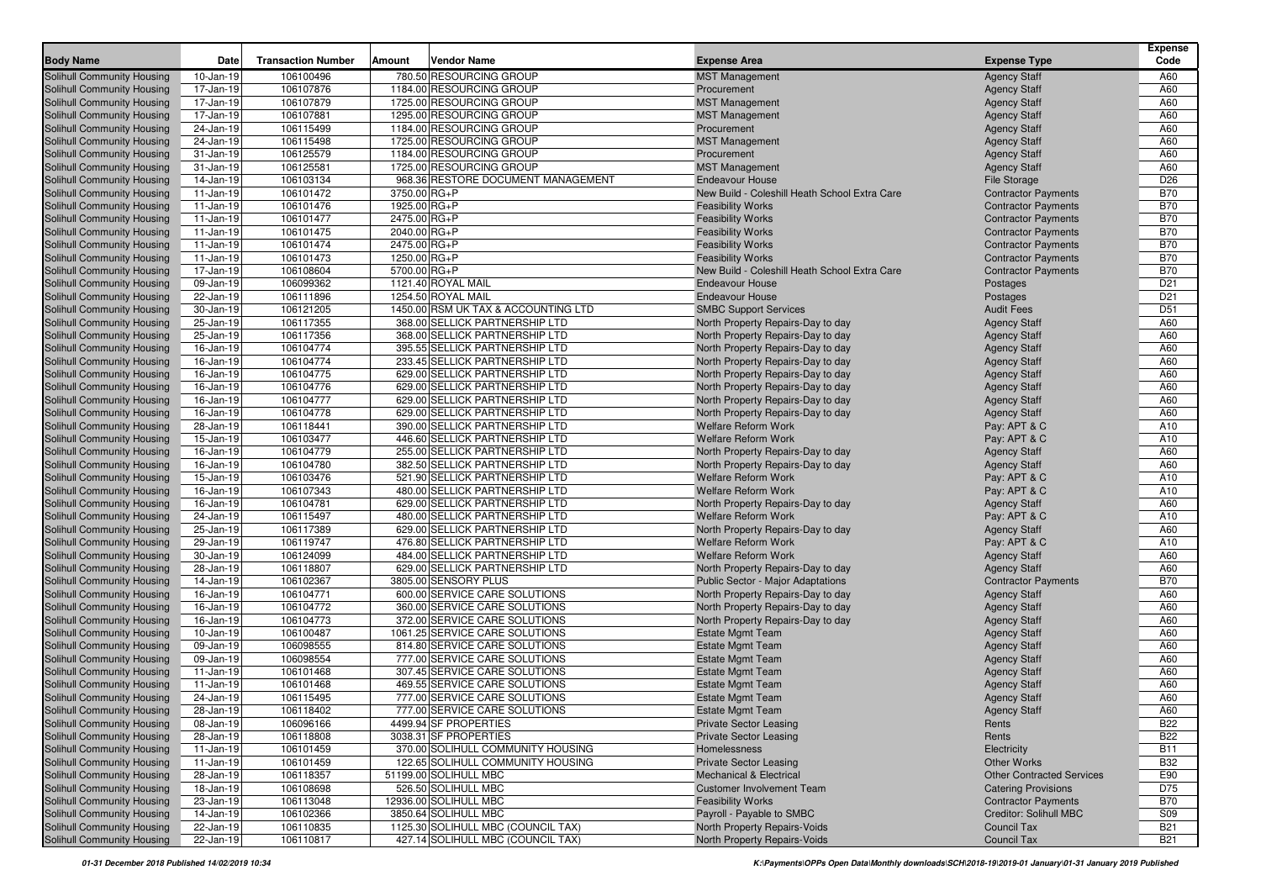|                                   |           |                           |              |                                     |                                               |                                  | <b>Expense</b>  |
|-----------------------------------|-----------|---------------------------|--------------|-------------------------------------|-----------------------------------------------|----------------------------------|-----------------|
| <b>Body Name</b>                  | Date      | <b>Transaction Number</b> | Amount       | <b>Vendor Name</b>                  | <b>Expense Area</b>                           | <b>Expense Type</b>              | Code            |
| Solihull Community Housing        | 10-Jan-19 | 106100496                 |              | 780.50 RESOURCING GROUP             | <b>MST Management</b>                         | <b>Agency Staff</b>              | A60             |
| Solihull Community Housing        | 17-Jan-19 | 106107876                 |              | 1184.00 RESOURCING GROUP            | Procurement                                   | <b>Agency Staff</b>              | A60             |
| Solihull Community Housing        | 17-Jan-19 | 106107879                 |              | 1725.00 RESOURCING GROUP            | <b>MST Management</b>                         | <b>Agency Staff</b>              | A60             |
| Solihull Community Housing        | 17-Jan-19 | 106107881                 |              | 1295.00 RESOURCING GROUP            | <b>MST Management</b>                         | <b>Agency Staff</b>              | A60             |
| Solihull Community Housing        | 24-Jan-19 | 106115499                 |              | 1184.00 RESOURCING GROUP            | Procurement                                   | <b>Agency Staff</b>              | A60             |
| Solihull Community Housing        | 24-Jan-19 | 106115498                 |              | 1725.00 RESOURCING GROUP            | <b>MST Management</b>                         | <b>Agency Staff</b>              | A60             |
| Solihull Community Housing        | 31-Jan-19 | 106125579                 |              | 1184.00 RESOURCING GROUP            | Procurement                                   | <b>Agency Staff</b>              | A60             |
| Solihull Community Housing        | 31-Jan-19 | 106125581                 |              | 1725.00 RESOURCING GROUP            | <b>MST Management</b>                         | <b>Agency Staff</b>              | A60             |
| <b>Solihull Community Housing</b> | 14-Jan-19 | 106103134                 |              | 968.36 RESTORE DOCUMENT MANAGEMENT  | <b>Endeavour House</b>                        | File Storage                     | D <sub>26</sub> |
| Solihull Community Housing        | 11-Jan-19 | 106101472                 | 3750.00 RG+P |                                     | New Build - Coleshill Heath School Extra Care | <b>Contractor Payments</b>       | <b>B70</b>      |
| Solihull Community Housing        | 11-Jan-19 | 106101476                 | 1925.00 RG+P |                                     | <b>Feasibility Works</b>                      | <b>Contractor Payments</b>       | <b>B70</b>      |
| Solihull Community Housing        | 11-Jan-19 | 106101477                 | 2475.00 RG+P |                                     | <b>Feasibility Works</b>                      | <b>Contractor Payments</b>       | <b>B70</b>      |
| Solihull Community Housing        | 11-Jan-19 | 106101475                 | 2040.00 RG+P |                                     | <b>Feasibility Works</b>                      | <b>Contractor Payments</b>       | <b>B70</b>      |
| Solihull Community Housing        | 11-Jan-19 | 106101474                 | 2475.00 RG+P |                                     | <b>Feasibility Works</b>                      | <b>Contractor Payments</b>       | <b>B70</b>      |
| Solihull Community Housing        | 11-Jan-19 | 106101473                 | 1250.00 RG+P |                                     | <b>Feasibility Works</b>                      | <b>Contractor Payments</b>       | <b>B70</b>      |
| Solihull Community Housing        | 17-Jan-19 | 106108604                 | 5700.00 RG+P |                                     | New Build - Coleshill Heath School Extra Care | <b>Contractor Payments</b>       | <b>B70</b>      |
| Solihull Community Housing        | 09-Jan-19 | 106099362                 |              | 1121.40 ROYAL MAIL                  | <b>Endeavour House</b>                        | Postages                         | D <sub>21</sub> |
| Solihull Community Housing        | 22-Jan-19 | 106111896                 |              | 1254.50 ROYAL MAIL                  | <b>Endeavour House</b>                        | Postages                         | D <sub>21</sub> |
| Solihull Community Housing        | 30-Jan-19 | 106121205                 |              | 1450.00 RSM UK TAX & ACCOUNTING LTD | <b>SMBC Support Services</b>                  | <b>Audit Fees</b>                | D <sub>51</sub> |
| Solihull Community Housing        | 25-Jan-19 | 106117355                 |              | 368.00 SELLICK PARTNERSHIP LTD      | North Property Repairs-Day to day             | <b>Agency Staff</b>              | A60             |
| Solihull Community Housing        | 25-Jan-19 | 106117356                 |              | 368.00 SELLICK PARTNERSHIP LTD      | North Property Repairs-Day to day             | <b>Agency Staff</b>              | A60             |
| Solihull Community Housing        | 16-Jan-19 | 106104774                 |              | 395.55 SELLICK PARTNERSHIP LTD      | North Property Repairs-Day to day             | <b>Agency Staff</b>              | A60             |
| Solihull Community Housing        | 16-Jan-19 | 106104774                 |              | 233.45 SELLICK PARTNERSHIP LTD      | North Property Repairs-Day to day             | <b>Agency Staff</b>              | A60             |
| Solihull Community Housing        | 16-Jan-19 | 106104775                 |              | 629.00 SELLICK PARTNERSHIP LTD      | North Property Repairs-Day to day             | <b>Agency Staff</b>              | A60             |
| Solihull Community Housing        | 16-Jan-19 | 106104776                 |              | 629.00 SELLICK PARTNERSHIP LTD      | North Property Repairs-Day to day             | <b>Agency Staff</b>              | A60             |
| <b>Solihull Community Housing</b> | 16-Jan-19 | 106104777                 |              | 629.00 SELLICK PARTNERSHIP LTD      | North Property Repairs-Day to day             | <b>Agency Staff</b>              | A60             |
| Solihull Community Housing        | 16-Jan-19 | 106104778                 |              | 629.00 SELLICK PARTNERSHIP LTD      | North Property Repairs-Day to day             | <b>Agency Staff</b>              | A60             |
| Solihull Community Housing        | 28-Jan-19 | 106118441                 |              | 390.00 SELLICK PARTNERSHIP LTD      | Welfare Reform Work                           | Pay: APT & C                     | A10             |
| Solihull Community Housing        | 15-Jan-19 | 106103477                 |              | 446.60 SELLICK PARTNERSHIP LTD      | Welfare Reform Work                           | Pay: APT & C                     | A10             |
| Solihull Community Housing        | 16-Jan-19 | 106104779                 |              | 255.00 SELLICK PARTNERSHIP LTD      | North Property Repairs-Day to day             | <b>Agency Staff</b>              | A60             |
| Solihull Community Housing        | 16-Jan-19 | 106104780                 |              | 382.50 SELLICK PARTNERSHIP LTD      | North Property Repairs-Day to day             | <b>Agency Staff</b>              | A60             |
| Solihull Community Housing        | 15-Jan-19 | 106103476                 |              | 521.90 SELLICK PARTNERSHIP LTD      | <b>Welfare Reform Work</b>                    | Pay: APT & C                     | A10             |
| Solihull Community Housing        | 16-Jan-19 | 106107343                 |              | 480.00 SELLICK PARTNERSHIP LTD      | Welfare Reform Work                           | Pay: APT & C                     | A10             |
| Solihull Community Housing        | 16-Jan-19 | 106104781                 |              | 629.00 SELLICK PARTNERSHIP LTD      | North Property Repairs-Day to day             | <b>Agency Staff</b>              | A60             |
| Solihull Community Housing        | 24-Jan-19 | 106115497                 |              | 480.00 SELLICK PARTNERSHIP LTD      | <b>Welfare Reform Work</b>                    | Pay: APT & C                     | A10             |
| Solihull Community Housing        | 25-Jan-19 | 106117389                 |              | 629.00 SELLICK PARTNERSHIP LTD      | North Property Repairs-Day to day             | <b>Agency Staff</b>              | A60             |
| Solihull Community Housing        | 29-Jan-19 | 106119747                 |              | 476.80 SELLICK PARTNERSHIP LTD      | Welfare Reform Work                           | Pay: APT & C                     | A10             |
| Solihull Community Housing        | 30-Jan-19 | 106124099                 |              | 484.00 SELLICK PARTNERSHIP LTD      | Welfare Reform Work                           | <b>Agency Staff</b>              | A60             |
| Solihull Community Housing        | 28-Jan-19 | 106118807                 |              | 629.00 SELLICK PARTNERSHIP LTD      | North Property Repairs-Day to day             | <b>Agency Staff</b>              | A60             |
| Solihull Community Housing        | 14-Jan-19 | 106102367                 |              | 3805.00 SENSORY PLUS                | Public Sector - Major Adaptations             | <b>Contractor Payments</b>       | <b>B70</b>      |
| Solihull Community Housing        | 16-Jan-19 | 106104771                 |              | 600.00 SERVICE CARE SOLUTIONS       | North Property Repairs-Day to day             | <b>Agency Staff</b>              | A60             |
| Solihull Community Housing        | 16-Jan-19 | 106104772                 |              | 360.00 SERVICE CARE SOLUTIONS       | North Property Repairs-Day to day             | <b>Agency Staff</b>              | A60             |
| Solihull Community Housing        | 16-Jan-19 | 106104773                 |              | 372.00 SERVICE CARE SOLUTIONS       | North Property Repairs-Day to day             | <b>Agency Staff</b>              | A60             |
| Solihull Community Housing        | 10-Jan-19 | 106100487                 |              | 1061.25 SERVICE CARE SOLUTIONS      | <b>Estate Mgmt Team</b>                       | <b>Agency Staff</b>              | A60             |
| Solihull Community Housing        | 09-Jan-19 | 106098555                 |              | 814.80 SERVICE CARE SOLUTIONS       | <b>Estate Mgmt Team</b>                       | <b>Agency Staff</b>              | A60             |
| Solihull Community Housing        | 09-Jan-19 | 106098554                 |              | 777.00 SERVICE CARE SOLUTIONS       | <b>Estate Mgmt Team</b>                       | <b>Agency Staff</b>              | A60             |
| Solihull Community Housing        | 11-Jan-19 | 106101468                 |              | 307.45 SERVICE CARE SOLUTIONS       | <b>Estate Mgmt Team</b>                       | <b>Agency Staff</b>              | A60             |
| Solihull Community Housing        | 11-Jan-19 | 106101468                 |              | 469.55 SERVICE CARE SOLUTIONS       | <b>Estate Mgmt Team</b>                       | <b>Agency Staff</b>              | A60             |
| Solihull Community Housing        | 24-Jan-19 | 106115495                 |              | 777.00 SERVICE CARE SOLUTIONS       | <b>Estate Mgmt Team</b>                       | <b>Agency Staff</b>              | A60             |
| Solihull Community Housing        | 28-Jan-19 | 106118402                 |              | 777.00 SERVICE CARE SOLUTIONS       | Estate Mgmt Team                              | <b>Agency Staff</b>              | A60             |
| <b>Solihull Community Housing</b> | 08-Jan-19 | 106096166                 |              | 4499.94 SF PROPERTIES               | <b>Private Sector Leasing</b>                 | Rents                            | <b>B22</b>      |
| Solihull Community Housing        | 28-Jan-19 | 106118808                 |              | 3038.31 SF PROPERTIES               | <b>Private Sector Leasing</b>                 | Rents                            | <b>B22</b>      |
| <b>Solihull Community Housing</b> | 11-Jan-19 | 106101459                 |              | 370.00 SOLIHULL COMMUNITY HOUSING   | Homelessness                                  | Electricity                      | <b>B11</b>      |
| <b>Solihull Community Housing</b> | 11-Jan-19 | 106101459                 |              | 122.65 SOLIHULL COMMUNITY HOUSING   | <b>Private Sector Leasing</b>                 | <b>Other Works</b>               | <b>B32</b>      |
| <b>Solihull Community Housing</b> | 28-Jan-19 | 106118357                 |              | 51199.00 SOLIHULL MBC               | <b>Mechanical &amp; Electrical</b>            | <b>Other Contracted Services</b> | E90             |
| Solihull Community Housing        | 18-Jan-19 | 106108698                 |              | 526.50 SOLIHULL MBC                 | <b>Customer Involvement Team</b>              | <b>Catering Provisions</b>       | D75             |
| Solihull Community Housing        | 23-Jan-19 | 106113048                 |              | 12936.00 SOLIHULL MBC               | <b>Feasibility Works</b>                      | <b>Contractor Payments</b>       | <b>B70</b>      |
| Solihull Community Housing        | 14-Jan-19 | 106102366                 |              | 3850.64 SOLIHULL MBC                | Payroll - Payable to SMBC                     | <b>Creditor: Solihull MBC</b>    | S09             |
| Solihull Community Housing        | 22-Jan-19 | 106110835                 |              | 1125.30 SOLIHULL MBC (COUNCIL TAX)  | North Property Repairs-Voids                  | Council Tax                      | <b>B21</b>      |
| <b>Solihull Community Housing</b> | 22-Jan-19 | 106110817                 |              | 427.14 SOLIHULL MBC (COUNCIL TAX)   | North Property Repairs-Voids                  | Council Tax                      | <b>B21</b>      |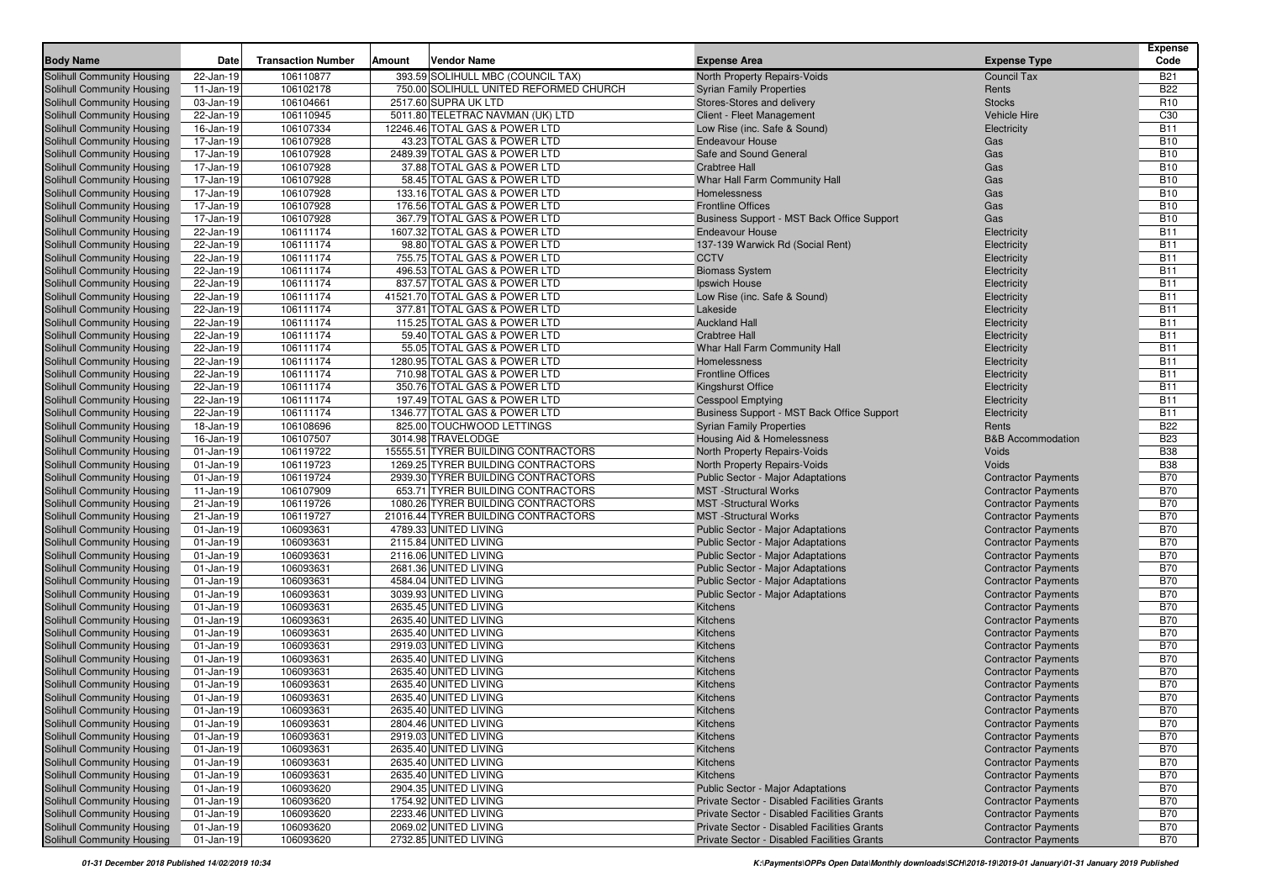| <b>Body Name</b>                                                       | Date                       | <b>Transaction Number</b> | Amount | <b>Vendor Name</b>                             | <b>Expense Area</b>                                                    | <b>Expense Type</b>                                      | <b>Expense</b><br>Code   |
|------------------------------------------------------------------------|----------------------------|---------------------------|--------|------------------------------------------------|------------------------------------------------------------------------|----------------------------------------------------------|--------------------------|
| Solihull Community Housing                                             | 22-Jan-19                  | 106110877                 |        | 393.59 SOLIHULL MBC (COUNCIL TAX)              | North Property Repairs-Voids                                           | <b>Council Tax</b>                                       | B21                      |
| Solihull Community Housing                                             | 11-Jan-19                  | 106102178                 |        | 750.00 SOLIHULL UNITED REFORMED CHURCH         | <b>Syrian Family Properties</b>                                        | Rents                                                    | <b>B22</b>               |
| <b>Solihull Community Housing</b>                                      | 03-Jan-19                  | 106104661                 |        | 2517.60 SUPRA UK LTD                           | Stores-Stores and delivery                                             | <b>Stocks</b>                                            | R <sub>10</sub>          |
| <b>Solihull Community Housing</b>                                      | 22-Jan-19                  | 106110945                 |        | 5011.80 TELETRAC NAVMAN (UK) LTD               | Client - Fleet Management                                              | <b>Vehicle Hire</b>                                      | C30                      |
| <b>Solihull Community Housing</b>                                      | 16-Jan-19                  | 106107334                 |        | 12246.46 TOTAL GAS & POWER LTD                 | Low Rise (inc. Safe & Sound)                                           | Electricity                                              | <b>B11</b>               |
| <b>Solihull Community Housing</b>                                      | 17-Jan-19                  | 106107928                 |        | 43.23 TOTAL GAS & POWER LTD                    | <b>Endeavour House</b>                                                 | Gas                                                      | <b>B10</b>               |
| <b>Solihull Community Housing</b>                                      | 17-Jan-19                  | 106107928                 |        | 2489.39 TOTAL GAS & POWER LTD                  | Safe and Sound General                                                 | Gas                                                      | <b>B10</b>               |
| Solihull Community Housing                                             | 17-Jan-19                  | 106107928                 |        | 37.88 TOTAL GAS & POWER LTD                    | <b>Crabtree Hall</b>                                                   | Gas                                                      | <b>B10</b>               |
| <b>Solihull Community Housing</b>                                      | 17-Jan-19                  | 106107928                 |        | 58.45 TOTAL GAS & POWER LTD                    | Whar Hall Farm Community Hall                                          | Gas                                                      | <b>B10</b>               |
| <b>Solihull Community Housing</b>                                      | 17-Jan-19                  | 106107928                 |        | 133.16 TOTAL GAS & POWER LTD                   | Homelessness                                                           | Gas                                                      | <b>B10</b>               |
| Solihull Community Housing                                             | 17-Jan-19                  | 106107928                 |        | 176.56 TOTAL GAS & POWER LTD                   | <b>Frontline Offices</b>                                               | Gas                                                      | <b>B10</b>               |
| Solihull Community Housing                                             | 17-Jan-19                  | 106107928                 |        | 367.79 TOTAL GAS & POWER LTD                   | Business Support - MST Back Office Support                             | Gas                                                      | <b>B10</b>               |
| Solihull Community Housing                                             | 22-Jan-19                  | 106111174                 |        | 1607.32 TOTAL GAS & POWER LTD                  | <b>Endeavour House</b>                                                 | Electricity                                              | <b>B11</b>               |
| Solihull Community Housing                                             | 22-Jan-19                  | 106111174                 |        | 98.80 TOTAL GAS & POWER LTD                    | 137-139 Warwick Rd (Social Rent)                                       | Electricity                                              | <b>B11</b>               |
| Solihull Community Housing                                             | 22-Jan-19                  | 106111174                 |        | 755.75 TOTAL GAS & POWER LTD                   | <b>CCTV</b>                                                            | Electricity                                              | <b>B11</b>               |
| <b>Solihull Community Housing</b>                                      | 22-Jan-19                  | 106111174                 |        | 496.53 TOTAL GAS & POWER LTD                   | <b>Biomass System</b>                                                  | Electricity                                              | <b>B11</b>               |
| <b>Solihull Community Housing</b>                                      | 22-Jan-19                  | 106111174                 |        | 837.57 TOTAL GAS & POWER LTD                   | Ipswich House                                                          | Electricity                                              | <b>B11</b>               |
| <b>Solihull Community Housing</b>                                      | 22-Jan-19                  | 106111174                 |        | 41521.70 TOTAL GAS & POWER LTD                 | Low Rise (inc. Safe & Sound)                                           | Electricity                                              | <b>B11</b>               |
| <b>Solihull Community Housing</b>                                      | 22-Jan-19                  | 106111174                 |        | 377.81 TOTAL GAS & POWER LTD                   | Lakeside                                                               | Electricity                                              | <b>B11</b>               |
| <b>Solihull Community Housing</b>                                      | 22-Jan-19                  | 106111174                 |        | 115.25 TOTAL GAS & POWER LTD                   | <b>Auckland Hall</b>                                                   | Electricity                                              | <b>B11</b>               |
| <b>Solihull Community Housing</b>                                      | 22-Jan-19                  | 106111174                 |        | 59.40 TOTAL GAS & POWER LTD                    | <b>Crabtree Hall</b>                                                   | Electricity                                              | <b>B11</b>               |
| <b>Solihull Community Housing</b>                                      | 22-Jan-19                  | 106111174                 |        | 55.05 TOTAL GAS & POWER LTD                    | Whar Hall Farm Community Hall                                          | Electricity                                              | <b>B11</b>               |
| <b>Solihull Community Housing</b>                                      | 22-Jan-19                  | 106111174                 |        | 1280.95 TOTAL GAS & POWER LTD                  | Homelessness                                                           | Electricity                                              | <b>B11</b>               |
| Solihull Community Housing                                             | 22-Jan-19                  | 106111174                 |        | 710.98 TOTAL GAS & POWER LTD                   | <b>Frontline Offices</b>                                               | Electricity                                              | <b>B11</b>               |
| <b>Solihull Community Housing</b>                                      | 22-Jan-19                  | 106111174                 |        | 350.76 TOTAL GAS & POWER LTD                   | Kingshurst Office                                                      | Electricity                                              | <b>B11</b>               |
| <b>Solihull Community Housing</b>                                      | 22-Jan-19                  | 106111174                 |        | 197.49 TOTAL GAS & POWER LTD                   | <b>Cesspool Emptying</b>                                               | Electricity                                              | <b>B11</b>               |
| <b>Solihull Community Housing</b>                                      | 22-Jan-19                  | 106111174                 |        | 1346.77 TOTAL GAS & POWER LTD                  | Business Support - MST Back Office Support                             | Electricity                                              | <b>B11</b>               |
| Solihull Community Housing                                             | 18-Jan-19                  | 106108696                 |        | 825.00 TOUCHWOOD LETTINGS                      | <b>Syrian Family Properties</b>                                        | Rents                                                    | <b>B22</b>               |
| <b>Solihull Community Housing</b>                                      | 16-Jan-19                  | 106107507                 |        | 3014.98 TRAVELODGE                             | Housing Aid & Homelessness                                             | <b>B&amp;B</b> Accommodation                             | <b>B23</b>               |
| Solihull Community Housing                                             | $01$ -Jan-19               | 106119722                 |        | 15555.51 TYRER BUILDING CONTRACTORS            | North Property Repairs-Voids                                           | Voids                                                    | <b>B38</b>               |
| <b>Solihull Community Housing</b>                                      | $01-Jan-19$                | 106119723                 |        | 1269.25 TYRER BUILDING CONTRACTORS             | North Property Repairs-Voids                                           | Voids                                                    | <b>B38</b>               |
| <b>Solihull Community Housing</b>                                      | $01-Jan-19$                | 106119724                 |        | 2939.30 TYRER BUILDING CONTRACTORS             | Public Sector - Major Adaptations                                      | <b>Contractor Payments</b>                               | <b>B70</b>               |
| <b>Solihull Community Housing</b>                                      | 11-Jan-19                  | 106107909                 |        | 653.71 TYRER BUILDING CONTRACTORS              | <b>MST</b> -Structural Works                                           | <b>Contractor Payments</b>                               | <b>B70</b>               |
| <b>Solihull Community Housing</b>                                      | 21-Jan-19                  | 106119726                 |        | 1080.26 TYRER BUILDING CONTRACTORS             | <b>MST</b> -Structural Works                                           | <b>Contractor Payments</b>                               | <b>B70</b>               |
| <b>Solihull Community Housing</b>                                      | 21-Jan-19                  | 106119727                 |        | 21016.44 TYRER BUILDING CONTRACTORS            | <b>MST</b> - Structural Works                                          | <b>Contractor Payments</b>                               | <b>B70</b>               |
| <b>Solihull Community Housing</b>                                      | $01$ -Jan-19               | 106093631                 |        | 4789.33 UNITED LIVING                          | Public Sector - Major Adaptations                                      | <b>Contractor Payments</b>                               | <b>B70</b>               |
| <b>Solihull Community Housing</b>                                      | $01-Jan-19$                | 106093631                 |        | 2115.84 UNITED LIVING                          | Public Sector - Major Adaptations                                      | <b>Contractor Payments</b>                               | <b>B70</b><br><b>B70</b> |
| <b>Solihull Community Housing</b>                                      | $01-Jan-19$                | 106093631<br>106093631    |        | 2116.06 UNITED LIVING                          | Public Sector - Major Adaptations                                      | <b>Contractor Payments</b>                               | <b>B70</b>               |
| <b>Solihull Community Housing</b><br><b>Solihull Community Housing</b> | $01-Jan-19$<br>$01-Jan-19$ | 106093631                 |        | 2681.36 UNITED LIVING<br>4584.04 UNITED LIVING | Public Sector - Major Adaptations<br>Public Sector - Major Adaptations | <b>Contractor Payments</b><br><b>Contractor Payments</b> | <b>B70</b>               |
| <b>Solihull Community Housing</b>                                      | $01-Jan-19$                | 106093631                 |        | 3039.93 UNITED LIVING                          | Public Sector - Major Adaptations                                      | <b>Contractor Payments</b>                               | <b>B70</b>               |
| <b>Solihull Community Housing</b>                                      | $01-Jan-19$                | 106093631                 |        | 2635.45 UNITED LIVING                          | Kitchens                                                               | <b>Contractor Payments</b>                               | <b>B70</b>               |
| <b>Solihull Community Housing</b>                                      | $01-Jan-19$                | 106093631                 |        | 2635.40 UNITED LIVING                          | Kitchens                                                               | <b>Contractor Payments</b>                               | <b>B70</b>               |
| <b>Solihull Community Housing</b>                                      | $01-Jan-19$                | 106093631                 |        | 2635.40 UNITED LIVING                          | Kitchens                                                               | <b>Contractor Payments</b>                               | <b>B70</b>               |
| Solihull Community Housing                                             | $01-Jan-19$                | 106093631                 |        | 2919.03 UNITED LIVING                          | Kitchens                                                               | <b>Contractor Payments</b>                               | <b>B70</b>               |
| <b>Solihull Community Housing</b>                                      | $01-Jan-19$                | 106093631                 |        | 2635.40 UNITED LIVING                          | Kitchens                                                               | <b>Contractor Payments</b>                               | <b>B70</b>               |
| Solihull Community Housing                                             | $01-Jan-19$                | 106093631                 |        | 2635.40 UNITED LIVING                          | Kitchens                                                               | <b>Contractor Payments</b>                               | <b>B70</b>               |
| <b>Solihull Community Housing</b>                                      | $01-Jan-19$                | 106093631                 |        | 2635.40 UNITED LIVING                          | Kitchens                                                               | <b>Contractor Payments</b>                               | <b>B70</b>               |
| <b>Solihull Community Housing</b>                                      | $01-Jan-19$                | 106093631                 |        | 2635.40 UNITED LIVING                          | Kitchens                                                               | <b>Contractor Payments</b>                               | <b>B70</b>               |
| Solihull Community Housing                                             | 01-Jan-19                  | 106093631                 |        | 2635.40 UNITED LIVING                          | Kitchens                                                               | <b>Contractor Payments</b>                               | <b>B70</b>               |
| <b>Solihull Community Housing</b>                                      | $01$ -Jan-19               | 106093631                 |        | 2804.46 UNITED LIVING                          | Kitchens                                                               | <b>Contractor Payments</b>                               | <b>B70</b>               |
| Solihull Community Housing                                             | 01-Jan-19                  | 106093631                 |        | 2919.03 UNITED LIVING                          | Kitchens                                                               | <b>Contractor Payments</b>                               | <b>B70</b>               |
| Solihull Community Housing                                             | $01$ -Jan-19               | 106093631                 |        | 2635.40 UNITED LIVING                          | Kitchens                                                               | <b>Contractor Payments</b>                               | <b>B70</b>               |
| Solihull Community Housing                                             | $01$ -Jan-19               | 106093631                 |        | 2635.40 UNITED LIVING                          | Kitchens                                                               | <b>Contractor Payments</b>                               | <b>B70</b>               |
| Solihull Community Housing                                             | $01$ -Jan-19               | 106093631                 |        | 2635.40 UNITED LIVING                          | Kitchens                                                               | <b>Contractor Payments</b>                               | <b>B70</b>               |
| Solihull Community Housing                                             | $01$ -Jan-19               | 106093620                 |        | 2904.35 UNITED LIVING                          | <b>Public Sector - Major Adaptations</b>                               | <b>Contractor Payments</b>                               | <b>B70</b>               |
| <b>Solihull Community Housing</b>                                      | $01$ -Jan-19               | 106093620                 |        | 1754.92 UNITED LIVING                          | Private Sector - Disabled Facilities Grants                            | <b>Contractor Payments</b>                               | <b>B70</b>               |
| Solihull Community Housing                                             | $01$ -Jan-19               | 106093620                 |        | 2233.46 UNITED LIVING                          | Private Sector - Disabled Facilities Grants                            | <b>Contractor Payments</b>                               | <b>B70</b>               |
| <b>Solihull Community Housing</b>                                      | $01$ -Jan-19               | 106093620                 |        | 2069.02 UNITED LIVING                          | Private Sector - Disabled Facilities Grants                            | <b>Contractor Payments</b>                               | <b>B70</b>               |
| Solihull Community Housing                                             | $01 - Jan-19$              | 106093620                 |        | 2732.85 UNITED LIVING                          | Private Sector - Disabled Facilities Grants                            | <b>Contractor Payments</b>                               | <b>B70</b>               |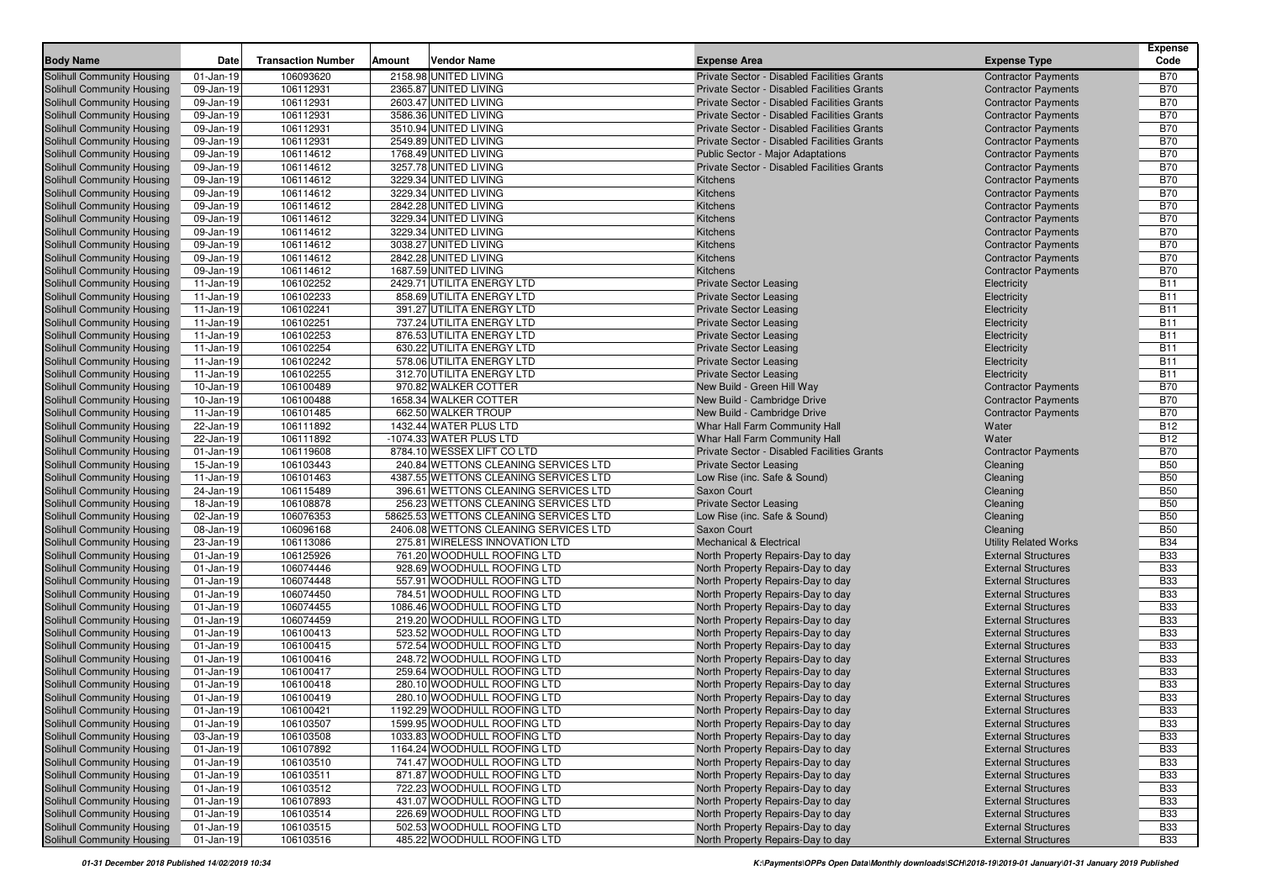|                                                                        |                        |                           |        |                                                |                                                                                            |                                                          | <b>Expense</b>           |
|------------------------------------------------------------------------|------------------------|---------------------------|--------|------------------------------------------------|--------------------------------------------------------------------------------------------|----------------------------------------------------------|--------------------------|
| <b>Body Name</b>                                                       | Date                   | <b>Transaction Number</b> | Amount | <b>Vendor Name</b>                             | <b>Expense Area</b>                                                                        | <b>Expense Type</b>                                      | Code                     |
| Solihull Community Housing                                             | $01$ -Jan-19           | 106093620                 |        | 2158.98 UNITED LIVING                          | Private Sector - Disabled Facilities Grants                                                | <b>Contractor Payments</b>                               | <b>B70</b>               |
| <b>Solihull Community Housing</b>                                      | 09-Jan-19              | 106112931                 |        | 2365.87 UNITED LIVING                          | Private Sector - Disabled Facilities Grants                                                | <b>Contractor Payments</b>                               | <b>B70</b>               |
| <b>Solihull Community Housing</b>                                      | 09-Jan-19              | 106112931                 |        | 2603.47 UNITED LIVING                          | Private Sector - Disabled Facilities Grants                                                | <b>Contractor Payments</b>                               | <b>B70</b>               |
| <b>Solihull Community Housing</b>                                      | 09-Jan-19              | 106112931<br>106112931    |        | 3586.36 UNITED LIVING                          | Private Sector - Disabled Facilities Grants                                                | <b>Contractor Payments</b>                               | <b>B70</b><br><b>B70</b> |
| <b>Solihull Community Housing</b>                                      | 09-Jan-19              |                           |        | 3510.94 UNITED LIVING<br>2549.89 UNITED LIVING | Private Sector - Disabled Facilities Grants<br>Private Sector - Disabled Facilities Grants | <b>Contractor Payments</b>                               | <b>B70</b>               |
| <b>Solihull Community Housing</b>                                      | 09-Jan-19              | 106112931                 |        |                                                |                                                                                            | <b>Contractor Payments</b>                               | <b>B70</b>               |
| <b>Solihull Community Housing</b><br><b>Solihull Community Housing</b> | 09-Jan-19<br>09-Jan-19 | 106114612<br>106114612    |        | 1768.49 UNITED LIVING<br>3257.78 UNITED LIVING | <b>Public Sector - Major Adaptations</b><br>Private Sector - Disabled Facilities Grants    | <b>Contractor Payments</b><br><b>Contractor Payments</b> | <b>B70</b>               |
| <b>Solihull Community Housing</b>                                      | 09-Jan-19              | 106114612                 |        | 3229.34 UNITED LIVING                          | Kitchens                                                                                   | <b>Contractor Payments</b>                               | <b>B70</b>               |
| <b>Solihull Community Housing</b>                                      | 09-Jan-19              | 106114612                 |        | 3229.34 UNITED LIVING                          | Kitchens                                                                                   | <b>Contractor Payments</b>                               | <b>B70</b>               |
| Solihull Community Housing                                             |                        | 106114612                 |        | 2842.28 UNITED LIVING                          | Kitchens                                                                                   |                                                          | <b>B70</b>               |
|                                                                        | 09-Jan-19              |                           |        |                                                | Kitchens                                                                                   | <b>Contractor Payments</b>                               |                          |
| <b>Solihull Community Housing</b><br>Solihull Community Housing        | 09-Jan-19<br>09-Jan-19 | 106114612<br>106114612    |        | 3229.34 UNITED LIVING<br>3229.34 UNITED LIVING | Kitchens                                                                                   | <b>Contractor Payments</b><br><b>Contractor Payments</b> | <b>B70</b><br><b>B70</b> |
| <b>Solihull Community Housing</b>                                      | 09-Jan-19              | 106114612                 |        | 3038.27 UNITED LIVING                          | Kitchens                                                                                   | <b>Contractor Payments</b>                               | <b>B70</b>               |
| <b>Solihull Community Housing</b>                                      | 09-Jan-19              | 106114612                 |        | 2842.28 UNITED LIVING                          | Kitchens                                                                                   | <b>Contractor Payments</b>                               | <b>B70</b>               |
| <b>Solihull Community Housing</b>                                      | 09-Jan-19              | 106114612                 |        | 1687.59 UNITED LIVING                          | Kitchens                                                                                   | <b>Contractor Payments</b>                               | <b>B70</b>               |
| <b>Solihull Community Housing</b>                                      | 11-Jan-19              | 106102252                 |        | 2429.71 UTILITA ENERGY LTD                     | <b>Private Sector Leasing</b>                                                              | Electricity                                              | <b>B11</b>               |
| <b>Solihull Community Housing</b>                                      | 11-Jan-19              | 106102233                 |        | 858.69 UTILITA ENERGY LTD                      | <b>Private Sector Leasing</b>                                                              | Electricity                                              | <b>B11</b>               |
| <b>Solihull Community Housing</b>                                      | 11-Jan-19              | 106102241                 |        | 391.27 UTILITA ENERGY LTD                      | <b>Private Sector Leasing</b>                                                              | Electricity                                              | <b>B11</b>               |
| <b>Solihull Community Housing</b>                                      | 11-Jan-19              | 106102251                 |        | 737.24 UTILITA ENERGY LTD                      | <b>Private Sector Leasing</b>                                                              | Electricity                                              | <b>B11</b>               |
| Solihull Community Housing                                             | 11-Jan-19              | 106102253                 |        | 876.53 UTILITA ENERGY LTD                      | <b>Private Sector Leasing</b>                                                              | Electricity                                              | <b>B11</b>               |
| <b>Solihull Community Housing</b>                                      | 11-Jan-19              | 106102254                 |        | 630.22 UTILITA ENERGY LTD                      | <b>Private Sector Leasing</b>                                                              | Electricity                                              | <b>B11</b>               |
| Solihull Community Housing                                             | 11-Jan-19              | 106102242                 |        | 578.06 UTILITA ENERGY LTD                      | <b>Private Sector Leasing</b>                                                              | Electricity                                              | <b>B11</b>               |
| <b>Solihull Community Housing</b>                                      | 11-Jan-19              | 106102255                 |        | 312.70 UTILITA ENERGY LTD                      | <b>Private Sector Leasing</b>                                                              | Electricity                                              | <b>B11</b>               |
| <b>Solihull Community Housing</b>                                      | 10-Jan-19              | 106100489                 |        | 970.82 WALKER COTTER                           | New Build - Green Hill Way                                                                 | <b>Contractor Payments</b>                               | <b>B70</b>               |
| <b>Solihull Community Housing</b>                                      | 10-Jan-19              | 106100488                 |        | 1658.34 WALKER COTTER                          | New Build - Cambridge Drive                                                                | <b>Contractor Payments</b>                               | <b>B70</b>               |
| <b>Solihull Community Housing</b>                                      | 11-Jan-19              | 106101485                 |        | 662.50 WALKER TROUP                            | New Build - Cambridge Drive                                                                | <b>Contractor Payments</b>                               | <b>B70</b>               |
| Solihull Community Housing                                             | 22-Jan-19              | 106111892                 |        | 1432.44 WATER PLUS LTD                         | Whar Hall Farm Community Hall                                                              | Water                                                    | <b>B12</b>               |
| Solihull Community Housing                                             | 22-Jan-19              | 106111892                 |        | -1074.33 WATER PLUS LTD                        | Whar Hall Farm Community Hall                                                              | Water                                                    | <b>B12</b>               |
| <b>Solihull Community Housing</b>                                      | $01-Jan-19$            | 106119608                 |        | 8784.10 WESSEX LIFT CO LTD                     | Private Sector - Disabled Facilities Grants                                                | <b>Contractor Payments</b>                               | <b>B70</b>               |
| <b>Solihull Community Housing</b>                                      | 15-Jan-19              | 106103443                 |        | 240.84 WETTONS CLEANING SERVICES LTD           | <b>Private Sector Leasing</b>                                                              | Cleaning                                                 | <b>B50</b>               |
| <b>Solihull Community Housing</b>                                      | 11-Jan-19              | 106101463                 |        | 4387.55 WETTONS CLEANING SERVICES LTD          | Low Rise (inc. Safe & Sound)                                                               | Cleaning                                                 | <b>B50</b>               |
| Solihull Community Housing                                             | 24-Jan-19              | 106115489                 |        | 396.61 WETTONS CLEANING SERVICES LTD           | Saxon Court                                                                                | Cleaning                                                 | <b>B50</b>               |
| <b>Solihull Community Housing</b>                                      | 18-Jan-19              | 106108878                 |        | 256.23 WETTONS CLEANING SERVICES LTD           | <b>Private Sector Leasing</b>                                                              | Cleaning                                                 | <b>B50</b>               |
| Solihull Community Housing                                             | 02-Jan-19              | 106076353                 |        | 58625.53 WETTONS CLEANING SERVICES LTD         | Low Rise (inc. Safe & Sound)                                                               | Cleaning                                                 | <b>B50</b>               |
| <b>Solihull Community Housing</b>                                      | 08-Jan-19              | 106096168                 |        | 2406.08 WETTONS CLEANING SERVICES LTD          | Saxon Court                                                                                | Cleaning                                                 | <b>B50</b>               |
| <b>Solihull Community Housing</b>                                      | 23-Jan-19              | 106113086                 |        | 275.81 WIRELESS INNOVATION LTD                 | <b>Mechanical &amp; Electrical</b>                                                         | <b>Utility Related Works</b>                             | <b>B34</b>               |
| <b>Solihull Community Housing</b>                                      | $01$ -Jan-19           | 106125926                 |        | 761.20 WOODHULL ROOFING LTD                    | North Property Repairs-Day to day                                                          | <b>External Structures</b>                               | <b>B33</b>               |
| <b>Solihull Community Housing</b>                                      | $01-Jan-19$            | 106074446                 |        | 928.69 WOODHULL ROOFING LTD                    | North Property Repairs-Day to day                                                          | <b>External Structures</b>                               | <b>B33</b>               |
| <b>Solihull Community Housing</b>                                      | $01-Jan-19$            | 106074448                 |        | 557.91 WOODHULL ROOFING LTD                    | North Property Repairs-Day to day                                                          | <b>External Structures</b>                               | <b>B33</b>               |
| <b>Solihull Community Housing</b>                                      | $01-Jan-19$            | 106074450                 |        | 784.51 WOODHULL ROOFING LTD                    | North Property Repairs-Day to day                                                          | <b>External Structures</b>                               | <b>B33</b>               |
| <b>Solihull Community Housing</b>                                      | $01-Jan-19$            | 106074455                 |        | 1086.46 WOODHULL ROOFING LTD                   | North Property Repairs-Day to day                                                          | <b>External Structures</b>                               | <b>B33</b>               |
| <b>Solihull Community Housing</b>                                      | $01-Jan-19$            | 106074459                 |        | 219.20 WOODHULL ROOFING LTD                    | North Property Repairs-Day to day                                                          | <b>External Structures</b>                               | <b>B33</b>               |
| <b>Solihull Community Housing</b>                                      | $01-Jan-19$            | 106100413                 |        | 523.52 WOODHULL ROOFING LTD                    | North Property Repairs-Day to day                                                          | <b>External Structures</b>                               | <b>B33</b>               |
| <b>Solihull Community Housing</b>                                      | $01-Jan-19$            | 106100415                 |        | 572.54 WOODHULL ROOFING LTD                    | North Property Repairs-Day to day                                                          | <b>External Structures</b>                               | <b>B33</b>               |
| Solihull Community Housing                                             | $01-Jan-19$            | 106100416                 |        | 248.72 WOODHULL ROOFING LTD                    | North Property Repairs-Day to day                                                          | <b>External Structures</b>                               | <b>B33</b>               |
| <b>Solihull Community Housing</b>                                      | $01-Jan-19$            | 106100417                 |        | 259.64 WOODHULL ROOFING LTD                    | North Property Repairs-Day to day                                                          | <b>External Structures</b>                               | <b>B33</b>               |
| Solihull Community Housing                                             | $01$ -Jan-19           | 106100418                 |        | 280.10 WOODHULL ROOFING LTD                    | North Property Repairs-Day to day                                                          | <b>External Structures</b>                               | <b>B33</b>               |
| Solihull Community Housing                                             | $01-Jan-19$            | 106100419                 |        | 280.10 WOODHULL ROOFING LTD                    | North Property Repairs-Day to day                                                          | <b>External Structures</b>                               | <b>B33</b>               |
| Solihull Community Housing                                             | $01$ -Jan-19           | 106100421                 |        | 1192.29 WOODHULL ROOFING LTD                   | North Property Repairs-Day to day                                                          | <b>External Structures</b>                               | <b>B33</b>               |
| <b>Solihull Community Housing</b>                                      | $01 - Jan-19$          | 106103507                 |        | 1599.95 WOODHULL ROOFING LTD                   | North Property Repairs-Day to day                                                          | <b>External Structures</b>                               | <b>B33</b>               |
| <b>Solihull Community Housing</b>                                      | 03-Jan-19              | 106103508                 |        | 1033.83 WOODHULL ROOFING LTD                   | North Property Repairs-Day to day                                                          | <b>External Structures</b>                               | <b>B33</b>               |
| Solihull Community Housing                                             | $01-Jan-19$            | 106107892                 |        | 1164.24 WOODHULL ROOFING LTD                   | North Property Repairs-Day to day                                                          | <b>External Structures</b>                               | <b>B33</b>               |
| <b>Solihull Community Housing</b>                                      | 01-Jan-19              | 106103510                 |        | 741.47 WOODHULL ROOFING LTD                    | North Property Repairs-Day to day                                                          | <b>External Structures</b>                               | <b>B33</b>               |
| Solihull Community Housing                                             | $01 - Jan-19$          | 106103511                 |        | 871.87 WOODHULL ROOFING LTD                    | North Property Repairs-Day to day                                                          | <b>External Structures</b>                               | <b>B33</b>               |
| <b>Solihull Community Housing</b>                                      | $01-Jan-19$            | 106103512                 |        | 722.23 WOODHULL ROOFING LTD                    | North Property Repairs-Day to day                                                          | <b>External Structures</b>                               | <b>B33</b>               |
| <b>Solihull Community Housing</b>                                      | $01$ -Jan-19           | 106107893                 |        | 431.07 WOODHULL ROOFING LTD                    | North Property Repairs-Day to day                                                          | <b>External Structures</b>                               | <b>B33</b>               |
| Solihull Community Housing                                             | $01$ -Jan-19           | 106103514                 |        | 226.69 WOODHULL ROOFING LTD                    | North Property Repairs-Day to day                                                          | <b>External Structures</b>                               | <b>B33</b>               |
| Solihull Community Housing                                             | $01$ -Jan-19           | 106103515                 |        | 502.53 WOODHULL ROOFING LTD                    | North Property Repairs-Day to day                                                          | <b>External Structures</b>                               | <b>B33</b>               |
| <b>Solihull Community Housing</b>                                      | $01 - Jan - 19$        | 106103516                 |        | 485.22 WOODHULL ROOFING LTD                    | North Property Repairs-Day to day                                                          | <b>External Structures</b>                               | <b>B33</b>               |